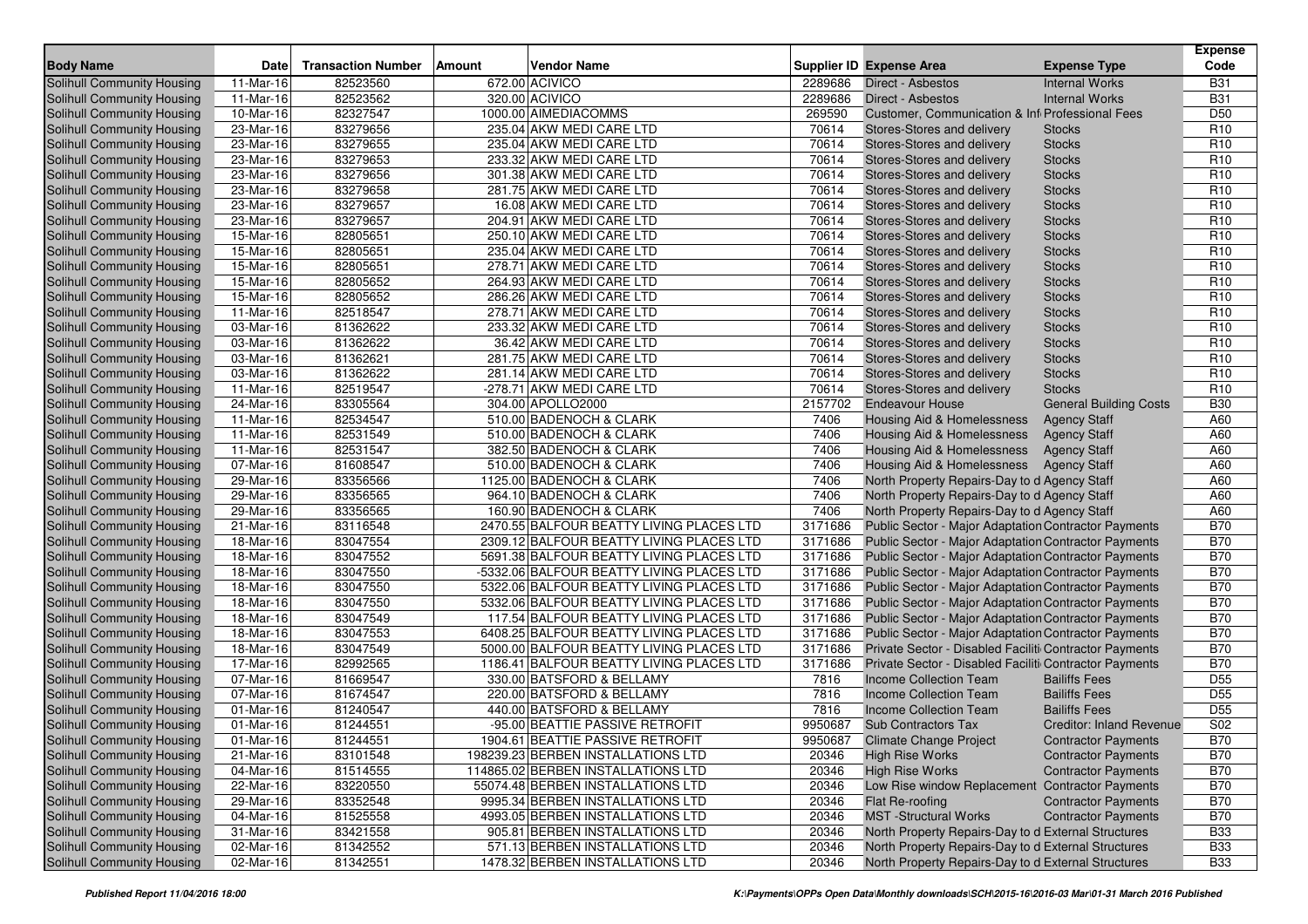|                                                          |                         |                           |        |                                                      |                |                                                             |                                 | Expense                            |
|----------------------------------------------------------|-------------------------|---------------------------|--------|------------------------------------------------------|----------------|-------------------------------------------------------------|---------------------------------|------------------------------------|
| <b>Body Name</b>                                         | <b>Date</b>             | <b>Transaction Number</b> | Amount | <b>Vendor Name</b>                                   |                | Supplier ID Expense Area                                    | <b>Expense Type</b>             | Code                               |
| Solihull Community Housing                               | 11-Mar-16               | 82523560                  |        | 672.00 ACIVICO                                       | 2289686        | Direct - Asbestos                                           | <b>Internal Works</b>           | <b>B31</b>                         |
| Solihull Community Housing                               | 11-Mar-16               | 82523562                  |        | 320.00 ACIVICO                                       | 2289686        | Direct - Asbestos                                           | <b>Internal Works</b>           | <b>B31</b>                         |
| Solihull Community Housing                               | 10-Mar-16               | 82327547                  |        | 1000.00 AIMEDIACOMMS                                 | 269590         | Customer, Communication & Inf Professional Fees             |                                 | D50                                |
| Solihull Community Housing                               | 23-Mar-16               | 83279656                  |        | 235.04 AKW MEDI CARE LTD                             | 70614          | Stores-Stores and delivery                                  | <b>Stocks</b>                   | R <sub>10</sub>                    |
| Solihull Community Housing                               | 23-Mar-16               | 83279655                  |        | 235.04 AKW MEDI CARE LTD                             | 70614          | Stores-Stores and delivery                                  | <b>Stocks</b>                   | R <sub>10</sub>                    |
| Solihull Community Housing                               | 23-Mar-16               | 83279653                  |        | 233.32 AKW MEDI CARE LTD                             | 70614          | Stores-Stores and delivery                                  | <b>Stocks</b>                   | R <sub>10</sub>                    |
| Solihull Community Housing                               | 23-Mar-16               | 83279656                  |        | 301.38 AKW MEDI CARE LTD                             | 70614          | Stores-Stores and delivery                                  | <b>Stocks</b>                   | R <sub>10</sub>                    |
| Solihull Community Housing                               | 23-Mar-16               | 83279658                  |        | 281.75 AKW MEDI CARE LTD                             | 70614          | Stores-Stores and delivery                                  | <b>Stocks</b>                   | R <sub>10</sub>                    |
| Solihull Community Housing                               | 23-Mar-16               | 83279657                  |        | 16.08 AKW MEDI CARE LTD                              | 70614          | Stores-Stores and delivery                                  | <b>Stocks</b>                   | R <sub>10</sub>                    |
| Solihull Community Housing                               | 23-Mar-16               | 83279657                  |        | 204.91 AKW MEDI CARE LTD                             | 70614          | Stores-Stores and delivery                                  | <b>Stocks</b>                   | R <sub>10</sub>                    |
| Solihull Community Housing                               | 15-Mar-16               | 82805651                  |        | 250.10 AKW MEDI CARE LTD                             | 70614          | Stores-Stores and delivery                                  | <b>Stocks</b>                   | R <sub>10</sub>                    |
| Solihull Community Housing                               | 15-Mar-16               | 82805651                  |        | 235.04 AKW MEDI CARE LTD                             | 70614          | Stores-Stores and delivery                                  | <b>Stocks</b>                   | R <sub>10</sub>                    |
| Solihull Community Housing                               | 15-Mar-16               | 82805651<br>82805652      |        | 278.71 AKW MEDI CARE LTD<br>264.93 AKW MEDI CARE LTD | 70614<br>70614 | Stores-Stores and delivery                                  | <b>Stocks</b>                   | R <sub>10</sub>                    |
| Solihull Community Housing                               | 15-Mar-16               |                           |        |                                                      |                | Stores-Stores and delivery                                  | <b>Stocks</b>                   | R <sub>10</sub>                    |
| Solihull Community Housing                               | 15-Mar-16               | 82805652                  |        | 286.26 AKW MEDI CARE LTD                             | 70614          | Stores-Stores and delivery                                  | <b>Stocks</b>                   | R <sub>10</sub>                    |
| Solihull Community Housing                               | 11-Mar-16               | 82518547<br>81362622      |        | 278.71 AKW MEDI CARE LTD                             | 70614<br>70614 | Stores-Stores and delivery                                  | <b>Stocks</b>                   | R <sub>10</sub>                    |
| Solihull Community Housing                               | 03-Mar-16               |                           |        | 233.32 AKW MEDI CARE LTD                             | 70614          | Stores-Stores and delivery                                  | <b>Stocks</b>                   | R <sub>10</sub><br>R <sub>10</sub> |
| Solihull Community Housing                               | 03-Mar-16<br>03-Mar-16  | 81362622<br>81362621      |        | 36.42 AKW MEDI CARE LTD<br>281.75 AKW MEDI CARE LTD  | 70614          | Stores-Stores and delivery<br>Stores-Stores and delivery    | <b>Stocks</b><br><b>Stocks</b>  | R <sub>10</sub>                    |
| Solihull Community Housing<br>Solihull Community Housing | 03-Mar-16               | 81362622                  |        | 281.14 AKW MEDI CARE LTD                             | 70614          | Stores-Stores and delivery                                  | <b>Stocks</b>                   | R <sub>10</sub>                    |
| Solihull Community Housing                               | 11-Mar-16               | 82519547                  |        | -278.71 AKW MEDI CARE LTD                            | 70614          | Stores-Stores and delivery                                  | <b>Stocks</b>                   | R <sub>10</sub>                    |
| Solihull Community Housing                               | 24-Mar-16               | 83305564                  |        | 304.00 APOLLO2000                                    | 2157702        | <b>Endeavour House</b>                                      | <b>General Building Costs</b>   | <b>B30</b>                         |
| Solihull Community Housing                               | 11-Mar-16               | 82534547                  |        | 510.00 BADENOCH & CLARK                              | 7406           | Housing Aid & Homelessness                                  | <b>Agency Staff</b>             | A60                                |
| Solihull Community Housing                               | 11-Mar-16               | 82531549                  |        | 510.00 BADENOCH & CLARK                              | 7406           | Housing Aid & Homelessness                                  | <b>Agency Staff</b>             | A60                                |
| Solihull Community Housing                               | 11-Mar-16               | 82531547                  |        | 382.50 BADENOCH & CLARK                              | 7406           | Housing Aid & Homelessness                                  | <b>Agency Staff</b>             | A60                                |
| Solihull Community Housing                               | 07-Mar-16               | 81608547                  |        | 510.00 BADENOCH & CLARK                              | 7406           | Housing Aid & Homelessness                                  | <b>Agency Staff</b>             | A60                                |
| Solihull Community Housing                               | 29-Mar-16               | 83356566                  |        | 1125.00 BADENOCH & CLARK                             | 7406           | North Property Repairs-Day to d Agency Staff                |                                 | A60                                |
| Solihull Community Housing                               | 29-Mar-16               | 83356565                  |        | 964.10 BADENOCH & CLARK                              | 7406           | North Property Repairs-Day to d Agency Staff                |                                 | A60                                |
| Solihull Community Housing                               | 29-Mar-16               | 83356565                  |        | 160.90 BADENOCH & CLARK                              | 7406           | North Property Repairs-Day to d Agency Staff                |                                 | A60                                |
| Solihull Community Housing                               | 21-Mar-16               | 83116548                  |        | 2470.55 BALFOUR BEATTY LIVING PLACES LTD             | 3171686        | Public Sector - Major Adaptation Contractor Payments        |                                 | <b>B70</b>                         |
| Solihull Community Housing                               | 18-Mar-16               | 83047554                  |        | 2309.12 BALFOUR BEATTY LIVING PLACES LTD             | 3171686        | <b>Public Sector - Major Adaptation Contractor Payments</b> |                                 | <b>B70</b>                         |
| Solihull Community Housing                               | 18-Mar-16               | 83047552                  |        | 5691.38 BALFOUR BEATTY LIVING PLACES LTD             | 3171686        | Public Sector - Major Adaptation Contractor Payments        |                                 | <b>B70</b>                         |
| Solihull Community Housing                               | 18-Mar-16               | 83047550                  |        | -5332.06 BALFOUR BEATTY LIVING PLACES LTD            | 3171686        | Public Sector - Major Adaptation Contractor Payments        |                                 | <b>B70</b>                         |
| Solihull Community Housing                               | 18-Mar-16               | 83047550                  |        | 5322.06 BALFOUR BEATTY LIVING PLACES LTD             | 3171686        | Public Sector - Major Adaptation Contractor Payments        |                                 | <b>B70</b>                         |
| Solihull Community Housing                               | 18-Mar-16               | 83047550                  |        | 5332.06 BALFOUR BEATTY LIVING PLACES LTD             | 3171686        | Public Sector - Major Adaptation Contractor Payments        |                                 | <b>B70</b>                         |
| Solihull Community Housing                               | 18-Mar-16               | 83047549                  |        | 117.54 BALFOUR BEATTY LIVING PLACES LTD              | 3171686        | Public Sector - Major Adaptation Contractor Payments        |                                 | <b>B70</b>                         |
| Solihull Community Housing                               | 18-Mar-16               | 83047553                  |        | 6408.25 BALFOUR BEATTY LIVING PLACES LTD             | 3171686        | Public Sector - Major Adaptation Contractor Payments        |                                 | <b>B70</b>                         |
| Solihull Community Housing                               | 18-Mar-16               | 83047549                  |        | 5000.00 BALFOUR BEATTY LIVING PLACES LTD             | 3171686        | Private Sector - Disabled Faciliti Contractor Payments      |                                 | <b>B70</b>                         |
| Solihull Community Housing                               | 17-Mar-16               | 82992565                  |        | 1186.41 BALFOUR BEATTY LIVING PLACES LTD             | 3171686        | Private Sector - Disabled Faciliti Contractor Payments      |                                 | <b>B70</b>                         |
| Solihull Community Housing                               | $\overline{0}$ 7-Mar-16 | 81669547                  |        | 330.00 BATSFORD & BELLAMY                            | 7816           | Income Collection Team                                      | <b>Bailiffs Fees</b>            | D <sub>55</sub>                    |
| Solihull Community Housing                               | 07-Mar-16               | 81674547                  |        | 220.00 BATSFORD & BELLAMY                            | 7816           | Income Collection Team                                      | <b>Bailiffs Fees</b>            | D <sub>55</sub>                    |
| Solihull Community Housing                               | 01-Mar-16               | 81240547                  |        | 440.00 BATSFORD & BELLAMY                            | 7816           | Income Collection Team                                      | <b>Bailiffs Fees</b>            | D <sub>55</sub>                    |
| Solihull Community Housing                               | 01-Mar-16               | 81244551                  |        | -95.00 BEATTIE PASSIVE RETROFIT                      | 9950687        | <b>Sub Contractors Tax</b>                                  | <b>Creditor: Inland Revenue</b> | S02                                |
| Solihull Community Housing                               | 01-Mar-16               | 81244551                  |        | 1904.61 BEATTIE PASSIVE RETROFIT                     |                | 9950687 Climate Change Project                              | <b>Contractor Payments</b>      | <b>B70</b>                         |
| Solihull Community Housing                               | 21-Mar-16               | 83101548                  |        | 198239.23 BERBEN INSTALLATIONS LTD                   | 20346          | <b>High Rise Works</b>                                      | <b>Contractor Payments</b>      | <b>B70</b>                         |
| Solihull Community Housing                               | $\overline{04}$ -Mar-16 | 81514555                  |        | 114865.02 BERBEN INSTALLATIONS LTD                   | 20346          | <b>High Rise Works</b>                                      | <b>Contractor Payments</b>      | <b>B70</b>                         |
| Solihull Community Housing                               | 22-Mar-16               | 83220550                  |        | 55074.48 BERBEN INSTALLATIONS LTD                    | 20346          | Low Rise window Replacement Contractor Payments             |                                 | <b>B70</b>                         |
| Solihull Community Housing                               | 29-Mar-16               | 83352548                  |        | 9995.34 BERBEN INSTALLATIONS LTD                     | 20346          | Flat Re-roofing                                             | <b>Contractor Payments</b>      | <b>B70</b>                         |
| Solihull Community Housing                               | 04-Mar-16               | 81525558                  |        | 4993.05 BERBEN INSTALLATIONS LTD                     | 20346          | <b>MST</b> -Structural Works                                | <b>Contractor Payments</b>      | <b>B70</b>                         |
| Solihull Community Housing                               | 31-Mar-16               | 83421558                  |        | 905.81 BERBEN INSTALLATIONS LTD                      | 20346          | North Property Repairs-Day to d External Structures         |                                 | <b>B33</b>                         |
| Solihull Community Housing                               | 02-Mar-16               | 81342552                  |        | 571.13 BERBEN INSTALLATIONS LTD                      | 20346          | North Property Repairs-Day to d External Structures         |                                 | <b>B33</b>                         |
| Solihull Community Housing                               | 02-Mar-16               | 81342551                  |        | 1478.32 BERBEN INSTALLATIONS LTD                     | 20346          | North Property Repairs-Day to d External Structures         |                                 | <b>B33</b>                         |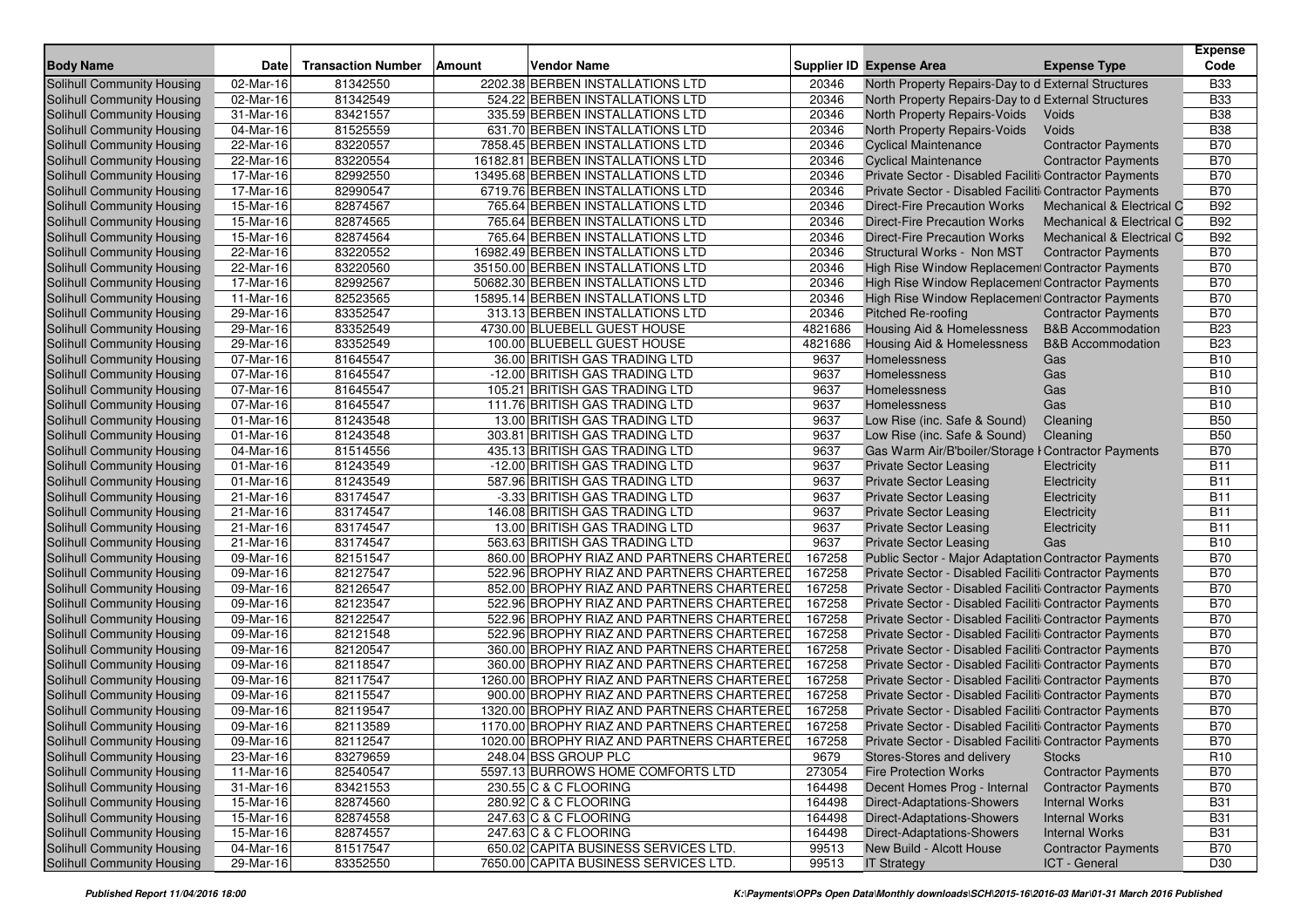|                                   |           |                           |        |                                            |         |                                                        |                                      | <b>Expense</b>  |
|-----------------------------------|-----------|---------------------------|--------|--------------------------------------------|---------|--------------------------------------------------------|--------------------------------------|-----------------|
| <b>Body Name</b>                  | Date      | <b>Transaction Number</b> | Amount | <b>Vendor Name</b>                         |         | <b>Supplier ID Expense Area</b>                        | <b>Expense Type</b>                  | Code            |
| Solihull Community Housing        | 02-Mar-16 | 81342550                  |        | 2202.38 BERBEN INSTALLATIONS LTD           | 20346   | North Property Repairs-Day to d External Structures    |                                      | <b>B33</b>      |
| Solihull Community Housing        | 02-Mar-16 | 81342549                  |        | 524.22 BERBEN INSTALLATIONS LTD            | 20346   | North Property Repairs-Day to d External Structures    |                                      | <b>B33</b>      |
| Solihull Community Housing        | 31-Mar-16 | 83421557                  |        | 335.59 BERBEN INSTALLATIONS LTD            | 20346   | North Property Repairs-Voids                           | Voids                                | <b>B38</b>      |
| <b>Solihull Community Housing</b> | 04-Mar-16 | 81525559                  |        | 631.70 BERBEN INSTALLATIONS LTD            | 20346   | North Property Repairs-Voids                           | Voids                                | <b>B38</b>      |
| Solihull Community Housing        | 22-Mar-16 | 83220557                  |        | 7858.45 BERBEN INSTALLATIONS LTD           | 20346   | <b>Cyclical Maintenance</b>                            | <b>Contractor Payments</b>           | <b>B70</b>      |
| Solihull Community Housing        | 22-Mar-16 | 83220554                  |        | 16182.81 BERBEN INSTALLATIONS LTD          | 20346   | <b>Cyclical Maintenance</b>                            | <b>Contractor Payments</b>           | <b>B70</b>      |
| Solihull Community Housing        | 17-Mar-16 | 82992550                  |        | 13495.68 BERBEN INSTALLATIONS LTD          | 20346   | Private Sector - Disabled Faciliti Contractor Payments |                                      | <b>B70</b>      |
| <b>Solihull Community Housing</b> | 17-Mar-16 | 82990547                  |        | 6719.76 BERBEN INSTALLATIONS LTD           | 20346   | Private Sector - Disabled Faciliti Contractor Payments |                                      | <b>B70</b>      |
| Solihull Community Housing        | 15-Mar-16 | 82874567                  |        | 765.64 BERBEN INSTALLATIONS LTD            | 20346   | <b>Direct-Fire Precaution Works</b>                    | Mechanical & Electrical C            | <b>B92</b>      |
| Solihull Community Housing        | 15-Mar-16 | 82874565                  |        | 765.64 BERBEN INSTALLATIONS LTD            | 20346   | <b>Direct-Fire Precaution Works</b>                    | <b>Mechanical &amp; Electrical C</b> | <b>B92</b>      |
| Solihull Community Housing        | 15-Mar-16 | 82874564                  |        | 765.64 BERBEN INSTALLATIONS LTD            | 20346   | <b>Direct-Fire Precaution Works</b>                    | Mechanical & Electrical C            | <b>B92</b>      |
| <b>Solihull Community Housing</b> | 22-Mar-16 | 83220552                  |        | 16982.49 BERBEN INSTALLATIONS LTD          | 20346   | Structural Works - Non MST                             | <b>Contractor Payments</b>           | <b>B70</b>      |
| <b>Solihull Community Housing</b> | 22-Mar-16 | 83220560                  |        | 35150.00 BERBEN INSTALLATIONS LTD          | 20346   | High Rise Window Replacement Contractor Payments       |                                      | <b>B70</b>      |
| Solihull Community Housing        | 17-Mar-16 | 82992567                  |        | 50682.30 BERBEN INSTALLATIONS LTD          | 20346   | High Rise Window Replacement Contractor Payments       |                                      | <b>B70</b>      |
| Solihull Community Housing        | 11-Mar-16 | 82523565                  |        | 15895.14 BERBEN INSTALLATIONS LTD          | 20346   | High Rise Window Replacement Contractor Payments       |                                      | <b>B70</b>      |
| Solihull Community Housing        | 29-Mar-16 | 83352547                  |        | 313.13 BERBEN INSTALLATIONS LTD            | 20346   | <b>Pitched Re-roofing</b>                              | <b>Contractor Payments</b>           | <b>B70</b>      |
| Solihull Community Housing        | 29-Mar-16 | 83352549                  |        | 4730.00 BLUEBELL GUEST HOUSE               | 4821686 | Housing Aid & Homelessness                             | <b>B&amp;B Accommodation</b>         | <b>B23</b>      |
| <b>Solihull Community Housing</b> | 29-Mar-16 | 83352549                  |        | 100.00 BLUEBELL GUEST HOUSE                | 4821686 | <b>Housing Aid &amp; Homelessness</b>                  | <b>B&amp;B</b> Accommodation         | <b>B23</b>      |
| Solihull Community Housing        | 07-Mar-16 | 81645547                  |        | 36.00 BRITISH GAS TRADING LTD              | 9637    | Homelessness                                           | Gas                                  | <b>B10</b>      |
| Solihull Community Housing        | 07-Mar-16 | 81645547                  |        | -12.00 BRITISH GAS TRADING LTD             | 9637    | Homelessness                                           | Gas                                  | <b>B10</b>      |
| Solihull Community Housing        | 07-Mar-16 | 81645547                  |        | 105.21 BRITISH GAS TRADING LTD             | 9637    | Homelessness                                           | Gas                                  | <b>B10</b>      |
| <b>Solihull Community Housing</b> | 07-Mar-16 | 81645547                  |        | 111.76 BRITISH GAS TRADING LTD             | 9637    | Homelessness                                           | Gas                                  | <b>B10</b>      |
| Solihull Community Housing        | 01-Mar-16 | 81243548                  |        | 13.00 BRITISH GAS TRADING LTD              | 9637    | Low Rise (inc. Safe & Sound)                           | Cleaning                             | <b>B50</b>      |
| <b>Solihull Community Housing</b> | 01-Mar-16 | 81243548                  |        | 303.81 BRITISH GAS TRADING LTD             | 9637    | Low Rise (inc. Safe & Sound)                           | Cleaning                             | <b>B50</b>      |
| Solihull Community Housing        | 04-Mar-16 | 81514556                  |        | 435.13 BRITISH GAS TRADING LTD             | 9637    | Gas Warm Air/B'boiler/Storage I Contractor Payments    |                                      | <b>B70</b>      |
| <b>Solihull Community Housing</b> | 01-Mar-16 | 81243549                  |        | -12.00 BRITISH GAS TRADING LTD             | 9637    | <b>Private Sector Leasing</b>                          | Electricity                          | <b>B11</b>      |
| Solihull Community Housing        | 01-Mar-16 | 81243549                  |        | 587.96 BRITISH GAS TRADING LTD             | 9637    | <b>Private Sector Leasing</b>                          | Electricity                          | <b>B11</b>      |
| Solihull Community Housing        | 21-Mar-16 | 83174547                  |        | -3.33 BRITISH GAS TRADING LTD              | 9637    | <b>Private Sector Leasing</b>                          | Electricity                          | <b>B11</b>      |
| Solihull Community Housing        | 21-Mar-16 | 83174547                  |        | 146.08 BRITISH GAS TRADING LTD             | 9637    | <b>Private Sector Leasing</b>                          | Electricity                          | <b>B11</b>      |
| Solihull Community Housing        | 21-Mar-16 | 83174547                  |        | 13.00 BRITISH GAS TRADING LTD              | 9637    | <b>Private Sector Leasing</b>                          | Electricity                          | <b>B11</b>      |
| Solihull Community Housing        | 21-Mar-16 | 83174547                  |        | 563.63 BRITISH GAS TRADING LTD             | 9637    | <b>Private Sector Leasing</b>                          | Gas                                  | <b>B10</b>      |
| Solihull Community Housing        | 09-Mar-16 | 82151547                  |        | 860.00 BROPHY RIAZ AND PARTNERS CHARTERED  | 167258  | Public Sector - Major Adaptation Contractor Payments   |                                      | <b>B70</b>      |
| Solihull Community Housing        | 09-Mar-16 | 82127547                  |        | 522.96 BROPHY RIAZ AND PARTNERS CHARTERED  | 167258  | Private Sector - Disabled Faciliti Contractor Payments |                                      | <b>B70</b>      |
| Solihull Community Housing        | 09-Mar-16 | 82126547                  |        | 852.00 BROPHY RIAZ AND PARTNERS CHARTERED  | 167258  | Private Sector - Disabled Faciliti Contractor Payments |                                      | <b>B70</b>      |
| Solihull Community Housing        | 09-Mar-16 | 82123547                  |        | 522.96 BROPHY RIAZ AND PARTNERS CHARTERED  | 167258  | Private Sector - Disabled Faciliti Contractor Payments |                                      | <b>B70</b>      |
| Solihull Community Housing        | 09-Mar-16 | 82122547                  |        | 522.96 BROPHY RIAZ AND PARTNERS CHARTERED  | 167258  | Private Sector - Disabled Faciliti Contractor Payments |                                      | <b>B70</b>      |
| <b>Solihull Community Housing</b> | 09-Mar-16 | 82121548                  |        | 522.96 BROPHY RIAZ AND PARTNERS CHARTERED  | 167258  | Private Sector - Disabled Faciliti Contractor Payments |                                      | <b>B70</b>      |
| <b>Solihull Community Housing</b> | 09-Mar-16 | 82120547                  |        | 360.00 BROPHY RIAZ AND PARTNERS CHARTERED  | 167258  | Private Sector - Disabled Faciliti Contractor Payments |                                      | <b>B70</b>      |
| Solihull Community Housing        | 09-Mar-16 | 82118547                  |        | 360.00 BROPHY RIAZ AND PARTNERS CHARTERED  | 167258  | Private Sector - Disabled Faciliti Contractor Payments |                                      | <b>B70</b>      |
| Solihull Community Housing        | 09-Mar-16 | 82117547                  |        | 1260.00 BROPHY RIAZ AND PARTNERS CHARTERED | 167258  | Private Sector - Disabled Faciliti Contractor Payments |                                      | <b>B70</b>      |
| <b>Solihull Community Housing</b> | 09-Mar-16 | 82115547                  |        | 900.00 BROPHY RIAZ AND PARTNERS CHARTERED  | 167258  | Private Sector - Disabled Faciliti Contractor Payments |                                      | <b>B70</b>      |
| <b>Solihull Community Housing</b> | 09-Mar-16 | 82119547                  |        | 1320.00 BROPHY RIAZ AND PARTNERS CHARTERED | 167258  | Private Sector - Disabled Faciliti Contractor Payments |                                      | <b>B70</b>      |
| Solihull Community Housing        | 09-Mar-16 | 82113589                  |        | 1170.00 BROPHY RIAZ AND PARTNERS CHARTERED | 167258  | Private Sector - Disabled Faciliti Contractor Payments |                                      | <b>B70</b>      |
| <b>Solihull Community Housing</b> | 09-Mar-16 | 82112547                  |        | 1020.00 BROPHY RIAZ AND PARTNERS CHARTERED | 167258  | Private Sector - Disabled Faciliti Contractor Payments |                                      | <b>B70</b>      |
| Solihull Community Housing        | 23-Mar-16 | 83279659                  |        | 248.04 BSS GROUP PLC                       | 9679    | Stores-Stores and delivery                             | Stocks                               | R <sub>10</sub> |
| Solihull Community Housing        | 11-Mar-16 | 82540547                  |        | 5597.13 BURROWS HOME COMFORTS LTD          | 273054  | <b>Fire Protection Works</b>                           | <b>Contractor Payments</b>           | <b>B70</b>      |
| Solihull Community Housing        | 31-Mar-16 | 83421553                  |        | 230.55 C & C FLOORING                      | 164498  | Decent Homes Prog - Internal                           | <b>Contractor Payments</b>           | <b>B70</b>      |
| Solihull Community Housing        | 15-Mar-16 | 82874560                  |        | 280.92 C & C FLOORING                      | 164498  | <b>Direct-Adaptations-Showers</b>                      | <b>Internal Works</b>                | <b>B31</b>      |
| Solihull Community Housing        | 15-Mar-16 | 82874558                  |        | 247.63 C & C FLOORING                      | 164498  | <b>Direct-Adaptations-Showers</b>                      | <b>Internal Works</b>                | <b>B31</b>      |
| Solihull Community Housing        | 15-Mar-16 | 82874557                  |        | 247.63 C & C FLOORING                      | 164498  | <b>Direct-Adaptations-Showers</b>                      | <b>Internal Works</b>                | <b>B31</b>      |
| Solihull Community Housing        | 04-Mar-16 | 81517547                  |        | 650.02 CAPITA BUSINESS SERVICES LTD.       | 99513   | New Build - Alcott House                               | <b>Contractor Payments</b>           | <b>B70</b>      |
| Solihull Community Housing        | 29-Mar-16 | 83352550                  |        | 7650.00 CAPITA BUSINESS SERVICES LTD.      | 99513   | <b>IT Strategy</b>                                     | ICT - General                        | D30             |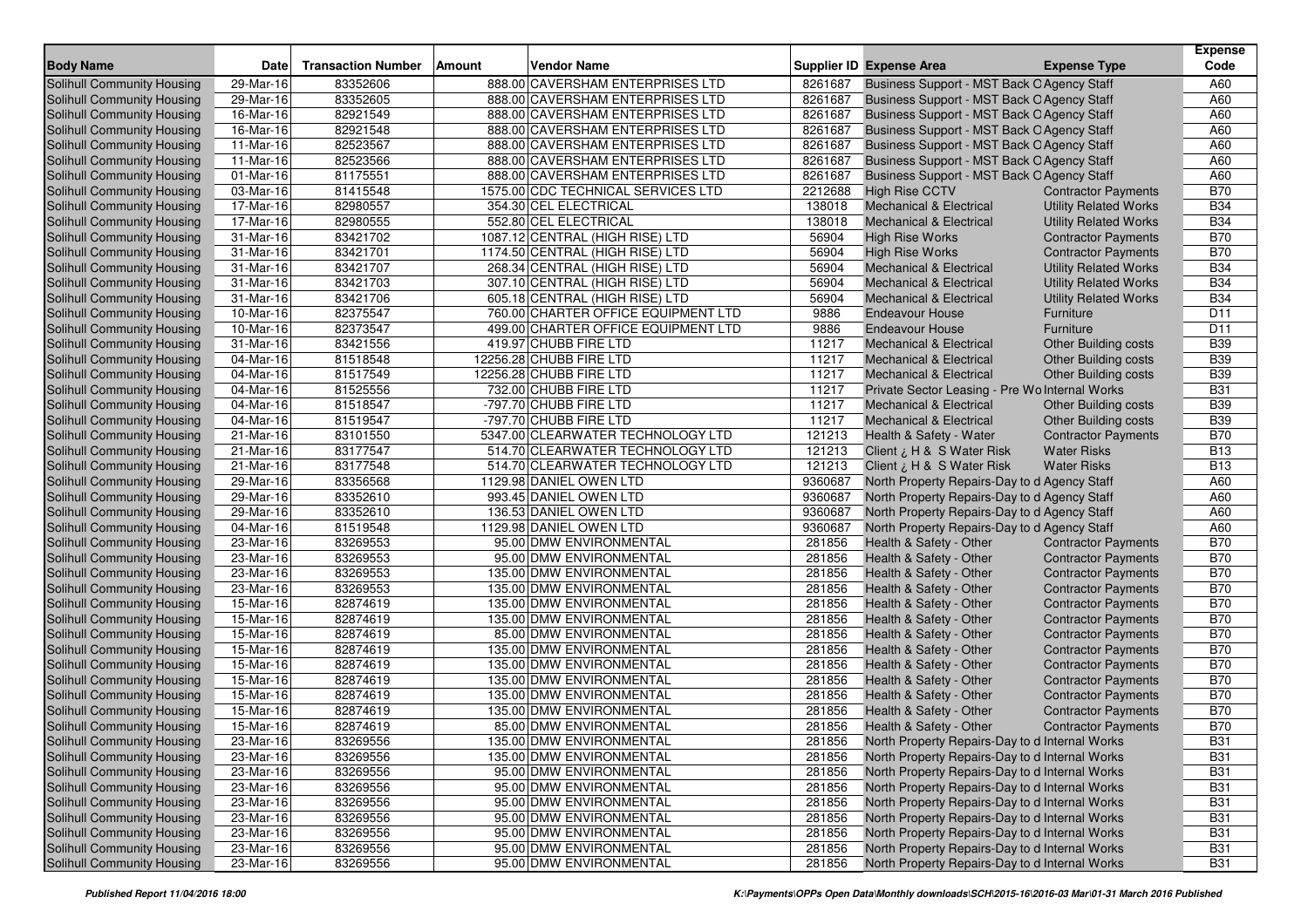| <b>Body Name</b>                                         | <b>Date</b>            | <b>Transaction Number</b> | Amount |                                                     |                  | <b>Supplier ID Expense Area</b>                    |                                                          | <b>Expense</b><br>Code   |
|----------------------------------------------------------|------------------------|---------------------------|--------|-----------------------------------------------------|------------------|----------------------------------------------------|----------------------------------------------------------|--------------------------|
|                                                          |                        |                           |        | <b>Vendor Name</b>                                  |                  |                                                    | <b>Expense Type</b>                                      |                          |
| <b>Solihull Community Housing</b>                        | $29$ -Mar-16           | 83352606                  |        | 888.00 CAVERSHAM ENTERPRISES LTD                    | 8261687          | Business Support - MST Back O Agency Staff         |                                                          | A60                      |
| Solihull Community Housing                               | 29-Mar-16              | 83352605                  |        | 888.00 CAVERSHAM ENTERPRISES LTD                    | 8261687          | Business Support - MST Back O Agency Staff         |                                                          | A60                      |
| Solihull Community Housing                               | 16-Mar-16              | 82921549                  |        | 888.00 CAVERSHAM ENTERPRISES LTD                    | 8261687          | Business Support - MST Back O Agency Staff         |                                                          | A60                      |
| Solihull Community Housing                               | 16-Mar-16              | 82921548                  |        | 888.00 CAVERSHAM ENTERPRISES LTD                    | 8261687          | Business Support - MST Back O Agency Staff         |                                                          | A60                      |
| Solihull Community Housing                               | 11-Mar-16              | 82523567                  |        | 888.00 CAVERSHAM ENTERPRISES LTD                    | 8261687          | Business Support - MST Back O Agency Staff         |                                                          | A60                      |
| Solihull Community Housing                               | 11-Mar-16              | 82523566                  |        | 888.00 CAVERSHAM ENTERPRISES LTD                    | 8261687          | Business Support - MST Back O Agency Staff         |                                                          | A60                      |
| Solihull Community Housing                               | 01-Mar-16              | 81175551                  |        | 888.00 CAVERSHAM ENTERPRISES LTD                    | 8261687          | Business Support - MST Back O Agency Staff         |                                                          | A60                      |
| Solihull Community Housing                               | 03-Mar-16              | 81415548                  |        | 1575.00 CDC TECHNICAL SERVICES LTD                  | 2212688          | <b>High Rise CCTV</b>                              | <b>Contractor Payments</b>                               | <b>B70</b>               |
| Solihull Community Housing                               | 17-Mar-16              | 82980557                  |        | 354.30 CEL ELECTRICAL                               | 138018           | <b>Mechanical &amp; Electrical</b>                 | <b>Utility Related Works</b>                             | <b>B34</b>               |
| Solihull Community Housing                               | 17-Mar-16              | 82980555                  |        | 552.80 CEL ELECTRICAL                               | 138018           | <b>Mechanical &amp; Electrical</b>                 | <b>Utility Related Works</b>                             | <b>B34</b>               |
| Solihull Community Housing                               | 31-Mar-16              | 83421702                  |        | 1087.12 CENTRAL (HIGH RISE) LTD                     | 56904            | <b>High Rise Works</b>                             | <b>Contractor Payments</b>                               | <b>B70</b>               |
| Solihull Community Housing                               | 31-Mar-16              | 83421701                  |        | 1174.50 CENTRAL (HIGH RISE) LTD                     | 56904            | <b>High Rise Works</b>                             | <b>Contractor Payments</b>                               | <b>B70</b>               |
| Solihull Community Housing                               | 31-Mar-16              | 83421707                  |        | 268.34 CENTRAL (HIGH RISE) LTD                      | 56904            | <b>Mechanical &amp; Electrical</b>                 | <b>Utility Related Works</b>                             | <b>B34</b>               |
| Solihull Community Housing                               | 31-Mar-16              | 83421703                  |        | 307.10 CENTRAL (HIGH RISE) LTD                      | 56904            | <b>Mechanical &amp; Electrical</b>                 | <b>Utility Related Works</b>                             | <b>B34</b>               |
| Solihull Community Housing                               | 31-Mar-16              | 83421706                  |        | 605.18 CENTRAL (HIGH RISE) LTD                      | 56904            | <b>Mechanical &amp; Electrical</b>                 | <b>Utility Related Works</b>                             | <b>B34</b>               |
| Solihull Community Housing                               | 10-Mar-16              | 82375547                  |        | 760.00 CHARTER OFFICE EQUIPMENT LTD                 | 9886             | <b>Endeavour House</b>                             | Furniture                                                | D <sub>11</sub>          |
| Solihull Community Housing                               | 10-Mar-16              | 82373547                  |        | 499.00 CHARTER OFFICE EQUIPMENT LTD                 | 9886             | <b>Endeavour House</b>                             | Furniture                                                | D <sub>11</sub>          |
| Solihull Community Housing                               | 31-Mar-16              | 83421556                  |        | 419.97 CHUBB FIRE LTD                               | 11217            | <b>Mechanical &amp; Electrical</b>                 | <b>Other Building costs</b>                              | <b>B39</b>               |
| Solihull Community Housing                               | 04-Mar-16              | 81518548                  |        | 12256.28 CHUBB FIRE LTD                             | 11217            | <b>Mechanical &amp; Electrical</b>                 | <b>Other Building costs</b>                              | <b>B39</b>               |
| Solihull Community Housing                               | 04-Mar-16              | 81517549                  |        | 12256.28 CHUBB FIRE LTD                             | 11217            | <b>Mechanical &amp; Electrical</b>                 | <b>Other Building costs</b>                              | <b>B39</b>               |
| Solihull Community Housing                               | 04-Mar-16              | 81525556                  |        | 732.00 CHUBB FIRE LTD                               | 11217            | Private Sector Leasing - Pre Wo Internal Works     |                                                          | <b>B31</b>               |
| Solihull Community Housing                               | 04-Mar-16              | 81518547                  |        | -797.70 CHUBB FIRE LTD                              | 11217            | <b>Mechanical &amp; Electrical</b>                 | Other Building costs                                     | <b>B39</b>               |
| Solihull Community Housing                               | 04-Mar-16              | 81519547                  |        | -797.70 CHUBB FIRE LTD                              | 11217            | <b>Mechanical &amp; Electrical</b>                 | <b>Other Building costs</b>                              | <b>B39</b>               |
| Solihull Community Housing                               | 21-Mar-16              | 83101550                  |        | 5347.00 CLEARWATER TECHNOLOGY LTD                   | 121213           | Health & Safety - Water                            | <b>Contractor Payments</b>                               | <b>B70</b>               |
| Solihull Community Housing                               | 21-Mar-16              | 83177547                  |        | 514.70 CLEARWATER TECHNOLOGY LTD                    | 121213           | Client ¿ H & S Water Risk                          | <b>Water Risks</b>                                       | <b>B13</b>               |
| Solihull Community Housing                               | 21-Mar-16              | 83177548                  |        | 514.70 CLEARWATER TECHNOLOGY LTD                    | 121213           | Client ¿ H & S Water Risk                          | <b>Water Risks</b>                                       | <b>B13</b>               |
| Solihull Community Housing                               | 29-Mar-16              | 83356568                  |        | 1129.98 DANIEL OWEN LTD                             | 9360687          | North Property Repairs-Day to d Agency Staff       |                                                          | A60                      |
| Solihull Community Housing                               | 29-Mar-16              | 83352610                  |        | 993.45 DANIEL OWEN LTD                              | 9360687          | North Property Repairs-Day to d Agency Staff       |                                                          | A60                      |
| Solihull Community Housing                               | 29-Mar-16              | 83352610                  |        | 136.53 DANIEL OWEN LTD                              | 9360687          | North Property Repairs-Day to d Agency Staff       |                                                          | A60                      |
| Solihull Community Housing                               | 04-Mar-16              | 81519548                  |        | 1129.98 DANIEL OWEN LTD                             | 9360687          | North Property Repairs-Day to d Agency Staff       |                                                          | A60                      |
| Solihull Community Housing                               | 23-Mar-16              | 83269553                  |        | 95.00 DMW ENVIRONMENTAL                             | 281856           | Health & Safety - Other                            | <b>Contractor Payments</b>                               | <b>B70</b>               |
| Solihull Community Housing                               | 23-Mar-16              | 83269553                  |        | 95.00 DMW ENVIRONMENTAL                             | 281856           | Health & Safety - Other                            | <b>Contractor Payments</b>                               | <b>B70</b>               |
| Solihull Community Housing                               | 23-Mar-16              | 83269553<br>83269553      |        | 135.00 DMW ENVIRONMENTAL                            | 281856<br>281856 | Health & Safety - Other                            | <b>Contractor Payments</b>                               | <b>B70</b><br><b>B70</b> |
| Solihull Community Housing                               | 23-Mar-16              |                           |        | 135.00 DMW ENVIRONMENTAL                            |                  | Health & Safety - Other                            | <b>Contractor Payments</b>                               |                          |
| Solihull Community Housing                               | 15-Mar-16              | 82874619                  |        | 135.00 DMW ENVIRONMENTAL                            | 281856           | Health & Safety - Other                            | <b>Contractor Payments</b>                               | <b>B70</b><br><b>B70</b> |
| <b>Solihull Community Housing</b>                        | 15-Mar-16              | 82874619                  |        | 135.00 DMW ENVIRONMENTAL                            | 281856<br>281856 | Health & Safety - Other                            | <b>Contractor Payments</b>                               | <b>B70</b>               |
| Solihull Community Housing                               | 15-Mar-16<br>15-Mar-16 | 82874619<br>82874619      |        | 85.00 DMW ENVIRONMENTAL<br>135.00 DMW ENVIRONMENTAL | 281856           | Health & Safety - Other                            | <b>Contractor Payments</b><br><b>Contractor Payments</b> | <b>B70</b>               |
| Solihull Community Housing                               | 15-Mar-16              | 82874619                  |        | 135.00 DMW ENVIRONMENTAL                            | 281856           | Health & Safety - Other                            |                                                          | <b>B70</b>               |
| Solihull Community Housing<br>Solihull Community Housing | 15-Mar-16              | 82874619                  |        | 135.00 DMW ENVIRONMENTAL                            | 281856           | Health & Safety - Other                            | <b>Contractor Payments</b>                               | <b>B70</b>               |
| Solihull Community Housing                               | 15-Mar-16              | 82874619                  |        | 135.00 DMW ENVIRONMENTAL                            | 281856           | Health & Safety - Other                            | <b>Contractor Payments</b>                               | <b>B70</b>               |
| <b>Solihull Community Housing</b>                        | 15-Mar-16              | 82874619                  |        | 135.00 DMW ENVIRONMENTAL                            | 281856           | Health & Safety - Other<br>Health & Safety - Other | <b>Contractor Payments</b><br><b>Contractor Payments</b> | <b>B70</b>               |
|                                                          | 15-Mar-16              | 82874619                  |        | 85.00 DMW ENVIRONMENTAL                             | 281856           | Health & Safety - Other                            |                                                          | <b>B70</b>               |
| Solihull Community Housing<br>Solihull Community Housing | 23-Mar-16              | 83269556                  |        | 135.00 DMW ENVIRONMENTAL                            | 281856           | North Property Repairs-Day to d Internal Works     | <b>Contractor Payments</b>                               | <b>B31</b>               |
| Solihull Community Housing                               | 23-Mar-16              | 83269556                  |        | 135.00 DMW ENVIRONMENTAL                            | 281856           | North Property Repairs-Day to d Internal Works     |                                                          | <b>B31</b>               |
| Solihull Community Housing                               | 23-Mar-16              | 83269556                  |        | 95.00 DMW ENVIRONMENTAL                             | 281856           | North Property Repairs-Day to d Internal Works     |                                                          | <b>B31</b>               |
| Solihull Community Housing                               | 23-Mar-16              | 83269556                  |        | 95.00 DMW ENVIRONMENTAL                             | 281856           | North Property Repairs-Day to d Internal Works     |                                                          | <b>B31</b>               |
| Solihull Community Housing                               | 23-Mar-16              | 83269556                  |        | 95.00 DMW ENVIRONMENTAL                             | 281856           | North Property Repairs-Day to d Internal Works     |                                                          | <b>B31</b>               |
| Solihull Community Housing                               | 23-Mar-16              | 83269556                  |        | 95.00 DMW ENVIRONMENTAL                             | 281856           | North Property Repairs-Day to d Internal Works     |                                                          | <b>B31</b>               |
| Solihull Community Housing                               | 23-Mar-16              | 83269556                  |        | 95.00 DMW ENVIRONMENTAL                             | 281856           | North Property Repairs-Day to d Internal Works     |                                                          | <b>B31</b>               |
| Solihull Community Housing                               | 23-Mar-16              | 83269556                  |        | 95.00 DMW ENVIRONMENTAL                             | 281856           | North Property Repairs-Day to d Internal Works     |                                                          | <b>B31</b>               |
| Solihull Community Housing                               | 23-Mar-16              | 83269556                  |        | 95.00 DMW ENVIRONMENTAL                             | 281856           | North Property Repairs-Day to d Internal Works     |                                                          | <b>B31</b>               |
|                                                          |                        |                           |        |                                                     |                  |                                                    |                                                          |                          |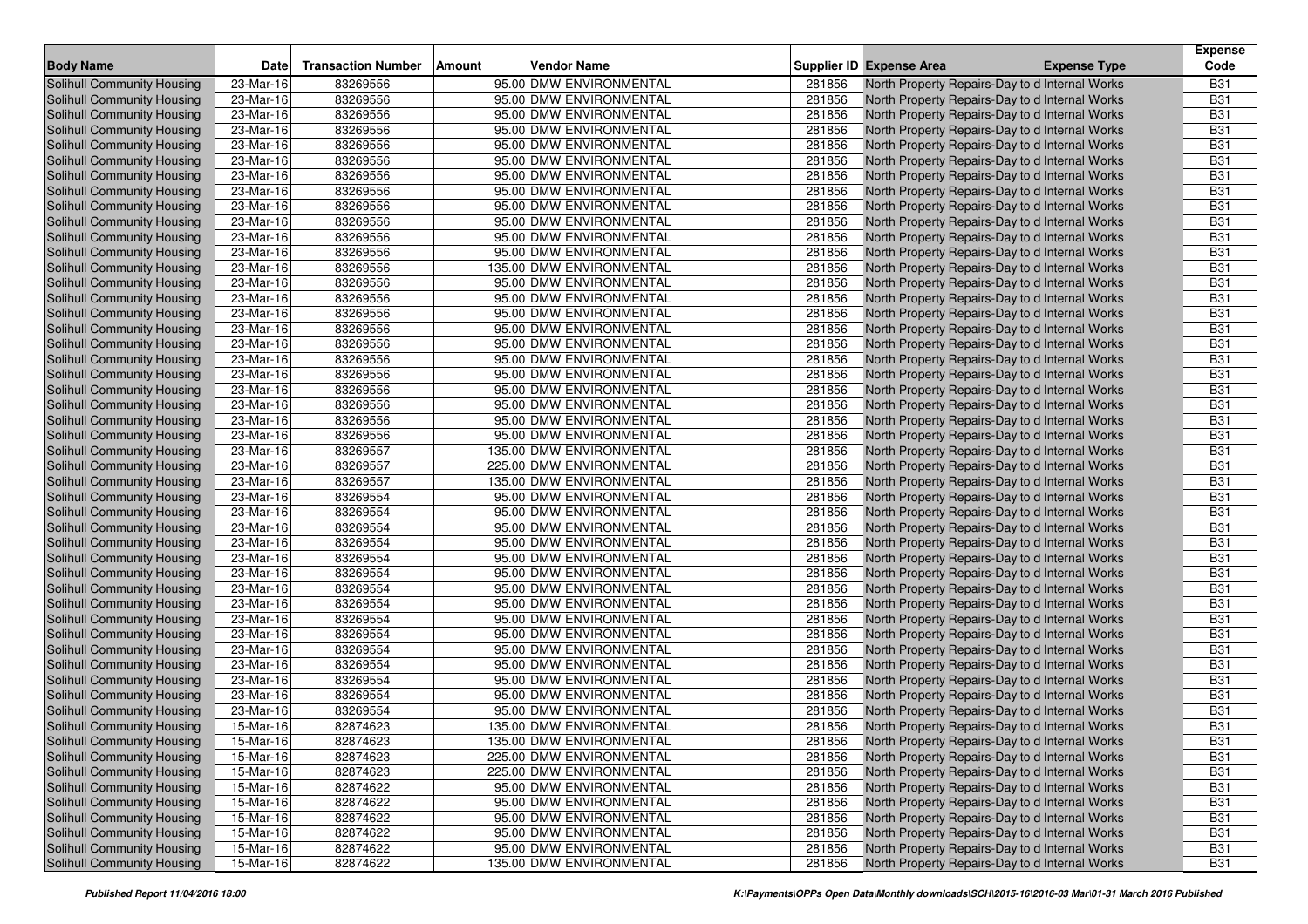| <b>Body Name</b>                                                | <b>Date</b>             | <b>Transaction Number</b> | <b>Amount</b><br><b>Vendor Name</b>                  |                  | Supplier ID Expense Area | <b>Expense Type</b>                                                                              | <b>Expense</b><br>Code   |
|-----------------------------------------------------------------|-------------------------|---------------------------|------------------------------------------------------|------------------|--------------------------|--------------------------------------------------------------------------------------------------|--------------------------|
| Solihull Community Housing                                      | 23-Mar-16               | 83269556                  | 95.00 DMW ENVIRONMENTAL                              | 281856           |                          | North Property Repairs-Day to d Internal Works                                                   | <b>B31</b>               |
| Solihull Community Housing                                      | 23-Mar-16               | 83269556                  | 95.00 DMW ENVIRONMENTAL                              | 281856           |                          | North Property Repairs-Day to d Internal Works                                                   | <b>B31</b>               |
| <b>Solihull Community Housing</b>                               | 23-Mar-16               | 83269556                  | 95.00 DMW ENVIRONMENTAL                              | 281856           |                          | North Property Repairs-Day to d Internal Works                                                   | <b>B31</b>               |
| Solihull Community Housing                                      | 23-Mar-16               | 83269556                  | 95.00 DMW ENVIRONMENTAL                              | 281856           |                          | North Property Repairs-Day to d Internal Works                                                   | <b>B31</b>               |
| Solihull Community Housing                                      | 23-Mar-16               | 83269556                  | 95.00 DMW ENVIRONMENTAL                              | 281856           |                          | North Property Repairs-Day to d Internal Works                                                   | <b>B31</b>               |
| Solihull Community Housing                                      | 23-Mar-16               | 83269556                  | 95.00 DMW ENVIRONMENTAL                              | 281856           |                          | North Property Repairs-Day to d Internal Works                                                   | <b>B31</b>               |
| Solihull Community Housing                                      | 23-Mar-16               | 83269556                  | 95.00 DMW ENVIRONMENTAL                              | 281856           |                          | North Property Repairs-Day to d Internal Works                                                   | <b>B31</b>               |
| Solihull Community Housing                                      | 23-Mar-16               | 83269556                  | 95.00 DMW ENVIRONMENTAL                              | 281856           |                          | North Property Repairs-Day to d Internal Works                                                   | <b>B31</b>               |
| Solihull Community Housing                                      | 23-Mar-16               | 83269556                  | 95.00 DMW ENVIRONMENTAL                              | 281856           |                          | North Property Repairs-Day to d Internal Works                                                   | <b>B31</b>               |
| Solihull Community Housing                                      | 23-Mar-16               | 83269556                  | 95.00 DMW ENVIRONMENTAL                              | 281856           |                          | North Property Repairs-Day to d Internal Works                                                   | <b>B31</b>               |
| Solihull Community Housing                                      | 23-Mar-16               | 83269556                  | 95.00 DMW ENVIRONMENTAL                              | 281856           |                          | North Property Repairs-Day to d Internal Works                                                   | <b>B31</b>               |
| Solihull Community Housing                                      | 23-Mar-16               | 83269556                  | 95.00 DMW ENVIRONMENTAL                              | 281856           |                          | North Property Repairs-Day to d Internal Works                                                   | <b>B31</b>               |
| Solihull Community Housing                                      | 23-Mar-16               | 83269556                  | 135.00 DMW ENVIRONMENTAL                             | 281856           |                          | North Property Repairs-Day to d Internal Works                                                   | <b>B31</b>               |
| <b>Solihull Community Housing</b>                               | 23-Mar-16               | 83269556                  | 95.00 DMW ENVIRONMENTAL                              | 281856           |                          | North Property Repairs-Day to d Internal Works                                                   | <b>B31</b>               |
| Solihull Community Housing                                      | 23-Mar-16               | 83269556                  | 95.00 DMW ENVIRONMENTAL                              | 281856           |                          | North Property Repairs-Day to d Internal Works                                                   | <b>B31</b>               |
| Solihull Community Housing                                      | 23-Mar-16               | 83269556                  | 95.00 DMW ENVIRONMENTAL                              | 281856           |                          | North Property Repairs-Day to d Internal Works                                                   | <b>B31</b>               |
| Solihull Community Housing                                      | 23-Mar-16               | 83269556                  | 95.00 DMW ENVIRONMENTAL                              | 281856           |                          | North Property Repairs-Day to d Internal Works                                                   | <b>B31</b>               |
| Solihull Community Housing                                      | 23-Mar-16               | 83269556                  | 95.00 DMW ENVIRONMENTAL                              | 281856           |                          | North Property Repairs-Day to d Internal Works                                                   | <b>B31</b>               |
| Solihull Community Housing                                      | 23-Mar-16               | 83269556                  | 95.00 DMW ENVIRONMENTAL                              | 281856           |                          | North Property Repairs-Day to d Internal Works                                                   | <b>B31</b>               |
| Solihull Community Housing                                      | 23-Mar-16               | 83269556                  | 95.00 DMW ENVIRONMENTAL                              | 281856           |                          | North Property Repairs-Day to d Internal Works                                                   | <b>B31</b>               |
| Solihull Community Housing                                      | 23-Mar-16               | 83269556                  | 95.00 DMW ENVIRONMENTAL                              | 281856           |                          | North Property Repairs-Day to d Internal Works                                                   | <b>B31</b>               |
| Solihull Community Housing                                      | 23-Mar-16               | 83269556                  | 95.00 DMW ENVIRONMENTAL                              | 281856           |                          | North Property Repairs-Day to d Internal Works                                                   | <b>B31</b>               |
| Solihull Community Housing                                      | 23-Mar-16               | 83269556                  | 95.00 DMW ENVIRONMENTAL                              | 281856           |                          |                                                                                                  | <b>B31</b>               |
| <b>Solihull Community Housing</b>                               | 23-Mar-16               | 83269556                  | 95.00 DMW ENVIRONMENTAL                              | 281856           |                          | North Property Repairs-Day to d Internal Works                                                   | <b>B31</b>               |
|                                                                 | 23-Mar-16               | 83269557                  | 135.00 DMW ENVIRONMENTAL                             | 281856           |                          | North Property Repairs-Day to d Internal Works<br>North Property Repairs-Day to d Internal Works | <b>B31</b>               |
| <b>Solihull Community Housing</b>                               | 23-Mar-16               | 83269557                  | 225.00 DMW ENVIRONMENTAL                             | 281856           |                          |                                                                                                  | <b>B31</b>               |
| Solihull Community Housing                                      | 23-Mar-16               |                           |                                                      |                  |                          | North Property Repairs-Day to d Internal Works                                                   |                          |
| Solihull Community Housing                                      |                         | 83269557                  | 135.00 DMW ENVIRONMENTAL                             | 281856           |                          | North Property Repairs-Day to d Internal Works                                                   | <b>B31</b><br><b>B31</b> |
| <b>Solihull Community Housing</b>                               | 23-Mar-16<br>23-Mar-16  | 83269554<br>83269554      | 95.00 DMW ENVIRONMENTAL<br>95.00 DMW ENVIRONMENTAL   | 281856<br>281856 |                          | North Property Repairs-Day to d Internal Works                                                   | <b>B31</b>               |
| Solihull Community Housing                                      | 23-Mar-16               | 83269554                  | 95.00 DMW ENVIRONMENTAL                              | 281856           |                          | North Property Repairs-Day to d Internal Works                                                   | <b>B31</b>               |
| Solihull Community Housing                                      |                         |                           |                                                      | 281856           |                          | North Property Repairs-Day to d Internal Works                                                   |                          |
| <b>Solihull Community Housing</b><br>Solihull Community Housing | 23-Mar-16<br>23-Mar-16  | 83269554<br>83269554      | 95.00 DMW ENVIRONMENTAL<br>95.00 DMW ENVIRONMENTAL   | 281856           |                          | North Property Repairs-Day to d Internal Works                                                   | <b>B31</b><br><b>B31</b> |
|                                                                 | 23-Mar-16               | 83269554                  | 95.00 DMW ENVIRONMENTAL                              | 281856           |                          | North Property Repairs-Day to d Internal Works                                                   | <b>B31</b>               |
| Solihull Community Housing                                      | 23-Mar-16               | 83269554                  | 95.00 DMW ENVIRONMENTAL                              | 281856           |                          | North Property Repairs-Day to d Internal Works                                                   | <b>B31</b>               |
| Solihull Community Housing                                      |                         |                           |                                                      |                  |                          | North Property Repairs-Day to d Internal Works                                                   |                          |
| Solihull Community Housing                                      | 23-Mar-16               | 83269554                  | 95.00 DMW ENVIRONMENTAL                              | 281856           |                          | North Property Repairs-Day to d Internal Works                                                   | <b>B31</b>               |
| Solihull Community Housing                                      | 23-Mar-16               | 83269554                  | 95.00 DMW ENVIRONMENTAL                              | 281856           |                          | North Property Repairs-Day to d Internal Works                                                   | <b>B31</b>               |
| Solihull Community Housing                                      | 23-Mar-16               | 83269554                  | 95.00 DMW ENVIRONMENTAL                              | 281856           |                          | North Property Repairs-Day to d Internal Works                                                   | <b>B31</b>               |
| Solihull Community Housing                                      | 23-Mar-16               | 83269554                  | 95.00 DMW ENVIRONMENTAL<br>95.00 DMW ENVIRONMENTAL   | 281856<br>281856 |                          | North Property Repairs-Day to d Internal Works                                                   | <b>B31</b><br><b>B31</b> |
| Solihull Community Housing                                      | 23-Mar-16               | 83269554                  | 95.00 DMW ENVIRONMENTAL                              |                  |                          | North Property Repairs-Day to d Internal Works                                                   |                          |
| Solihull Community Housing                                      | $\overline{23}$ -Mar-16 | 83269554                  |                                                      | 281856<br>281856 |                          | North Property Repairs-Day to d Internal Works                                                   | <b>B31</b><br><b>B31</b> |
| Solihull Community Housing<br><b>Solihull Community Housing</b> | 23-Mar-16<br>23-Mar-16  | 83269554<br>83269554      | 95.00 DMW ENVIRONMENTAL<br>95.00 DMW ENVIRONMENTAL   | 281856           |                          | North Property Repairs-Day to d Internal Works                                                   | <b>B31</b>               |
|                                                                 |                         |                           | 135.00 DMW ENVIRONMENTAL                             |                  |                          | North Property Repairs-Day to d Internal Works                                                   | <b>B31</b>               |
| Solihull Community Housing                                      | 15-Mar-16               | 82874623                  |                                                      | 281856           |                          | North Property Repairs-Day to d Internal Works                                                   |                          |
| Solihull Community Housing                                      | 15-Mar-16               | 82874623                  | 135.00 DMW ENVIRONMENTAL<br>225.00 DMW ENVIRONMENTAL | 281856           |                          | North Property Repairs-Day to d Internal Works                                                   | <b>B31</b>               |
| Solihull Community Housing                                      | 15-Mar-16               | 82874623                  |                                                      | 281856           |                          | North Property Repairs-Day to d Internal Works                                                   | <b>B31</b>               |
| Solihull Community Housing                                      | 15-Mar-16               | 82874623<br>82874622      | 225.00 DMW ENVIRONMENTAL                             | 281856           |                          | North Property Repairs-Day to d Internal Works                                                   | <b>B31</b>               |
| Solihull Community Housing                                      | 15-Mar-16               |                           | 95.00 DMW ENVIRONMENTAL<br>95.00 DMW ENVIRONMENTAL   | 281856           |                          | North Property Repairs-Day to d Internal Works                                                   | <b>B31</b>               |
| Solihull Community Housing                                      | 15-Mar-16               | 82874622                  |                                                      | 281856           |                          | North Property Repairs-Day to d Internal Works                                                   | <b>B31</b>               |
| Solihull Community Housing                                      | 15-Mar-16               | 82874622                  | 95.00 DMW ENVIRONMENTAL                              | 281856           |                          | North Property Repairs-Day to d Internal Works                                                   | <b>B31</b>               |
| Solihull Community Housing                                      | 15-Mar-16               | 82874622                  | 95.00 DMW ENVIRONMENTAL                              | 281856           |                          | North Property Repairs-Day to d Internal Works                                                   | <b>B31</b>               |
| <b>Solihull Community Housing</b>                               | 15-Mar-16               | 82874622                  | 95.00 DMW ENVIRONMENTAL                              | 281856           |                          | North Property Repairs-Day to d Internal Works                                                   | <b>B31</b>               |
| Solihull Community Housing                                      | 15-Mar-16               | 82874622                  | 135.00 DMW ENVIRONMENTAL                             | 281856           |                          | North Property Repairs-Day to d Internal Works                                                   | <b>B31</b>               |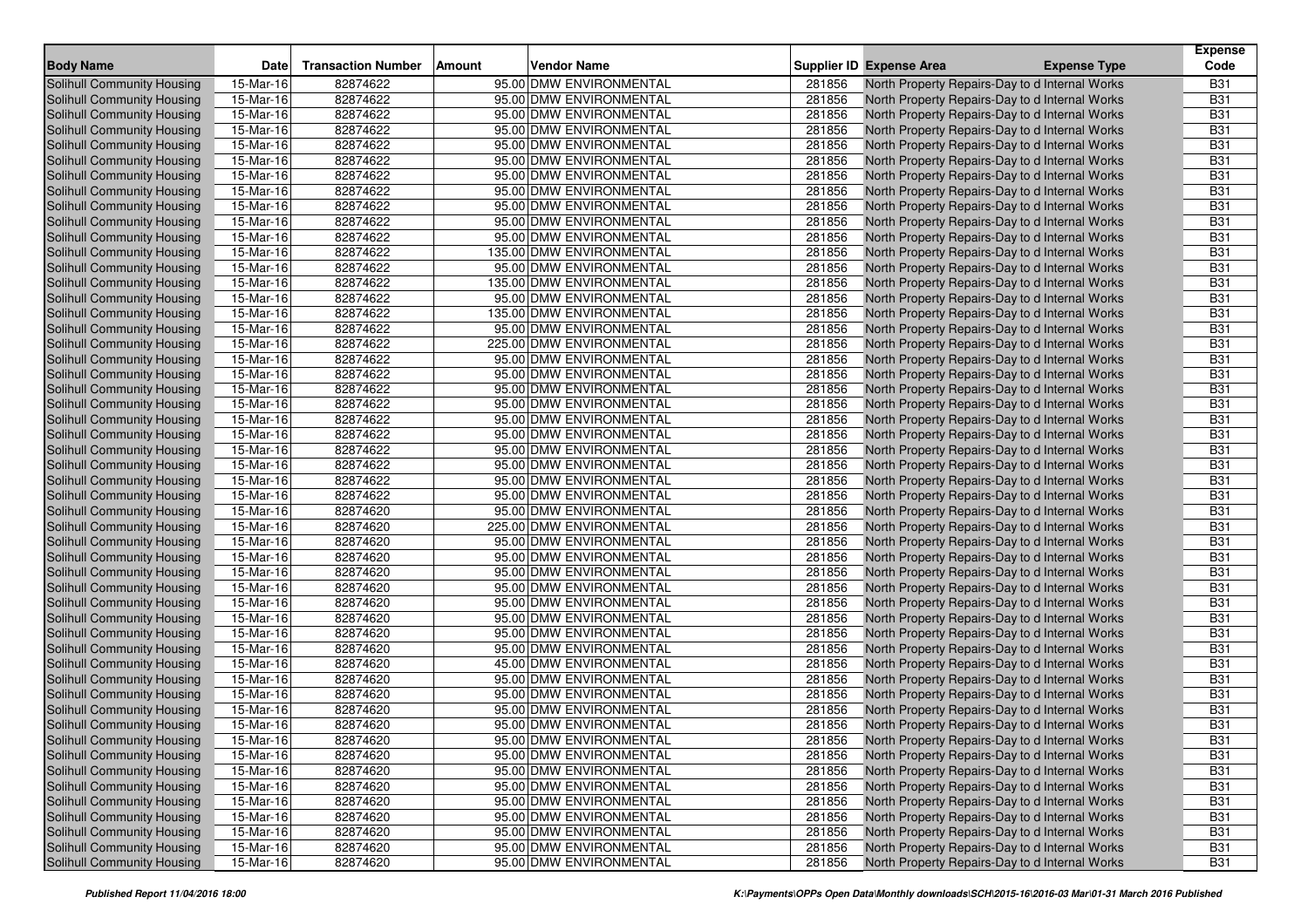| <b>Body Name</b>                  | <b>Date</b> | <b>Transaction Number</b> | Vendor Name<br>Amount    |        | Supplier ID Expense Area | <b>Expense Type</b>                            | <b>Expense</b><br>Code |
|-----------------------------------|-------------|---------------------------|--------------------------|--------|--------------------------|------------------------------------------------|------------------------|
| Solihull Community Housing        | 15-Mar-16   | 82874622                  | 95.00 DMW ENVIRONMENTAL  | 281856 |                          | North Property Repairs-Day to d Internal Works | <b>B31</b>             |
| <b>Solihull Community Housing</b> | 15-Mar-16   | 82874622                  | 95.00 DMW ENVIRONMENTAL  | 281856 |                          | North Property Repairs-Day to d Internal Works | <b>B31</b>             |
| Solihull Community Housing        | 15-Mar-16   | 82874622                  | 95.00 DMW ENVIRONMENTAL  | 281856 |                          | North Property Repairs-Day to d Internal Works | <b>B31</b>             |
| Solihull Community Housing        | 15-Mar-16   | 82874622                  | 95.00 DMW ENVIRONMENTAL  | 281856 |                          | North Property Repairs-Day to d Internal Works | <b>B31</b>             |
| Solihull Community Housing        | 15-Mar-16   | 82874622                  | 95.00 DMW ENVIRONMENTAL  | 281856 |                          | North Property Repairs-Day to d Internal Works | <b>B31</b>             |
| Solihull Community Housing        | 15-Mar-16   | 82874622                  | 95.00 DMW ENVIRONMENTAL  | 281856 |                          | North Property Repairs-Day to d Internal Works | <b>B31</b>             |
| Solihull Community Housing        | 15-Mar-16   | 82874622                  | 95.00 DMW ENVIRONMENTAL  | 281856 |                          | North Property Repairs-Day to d Internal Works | <b>B31</b>             |
| Solihull Community Housing        | 15-Mar-16   | 82874622                  | 95.00 DMW ENVIRONMENTAL  | 281856 |                          | North Property Repairs-Day to d Internal Works | <b>B31</b>             |
| Solihull Community Housing        | 15-Mar-16   | 82874622                  | 95.00 DMW ENVIRONMENTAL  | 281856 |                          | North Property Repairs-Day to d Internal Works | <b>B31</b>             |
| Solihull Community Housing        | 15-Mar-16   | 82874622                  | 95.00 DMW ENVIRONMENTAL  | 281856 |                          | North Property Repairs-Day to d Internal Works | <b>B31</b>             |
| Solihull Community Housing        | 15-Mar-16   | 82874622                  | 95.00 DMW ENVIRONMENTAL  | 281856 |                          | North Property Repairs-Day to d Internal Works | <b>B31</b>             |
| Solihull Community Housing        | 15-Mar-16   | 82874622                  | 135.00 DMW ENVIRONMENTAL | 281856 |                          | North Property Repairs-Day to d Internal Works | <b>B31</b>             |
|                                   |             | 82874622                  | 95.00 DMW ENVIRONMENTAL  | 281856 |                          |                                                | <b>B31</b>             |
| Solihull Community Housing        | 15-Mar-16   | 82874622                  | 135.00 DMW ENVIRONMENTAL |        |                          | North Property Repairs-Day to d Internal Works | <b>B31</b>             |
| <b>Solihull Community Housing</b> | 15-Mar-16   |                           |                          | 281856 |                          | North Property Repairs-Day to d Internal Works | <b>B31</b>             |
| Solihull Community Housing        | 15-Mar-16   | 82874622<br>82874622      | 95.00 DMW ENVIRONMENTAL  | 281856 |                          | North Property Repairs-Day to d Internal Works | <b>B31</b>             |
| Solihull Community Housing        | 15-Mar-16   | 82874622                  | 135.00 DMW ENVIRONMENTAL | 281856 |                          | North Property Repairs-Day to d Internal Works | <b>B31</b>             |
| Solihull Community Housing        | 15-Mar-16   |                           | 95.00 DMW ENVIRONMENTAL  | 281856 |                          | North Property Repairs-Day to d Internal Works |                        |
| Solihull Community Housing        | 15-Mar-16   | 82874622                  | 225.00 DMW ENVIRONMENTAL | 281856 |                          | North Property Repairs-Day to d Internal Works | <b>B31</b>             |
| Solihull Community Housing        | 15-Mar-16   | 82874622                  | 95.00 DMW ENVIRONMENTAL  | 281856 |                          | North Property Repairs-Day to d Internal Works | <b>B31</b>             |
| Solihull Community Housing        | 15-Mar-16   | 82874622                  | 95.00 DMW ENVIRONMENTAL  | 281856 |                          | North Property Repairs-Day to d Internal Works | <b>B31</b>             |
| <b>Solihull Community Housing</b> | 15-Mar-16   | 82874622                  | 95.00 DMW ENVIRONMENTAL  | 281856 |                          | North Property Repairs-Day to d Internal Works | <b>B31</b>             |
| Solihull Community Housing        | 15-Mar-16   | 82874622                  | 95.00 DMW ENVIRONMENTAL  | 281856 |                          | North Property Repairs-Day to d Internal Works | <b>B31</b>             |
| Solihull Community Housing        | 15-Mar-16   | 82874622                  | 95.00 DMW ENVIRONMENTAL  | 281856 |                          | North Property Repairs-Day to d Internal Works | <b>B31</b>             |
| Solihull Community Housing        | 15-Mar-16   | 82874622                  | 95.00 DMW ENVIRONMENTAL  | 281856 |                          | North Property Repairs-Day to d Internal Works | <b>B31</b>             |
| Solihull Community Housing        | 15-Mar-16   | 82874622                  | 95.00 DMW ENVIRONMENTAL  | 281856 |                          | North Property Repairs-Day to d Internal Works | <b>B31</b>             |
| Solihull Community Housing        | 15-Mar-16   | 82874622                  | 95.00 DMW ENVIRONMENTAL  | 281856 |                          | North Property Repairs-Day to d Internal Works | <b>B31</b>             |
| Solihull Community Housing        | 15-Mar-16   | 82874622                  | 95.00 DMW ENVIRONMENTAL  | 281856 |                          | North Property Repairs-Day to d Internal Works | <b>B31</b>             |
| Solihull Community Housing        | 15-Mar-16   | 82874622                  | 95.00 DMW ENVIRONMENTAL  | 281856 |                          | North Property Repairs-Day to d Internal Works | <b>B31</b>             |
| Solihull Community Housing        | 15-Mar-16   | 82874620                  | 95.00 DMW ENVIRONMENTAL  | 281856 |                          | North Property Repairs-Day to d Internal Works | <b>B31</b>             |
| <b>Solihull Community Housing</b> | 15-Mar-16   | 82874620                  | 225.00 DMW ENVIRONMENTAL | 281856 |                          | North Property Repairs-Day to d Internal Works | <b>B31</b>             |
| Solihull Community Housing        | 15-Mar-16   | 82874620                  | 95.00 DMW ENVIRONMENTAL  | 281856 |                          | North Property Repairs-Day to d Internal Works | <b>B31</b>             |
| <b>Solihull Community Housing</b> | 15-Mar-16   | 82874620                  | 95.00 DMW ENVIRONMENTAL  | 281856 |                          | North Property Repairs-Day to d Internal Works | <b>B31</b>             |
| Solihull Community Housing        | 15-Mar-16   | 82874620                  | 95.00 DMW ENVIRONMENTAL  | 281856 |                          | North Property Repairs-Day to d Internal Works | <b>B31</b>             |
| Solihull Community Housing        | 15-Mar-16   | 82874620                  | 95.00 DMW ENVIRONMENTAL  | 281856 |                          | North Property Repairs-Day to d Internal Works | <b>B31</b>             |
| Solihull Community Housing        | 15-Mar-16   | 82874620                  | 95.00 DMW ENVIRONMENTAL  | 281856 |                          | North Property Repairs-Day to d Internal Works | <b>B31</b>             |
| Solihull Community Housing        | 15-Mar-16   | 82874620                  | 95.00 DMW ENVIRONMENTAL  | 281856 |                          | North Property Repairs-Day to d Internal Works | <b>B31</b>             |
| Solihull Community Housing        | 15-Mar-16   | 82874620                  | 95.00 DMW ENVIRONMENTAL  | 281856 |                          | North Property Repairs-Day to d Internal Works | <b>B31</b>             |
| Solihull Community Housing        | 15-Mar-16   | 82874620                  | 95.00 DMW ENVIRONMENTAL  | 281856 |                          | North Property Repairs-Day to d Internal Works | <b>B31</b>             |
| Solihull Community Housing        | 15-Mar-16   | 82874620                  | 45.00 DMW ENVIRONMENTAL  | 281856 |                          | North Property Repairs-Day to d Internal Works | <b>B31</b>             |
| Solihull Community Housing        | 15-Mar-16   | 82874620                  | 95.00 DMW ENVIRONMENTAL  | 281856 |                          | North Property Repairs-Day to d Internal Works | <b>B31</b>             |
| Solihull Community Housing        | 15-Mar-16   | 82874620                  | 95.00 DMW ENVIRONMENTAL  | 281856 |                          | North Property Repairs-Day to d Internal Works | <b>B31</b>             |
| Solihull Community Housing        | 15-Mar-16   | 82874620                  | 95.00 DMW ENVIRONMENTAL  | 281856 |                          | North Property Repairs-Day to d Internal Works | <b>B31</b>             |
| <b>Solihull Community Housing</b> | 15-Mar-16   | 82874620                  | 95.00 DMW ENVIRONMENTAL  | 281856 |                          | North Property Repairs-Day to d Internal Works | <b>B31</b>             |
| Solihull Community Housing        | 15-Mar-16   | 82874620                  | 95.00 DMW ENVIRONMENTAL  | 281856 |                          | North Property Repairs-Day to d Internal Works | <b>B31</b>             |
| Solihull Community Housing        | 15-Mar-16   | 82874620                  | 95.00 DMW ENVIRONMENTAL  | 281856 |                          | North Property Repairs-Day to d Internal Works | <b>B31</b>             |
| Solihull Community Housing        | 15-Mar-16   | 82874620                  | 95.00 DMW ENVIRONMENTAL  | 281856 |                          | North Property Repairs-Day to d Internal Works | <b>B31</b>             |
| Solihull Community Housing        | 15-Mar-16   | 82874620                  | 95.00 DMW ENVIRONMENTAL  | 281856 |                          | North Property Repairs-Day to d Internal Works | <b>B31</b>             |
| Solihull Community Housing        | 15-Mar-16   | 82874620                  | 95.00 DMW ENVIRONMENTAL  | 281856 |                          | North Property Repairs-Day to d Internal Works | <b>B31</b>             |
| Solihull Community Housing        | 15-Mar-16   | 82874620                  | 95.00 DMW ENVIRONMENTAL  | 281856 |                          | North Property Repairs-Day to d Internal Works | <b>B31</b>             |
| Solihull Community Housing        | 15-Mar-16   | 82874620                  | 95.00 DMW ENVIRONMENTAL  | 281856 |                          | North Property Repairs-Day to d Internal Works | <b>B31</b>             |
| Solihull Community Housing        | 15-Mar-16   | 82874620                  | 95.00 DMW ENVIRONMENTAL  | 281856 |                          | North Property Repairs-Day to d Internal Works | <b>B31</b>             |
| Solihull Community Housing        | 15-Mar-16   | 82874620                  | 95.00 DMW ENVIRONMENTAL  | 281856 |                          | North Property Repairs-Day to d Internal Works | <b>B31</b>             |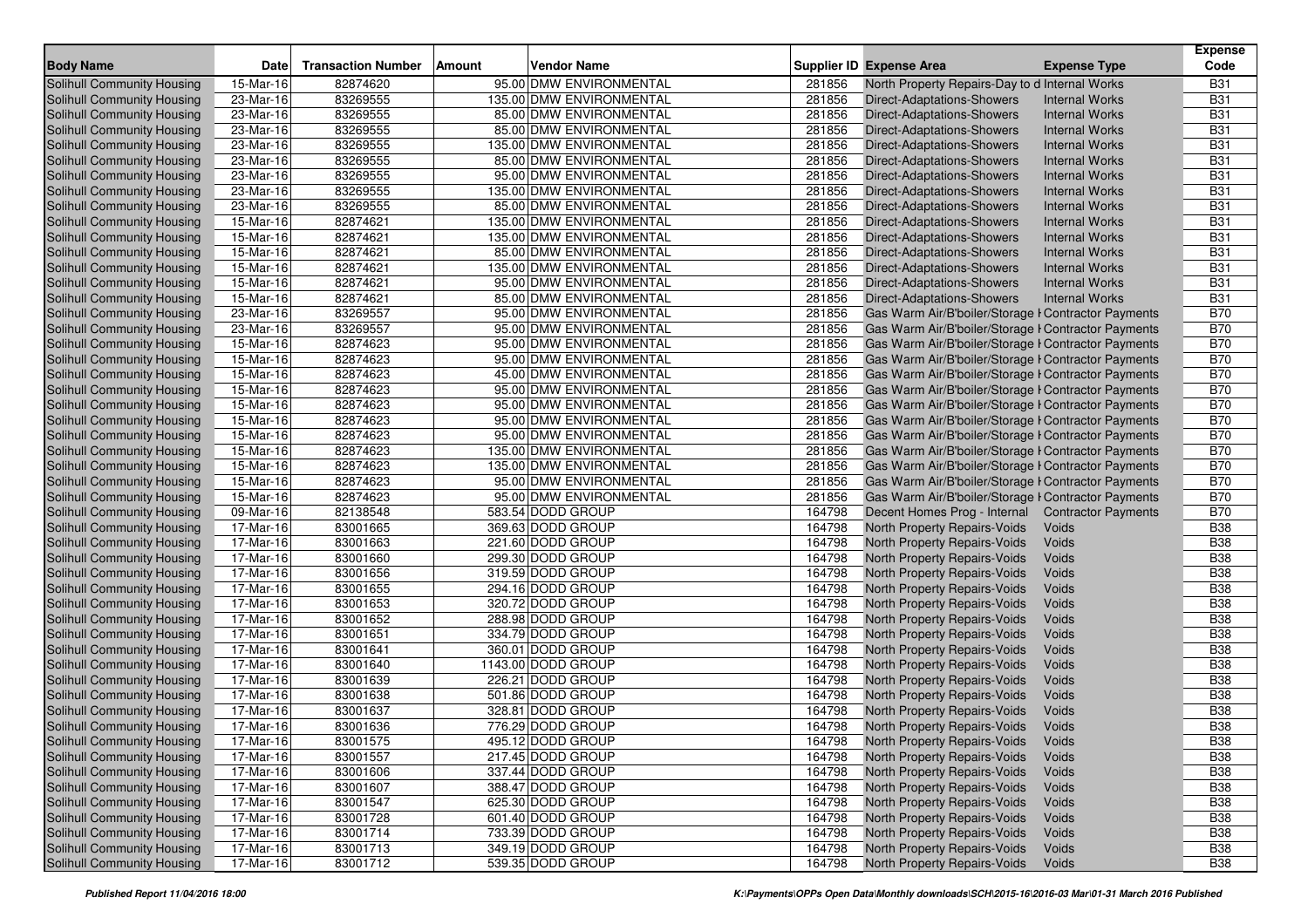|                                   |             |                           |               |                          |        |                                                     |                       | <b>Expense</b> |
|-----------------------------------|-------------|---------------------------|---------------|--------------------------|--------|-----------------------------------------------------|-----------------------|----------------|
| <b>Body Name</b>                  | <b>Date</b> | <b>Transaction Number</b> | <b>Amount</b> | <b>Vendor Name</b>       |        | Supplier ID Expense Area                            | <b>Expense Type</b>   | Code           |
| <b>Solihull Community Housing</b> | 15-Mar-16   | 82874620                  |               | 95.00 DMW ENVIRONMENTAL  | 281856 | North Property Repairs-Day to d Internal Works      |                       | <b>B31</b>     |
| Solihull Community Housing        | 23-Mar-16   | 83269555                  |               | 135.00 DMW ENVIRONMENTAL | 281856 | Direct-Adaptations-Showers                          | <b>Internal Works</b> | <b>B31</b>     |
| Solihull Community Housing        | 23-Mar-16   | 83269555                  |               | 85.00 DMW ENVIRONMENTAL  | 281856 | Direct-Adaptations-Showers                          | <b>Internal Works</b> | <b>B31</b>     |
| Solihull Community Housing        | 23-Mar-16   | 83269555                  |               | 85.00 DMW ENVIRONMENTAL  | 281856 | Direct-Adaptations-Showers                          | <b>Internal Works</b> | <b>B31</b>     |
| Solihull Community Housing        | 23-Mar-16   | 83269555                  |               | 135.00 DMW ENVIRONMENTAL | 281856 | Direct-Adaptations-Showers                          | <b>Internal Works</b> | <b>B31</b>     |
| Solihull Community Housing        | 23-Mar-16   | 83269555                  |               | 85.00 DMW ENVIRONMENTAL  | 281856 | Direct-Adaptations-Showers                          | <b>Internal Works</b> | <b>B31</b>     |
| Solihull Community Housing        | 23-Mar-16   | 83269555                  |               | 95.00 DMW ENVIRONMENTAL  | 281856 | Direct-Adaptations-Showers                          | <b>Internal Works</b> | <b>B31</b>     |
| Solihull Community Housing        | 23-Mar-16   | 83269555                  |               | 135.00 DMW ENVIRONMENTAL | 281856 | Direct-Adaptations-Showers                          | <b>Internal Works</b> | <b>B31</b>     |
| Solihull Community Housing        | 23-Mar-16   | 83269555                  |               | 85.00 DMW ENVIRONMENTAL  | 281856 | Direct-Adaptations-Showers                          | <b>Internal Works</b> | <b>B31</b>     |
| Solihull Community Housing        | 15-Mar-16   | 82874621                  |               | 135.00 DMW ENVIRONMENTAL | 281856 | <b>Direct-Adaptations-Showers</b>                   | <b>Internal Works</b> | <b>B31</b>     |
| Solihull Community Housing        | 15-Mar-16   | 82874621                  |               | 135.00 DMW ENVIRONMENTAL | 281856 | Direct-Adaptations-Showers                          | <b>Internal Works</b> | <b>B31</b>     |
| Solihull Community Housing        | $15-Mar-16$ | 82874621                  |               | 85.00 DMW ENVIRONMENTAL  | 281856 | Direct-Adaptations-Showers                          | <b>Internal Works</b> | <b>B31</b>     |
| Solihull Community Housing        | 15-Mar-16   | 82874621                  |               | 135.00 DMW ENVIRONMENTAL | 281856 | Direct-Adaptations-Showers                          | <b>Internal Works</b> | <b>B31</b>     |
| Solihull Community Housing        | $15-Mar-16$ | 82874621                  |               | 95.00 DMW ENVIRONMENTAL  | 281856 | Direct-Adaptations-Showers                          | <b>Internal Works</b> | <b>B31</b>     |
| Solihull Community Housing        | 15-Mar-16   | 82874621                  |               | 85.00 DMW ENVIRONMENTAL  | 281856 | Direct-Adaptations-Showers                          | <b>Internal Works</b> | <b>B31</b>     |
| Solihull Community Housing        | 23-Mar-16   | 83269557                  |               | 95.00 DMW ENVIRONMENTAL  | 281856 | Gas Warm Air/B'boiler/Storage I Contractor Payments |                       | <b>B70</b>     |
| Solihull Community Housing        | 23-Mar-16   | 83269557                  |               | 95.00 DMW ENVIRONMENTAL  | 281856 | Gas Warm Air/B'boiler/Storage I Contractor Payments |                       | <b>B70</b>     |
| Solihull Community Housing        | 15-Mar-16   | 82874623                  |               | 95.00 DMW ENVIRONMENTAL  | 281856 | Gas Warm Air/B'boiler/Storage I Contractor Payments |                       | <b>B70</b>     |
| Solihull Community Housing        | 15-Mar-16   | 82874623                  |               | 95.00 DMW ENVIRONMENTAL  | 281856 | Gas Warm Air/B'boiler/Storage I Contractor Payments |                       | <b>B70</b>     |
| Solihull Community Housing        | 15-Mar-16   | 82874623                  |               | 45.00 DMW ENVIRONMENTAL  | 281856 | Gas Warm Air/B'boiler/Storage I Contractor Payments |                       | <b>B70</b>     |
| Solihull Community Housing        | 15-Mar-16   | 82874623                  |               | 95.00 DMW ENVIRONMENTAL  | 281856 | Gas Warm Air/B'boiler/Storage I Contractor Payments |                       | <b>B70</b>     |
| Solihull Community Housing        | 15-Mar-16   | 82874623                  |               | 95.00 DMW ENVIRONMENTAL  | 281856 | Gas Warm Air/B'boiler/Storage I Contractor Payments |                       | <b>B70</b>     |
| Solihull Community Housing        | 15-Mar-16   | 82874623                  |               | 95.00 DMW ENVIRONMENTAL  | 281856 | Gas Warm Air/B'boiler/Storage I Contractor Payments |                       | <b>B70</b>     |
| Solihull Community Housing        | 15-Mar-16   | 82874623                  |               | 95.00 DMW ENVIRONMENTAL  | 281856 | Gas Warm Air/B'boiler/Storage I Contractor Payments |                       | <b>B70</b>     |
| Solihull Community Housing        | 15-Mar-16   | 82874623                  |               | 135.00 DMW ENVIRONMENTAL | 281856 | Gas Warm Air/B'boiler/Storage I Contractor Payments |                       | <b>B70</b>     |
| Solihull Community Housing        | 15-Mar-16   | 82874623                  |               | 135.00 DMW ENVIRONMENTAL | 281856 | Gas Warm Air/B'boiler/Storage I Contractor Payments |                       | <b>B70</b>     |
| <b>Solihull Community Housing</b> | 15-Mar-16   | 82874623                  |               | 95.00 DMW ENVIRONMENTAL  | 281856 | Gas Warm Air/B'boiler/Storage I Contractor Payments |                       | <b>B70</b>     |
| Solihull Community Housing        | 15-Mar-16   | 82874623                  |               | 95.00 DMW ENVIRONMENTAL  | 281856 | Gas Warm Air/B'boiler/Storage I Contractor Payments |                       | <b>B70</b>     |
| Solihull Community Housing        | 09-Mar-16   | 82138548                  |               | 583.54 DODD GROUP        | 164798 | Decent Homes Prog - Internal Contractor Payments    |                       | <b>B70</b>     |
| Solihull Community Housing        | 17-Mar-16   | 83001665                  |               | 369.63 DODD GROUP        | 164798 | North Property Repairs-Voids                        | Voids                 | <b>B38</b>     |
| Solihull Community Housing        | 17-Mar-16   | 83001663                  |               | 221.60 DODD GROUP        | 164798 | North Property Repairs-Voids                        | Voids                 | <b>B</b> 38    |
| Solihull Community Housing        | 17-Mar-16   | 83001660                  |               | 299.30 DODD GROUP        | 164798 | North Property Repairs-Voids                        | Voids                 | <b>B38</b>     |
| Solihull Community Housing        | 17-Mar-16   | 83001656                  |               | 319.59 DODD GROUP        | 164798 | North Property Repairs-Voids                        | Voids                 | <b>B38</b>     |
| Solihull Community Housing        | 17-Mar-16   | 83001655                  |               | 294.16 DODD GROUP        | 164798 | North Property Repairs-Voids                        | Voids                 | <b>B38</b>     |
| Solihull Community Housing        | 17-Mar-16   | 83001653                  |               | 320.72 DODD GROUP        | 164798 | North Property Repairs-Voids                        | Voids                 | <b>B38</b>     |
| Solihull Community Housing        | 17-Mar-16   | 83001652                  |               | 288.98 DODD GROUP        | 164798 | North Property Repairs-Voids                        | Voids                 | <b>B38</b>     |
| Solihull Community Housing        | 17-Mar-16   | 83001651                  |               | 334.79 DODD GROUP        | 164798 | North Property Repairs-Voids                        | Voids                 | <b>B38</b>     |
| Solihull Community Housing        | 17-Mar-16   | 83001641                  |               | 360.01 DODD GROUP        | 164798 | North Property Repairs-Voids                        | Voids                 | <b>B38</b>     |
| Solihull Community Housing        | $17-Mar-16$ | 83001640                  |               | 1143.00 DODD GROUP       | 164798 | North Property Repairs-Voids                        | Voids                 | <b>B38</b>     |
| Solihull Community Housing        | 17-Mar-16   | 83001639                  |               | 226.21 DODD GROUP        | 164798 | North Property Repairs-Voids                        | Voids                 | <b>B38</b>     |
| Solihull Community Housing        | 17-Mar-16   | 83001638                  |               | 501.86 DODD GROUP        | 164798 | North Property Repairs-Voids                        | Voids                 | <b>B38</b>     |
| <b>Solihull Community Housing</b> | 17-Mar-16   | 83001637                  |               | 328.81 DODD GROUP        | 164798 | North Property Repairs-Voids                        | Voids                 | <b>B</b> 38    |
| Solihull Community Housing        | 17-Mar-16   | 83001636                  |               | 776.29 DODD GROUP        | 164798 | North Property Repairs-Voids                        | Voids                 | <b>B38</b>     |
| <b>Solihull Community Housing</b> | $17-Mar-16$ | 83001575                  |               | 495.12 DODD GROUP        | 164798 | North Property Repairs-Voids                        | Voids                 | <b>B38</b>     |
| Solihull Community Housing        | 17-Mar-16   | 83001557                  |               | 217.45 DODD GROUP        | 164798 | North Property Repairs-Voids                        | Voids                 | <b>B38</b>     |
| Solihull Community Housing        | 17-Mar-16   | 83001606                  |               | 337.44 DODD GROUP        | 164798 | North Property Repairs-Voids                        | Voids                 | <b>B38</b>     |
| Solihull Community Housing        | 17-Mar-16   | 83001607                  |               | 388.47 DODD GROUP        | 164798 | North Property Repairs-Voids                        | Voids                 | <b>B38</b>     |
| Solihull Community Housing        | 17-Mar-16   | 83001547                  |               | 625.30 DODD GROUP        | 164798 | North Property Repairs-Voids                        | Voids                 | <b>B38</b>     |
| Solihull Community Housing        | 17-Mar-16   | 83001728                  |               | 601.40 DODD GROUP        | 164798 | North Property Repairs-Voids                        | Voids                 | <b>B38</b>     |
| Solihull Community Housing        | 17-Mar-16   | 83001714                  |               | 733.39 DODD GROUP        | 164798 | North Property Repairs-Voids                        | Voids                 | <b>B38</b>     |
| <b>Solihull Community Housing</b> | 17-Mar-16   | 83001713                  |               | 349.19 DODD GROUP        | 164798 | North Property Repairs-Voids                        | Voids                 | <b>B38</b>     |
| <b>Solihull Community Housing</b> | 17-Mar-16   | 83001712                  |               | 539.35 DODD GROUP        | 164798 | North Property Repairs-Voids                        | Voids                 | <b>B38</b>     |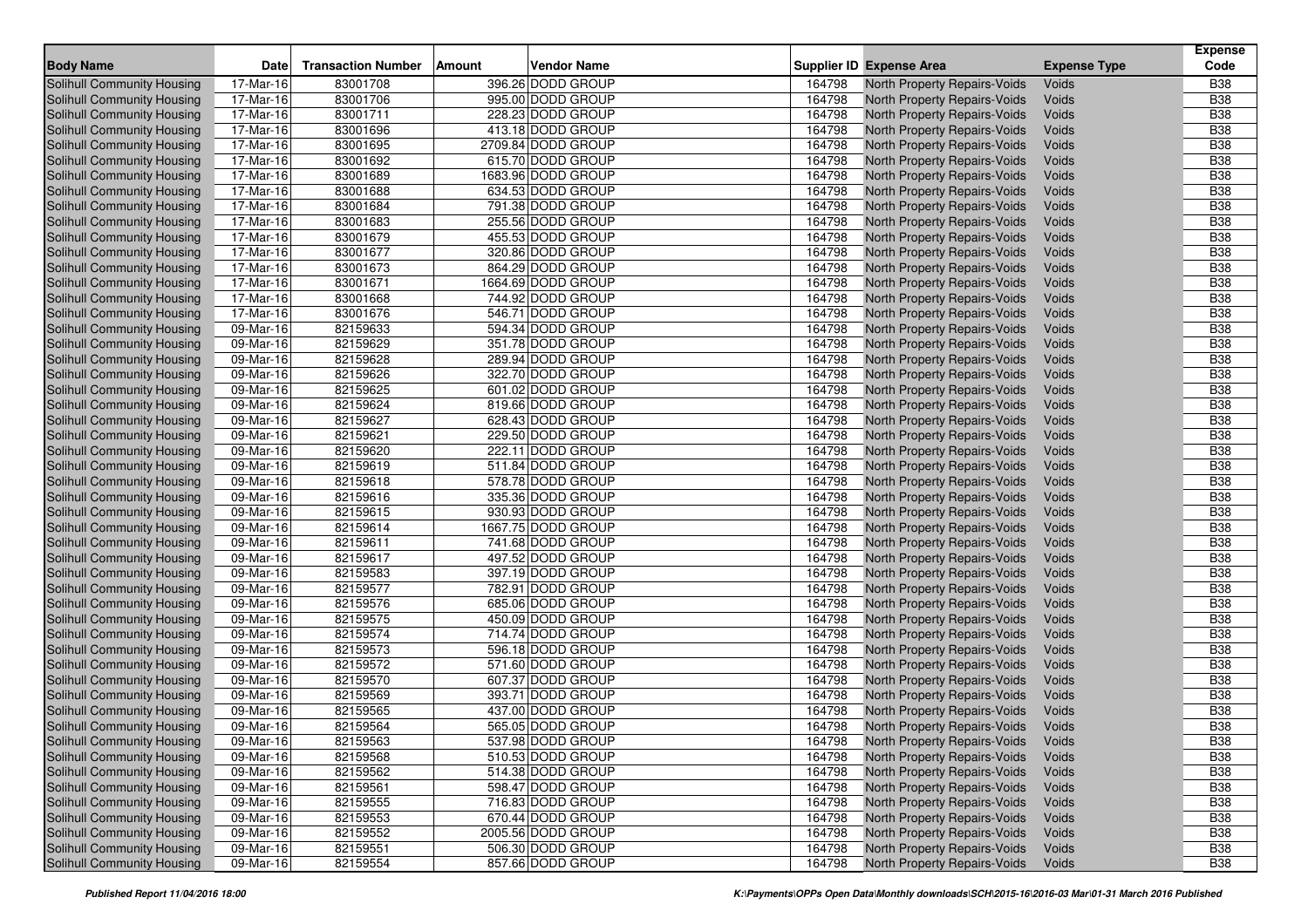|                                   |                         | <b>Transaction Number</b> |        | <b>Vendor Name</b> |        | <b>Supplier ID Expense Area</b> | <b>Expense Type</b> | <b>Expense</b><br>Code |
|-----------------------------------|-------------------------|---------------------------|--------|--------------------|--------|---------------------------------|---------------------|------------------------|
| <b>Body Name</b>                  | Date                    |                           | Amount |                    |        |                                 |                     |                        |
| <b>Solihull Community Housing</b> | 17-Mar-16               | 83001708                  |        | 396.26 DODD GROUP  | 164798 | North Property Repairs-Voids    | Voids               | <b>B38</b>             |
| Solihull Community Housing        | 17-Mar-16               | 83001706                  |        | 995.00 DODD GROUP  | 164798 | North Property Repairs-Voids    | Voids               | <b>B38</b>             |
| Solihull Community Housing        | 17-Mar-16               | 83001711                  |        | 228.23 DODD GROUP  | 164798 | North Property Repairs-Voids    | Voids               | <b>B38</b>             |
| Solihull Community Housing        | $\overline{17}$ -Mar-16 | 83001696                  |        | 413.18 DODD GROUP  | 164798 | North Property Repairs-Voids    | Voids               | <b>B38</b>             |
| Solihull Community Housing        | 17-Mar-16               | 83001695                  |        | 2709.84 DODD GROUP | 164798 | North Property Repairs-Voids    | Voids               | <b>B38</b>             |
| Solihull Community Housing        | 17-Mar-16               | 83001692                  |        | 615.70 DODD GROUP  | 164798 | North Property Repairs-Voids    | Voids               | <b>B</b> 38            |
| Solihull Community Housing        | 17-Mar-16               | 83001689                  |        | 1683.96 DODD GROUP | 164798 | North Property Repairs-Voids    | Voids               | <b>B38</b>             |
| Solihull Community Housing        | 17-Mar-16               | 83001688                  |        | 634.53 DODD GROUP  | 164798 | North Property Repairs-Voids    | Voids               | <b>B38</b>             |
| Solihull Community Housing        | 17-Mar-16               | 83001684                  |        | 791.38 DODD GROUP  | 164798 | North Property Repairs-Voids    | Voids               | <b>B38</b>             |
| Solihull Community Housing        | 17-Mar-16               | 83001683                  |        | 255.56 DODD GROUP  | 164798 | North Property Repairs-Voids    | Voids               | <b>B38</b>             |
| Solihull Community Housing        | 17-Mar-16               | 83001679                  |        | 455.53 DODD GROUP  | 164798 | North Property Repairs-Voids    | Voids               | <b>B</b> 38            |
| Solihull Community Housing        | $17-Mar-16$             | 83001677                  |        | 320.86 DODD GROUP  | 164798 | North Property Repairs-Voids    | Voids               | <b>B38</b>             |
| Solihull Community Housing        | 17-Mar-16               | 83001673                  |        | 864.29 DODD GROUP  | 164798 | North Property Repairs-Voids    | Voids               | <b>B38</b>             |
| Solihull Community Housing        | $17-Mar-16$             | 83001671                  |        | 1664.69 DODD GROUP | 164798 | North Property Repairs-Voids    | Voids               | <b>B38</b>             |
| Solihull Community Housing        | 17-Mar-16               | 83001668                  |        | 744.92 DODD GROUP  | 164798 | North Property Repairs-Voids    | Voids               | <b>B38</b>             |
| Solihull Community Housing        | 17-Mar-16               | 83001676                  |        | 546.71 DODD GROUP  | 164798 | North Property Repairs-Voids    | Voids               | <b>B38</b>             |
| Solihull Community Housing        | 09-Mar-16               | 82159633                  |        | 594.34 DODD GROUP  | 164798 | North Property Repairs-Voids    | Voids               | <b>B38</b>             |
| Solihull Community Housing        | 09-Mar-16               | 82159629                  |        | 351.78 DODD GROUP  | 164798 | North Property Repairs-Voids    | Voids               | <b>B38</b>             |
| Solihull Community Housing        | 09-Mar-16               | 82159628                  |        | 289.94 DODD GROUP  | 164798 | North Property Repairs-Voids    | Voids               | <b>B38</b>             |
| Solihull Community Housing        | 09-Mar-16               | 82159626                  |        | 322.70 DODD GROUP  | 164798 | North Property Repairs-Voids    | Voids               | <b>B38</b>             |
| Solihull Community Housing        | 09-Mar-16               | 82159625                  |        | 601.02 DODD GROUP  | 164798 | North Property Repairs-Voids    | Voids               | <b>B38</b>             |
| Solihull Community Housing        | 09-Mar-16               | 82159624                  |        | 819.66 DODD GROUP  | 164798 | North Property Repairs-Voids    | Voids               | <b>B38</b>             |
| Solihull Community Housing        | 09-Mar-16               | 82159627                  |        | 628.43 DODD GROUP  | 164798 | North Property Repairs-Voids    | Voids               | <b>B38</b>             |
| Solihull Community Housing        | 09-Mar-16               | 82159621                  |        | 229.50 DODD GROUP  | 164798 | North Property Repairs-Voids    | Voids               | <b>B38</b>             |
| Solihull Community Housing        | 09-Mar-16               | 82159620                  |        | 222.11 DODD GROUP  | 164798 | North Property Repairs-Voids    | Voids               | <b>B38</b>             |
| Solihull Community Housing        | 09-Mar-16               | 82159619                  |        | 511.84 DODD GROUP  | 164798 | North Property Repairs-Voids    | Voids               | <b>B38</b>             |
| Solihull Community Housing        | 09-Mar-16               | 82159618                  |        | 578.78 DODD GROUP  | 164798 | North Property Repairs-Voids    | Voids               | <b>B38</b>             |
| Solihull Community Housing        | 09-Mar-16               | 82159616                  |        | 335.36 DODD GROUP  | 164798 | North Property Repairs-Voids    | Voids               | <b>B38</b>             |
| Solihull Community Housing        | 09-Mar-16               | 82159615                  |        | 930.93 DODD GROUP  | 164798 | North Property Repairs-Voids    | Voids               | <b>B38</b>             |
| Solihull Community Housing        | 09-Mar-16               | 82159614                  |        | 1667.75 DODD GROUP | 164798 | North Property Repairs-Voids    | Voids               | <b>B38</b>             |
| Solihull Community Housing        | 09-Mar-16               | 82159611                  |        | 741.68 DODD GROUP  | 164798 | North Property Repairs-Voids    | Voids               | <b>B</b> 38            |
| Solihull Community Housing        | 09-Mar-16               | 82159617                  |        | 497.52 DODD GROUP  | 164798 | North Property Repairs-Voids    | Voids               | <b>B38</b>             |
| Solihull Community Housing        | 09-Mar-16               | 82159583                  |        | 397.19 DODD GROUP  | 164798 | North Property Repairs-Voids    | Voids               | <b>B38</b>             |
| <b>Solihull Community Housing</b> | 09-Mar-16               | 82159577                  |        | 782.91 DODD GROUP  | 164798 | North Property Repairs-Voids    | Voids               | <b>B38</b>             |
| Solihull Community Housing        | 09-Mar-16               | 82159576                  |        | 685.06 DODD GROUP  | 164798 | North Property Repairs-Voids    | Voids               | <b>B38</b>             |
| Solihull Community Housing        | 09-Mar-16               | 82159575                  |        | 450.09 DODD GROUP  | 164798 | North Property Repairs-Voids    | Voids               | <b>B38</b>             |
| Solihull Community Housing        | 09-Mar-16               | 82159574                  |        | 714.74 DODD GROUP  | 164798 | North Property Repairs-Voids    | Voids               | <b>B38</b>             |
| Solihull Community Housing        | 09-Mar-16               | 82159573                  |        | 596.18 DODD GROUP  | 164798 | North Property Repairs-Voids    | Voids               | <b>B38</b>             |
| Solihull Community Housing        | 09-Mar-16               | 82159572                  |        | 571.60 DODD GROUP  | 164798 | North Property Repairs-Voids    | Voids               | <b>B38</b>             |
| Solihull Community Housing        | 09-Mar-16               | 82159570                  |        | 607.37 DODD GROUP  | 164798 | North Property Repairs-Voids    | Voids               | <b>B38</b>             |
| Solihull Community Housing        | 09-Mar-16               | 82159569                  |        | 393.71 DODD GROUP  | 164798 | North Property Repairs-Voids    | Voids               | <b>B38</b>             |
| Solihull Community Housing        | 09-Mar-16               | 82159565                  |        | 437.00 DODD GROUP  | 164798 | North Property Repairs-Voids    | Voids               | <b>B</b> 38            |
| Solihull Community Housing        | 09-Mar-16               | 82159564                  |        | 565.05 DODD GROUP  | 164798 | North Property Repairs-Voids    | Voids               | <b>B</b> 38            |
| Solihull Community Housing        | 09-Mar-16               | 82159563                  |        | 537.98 DODD GROUP  | 164798 | North Property Repairs-Voids    | Voids               | <b>B38</b>             |
| Solihull Community Housing        | 09-Mar-16               | 82159568                  |        | 510.53 DODD GROUP  | 164798 | North Property Repairs-Voids    | Voids               | <b>B38</b>             |
| Solihull Community Housing        | 09-Mar-16               | 82159562                  |        | 514.38 DODD GROUP  | 164798 | North Property Repairs-Voids    | Voids               | <b>B38</b>             |
| Solihull Community Housing        | 09-Mar-16               | 82159561                  |        | 598.47 DODD GROUP  | 164798 | North Property Repairs-Voids    | Voids               | <b>B38</b>             |
| Solihull Community Housing        | 09-Mar-16               | 82159555                  |        | 716.83 DODD GROUP  | 164798 | North Property Repairs-Voids    | Voids               | <b>B38</b>             |
| Solihull Community Housing        | 09-Mar-16               | 82159553                  |        | 670.44 DODD GROUP  | 164798 | North Property Repairs-Voids    | Voids               | <b>B38</b>             |
| Solihull Community Housing        | 09-Mar-16               | 82159552                  |        | 2005.56 DODD GROUP | 164798 | North Property Repairs-Voids    | Voids               | <b>B38</b>             |
| Solihull Community Housing        | 09-Mar-16               | 82159551                  |        | 506.30 DODD GROUP  | 164798 | North Property Repairs-Voids    | Voids               | <b>B38</b>             |
| <b>Solihull Community Housing</b> | 09-Mar-16               | 82159554                  |        | 857.66 DODD GROUP  | 164798 | North Property Repairs-Voids    | Voids               | <b>B38</b>             |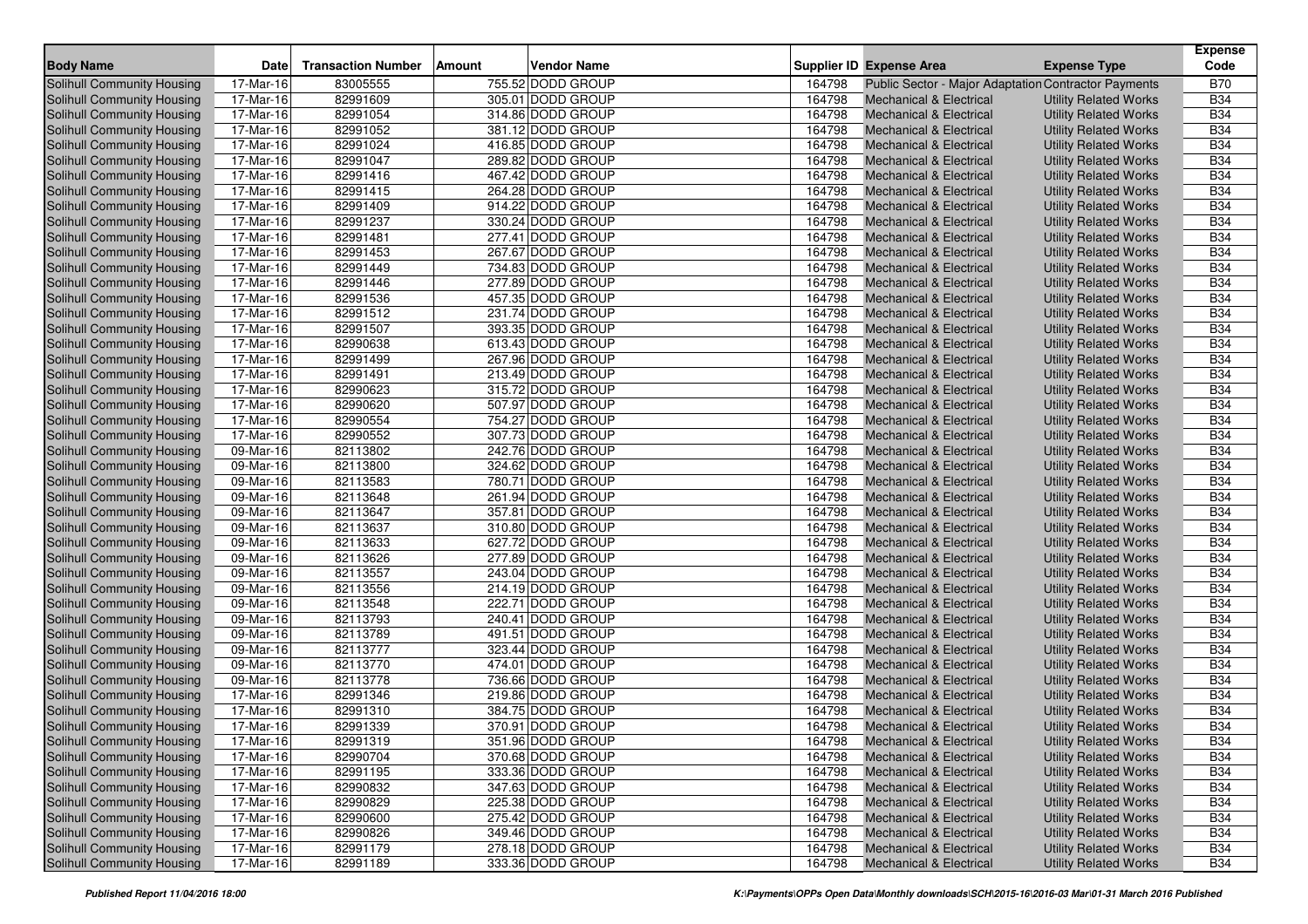| <b>Body Name</b>                                         | Date                    | <b>Transaction Number</b> | Amount | Vendor Name                            |                  | Supplier ID Expense Area |                                                      | <b>Expense Type</b>          | <b>Expense</b><br>Code |
|----------------------------------------------------------|-------------------------|---------------------------|--------|----------------------------------------|------------------|--------------------------|------------------------------------------------------|------------------------------|------------------------|
| <b>Solihull Community Housing</b>                        | 17-Mar-16               | 83005555                  |        | 755.52 DODD GROUP                      | 164798           |                          | Public Sector - Major Adaptation Contractor Payments |                              | <b>B70</b>             |
| Solihull Community Housing                               | 17-Mar-16               | 82991609                  |        | 305.01 DODD GROUP                      | 164798           |                          | <b>Mechanical &amp; Electrical</b>                   | <b>Utility Related Works</b> | <b>B34</b>             |
| Solihull Community Housing                               | 17-Mar-16               | 82991054                  |        | 314.86 DODD GROUP                      | 164798           |                          | <b>Mechanical &amp; Electrical</b>                   | <b>Utility Related Works</b> | <b>B34</b>             |
| Solihull Community Housing                               | 17-Mar-16               | 82991052                  |        | 381.12 DODD GROUP                      | 164798           |                          | <b>Mechanical &amp; Electrical</b>                   | <b>Utility Related Works</b> | <b>B34</b>             |
| Solihull Community Housing                               | 17-Mar-16               | 82991024                  |        | 416.85 DODD GROUP                      | 164798           |                          | <b>Mechanical &amp; Electrical</b>                   | <b>Utility Related Works</b> | <b>B34</b>             |
| Solihull Community Housing                               | 17-Mar-16               | 82991047                  |        | 289.82 DODD GROUP                      | 164798           |                          | <b>Mechanical &amp; Electrical</b>                   |                              | <b>B34</b>             |
|                                                          | 17-Mar-16               | 82991416                  |        | 467.42 DODD GROUP                      | 164798           |                          | <b>Mechanical &amp; Electrical</b>                   | <b>Utility Related Works</b> | <b>B34</b>             |
| Solihull Community Housing<br>Solihull Community Housing | 17-Mar-16               | 82991415                  |        | 264.28 DODD GROUP                      | 164798           |                          |                                                      | <b>Utility Related Works</b> | <b>B34</b>             |
|                                                          | 17-Mar-16               | 82991409                  |        | 914.22 DODD GROUP                      | 164798           |                          | Mechanical & Electrical                              | <b>Utility Related Works</b> | <b>B34</b>             |
| Solihull Community Housing                               |                         |                           |        |                                        |                  |                          | Mechanical & Electrical                              | <b>Utility Related Works</b> | <b>B34</b>             |
| Solihull Community Housing                               | 17-Mar-16<br>17-Mar-16  | 82991237                  |        | 330.24 DODD GROUP<br>277.41 DODD GROUP | 164798           |                          | <b>Mechanical &amp; Electrical</b>                   | <b>Utility Related Works</b> | <b>B34</b>             |
| Solihull Community Housing                               |                         | 82991481                  |        |                                        | 164798<br>164798 |                          | <b>Mechanical &amp; Electrical</b>                   | <b>Utility Related Works</b> | <b>B34</b>             |
| <b>Solihull Community Housing</b>                        | 17-Mar-16               | 82991453                  |        | 267.67 DODD GROUP                      |                  |                          | <b>Mechanical &amp; Electrical</b>                   | <b>Utility Related Works</b> |                        |
| Solihull Community Housing                               | 17-Mar-16               | 82991449                  |        | 734.83 DODD GROUP                      | 164798           |                          | <b>Mechanical &amp; Electrical</b>                   | <b>Utility Related Works</b> | <b>B34</b>             |
| Solihull Community Housing                               | 17-Mar-16               | 82991446                  |        | 277.89 DODD GROUP                      | 164798           |                          | <b>Mechanical &amp; Electrical</b>                   | <b>Utility Related Works</b> | <b>B34</b>             |
| Solihull Community Housing                               | 17-Mar-16               | 82991536                  |        | 457.35 DODD GROUP                      | 164798           |                          | <b>Mechanical &amp; Electrical</b>                   | <b>Utility Related Works</b> | <b>B34</b>             |
| Solihull Community Housing                               | 17-Mar-16               | 82991512                  |        | 231.74 DODD GROUP                      | 164798           |                          | <b>Mechanical &amp; Electrical</b>                   | <b>Utility Related Works</b> | <b>B34</b>             |
| Solihull Community Housing                               | 17-Mar-16               | 82991507                  |        | 393.35 DODD GROUP                      | 164798           |                          | <b>Mechanical &amp; Electrical</b>                   | <b>Utility Related Works</b> | <b>B34</b>             |
| Solihull Community Housing                               | 17-Mar-16               | 82990638                  |        | 613.43 DODD GROUP                      | 164798           |                          | <b>Mechanical &amp; Electrical</b>                   | <b>Utility Related Works</b> | <b>B34</b>             |
| Solihull Community Housing                               | 17-Mar-16               | 82991499                  |        | 267.96 DODD GROUP                      | 164798           |                          | <b>Mechanical &amp; Electrical</b>                   | <b>Utility Related Works</b> | <b>B34</b>             |
| <b>Solihull Community Housing</b>                        | 17-Mar-16               | 82991491                  |        | 213.49 DODD GROUP                      | 164798           |                          | Mechanical & Electrical                              | <b>Utility Related Works</b> | <b>B34</b>             |
| Solihull Community Housing                               | 17-Mar-16               | 82990623                  |        | 315.72 DODD GROUP                      | 164798           |                          | <b>Mechanical &amp; Electrical</b>                   | <b>Utility Related Works</b> | <b>B34</b>             |
| <b>Solihull Community Housing</b>                        | 17-Mar-16               | 82990620                  |        | 507.97 DODD GROUP                      | 164798           |                          | <b>Mechanical &amp; Electrical</b>                   | <b>Utility Related Works</b> | <b>B34</b>             |
| Solihull Community Housing                               | 17-Mar-16               | 82990554                  |        | 754.27 DODD GROUP                      | 164798           |                          | Mechanical & Electrical                              | <b>Utility Related Works</b> | <b>B34</b>             |
| Solihull Community Housing                               | 17-Mar-16               | 82990552                  |        | 307.73 DODD GROUP                      | 164798           |                          | <b>Mechanical &amp; Electrical</b>                   | <b>Utility Related Works</b> | <b>B34</b>             |
| Solihull Community Housing                               | 09-Mar-16               | 82113802                  |        | 242.76 DODD GROUP                      | 164798           |                          | <b>Mechanical &amp; Electrical</b>                   | <b>Utility Related Works</b> | <b>B34</b>             |
| Solihull Community Housing                               | 09-Mar-16               | 82113800                  |        | 324.62 DODD GROUP                      | 164798           |                          | <b>Mechanical &amp; Electrical</b>                   | <b>Utility Related Works</b> | <b>B34</b>             |
| Solihull Community Housing                               | 09-Mar-16               | 82113583                  |        | 780.71 DODD GROUP                      | 164798           |                          | <b>Mechanical &amp; Electrical</b>                   | <b>Utility Related Works</b> | <b>B34</b>             |
| Solihull Community Housing                               | 09-Mar-16               | 82113648                  |        | 261.94 DODD GROUP                      | 164798           |                          | <b>Mechanical &amp; Electrical</b>                   | <b>Utility Related Works</b> | <b>B34</b>             |
| Solihull Community Housing                               | 09-Mar-16               | 82113647                  |        | 357.81 DODD GROUP                      | 164798           |                          | <b>Mechanical &amp; Electrical</b>                   | <b>Utility Related Works</b> | <b>B34</b>             |
| Solihull Community Housing                               | 09-Mar-16               | 82113637                  |        | 310.80 DODD GROUP                      | 164798           |                          | <b>Mechanical &amp; Electrical</b>                   | <b>Utility Related Works</b> | <b>B34</b>             |
| Solihull Community Housing                               | 09-Mar-16               | 82113633                  |        | 627.72 DODD GROUP                      | 164798           |                          | <b>Mechanical &amp; Electrical</b>                   | <b>Utility Related Works</b> | <b>B34</b>             |
| Solihull Community Housing                               | 09-Mar-16               | 82113626                  |        | 277.89 DODD GROUP                      | 164798           |                          | <b>Mechanical &amp; Electrical</b>                   | <b>Utility Related Works</b> | <b>B34</b>             |
| Solihull Community Housing                               | 09-Mar-16               | 82113557                  |        | 243.04 DODD GROUP                      | 164798           |                          | <b>Mechanical &amp; Electrical</b>                   | <b>Utility Related Works</b> | <b>B34</b>             |
| Solihull Community Housing                               | 09-Mar-16               | 82113556                  |        | 214.19 DODD GROUP                      | 164798           |                          | <b>Mechanical &amp; Electrical</b>                   | <b>Utility Related Works</b> | <b>B34</b>             |
| <b>Solihull Community Housing</b>                        | 09-Mar-16               | 82113548                  |        | 222.71 DODD GROUP                      | 164798           |                          | <b>Mechanical &amp; Electrical</b>                   | <b>Utility Related Works</b> | <b>B34</b>             |
| Solihull Community Housing                               | 09-Mar-16               | 82113793                  |        | 240.41 DODD GROUP                      | 164798           |                          | <b>Mechanical &amp; Electrical</b>                   | <b>Utility Related Works</b> | <b>B34</b>             |
| <b>Solihull Community Housing</b>                        | 09-Mar-16               | 82113789                  |        | 491.51 DODD GROUP                      | 164798           |                          | Mechanical & Electrical                              | <b>Utility Related Works</b> | <b>B34</b>             |
| Solihull Community Housing                               | 09-Mar-16               | 82113777                  |        | 323.44 DODD GROUP                      | 164798           |                          | <b>Mechanical &amp; Electrical</b>                   | <b>Utility Related Works</b> | <b>B34</b>             |
| Solihull Community Housing                               | 09-Mar-16               | 82113770                  |        | 474.01 DODD GROUP                      | 164798           |                          | <b>Mechanical &amp; Electrical</b>                   | <b>Utility Related Works</b> | <b>B34</b>             |
| Solihull Community Housing                               | 09-Mar-16               | 82113778                  |        | 736.66 DODD GROUP                      | 164798           |                          | <b>Mechanical &amp; Electrical</b>                   | <b>Utility Related Works</b> | <b>B34</b>             |
| <b>Solihull Community Housing</b>                        | 17-Mar-16               | 82991346                  |        | 219.86 DODD GROUP                      | 164798           |                          | <b>Mechanical &amp; Electrical</b>                   | <b>Utility Related Works</b> | <b>B34</b>             |
| <b>Solihull Community Housing</b>                        | 17-Mar-16               | 82991310                  |        | 384.75 DODD GROUP                      | 164798           |                          | <b>Mechanical &amp; Electrical</b>                   | <b>Utility Related Works</b> | <b>B34</b>             |
| Solihull Community Housing                               | 17-Mar-16               | 82991339                  |        | 370.91 DODD GROUP                      | 164798           |                          | <b>Mechanical &amp; Electrical</b>                   | <b>Utility Related Works</b> | <b>B34</b>             |
| Solihull Community Housing                               | 17-Mar-16               | 82991319                  |        | 351.96 DODD GROUP                      | 164798           |                          | Mechanical & Electrical                              | <b>Utility Related Works</b> | <b>B34</b>             |
| Solihull Community Housing                               | $\overline{17}$ -Mar-16 | 82990704                  |        | 370.68 DODD GROUP                      | 164798           |                          | <b>Mechanical &amp; Electrical</b>                   | <b>Utility Related Works</b> | <b>B34</b>             |
| <b>Solihull Community Housing</b>                        | 17-Mar-16               | 82991195                  |        | 333.36 DODD GROUP                      | 164798           |                          | <b>Mechanical &amp; Electrical</b>                   | <b>Utility Related Works</b> | <b>B34</b>             |
| Solihull Community Housing                               | 17-Mar-16               | 82990832                  |        | 347.63 DODD GROUP                      | 164798           |                          | <b>Mechanical &amp; Electrical</b>                   | <b>Utility Related Works</b> | <b>B34</b>             |
| Solihull Community Housing                               | $\overline{17-Mar-16}$  | 82990829                  |        | 225.38 DODD GROUP                      | 164798           |                          | <b>Mechanical &amp; Electrical</b>                   | <b>Utility Related Works</b> | <b>B34</b>             |
| Solihull Community Housing                               | 17-Mar-16               | 82990600                  |        | 275.42 DODD GROUP                      | 164798           |                          | Mechanical & Electrical                              | <b>Utility Related Works</b> | <b>B34</b>             |
| Solihull Community Housing                               | 17-Mar-16               | 82990826                  |        | 349.46 DODD GROUP                      | 164798           |                          | <b>Mechanical &amp; Electrical</b>                   | <b>Utility Related Works</b> | <b>B34</b>             |
| Solihull Community Housing                               | 17-Mar-16               | 82991179                  |        | 278.18 DODD GROUP                      | 164798           |                          | Mechanical & Electrical                              | <b>Utility Related Works</b> | <b>B34</b>             |
| <b>Solihull Community Housing</b>                        | 17-Mar-16               | 82991189                  |        | 333.36 DODD GROUP                      | 164798           |                          | <b>Mechanical &amp; Electrical</b>                   | <b>Utility Related Works</b> | <b>B34</b>             |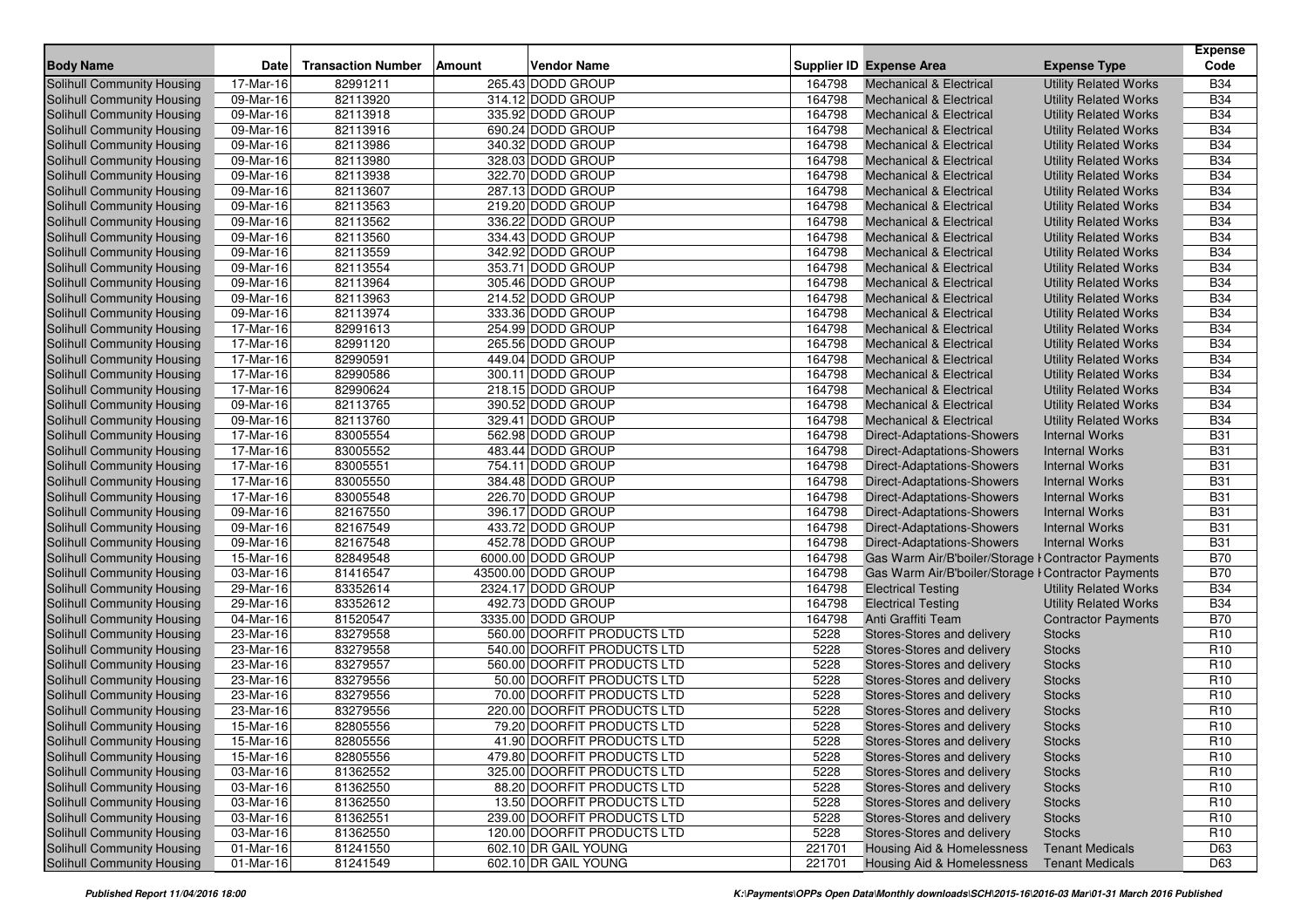|                                                          |                         |                           |               |                                        |                  |                                                          |                                                | <b>Expense</b>           |
|----------------------------------------------------------|-------------------------|---------------------------|---------------|----------------------------------------|------------------|----------------------------------------------------------|------------------------------------------------|--------------------------|
| <b>Body Name</b>                                         | <b>Date</b>             | <b>Transaction Number</b> | <b>Amount</b> | <b>Vendor Name</b>                     |                  | <b>Supplier ID Expense Area</b>                          | <b>Expense Type</b>                            | Code                     |
| <b>Solihull Community Housing</b>                        | 17-Mar-16               | 82991211                  |               | 265.43 DODD GROUP                      | 164798           | <b>Mechanical &amp; Electrical</b>                       | <b>Utility Related Works</b>                   | <b>B34</b>               |
| Solihull Community Housing                               | 09-Mar-16               | 82113920                  |               | 314.12 DODD GROUP                      | 164798           | <b>Mechanical &amp; Electrical</b>                       | <b>Utility Related Works</b>                   | <b>B34</b>               |
| Solihull Community Housing                               | 09-Mar-16               | 82113918                  |               | 335.92 DODD GROUP                      | 164798           | <b>Mechanical &amp; Electrical</b>                       | <b>Utility Related Works</b>                   | <b>B34</b>               |
| Solihull Community Housing                               | 09-Mar-16               | 82113916                  |               | 690.24 DODD GROUP                      | 164798           | <b>Mechanical &amp; Electrical</b>                       | <b>Utility Related Works</b>                   | <b>B34</b>               |
| Solihull Community Housing                               | 09-Mar-16               | 82113986                  |               | 340.32 DODD GROUP                      | 164798           | Mechanical & Electrical                                  | <b>Utility Related Works</b>                   | <b>B34</b>               |
| <b>Solihull Community Housing</b>                        | 09-Mar-16               | 82113980                  |               | 328.03 DODD GROUP                      | 164798           | <b>Mechanical &amp; Electrical</b>                       | <b>Utility Related Works</b>                   | <b>B34</b>               |
| Solihull Community Housing                               | 09-Mar-16               | 82113938                  |               | 322.70 DODD GROUP                      | 164798           | <b>Mechanical &amp; Electrical</b>                       | <b>Utility Related Works</b>                   | <b>B34</b>               |
| Solihull Community Housing                               | 09-Mar-16               | 82113607                  |               | 287.13 DODD GROUP                      | 164798           | <b>Mechanical &amp; Electrical</b>                       | <b>Utility Related Works</b>                   | <b>B34</b>               |
| Solihull Community Housing                               | 09-Mar-16               | 82113563                  |               | 219.20 DODD GROUP                      | 164798           | Mechanical & Electrical                                  | <b>Utility Related Works</b>                   | <b>B34</b>               |
| <b>Solihull Community Housing</b>                        | 09-Mar-16               | 82113562                  |               | 336.22 DODD GROUP                      | 164798           | <b>Mechanical &amp; Electrical</b>                       | <b>Utility Related Works</b>                   | <b>B34</b>               |
| Solihull Community Housing                               | 09-Mar-16               | 82113560                  |               | 334.43 DODD GROUP                      | 164798           | <b>Mechanical &amp; Electrical</b>                       | <b>Utility Related Works</b>                   | <b>B34</b>               |
| <b>Solihull Community Housing</b>                        | 09-Mar-16               | 82113559                  |               | 342.92 DODD GROUP                      | 164798           | <b>Mechanical &amp; Electrical</b>                       | <b>Utility Related Works</b>                   | <b>B34</b>               |
| Solihull Community Housing                               | 09-Mar-16               | 82113554                  |               | 353.71 DODD GROUP                      | 164798           | <b>Mechanical &amp; Electrical</b>                       | <b>Utility Related Works</b>                   | <b>B34</b>               |
| Solihull Community Housing                               | 09-Mar-16               | 82113964                  |               | 305.46 DODD GROUP                      | 164798           | <b>Mechanical &amp; Electrical</b>                       | <b>Utility Related Works</b>                   | <b>B34</b>               |
| Solihull Community Housing                               | 09-Mar-16               | 82113963                  |               | 214.52 DODD GROUP                      | 164798           | <b>Mechanical &amp; Electrical</b>                       | <b>Utility Related Works</b>                   | <b>B34</b>               |
| Solihull Community Housing                               | 09-Mar-16               | 82113974                  |               | 333.36 DODD GROUP                      | 164798           | <b>Mechanical &amp; Electrical</b>                       | <b>Utility Related Works</b>                   | <b>B34</b>               |
| Solihull Community Housing                               | 17-Mar-16               | 82991613                  |               | 254.99 DODD GROUP                      | 164798           | <b>Mechanical &amp; Electrical</b>                       | <b>Utility Related Works</b>                   | <b>B34</b>               |
| Solihull Community Housing                               | 17-Mar-16               | 82991120                  |               | 265.56 DODD GROUP                      | 164798           | <b>Mechanical &amp; Electrical</b>                       | <b>Utility Related Works</b>                   | <b>B34</b>               |
| Solihull Community Housing                               | 17-Mar-16               | 82990591                  |               | 449.04 DODD GROUP                      | 164798           | <b>Mechanical &amp; Electrical</b>                       | <b>Utility Related Works</b>                   | <b>B34</b>               |
| Solihull Community Housing                               | 17-Mar-16               | 82990586                  |               | 300.11 DODD GROUP                      | 164798           | <b>Mechanical &amp; Electrical</b>                       | <b>Utility Related Works</b>                   | <b>B34</b>               |
| Solihull Community Housing                               | 17-Mar-16               | 82990624                  |               | 218.15 DODD GROUP                      | 164798           | <b>Mechanical &amp; Electrical</b>                       | <b>Utility Related Works</b>                   | <b>B34</b>               |
| Solihull Community Housing                               | 09-Mar-16               | 82113765                  |               | 390.52 DODD GROUP                      | 164798           | <b>Mechanical &amp; Electrical</b>                       | <b>Utility Related Works</b>                   | <b>B34</b>               |
| Solihull Community Housing                               | 09-Mar-16               | 82113760                  |               | 329.41 DODD GROUP                      | 164798           | <b>Mechanical &amp; Electrical</b>                       | <b>Utility Related Works</b>                   | <b>B34</b>               |
| Solihull Community Housing                               | 17-Mar-16               | 83005554                  |               | 562.98 DODD GROUP                      | 164798           | Direct-Adaptations-Showers                               | <b>Internal Works</b>                          | <b>B31</b>               |
| Solihull Community Housing                               | 17-Mar-16               | 83005552                  |               | 483.44 DODD GROUP                      | 164798           | Direct-Adaptations-Showers                               | <b>Internal Works</b>                          | <b>B31</b>               |
| Solihull Community Housing                               | 17-Mar-16               | 83005551                  |               | 754.11 DODD GROUP                      | 164798           | Direct-Adaptations-Showers                               | <b>Internal Works</b>                          | <b>B31</b>               |
| Solihull Community Housing                               | 17-Mar-16               | 83005550                  |               | 384.48 DODD GROUP                      | 164798           | Direct-Adaptations-Showers                               | <b>Internal Works</b>                          | <b>B31</b>               |
| Solihull Community Housing                               | 17-Mar-16<br>09-Mar-16  | 83005548<br>82167550      |               | 226.70 DODD GROUP<br>396.17 DODD GROUP | 164798<br>164798 | Direct-Adaptations-Showers<br>Direct-Adaptations-Showers | <b>Internal Works</b><br><b>Internal Works</b> | <b>B31</b><br><b>B31</b> |
| Solihull Community Housing<br>Solihull Community Housing | 09-Mar-16               | 82167549                  |               | 433.72 DODD GROUP                      | 164798           | <b>Direct-Adaptations-Showers</b>                        | <b>Internal Works</b>                          | <b>B31</b>               |
| Solihull Community Housing                               | 09-Mar-16               | 82167548                  |               | 452.78 DODD GROUP                      | 164798           | Direct-Adaptations-Showers                               | <b>Internal Works</b>                          | <b>B31</b>               |
| Solihull Community Housing                               | 15-Mar-16               | 82849548                  |               | 6000.00 DODD GROUP                     | 164798           | Gas Warm Air/B'boiler/Storage I Contractor Payments      |                                                | <b>B70</b>               |
| Solihull Community Housing                               | 03-Mar-16               | 81416547                  |               | 43500.00 DODD GROUP                    | 164798           | Gas Warm Air/B'boiler/Storage I Contractor Payments      |                                                | <b>B70</b>               |
| Solihull Community Housing                               | 29-Mar-16               | 83352614                  |               | 2324.17 DODD GROUP                     | 164798           | <b>Electrical Testing</b>                                | <b>Utility Related Works</b>                   | <b>B34</b>               |
| Solihull Community Housing                               | 29-Mar-16               | 83352612                  |               | 492.73 DODD GROUP                      | 164798           | <b>Electrical Testing</b>                                | <b>Utility Related Works</b>                   | <b>B34</b>               |
| Solihull Community Housing                               | 04-Mar-16               | 81520547                  |               | 3335.00 DODD GROUP                     | 164798           | Anti Graffiti Team                                       | <b>Contractor Payments</b>                     | <b>B70</b>               |
| Solihull Community Housing                               | 23-Mar-16               | 83279558                  |               | 560.00 DOORFIT PRODUCTS LTD            | 5228             | Stores-Stores and delivery                               | <b>Stocks</b>                                  | R <sub>10</sub>          |
| Solihull Community Housing                               | 23-Mar-16               | 83279558                  |               | 540.00 DOORFIT PRODUCTS LTD            | 5228             | Stores-Stores and delivery                               | <b>Stocks</b>                                  | R <sub>10</sub>          |
| <b>Solihull Community Housing</b>                        | 23-Mar-16               | 83279557                  |               | 560.00 DOORFIT PRODUCTS LTD            | 5228             | Stores-Stores and delivery                               | <b>Stocks</b>                                  | R <sub>10</sub>          |
| Solihull Community Housing                               | $23-Mar-16$             | 83279556                  |               | 50.00 DOORFIT PRODUCTS LTD             | 5228             | Stores-Stores and delivery                               | <b>Stocks</b>                                  | R <sub>10</sub>          |
| Solihull Community Housing                               | 23-Mar-16               | 83279556                  |               | 70.00 DOORFIT PRODUCTS LTD             | 5228             | Stores-Stores and delivery                               | <b>Stocks</b>                                  | R <sub>10</sub>          |
| <b>Solihull Community Housing</b>                        | 23-Mar-16               | 83279556                  |               | 220.00 DOORFIT PRODUCTS LTD            | 5228             | Stores-Stores and delivery                               | <b>Stocks</b>                                  | R <sub>10</sub>          |
| Solihull Community Housing                               | 15-Mar-16               | 82805556                  |               | 79.20 DOORFIT PRODUCTS LTD             | 5228             | Stores-Stores and delivery                               | <b>Stocks</b>                                  | R <sub>10</sub>          |
| Solihull Community Housing                               | 15-Mar-16               | 82805556                  |               | 41.90 DOORFIT PRODUCTS LTD             | 5228             | Stores-Stores and delivery                               | <b>Stocks</b>                                  | R <sub>10</sub>          |
| Solihull Community Housing                               | $\overline{15}$ -Mar-16 | 82805556                  |               | 479.80 DOORFIT PRODUCTS LTD            | 5228             | Stores-Stores and delivery                               | <b>Stocks</b>                                  | R <sub>10</sub>          |
| Solihull Community Housing                               | 03-Mar-16               | 81362552                  |               | 325.00 DOORFIT PRODUCTS LTD            | 5228             | Stores-Stores and delivery                               | <b>Stocks</b>                                  | R <sub>10</sub>          |
| Solihull Community Housing                               | 03-Mar-16               | 81362550                  |               | 88.20 DOORFIT PRODUCTS LTD             | 5228             | Stores-Stores and delivery                               | <b>Stocks</b>                                  | R <sub>10</sub>          |
| Solihull Community Housing                               | 03-Mar-16               | 81362550                  |               | 13.50 DOORFIT PRODUCTS LTD             | 5228             | Stores-Stores and delivery                               | <b>Stocks</b>                                  | R <sub>10</sub>          |
| Solihull Community Housing                               | 03-Mar-16               | 81362551                  |               | 239.00 DOORFIT PRODUCTS LTD            | 5228             | Stores-Stores and delivery                               | <b>Stocks</b>                                  | R <sub>10</sub>          |
| Solihull Community Housing                               | 03-Mar-16               | 81362550                  |               | 120.00 DOORFIT PRODUCTS LTD            | 5228             | Stores-Stores and delivery                               | <b>Stocks</b>                                  | R <sub>10</sub>          |
| Solihull Community Housing                               | 01-Mar-16               | 81241550                  |               | 602.10 DR GAIL YOUNG                   | 221701           | <b>Housing Aid &amp; Homelessness</b>                    | <b>Tenant Medicals</b>                         | D63                      |
| Solihull Community Housing                               | 01-Mar-16               | 81241549                  |               | 602.10 DR GAIL YOUNG                   | 221701           | <b>Housing Aid &amp; Homelessness</b>                    | <b>Tenant Medicals</b>                         | D63                      |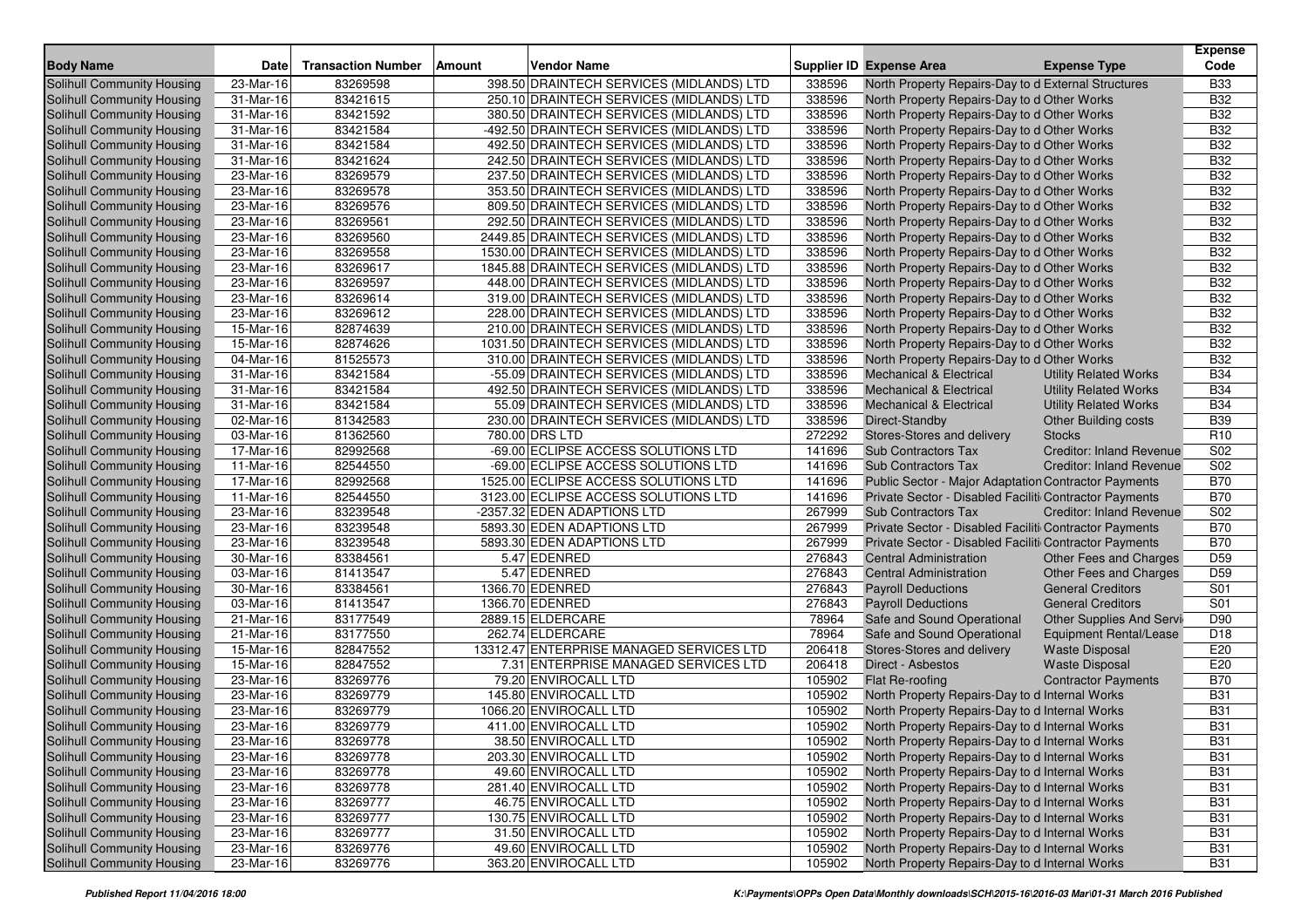| <b>Body Name</b>                  | <b>Date</b>             | <b>Transaction Number</b> | Amount | Vendor Name                               |        | <b>Supplier ID Expense Area</b>                        | <b>Expense Type</b>             | <b>Expense</b><br>Code |
|-----------------------------------|-------------------------|---------------------------|--------|-------------------------------------------|--------|--------------------------------------------------------|---------------------------------|------------------------|
| <b>Solihull Community Housing</b> | 23-Mar-16               | 83269598                  |        | 398.50 DRAINTECH SERVICES (MIDLANDS) LTD  | 338596 | North Property Repairs-Day to d External Structures    |                                 | <b>B33</b>             |
| Solihull Community Housing        | 31-Mar-16               | 83421615                  |        | 250.10 DRAINTECH SERVICES (MIDLANDS) LTD  | 338596 | North Property Repairs-Day to d Other Works            |                                 | <b>B32</b>             |
| Solihull Community Housing        | 31-Mar-16               | 83421592                  |        | 380.50 DRAINTECH SERVICES (MIDLANDS) LTD  | 338596 | North Property Repairs-Day to d Other Works            |                                 | <b>B32</b>             |
| Solihull Community Housing        | 31-Mar-16               | 83421584                  |        | -492.50 DRAINTECH SERVICES (MIDLANDS) LTD | 338596 | North Property Repairs-Day to d Other Works            |                                 | <b>B32</b>             |
| Solihull Community Housing        | $31-Mar-16$             | 83421584                  |        | 492.50 DRAINTECH SERVICES (MIDLANDS) LTD  | 338596 | North Property Repairs-Day to d Other Works            |                                 | <b>B32</b>             |
| Solihull Community Housing        | 31-Mar-16               | 83421624                  |        | 242.50 DRAINTECH SERVICES (MIDLANDS) LTD  | 338596 | North Property Repairs-Day to d Other Works            |                                 | <b>B32</b>             |
| Solihull Community Housing        | 23-Mar-16               | 83269579                  |        | 237.50 DRAINTECH SERVICES (MIDLANDS) LTD  | 338596 | North Property Repairs-Day to d Other Works            |                                 | <b>B32</b>             |
| Solihull Community Housing        | 23-Mar-16               | 83269578                  |        | 353.50 DRAINTECH SERVICES (MIDLANDS) LTD  | 338596 | North Property Repairs-Day to d Other Works            |                                 | <b>B32</b>             |
| Solihull Community Housing        | 23-Mar-16               | 83269576                  |        | 809.50 DRAINTECH SERVICES (MIDLANDS) LTD  | 338596 | North Property Repairs-Day to d Other Works            |                                 | <b>B32</b>             |
| Solihull Community Housing        | 23-Mar-16               | 83269561                  |        | 292.50 DRAINTECH SERVICES (MIDLANDS) LTD  | 338596 | North Property Repairs-Day to d Other Works            |                                 | <b>B32</b>             |
| Solihull Community Housing        | 23-Mar-16               | 83269560                  |        | 2449.85 DRAINTECH SERVICES (MIDLANDS) LTD | 338596 | North Property Repairs-Day to d Other Works            |                                 | <b>B32</b>             |
| <b>Solihull Community Housing</b> | 23-Mar-16               | 83269558                  |        | 1530.00 DRAINTECH SERVICES (MIDLANDS) LTD | 338596 | North Property Repairs-Day to d Other Works            |                                 | <b>B32</b>             |
| Solihull Community Housing        | 23-Mar-16               | 83269617                  |        | 1845.88 DRAINTECH SERVICES (MIDLANDS) LTD | 338596 | North Property Repairs-Day to d Other Works            |                                 | <b>B32</b>             |
| <b>Solihull Community Housing</b> | 23-Mar-16               | 83269597                  |        | 448.00 DRAINTECH SERVICES (MIDLANDS) LTD  | 338596 | North Property Repairs-Day to d Other Works            |                                 | <b>B32</b>             |
| <b>Solihull Community Housing</b> | 23-Mar-16               | 83269614                  |        | 319.00 DRAINTECH SERVICES (MIDLANDS) LTD  | 338596 | North Property Repairs-Day to d Other Works            |                                 | <b>B32</b>             |
| Solihull Community Housing        | 23-Mar-16               | 83269612                  |        | 228.00 DRAINTECH SERVICES (MIDLANDS) LTD  | 338596 | North Property Repairs-Day to d Other Works            |                                 | <b>B32</b>             |
| Solihull Community Housing        | 15-Mar-16               | 82874639                  |        | 210.00 DRAINTECH SERVICES (MIDLANDS) LTD  | 338596 | North Property Repairs-Day to d Other Works            |                                 | <b>B32</b>             |
| Solihull Community Housing        | 15-Mar-16               | 82874626                  |        | 1031.50 DRAINTECH SERVICES (MIDLANDS) LTD | 338596 | North Property Repairs-Day to d Other Works            |                                 | <b>B32</b>             |
| Solihull Community Housing        | 04-Mar-16               | 81525573                  |        | 310.00 DRAINTECH SERVICES (MIDLANDS) LTD  | 338596 | North Property Repairs-Day to d Other Works            |                                 | <b>B32</b>             |
| <b>Solihull Community Housing</b> | 31-Mar-16               | 83421584                  |        | -55.09 DRAINTECH SERVICES (MIDLANDS) LTD  | 338596 | <b>Mechanical &amp; Electrical</b>                     | <b>Utility Related Works</b>    | <b>B34</b>             |
| <b>Solihull Community Housing</b> | $31$ -Mar-16            | 83421584                  |        | 492.50 DRAINTECH SERVICES (MIDLANDS) LTD  | 338596 | <b>Mechanical &amp; Electrical</b>                     | <b>Utility Related Works</b>    | <b>B34</b>             |
| <b>Solihull Community Housing</b> | 31-Mar-16               | 83421584                  |        | 55.09 DRAINTECH SERVICES (MIDLANDS) LTD   | 338596 | <b>Mechanical &amp; Electrical</b>                     | <b>Utility Related Works</b>    | <b>B34</b>             |
| <b>Solihull Community Housing</b> | 02-Mar-16               | 81342583                  |        | 230.00 DRAINTECH SERVICES (MIDLANDS) LTD  | 338596 | Direct-Standby                                         | <b>Other Building costs</b>     | <b>B39</b>             |
| Solihull Community Housing        | 03-Mar-16               | 81362560                  |        | 780.00 DRS LTD                            | 272292 | Stores-Stores and delivery                             | <b>Stocks</b>                   | R <sub>10</sub>        |
| Solihull Community Housing        | 17-Mar-16               | 82992568                  |        | -69.00 ECLIPSE ACCESS SOLUTIONS LTD       | 141696 | <b>Sub Contractors Tax</b>                             | <b>Creditor: Inland Revenue</b> | S <sub>02</sub>        |
| Solihull Community Housing        | 11-Mar-16               | 82544550                  |        | -69.00 ECLIPSE ACCESS SOLUTIONS LTD       | 141696 | <b>Sub Contractors Tax</b>                             | <b>Creditor: Inland Revenue</b> | S02                    |
| Solihull Community Housing        | 17-Mar-16               | 82992568                  |        | 1525.00 ECLIPSE ACCESS SOLUTIONS LTD      | 141696 | Public Sector - Major Adaptation Contractor Payments   |                                 | <b>B70</b>             |
| Solihull Community Housing        | 11-Mar-16               | 82544550                  |        | 3123.00 ECLIPSE ACCESS SOLUTIONS LTD      | 141696 | Private Sector - Disabled Faciliti Contractor Payments |                                 | <b>B70</b>             |
| Solihull Community Housing        | 23-Mar-16               | 83239548                  |        | -2357.32 EDEN ADAPTIONS LTD               | 267999 | <b>Sub Contractors Tax</b>                             | <b>Creditor: Inland Revenue</b> | S02                    |
| Solihull Community Housing        | 23-Mar-16               | 83239548                  |        | 5893.30 EDEN ADAPTIONS LTD                | 267999 | Private Sector - Disabled Faciliti Contractor Payments |                                 | <b>B70</b>             |
| <b>Solihull Community Housing</b> | 23-Mar-16               | 83239548                  |        | 5893.30 EDEN ADAPTIONS LTD                | 267999 | Private Sector - Disabled Faciliti Contractor Payments |                                 | <b>B70</b>             |
| <b>Solihull Community Housing</b> | 30-Mar-16               | 83384561                  |        | 5.47 EDENRED                              | 276843 | <b>Central Administration</b>                          | Other Fees and Charges          | D <sub>59</sub>        |
| Solihull Community Housing        | 03-Mar-16               | 81413547                  |        | 5.47 EDENRED                              | 276843 | <b>Central Administration</b>                          | Other Fees and Charges          | D <sub>59</sub>        |
| <b>Solihull Community Housing</b> | 30-Mar-16               | 83384561                  |        | 1366.70 EDENRED                           | 276843 | <b>Payroll Deductions</b>                              | <b>General Creditors</b>        | S01                    |
| Solihull Community Housing        | 03-Mar-16               | 81413547                  |        | 1366.70 EDENRED                           | 276843 | <b>Payroll Deductions</b>                              | <b>General Creditors</b>        | S01                    |
| Solihull Community Housing        | 21-Mar-16               | 83177549                  |        | 2889.15 ELDERCARE                         | 78964  | Safe and Sound Operational                             | Other Supplies And Servi        | D90                    |
| <b>Solihull Community Housing</b> | 21-Mar-16               | 83177550                  |        | 262.74 ELDERCARE                          | 78964  | Safe and Sound Operational                             | Equipment Rental/Lease          | D <sub>18</sub>        |
| Solihull Community Housing        | 15-Mar-16               | 82847552                  |        | 13312.47 ENTERPRISE MANAGED SERVICES LTD  | 206418 | Stores-Stores and delivery                             | <b>Waste Disposal</b>           | E20                    |
| <b>Solihull Community Housing</b> | 15-Mar-16               | 82847552                  |        | 7.31 ENTERPRISE MANAGED SERVICES LTD      | 206418 | Direct - Asbestos                                      | <b>Waste Disposal</b>           | E20                    |
| <b>Solihull Community Housing</b> | 23-Mar-16               | 83269776                  |        | 79.20 ENVIROCALL LTD                      | 105902 | Flat Re-roofing                                        | <b>Contractor Payments</b>      | <b>B70</b>             |
| Solihull Community Housing        | 23-Mar-16               | 83269779                  |        | 145.80 ENVIROCALL LTD                     | 105902 | North Property Repairs-Day to d Internal Works         |                                 | <b>B31</b>             |
| Solihull Community Housing        | 23-Mar-16               | 83269779                  |        | 1066.20 ENVIROCALL LTD                    | 105902 | North Property Repairs-Day to d Internal Works         |                                 | <b>B31</b>             |
| Solihull Community Housing        | 23-Mar-16               | 83269779                  |        | 411.00 ENVIROCALL LTD                     | 105902 | North Property Repairs-Day to d Internal Works         |                                 | <b>B31</b>             |
| Solihull Community Housing        | 23-Mar-16               | 83269778                  |        | 38.50 ENVIROCALL LTD                      | 105902 | North Property Repairs-Day to d Internal Works         |                                 | <b>B31</b>             |
| Solihull Community Housing        | 23-Mar-16               | 83269778                  |        | 203.30 ENVIROCALL LTD                     | 105902 | North Property Repairs-Day to d Internal Works         |                                 | <b>B31</b>             |
| Solihull Community Housing        | 23-Mar-16               | 83269778                  |        | 49.60 ENVIROCALL LTD                      | 105902 | North Property Repairs-Day to d Internal Works         |                                 | <b>B31</b>             |
| Solihull Community Housing        | 23-Mar-16               | 83269778                  |        | 281.40 ENVIROCALL LTD                     | 105902 | North Property Repairs-Day to d Internal Works         |                                 | <b>B31</b>             |
| Solihull Community Housing        | $\overline{23}$ -Mar-16 | 83269777                  |        | 46.75 ENVIROCALL LTD                      | 105902 | North Property Repairs-Day to d Internal Works         |                                 | <b>B31</b>             |
| Solihull Community Housing        | 23-Mar-16               | 83269777                  |        | 130.75 ENVIROCALL LTD                     | 105902 | North Property Repairs-Day to d Internal Works         |                                 | <b>B31</b>             |
| Solihull Community Housing        | 23-Mar-16               | 83269777                  |        | 31.50 ENVIROCALL LTD                      | 105902 | North Property Repairs-Day to d Internal Works         |                                 | <b>B31</b>             |
| Solihull Community Housing        | 23-Mar-16               | 83269776                  |        | 49.60 ENVIROCALL LTD                      | 105902 | North Property Repairs-Day to d Internal Works         |                                 | <b>B31</b>             |
| Solihull Community Housing        | 23-Mar-16               | 83269776                  |        | 363.20 ENVIROCALL LTD                     | 105902 | North Property Repairs-Day to d Internal Works         |                                 | <b>B31</b>             |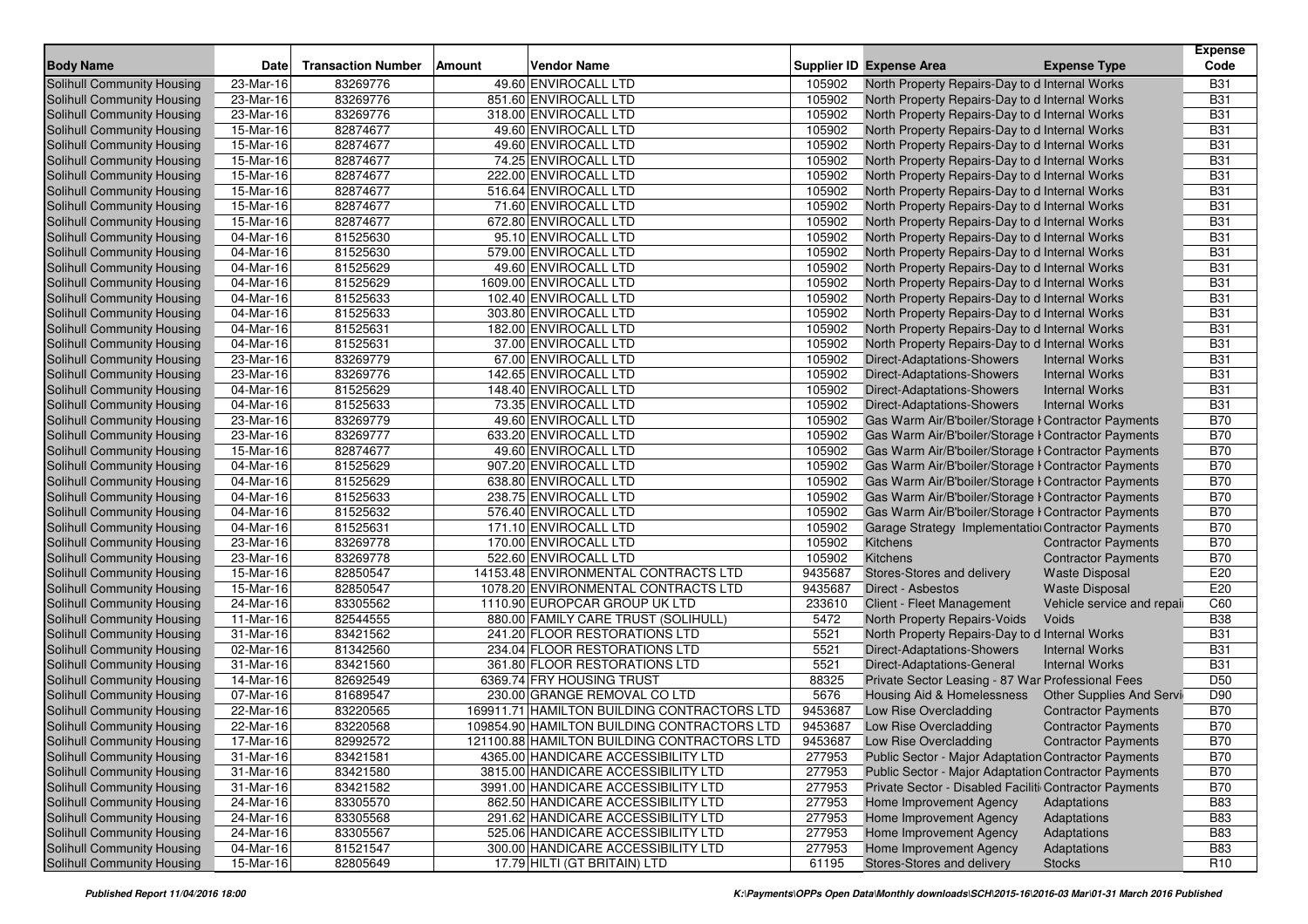| Code<br><b>Body Name</b><br><b>Date</b><br><b>Transaction Number</b><br>Amount<br><b>Vendor Name</b><br>Supplier ID Expense Area<br><b>Expense Type</b><br>23-Mar-16<br>83269776<br>49.60 ENVIROCALL LTD<br>North Property Repairs-Day to d Internal Works<br><b>B31</b><br>Solihull Community Housing<br>105902<br><b>B31</b><br>83269776<br>851.60 ENVIROCALL LTD<br>105902<br>Solihull Community Housing<br>23-Mar-16<br>North Property Repairs-Day to d Internal Works<br>83269776<br>318.00 ENVIROCALL LTD<br>105902<br><b>B31</b><br><b>Solihull Community Housing</b><br>23-Mar-16<br>North Property Repairs-Day to d Internal Works<br>82874677<br>49.60 ENVIROCALL LTD<br><b>B31</b><br>Solihull Community Housing<br>15-Mar-16<br>105902<br>North Property Repairs-Day to d Internal Works<br>82874677<br>49.60 ENVIROCALL LTD<br>105902<br><b>B31</b><br>Solihull Community Housing<br>15-Mar-16<br>North Property Repairs-Day to d Internal Works<br>Solihull Community Housing<br>15-Mar-16<br>82874677<br>74.25 ENVIROCALL LTD<br>105902<br><b>B31</b><br>North Property Repairs-Day to d Internal Works<br>222.00 ENVIROCALL LTD<br>105902<br><b>B31</b><br>Solihull Community Housing<br>15-Mar-16<br>82874677<br>North Property Repairs-Day to d Internal Works<br>82874677<br>516.64 ENVIROCALL LTD<br>105902<br><b>B31</b><br>Solihull Community Housing<br>15-Mar-16<br>North Property Repairs-Day to d Internal Works<br>82874677<br>105902<br><b>B31</b><br>Solihull Community Housing<br>15-Mar-16<br>71.60 ENVIROCALL LTD<br>North Property Repairs-Day to d Internal Works<br>105902<br>Solihull Community Housing<br>15-Mar-16<br>82874677<br>672.80 ENVIROCALL LTD<br>North Property Repairs-Day to d Internal Works<br><b>B31</b><br>81525630<br>95.10 ENVIROCALL LTD<br>105902<br><b>B31</b><br>Solihull Community Housing<br>04-Mar-16<br>North Property Repairs-Day to d Internal Works<br>81525630<br>579.00 ENVIROCALL LTD<br>105902<br><b>B31</b><br>Solihull Community Housing<br>04-Mar-16<br>North Property Repairs-Day to d Internal Works<br>81525629<br>49.60 ENVIROCALL LTD<br>105902<br><b>B31</b><br><b>Solihull Community Housing</b><br>04-Mar-16<br>North Property Repairs-Day to d Internal Works<br>81525629<br>1609.00 ENVIROCALL LTD<br>105902<br><b>B31</b><br><b>Solihull Community Housing</b><br>04-Mar-16<br>North Property Repairs-Day to d Internal Works<br>81525633<br>102.40 ENVIROCALL LTD<br>105902<br><b>B31</b><br>Solihull Community Housing<br>04-Mar-16<br>North Property Repairs-Day to d Internal Works<br>81525633<br>303.80 ENVIROCALL LTD<br>105902<br><b>B31</b><br>Solihull Community Housing<br>04-Mar-16<br>North Property Repairs-Day to d Internal Works<br>81525631<br>182.00 ENVIROCALL LTD<br>105902<br><b>B31</b><br>Solihull Community Housing<br>04-Mar-16<br>North Property Repairs-Day to d Internal Works<br>81525631<br>37.00 ENVIROCALL LTD<br>105902<br><b>B31</b><br>Solihull Community Housing<br>04-Mar-16<br>North Property Repairs-Day to d Internal Works<br>83269779<br>67.00 ENVIROCALL LTD<br>105902<br><b>B31</b><br>Solihull Community Housing<br>23-Mar-16<br><b>Direct-Adaptations-Showers</b><br><b>Internal Works</b><br>83269776<br>142.65 ENVIROCALL LTD<br>105902<br><b>B31</b><br>Solihull Community Housing<br>23-Mar-16<br><b>Direct-Adaptations-Showers</b><br><b>Internal Works</b><br>Solihull Community Housing<br>81525629<br>148.40 ENVIROCALL LTD<br>105902<br><b>Direct-Adaptations-Showers</b><br><b>Internal Works</b><br><b>B31</b><br>04-Mar-16<br>81525633<br>Solihull Community Housing<br>73.35 ENVIROCALL LTD<br>105902<br><b>B31</b><br>04-Mar-16<br><b>Direct-Adaptations-Showers</b><br><b>Internal Works</b><br>83269779<br>49.60 ENVIROCALL LTD<br>105902<br><b>B70</b><br>Solihull Community Housing<br>23-Mar-16<br>Gas Warm Air/B'boiler/Storage I Contractor Payments<br>83269777<br>633.20 ENVIROCALL LTD<br>105902<br><b>B70</b><br>Solihull Community Housing<br>23-Mar-16<br>Gas Warm Air/B'boiler/Storage I Contractor Payments<br>82874677<br>49.60 ENVIROCALL LTD<br>105902<br><b>B70</b><br><b>Solihull Community Housing</b><br>15-Mar-16<br>Gas Warm Air/B'boiler/Storage I Contractor Payments<br>81525629<br>907.20 ENVIROCALL LTD<br>105902<br><b>B70</b><br>Solihull Community Housing<br>04-Mar-16<br>Gas Warm Air/B'boiler/Storage I Contractor Payments<br>Solihull Community Housing<br>81525629<br>638.80 ENVIROCALL LTD<br>105902<br><b>B70</b><br>04-Mar-16<br>Gas Warm Air/B'boiler/Storage I Contractor Payments<br>81525633<br>238.75 ENVIROCALL LTD<br><b>B70</b><br><b>Solihull Community Housing</b><br>04-Mar-16<br>105902<br>Gas Warm Air/B'boiler/Storage I Contractor Payments<br>81525632<br>576.40 ENVIROCALL LTD<br>105902<br><b>B70</b><br>Solihull Community Housing<br>04-Mar-16<br>Gas Warm Air/B'boiler/Storage I Contractor Payments<br>81525631<br>171.10 ENVIROCALL LTD<br><b>B70</b><br>Solihull Community Housing<br>04-Mar-16<br>105902<br>Garage Strategy Implementation Contractor Payments<br>Solihull Community Housing<br>23-Mar-16<br>83269778<br>170.00 ENVIROCALL LTD<br>105902<br><b>B70</b><br>Kitchens<br><b>Contractor Payments</b><br>83269778<br>105902<br><b>B70</b><br>Solihull Community Housing<br>23-Mar-16<br>522.60 ENVIROCALL LTD<br>Kitchens<br><b>Contractor Payments</b><br>82850547<br>14153.48 ENVIRONMENTAL CONTRACTS LTD<br>9435687<br>Stores-Stores and delivery<br>E20<br>Solihull Community Housing<br>15-Mar-16<br><b>Waste Disposal</b> |
|----------------------------------------------------------------------------------------------------------------------------------------------------------------------------------------------------------------------------------------------------------------------------------------------------------------------------------------------------------------------------------------------------------------------------------------------------------------------------------------------------------------------------------------------------------------------------------------------------------------------------------------------------------------------------------------------------------------------------------------------------------------------------------------------------------------------------------------------------------------------------------------------------------------------------------------------------------------------------------------------------------------------------------------------------------------------------------------------------------------------------------------------------------------------------------------------------------------------------------------------------------------------------------------------------------------------------------------------------------------------------------------------------------------------------------------------------------------------------------------------------------------------------------------------------------------------------------------------------------------------------------------------------------------------------------------------------------------------------------------------------------------------------------------------------------------------------------------------------------------------------------------------------------------------------------------------------------------------------------------------------------------------------------------------------------------------------------------------------------------------------------------------------------------------------------------------------------------------------------------------------------------------------------------------------------------------------------------------------------------------------------------------------------------------------------------------------------------------------------------------------------------------------------------------------------------------------------------------------------------------------------------------------------------------------------------------------------------------------------------------------------------------------------------------------------------------------------------------------------------------------------------------------------------------------------------------------------------------------------------------------------------------------------------------------------------------------------------------------------------------------------------------------------------------------------------------------------------------------------------------------------------------------------------------------------------------------------------------------------------------------------------------------------------------------------------------------------------------------------------------------------------------------------------------------------------------------------------------------------------------------------------------------------------------------------------------------------------------------------------------------------------------------------------------------------------------------------------------------------------------------------------------------------------------------------------------------------------------------------------------------------------------------------------------------------------------------------------------------------------------------------------------------------------------------------------------------------------------------------------------------------------------------------------------------------------------------------------------------------------------------------------------------------------------------------------------------------------------------------------------------------------------------------------------------------------------------------------------------------------------------------------------------------------------------------------------------------------------------------------------------------------------------------------------------------------------------------------------------------------------------------------------------------------------------------------------------------------------------------------------------------------------------------------------------------------------------------------------------------------------------------------------------------------------------------------------------------------------------------------------------------------------------------------------------------------------------------------------------------------------------------------------------------------------------------------------------------------------------------------------------------------------------------------------------------------|
|                                                                                                                                                                                                                                                                                                                                                                                                                                                                                                                                                                                                                                                                                                                                                                                                                                                                                                                                                                                                                                                                                                                                                                                                                                                                                                                                                                                                                                                                                                                                                                                                                                                                                                                                                                                                                                                                                                                                                                                                                                                                                                                                                                                                                                                                                                                                                                                                                                                                                                                                                                                                                                                                                                                                                                                                                                                                                                                                                                                                                                                                                                                                                                                                                                                                                                                                                                                                                                                                                                                                                                                                                                                                                                                                                                                                                                                                                                                                                                                                                                                                                                                                                                                                                                                                                                                                                                                                                                                                                                                                                                                                                                                                                                                                                                                                                                                                                                                                                                                                                                                                                                                                                                                                                                                                                                                                                                                                                                                                                                                                                                |
|                                                                                                                                                                                                                                                                                                                                                                                                                                                                                                                                                                                                                                                                                                                                                                                                                                                                                                                                                                                                                                                                                                                                                                                                                                                                                                                                                                                                                                                                                                                                                                                                                                                                                                                                                                                                                                                                                                                                                                                                                                                                                                                                                                                                                                                                                                                                                                                                                                                                                                                                                                                                                                                                                                                                                                                                                                                                                                                                                                                                                                                                                                                                                                                                                                                                                                                                                                                                                                                                                                                                                                                                                                                                                                                                                                                                                                                                                                                                                                                                                                                                                                                                                                                                                                                                                                                                                                                                                                                                                                                                                                                                                                                                                                                                                                                                                                                                                                                                                                                                                                                                                                                                                                                                                                                                                                                                                                                                                                                                                                                                                                |
|                                                                                                                                                                                                                                                                                                                                                                                                                                                                                                                                                                                                                                                                                                                                                                                                                                                                                                                                                                                                                                                                                                                                                                                                                                                                                                                                                                                                                                                                                                                                                                                                                                                                                                                                                                                                                                                                                                                                                                                                                                                                                                                                                                                                                                                                                                                                                                                                                                                                                                                                                                                                                                                                                                                                                                                                                                                                                                                                                                                                                                                                                                                                                                                                                                                                                                                                                                                                                                                                                                                                                                                                                                                                                                                                                                                                                                                                                                                                                                                                                                                                                                                                                                                                                                                                                                                                                                                                                                                                                                                                                                                                                                                                                                                                                                                                                                                                                                                                                                                                                                                                                                                                                                                                                                                                                                                                                                                                                                                                                                                                                                |
|                                                                                                                                                                                                                                                                                                                                                                                                                                                                                                                                                                                                                                                                                                                                                                                                                                                                                                                                                                                                                                                                                                                                                                                                                                                                                                                                                                                                                                                                                                                                                                                                                                                                                                                                                                                                                                                                                                                                                                                                                                                                                                                                                                                                                                                                                                                                                                                                                                                                                                                                                                                                                                                                                                                                                                                                                                                                                                                                                                                                                                                                                                                                                                                                                                                                                                                                                                                                                                                                                                                                                                                                                                                                                                                                                                                                                                                                                                                                                                                                                                                                                                                                                                                                                                                                                                                                                                                                                                                                                                                                                                                                                                                                                                                                                                                                                                                                                                                                                                                                                                                                                                                                                                                                                                                                                                                                                                                                                                                                                                                                                                |
|                                                                                                                                                                                                                                                                                                                                                                                                                                                                                                                                                                                                                                                                                                                                                                                                                                                                                                                                                                                                                                                                                                                                                                                                                                                                                                                                                                                                                                                                                                                                                                                                                                                                                                                                                                                                                                                                                                                                                                                                                                                                                                                                                                                                                                                                                                                                                                                                                                                                                                                                                                                                                                                                                                                                                                                                                                                                                                                                                                                                                                                                                                                                                                                                                                                                                                                                                                                                                                                                                                                                                                                                                                                                                                                                                                                                                                                                                                                                                                                                                                                                                                                                                                                                                                                                                                                                                                                                                                                                                                                                                                                                                                                                                                                                                                                                                                                                                                                                                                                                                                                                                                                                                                                                                                                                                                                                                                                                                                                                                                                                                                |
|                                                                                                                                                                                                                                                                                                                                                                                                                                                                                                                                                                                                                                                                                                                                                                                                                                                                                                                                                                                                                                                                                                                                                                                                                                                                                                                                                                                                                                                                                                                                                                                                                                                                                                                                                                                                                                                                                                                                                                                                                                                                                                                                                                                                                                                                                                                                                                                                                                                                                                                                                                                                                                                                                                                                                                                                                                                                                                                                                                                                                                                                                                                                                                                                                                                                                                                                                                                                                                                                                                                                                                                                                                                                                                                                                                                                                                                                                                                                                                                                                                                                                                                                                                                                                                                                                                                                                                                                                                                                                                                                                                                                                                                                                                                                                                                                                                                                                                                                                                                                                                                                                                                                                                                                                                                                                                                                                                                                                                                                                                                                                                |
|                                                                                                                                                                                                                                                                                                                                                                                                                                                                                                                                                                                                                                                                                                                                                                                                                                                                                                                                                                                                                                                                                                                                                                                                                                                                                                                                                                                                                                                                                                                                                                                                                                                                                                                                                                                                                                                                                                                                                                                                                                                                                                                                                                                                                                                                                                                                                                                                                                                                                                                                                                                                                                                                                                                                                                                                                                                                                                                                                                                                                                                                                                                                                                                                                                                                                                                                                                                                                                                                                                                                                                                                                                                                                                                                                                                                                                                                                                                                                                                                                                                                                                                                                                                                                                                                                                                                                                                                                                                                                                                                                                                                                                                                                                                                                                                                                                                                                                                                                                                                                                                                                                                                                                                                                                                                                                                                                                                                                                                                                                                                                                |
|                                                                                                                                                                                                                                                                                                                                                                                                                                                                                                                                                                                                                                                                                                                                                                                                                                                                                                                                                                                                                                                                                                                                                                                                                                                                                                                                                                                                                                                                                                                                                                                                                                                                                                                                                                                                                                                                                                                                                                                                                                                                                                                                                                                                                                                                                                                                                                                                                                                                                                                                                                                                                                                                                                                                                                                                                                                                                                                                                                                                                                                                                                                                                                                                                                                                                                                                                                                                                                                                                                                                                                                                                                                                                                                                                                                                                                                                                                                                                                                                                                                                                                                                                                                                                                                                                                                                                                                                                                                                                                                                                                                                                                                                                                                                                                                                                                                                                                                                                                                                                                                                                                                                                                                                                                                                                                                                                                                                                                                                                                                                                                |
|                                                                                                                                                                                                                                                                                                                                                                                                                                                                                                                                                                                                                                                                                                                                                                                                                                                                                                                                                                                                                                                                                                                                                                                                                                                                                                                                                                                                                                                                                                                                                                                                                                                                                                                                                                                                                                                                                                                                                                                                                                                                                                                                                                                                                                                                                                                                                                                                                                                                                                                                                                                                                                                                                                                                                                                                                                                                                                                                                                                                                                                                                                                                                                                                                                                                                                                                                                                                                                                                                                                                                                                                                                                                                                                                                                                                                                                                                                                                                                                                                                                                                                                                                                                                                                                                                                                                                                                                                                                                                                                                                                                                                                                                                                                                                                                                                                                                                                                                                                                                                                                                                                                                                                                                                                                                                                                                                                                                                                                                                                                                                                |
|                                                                                                                                                                                                                                                                                                                                                                                                                                                                                                                                                                                                                                                                                                                                                                                                                                                                                                                                                                                                                                                                                                                                                                                                                                                                                                                                                                                                                                                                                                                                                                                                                                                                                                                                                                                                                                                                                                                                                                                                                                                                                                                                                                                                                                                                                                                                                                                                                                                                                                                                                                                                                                                                                                                                                                                                                                                                                                                                                                                                                                                                                                                                                                                                                                                                                                                                                                                                                                                                                                                                                                                                                                                                                                                                                                                                                                                                                                                                                                                                                                                                                                                                                                                                                                                                                                                                                                                                                                                                                                                                                                                                                                                                                                                                                                                                                                                                                                                                                                                                                                                                                                                                                                                                                                                                                                                                                                                                                                                                                                                                                                |
|                                                                                                                                                                                                                                                                                                                                                                                                                                                                                                                                                                                                                                                                                                                                                                                                                                                                                                                                                                                                                                                                                                                                                                                                                                                                                                                                                                                                                                                                                                                                                                                                                                                                                                                                                                                                                                                                                                                                                                                                                                                                                                                                                                                                                                                                                                                                                                                                                                                                                                                                                                                                                                                                                                                                                                                                                                                                                                                                                                                                                                                                                                                                                                                                                                                                                                                                                                                                                                                                                                                                                                                                                                                                                                                                                                                                                                                                                                                                                                                                                                                                                                                                                                                                                                                                                                                                                                                                                                                                                                                                                                                                                                                                                                                                                                                                                                                                                                                                                                                                                                                                                                                                                                                                                                                                                                                                                                                                                                                                                                                                                                |
|                                                                                                                                                                                                                                                                                                                                                                                                                                                                                                                                                                                                                                                                                                                                                                                                                                                                                                                                                                                                                                                                                                                                                                                                                                                                                                                                                                                                                                                                                                                                                                                                                                                                                                                                                                                                                                                                                                                                                                                                                                                                                                                                                                                                                                                                                                                                                                                                                                                                                                                                                                                                                                                                                                                                                                                                                                                                                                                                                                                                                                                                                                                                                                                                                                                                                                                                                                                                                                                                                                                                                                                                                                                                                                                                                                                                                                                                                                                                                                                                                                                                                                                                                                                                                                                                                                                                                                                                                                                                                                                                                                                                                                                                                                                                                                                                                                                                                                                                                                                                                                                                                                                                                                                                                                                                                                                                                                                                                                                                                                                                                                |
|                                                                                                                                                                                                                                                                                                                                                                                                                                                                                                                                                                                                                                                                                                                                                                                                                                                                                                                                                                                                                                                                                                                                                                                                                                                                                                                                                                                                                                                                                                                                                                                                                                                                                                                                                                                                                                                                                                                                                                                                                                                                                                                                                                                                                                                                                                                                                                                                                                                                                                                                                                                                                                                                                                                                                                                                                                                                                                                                                                                                                                                                                                                                                                                                                                                                                                                                                                                                                                                                                                                                                                                                                                                                                                                                                                                                                                                                                                                                                                                                                                                                                                                                                                                                                                                                                                                                                                                                                                                                                                                                                                                                                                                                                                                                                                                                                                                                                                                                                                                                                                                                                                                                                                                                                                                                                                                                                                                                                                                                                                                                                                |
|                                                                                                                                                                                                                                                                                                                                                                                                                                                                                                                                                                                                                                                                                                                                                                                                                                                                                                                                                                                                                                                                                                                                                                                                                                                                                                                                                                                                                                                                                                                                                                                                                                                                                                                                                                                                                                                                                                                                                                                                                                                                                                                                                                                                                                                                                                                                                                                                                                                                                                                                                                                                                                                                                                                                                                                                                                                                                                                                                                                                                                                                                                                                                                                                                                                                                                                                                                                                                                                                                                                                                                                                                                                                                                                                                                                                                                                                                                                                                                                                                                                                                                                                                                                                                                                                                                                                                                                                                                                                                                                                                                                                                                                                                                                                                                                                                                                                                                                                                                                                                                                                                                                                                                                                                                                                                                                                                                                                                                                                                                                                                                |
|                                                                                                                                                                                                                                                                                                                                                                                                                                                                                                                                                                                                                                                                                                                                                                                                                                                                                                                                                                                                                                                                                                                                                                                                                                                                                                                                                                                                                                                                                                                                                                                                                                                                                                                                                                                                                                                                                                                                                                                                                                                                                                                                                                                                                                                                                                                                                                                                                                                                                                                                                                                                                                                                                                                                                                                                                                                                                                                                                                                                                                                                                                                                                                                                                                                                                                                                                                                                                                                                                                                                                                                                                                                                                                                                                                                                                                                                                                                                                                                                                                                                                                                                                                                                                                                                                                                                                                                                                                                                                                                                                                                                                                                                                                                                                                                                                                                                                                                                                                                                                                                                                                                                                                                                                                                                                                                                                                                                                                                                                                                                                                |
|                                                                                                                                                                                                                                                                                                                                                                                                                                                                                                                                                                                                                                                                                                                                                                                                                                                                                                                                                                                                                                                                                                                                                                                                                                                                                                                                                                                                                                                                                                                                                                                                                                                                                                                                                                                                                                                                                                                                                                                                                                                                                                                                                                                                                                                                                                                                                                                                                                                                                                                                                                                                                                                                                                                                                                                                                                                                                                                                                                                                                                                                                                                                                                                                                                                                                                                                                                                                                                                                                                                                                                                                                                                                                                                                                                                                                                                                                                                                                                                                                                                                                                                                                                                                                                                                                                                                                                                                                                                                                                                                                                                                                                                                                                                                                                                                                                                                                                                                                                                                                                                                                                                                                                                                                                                                                                                                                                                                                                                                                                                                                                |
|                                                                                                                                                                                                                                                                                                                                                                                                                                                                                                                                                                                                                                                                                                                                                                                                                                                                                                                                                                                                                                                                                                                                                                                                                                                                                                                                                                                                                                                                                                                                                                                                                                                                                                                                                                                                                                                                                                                                                                                                                                                                                                                                                                                                                                                                                                                                                                                                                                                                                                                                                                                                                                                                                                                                                                                                                                                                                                                                                                                                                                                                                                                                                                                                                                                                                                                                                                                                                                                                                                                                                                                                                                                                                                                                                                                                                                                                                                                                                                                                                                                                                                                                                                                                                                                                                                                                                                                                                                                                                                                                                                                                                                                                                                                                                                                                                                                                                                                                                                                                                                                                                                                                                                                                                                                                                                                                                                                                                                                                                                                                                                |
|                                                                                                                                                                                                                                                                                                                                                                                                                                                                                                                                                                                                                                                                                                                                                                                                                                                                                                                                                                                                                                                                                                                                                                                                                                                                                                                                                                                                                                                                                                                                                                                                                                                                                                                                                                                                                                                                                                                                                                                                                                                                                                                                                                                                                                                                                                                                                                                                                                                                                                                                                                                                                                                                                                                                                                                                                                                                                                                                                                                                                                                                                                                                                                                                                                                                                                                                                                                                                                                                                                                                                                                                                                                                                                                                                                                                                                                                                                                                                                                                                                                                                                                                                                                                                                                                                                                                                                                                                                                                                                                                                                                                                                                                                                                                                                                                                                                                                                                                                                                                                                                                                                                                                                                                                                                                                                                                                                                                                                                                                                                                                                |
|                                                                                                                                                                                                                                                                                                                                                                                                                                                                                                                                                                                                                                                                                                                                                                                                                                                                                                                                                                                                                                                                                                                                                                                                                                                                                                                                                                                                                                                                                                                                                                                                                                                                                                                                                                                                                                                                                                                                                                                                                                                                                                                                                                                                                                                                                                                                                                                                                                                                                                                                                                                                                                                                                                                                                                                                                                                                                                                                                                                                                                                                                                                                                                                                                                                                                                                                                                                                                                                                                                                                                                                                                                                                                                                                                                                                                                                                                                                                                                                                                                                                                                                                                                                                                                                                                                                                                                                                                                                                                                                                                                                                                                                                                                                                                                                                                                                                                                                                                                                                                                                                                                                                                                                                                                                                                                                                                                                                                                                                                                                                                                |
|                                                                                                                                                                                                                                                                                                                                                                                                                                                                                                                                                                                                                                                                                                                                                                                                                                                                                                                                                                                                                                                                                                                                                                                                                                                                                                                                                                                                                                                                                                                                                                                                                                                                                                                                                                                                                                                                                                                                                                                                                                                                                                                                                                                                                                                                                                                                                                                                                                                                                                                                                                                                                                                                                                                                                                                                                                                                                                                                                                                                                                                                                                                                                                                                                                                                                                                                                                                                                                                                                                                                                                                                                                                                                                                                                                                                                                                                                                                                                                                                                                                                                                                                                                                                                                                                                                                                                                                                                                                                                                                                                                                                                                                                                                                                                                                                                                                                                                                                                                                                                                                                                                                                                                                                                                                                                                                                                                                                                                                                                                                                                                |
|                                                                                                                                                                                                                                                                                                                                                                                                                                                                                                                                                                                                                                                                                                                                                                                                                                                                                                                                                                                                                                                                                                                                                                                                                                                                                                                                                                                                                                                                                                                                                                                                                                                                                                                                                                                                                                                                                                                                                                                                                                                                                                                                                                                                                                                                                                                                                                                                                                                                                                                                                                                                                                                                                                                                                                                                                                                                                                                                                                                                                                                                                                                                                                                                                                                                                                                                                                                                                                                                                                                                                                                                                                                                                                                                                                                                                                                                                                                                                                                                                                                                                                                                                                                                                                                                                                                                                                                                                                                                                                                                                                                                                                                                                                                                                                                                                                                                                                                                                                                                                                                                                                                                                                                                                                                                                                                                                                                                                                                                                                                                                                |
|                                                                                                                                                                                                                                                                                                                                                                                                                                                                                                                                                                                                                                                                                                                                                                                                                                                                                                                                                                                                                                                                                                                                                                                                                                                                                                                                                                                                                                                                                                                                                                                                                                                                                                                                                                                                                                                                                                                                                                                                                                                                                                                                                                                                                                                                                                                                                                                                                                                                                                                                                                                                                                                                                                                                                                                                                                                                                                                                                                                                                                                                                                                                                                                                                                                                                                                                                                                                                                                                                                                                                                                                                                                                                                                                                                                                                                                                                                                                                                                                                                                                                                                                                                                                                                                                                                                                                                                                                                                                                                                                                                                                                                                                                                                                                                                                                                                                                                                                                                                                                                                                                                                                                                                                                                                                                                                                                                                                                                                                                                                                                                |
|                                                                                                                                                                                                                                                                                                                                                                                                                                                                                                                                                                                                                                                                                                                                                                                                                                                                                                                                                                                                                                                                                                                                                                                                                                                                                                                                                                                                                                                                                                                                                                                                                                                                                                                                                                                                                                                                                                                                                                                                                                                                                                                                                                                                                                                                                                                                                                                                                                                                                                                                                                                                                                                                                                                                                                                                                                                                                                                                                                                                                                                                                                                                                                                                                                                                                                                                                                                                                                                                                                                                                                                                                                                                                                                                                                                                                                                                                                                                                                                                                                                                                                                                                                                                                                                                                                                                                                                                                                                                                                                                                                                                                                                                                                                                                                                                                                                                                                                                                                                                                                                                                                                                                                                                                                                                                                                                                                                                                                                                                                                                                                |
|                                                                                                                                                                                                                                                                                                                                                                                                                                                                                                                                                                                                                                                                                                                                                                                                                                                                                                                                                                                                                                                                                                                                                                                                                                                                                                                                                                                                                                                                                                                                                                                                                                                                                                                                                                                                                                                                                                                                                                                                                                                                                                                                                                                                                                                                                                                                                                                                                                                                                                                                                                                                                                                                                                                                                                                                                                                                                                                                                                                                                                                                                                                                                                                                                                                                                                                                                                                                                                                                                                                                                                                                                                                                                                                                                                                                                                                                                                                                                                                                                                                                                                                                                                                                                                                                                                                                                                                                                                                                                                                                                                                                                                                                                                                                                                                                                                                                                                                                                                                                                                                                                                                                                                                                                                                                                                                                                                                                                                                                                                                                                                |
|                                                                                                                                                                                                                                                                                                                                                                                                                                                                                                                                                                                                                                                                                                                                                                                                                                                                                                                                                                                                                                                                                                                                                                                                                                                                                                                                                                                                                                                                                                                                                                                                                                                                                                                                                                                                                                                                                                                                                                                                                                                                                                                                                                                                                                                                                                                                                                                                                                                                                                                                                                                                                                                                                                                                                                                                                                                                                                                                                                                                                                                                                                                                                                                                                                                                                                                                                                                                                                                                                                                                                                                                                                                                                                                                                                                                                                                                                                                                                                                                                                                                                                                                                                                                                                                                                                                                                                                                                                                                                                                                                                                                                                                                                                                                                                                                                                                                                                                                                                                                                                                                                                                                                                                                                                                                                                                                                                                                                                                                                                                                                                |
|                                                                                                                                                                                                                                                                                                                                                                                                                                                                                                                                                                                                                                                                                                                                                                                                                                                                                                                                                                                                                                                                                                                                                                                                                                                                                                                                                                                                                                                                                                                                                                                                                                                                                                                                                                                                                                                                                                                                                                                                                                                                                                                                                                                                                                                                                                                                                                                                                                                                                                                                                                                                                                                                                                                                                                                                                                                                                                                                                                                                                                                                                                                                                                                                                                                                                                                                                                                                                                                                                                                                                                                                                                                                                                                                                                                                                                                                                                                                                                                                                                                                                                                                                                                                                                                                                                                                                                                                                                                                                                                                                                                                                                                                                                                                                                                                                                                                                                                                                                                                                                                                                                                                                                                                                                                                                                                                                                                                                                                                                                                                                                |
|                                                                                                                                                                                                                                                                                                                                                                                                                                                                                                                                                                                                                                                                                                                                                                                                                                                                                                                                                                                                                                                                                                                                                                                                                                                                                                                                                                                                                                                                                                                                                                                                                                                                                                                                                                                                                                                                                                                                                                                                                                                                                                                                                                                                                                                                                                                                                                                                                                                                                                                                                                                                                                                                                                                                                                                                                                                                                                                                                                                                                                                                                                                                                                                                                                                                                                                                                                                                                                                                                                                                                                                                                                                                                                                                                                                                                                                                                                                                                                                                                                                                                                                                                                                                                                                                                                                                                                                                                                                                                                                                                                                                                                                                                                                                                                                                                                                                                                                                                                                                                                                                                                                                                                                                                                                                                                                                                                                                                                                                                                                                                                |
|                                                                                                                                                                                                                                                                                                                                                                                                                                                                                                                                                                                                                                                                                                                                                                                                                                                                                                                                                                                                                                                                                                                                                                                                                                                                                                                                                                                                                                                                                                                                                                                                                                                                                                                                                                                                                                                                                                                                                                                                                                                                                                                                                                                                                                                                                                                                                                                                                                                                                                                                                                                                                                                                                                                                                                                                                                                                                                                                                                                                                                                                                                                                                                                                                                                                                                                                                                                                                                                                                                                                                                                                                                                                                                                                                                                                                                                                                                                                                                                                                                                                                                                                                                                                                                                                                                                                                                                                                                                                                                                                                                                                                                                                                                                                                                                                                                                                                                                                                                                                                                                                                                                                                                                                                                                                                                                                                                                                                                                                                                                                                                |
|                                                                                                                                                                                                                                                                                                                                                                                                                                                                                                                                                                                                                                                                                                                                                                                                                                                                                                                                                                                                                                                                                                                                                                                                                                                                                                                                                                                                                                                                                                                                                                                                                                                                                                                                                                                                                                                                                                                                                                                                                                                                                                                                                                                                                                                                                                                                                                                                                                                                                                                                                                                                                                                                                                                                                                                                                                                                                                                                                                                                                                                                                                                                                                                                                                                                                                                                                                                                                                                                                                                                                                                                                                                                                                                                                                                                                                                                                                                                                                                                                                                                                                                                                                                                                                                                                                                                                                                                                                                                                                                                                                                                                                                                                                                                                                                                                                                                                                                                                                                                                                                                                                                                                                                                                                                                                                                                                                                                                                                                                                                                                                |
|                                                                                                                                                                                                                                                                                                                                                                                                                                                                                                                                                                                                                                                                                                                                                                                                                                                                                                                                                                                                                                                                                                                                                                                                                                                                                                                                                                                                                                                                                                                                                                                                                                                                                                                                                                                                                                                                                                                                                                                                                                                                                                                                                                                                                                                                                                                                                                                                                                                                                                                                                                                                                                                                                                                                                                                                                                                                                                                                                                                                                                                                                                                                                                                                                                                                                                                                                                                                                                                                                                                                                                                                                                                                                                                                                                                                                                                                                                                                                                                                                                                                                                                                                                                                                                                                                                                                                                                                                                                                                                                                                                                                                                                                                                                                                                                                                                                                                                                                                                                                                                                                                                                                                                                                                                                                                                                                                                                                                                                                                                                                                                |
|                                                                                                                                                                                                                                                                                                                                                                                                                                                                                                                                                                                                                                                                                                                                                                                                                                                                                                                                                                                                                                                                                                                                                                                                                                                                                                                                                                                                                                                                                                                                                                                                                                                                                                                                                                                                                                                                                                                                                                                                                                                                                                                                                                                                                                                                                                                                                                                                                                                                                                                                                                                                                                                                                                                                                                                                                                                                                                                                                                                                                                                                                                                                                                                                                                                                                                                                                                                                                                                                                                                                                                                                                                                                                                                                                                                                                                                                                                                                                                                                                                                                                                                                                                                                                                                                                                                                                                                                                                                                                                                                                                                                                                                                                                                                                                                                                                                                                                                                                                                                                                                                                                                                                                                                                                                                                                                                                                                                                                                                                                                                                                |
|                                                                                                                                                                                                                                                                                                                                                                                                                                                                                                                                                                                                                                                                                                                                                                                                                                                                                                                                                                                                                                                                                                                                                                                                                                                                                                                                                                                                                                                                                                                                                                                                                                                                                                                                                                                                                                                                                                                                                                                                                                                                                                                                                                                                                                                                                                                                                                                                                                                                                                                                                                                                                                                                                                                                                                                                                                                                                                                                                                                                                                                                                                                                                                                                                                                                                                                                                                                                                                                                                                                                                                                                                                                                                                                                                                                                                                                                                                                                                                                                                                                                                                                                                                                                                                                                                                                                                                                                                                                                                                                                                                                                                                                                                                                                                                                                                                                                                                                                                                                                                                                                                                                                                                                                                                                                                                                                                                                                                                                                                                                                                                |
|                                                                                                                                                                                                                                                                                                                                                                                                                                                                                                                                                                                                                                                                                                                                                                                                                                                                                                                                                                                                                                                                                                                                                                                                                                                                                                                                                                                                                                                                                                                                                                                                                                                                                                                                                                                                                                                                                                                                                                                                                                                                                                                                                                                                                                                                                                                                                                                                                                                                                                                                                                                                                                                                                                                                                                                                                                                                                                                                                                                                                                                                                                                                                                                                                                                                                                                                                                                                                                                                                                                                                                                                                                                                                                                                                                                                                                                                                                                                                                                                                                                                                                                                                                                                                                                                                                                                                                                                                                                                                                                                                                                                                                                                                                                                                                                                                                                                                                                                                                                                                                                                                                                                                                                                                                                                                                                                                                                                                                                                                                                                                                |
| 82850547<br>1078.20 ENVIRONMENTAL CONTRACTS LTD<br>9435687<br>E20<br>Direct - Asbestos                                                                                                                                                                                                                                                                                                                                                                                                                                                                                                                                                                                                                                                                                                                                                                                                                                                                                                                                                                                                                                                                                                                                                                                                                                                                                                                                                                                                                                                                                                                                                                                                                                                                                                                                                                                                                                                                                                                                                                                                                                                                                                                                                                                                                                                                                                                                                                                                                                                                                                                                                                                                                                                                                                                                                                                                                                                                                                                                                                                                                                                                                                                                                                                                                                                                                                                                                                                                                                                                                                                                                                                                                                                                                                                                                                                                                                                                                                                                                                                                                                                                                                                                                                                                                                                                                                                                                                                                                                                                                                                                                                                                                                                                                                                                                                                                                                                                                                                                                                                                                                                                                                                                                                                                                                                                                                                                                                                                                                                                         |
| Solihull Community Housing<br>15-Mar-16<br><b>Waste Disposal</b><br>83305562<br>Solihull Community Housing<br>24-Mar-16<br>1110.90 EUROPCAR GROUP UK LTD<br>233610<br>Client - Fleet Management<br>Vehicle service and repair<br>C60                                                                                                                                                                                                                                                                                                                                                                                                                                                                                                                                                                                                                                                                                                                                                                                                                                                                                                                                                                                                                                                                                                                                                                                                                                                                                                                                                                                                                                                                                                                                                                                                                                                                                                                                                                                                                                                                                                                                                                                                                                                                                                                                                                                                                                                                                                                                                                                                                                                                                                                                                                                                                                                                                                                                                                                                                                                                                                                                                                                                                                                                                                                                                                                                                                                                                                                                                                                                                                                                                                                                                                                                                                                                                                                                                                                                                                                                                                                                                                                                                                                                                                                                                                                                                                                                                                                                                                                                                                                                                                                                                                                                                                                                                                                                                                                                                                                                                                                                                                                                                                                                                                                                                                                                                                                                                                                           |
| 82544555<br><b>B38</b><br>Solihull Community Housing<br>880.00 FAMILY CARE TRUST (SOLIHULL)<br>5472<br>North Property Repairs-Voids<br>Voids<br>11-Mar-16                                                                                                                                                                                                                                                                                                                                                                                                                                                                                                                                                                                                                                                                                                                                                                                                                                                                                                                                                                                                                                                                                                                                                                                                                                                                                                                                                                                                                                                                                                                                                                                                                                                                                                                                                                                                                                                                                                                                                                                                                                                                                                                                                                                                                                                                                                                                                                                                                                                                                                                                                                                                                                                                                                                                                                                                                                                                                                                                                                                                                                                                                                                                                                                                                                                                                                                                                                                                                                                                                                                                                                                                                                                                                                                                                                                                                                                                                                                                                                                                                                                                                                                                                                                                                                                                                                                                                                                                                                                                                                                                                                                                                                                                                                                                                                                                                                                                                                                                                                                                                                                                                                                                                                                                                                                                                                                                                                                                      |
| 5521<br>Solihull Community Housing<br>31-Mar-16<br>83421562<br>241.20 FLOOR RESTORATIONS LTD<br>North Property Repairs-Day to d Internal Works<br><b>B31</b>                                                                                                                                                                                                                                                                                                                                                                                                                                                                                                                                                                                                                                                                                                                                                                                                                                                                                                                                                                                                                                                                                                                                                                                                                                                                                                                                                                                                                                                                                                                                                                                                                                                                                                                                                                                                                                                                                                                                                                                                                                                                                                                                                                                                                                                                                                                                                                                                                                                                                                                                                                                                                                                                                                                                                                                                                                                                                                                                                                                                                                                                                                                                                                                                                                                                                                                                                                                                                                                                                                                                                                                                                                                                                                                                                                                                                                                                                                                                                                                                                                                                                                                                                                                                                                                                                                                                                                                                                                                                                                                                                                                                                                                                                                                                                                                                                                                                                                                                                                                                                                                                                                                                                                                                                                                                                                                                                                                                   |
| 81342560<br>234.04 FLOOR RESTORATIONS LTD<br>5521<br><b>B31</b><br>Solihull Community Housing<br>02-Mar-16<br><b>Direct-Adaptations-Showers</b><br><b>Internal Works</b>                                                                                                                                                                                                                                                                                                                                                                                                                                                                                                                                                                                                                                                                                                                                                                                                                                                                                                                                                                                                                                                                                                                                                                                                                                                                                                                                                                                                                                                                                                                                                                                                                                                                                                                                                                                                                                                                                                                                                                                                                                                                                                                                                                                                                                                                                                                                                                                                                                                                                                                                                                                                                                                                                                                                                                                                                                                                                                                                                                                                                                                                                                                                                                                                                                                                                                                                                                                                                                                                                                                                                                                                                                                                                                                                                                                                                                                                                                                                                                                                                                                                                                                                                                                                                                                                                                                                                                                                                                                                                                                                                                                                                                                                                                                                                                                                                                                                                                                                                                                                                                                                                                                                                                                                                                                                                                                                                                                       |
| 83421560<br>361.80 FLOOR RESTORATIONS LTD<br>5521<br><b>B31</b><br>Solihull Community Housing<br>31-Mar-16<br>Direct-Adaptations-General<br><b>Internal Works</b>                                                                                                                                                                                                                                                                                                                                                                                                                                                                                                                                                                                                                                                                                                                                                                                                                                                                                                                                                                                                                                                                                                                                                                                                                                                                                                                                                                                                                                                                                                                                                                                                                                                                                                                                                                                                                                                                                                                                                                                                                                                                                                                                                                                                                                                                                                                                                                                                                                                                                                                                                                                                                                                                                                                                                                                                                                                                                                                                                                                                                                                                                                                                                                                                                                                                                                                                                                                                                                                                                                                                                                                                                                                                                                                                                                                                                                                                                                                                                                                                                                                                                                                                                                                                                                                                                                                                                                                                                                                                                                                                                                                                                                                                                                                                                                                                                                                                                                                                                                                                                                                                                                                                                                                                                                                                                                                                                                                              |
| $\overline{14}$ -Mar-16<br>82692549<br>6369.74 FRY HOUSING TRUST<br>88325<br>D <sub>50</sub><br>Solihull Community Housing<br>Private Sector Leasing - 87 War Professional Fees                                                                                                                                                                                                                                                                                                                                                                                                                                                                                                                                                                                                                                                                                                                                                                                                                                                                                                                                                                                                                                                                                                                                                                                                                                                                                                                                                                                                                                                                                                                                                                                                                                                                                                                                                                                                                                                                                                                                                                                                                                                                                                                                                                                                                                                                                                                                                                                                                                                                                                                                                                                                                                                                                                                                                                                                                                                                                                                                                                                                                                                                                                                                                                                                                                                                                                                                                                                                                                                                                                                                                                                                                                                                                                                                                                                                                                                                                                                                                                                                                                                                                                                                                                                                                                                                                                                                                                                                                                                                                                                                                                                                                                                                                                                                                                                                                                                                                                                                                                                                                                                                                                                                                                                                                                                                                                                                                                                |
| 81689547<br>5676<br>Solihull Community Housing<br>07-Mar-16<br>230.00 GRANGE REMOVAL CO LTD<br>Housing Aid & Homelessness<br>Other Supplies And Servi<br>D90                                                                                                                                                                                                                                                                                                                                                                                                                                                                                                                                                                                                                                                                                                                                                                                                                                                                                                                                                                                                                                                                                                                                                                                                                                                                                                                                                                                                                                                                                                                                                                                                                                                                                                                                                                                                                                                                                                                                                                                                                                                                                                                                                                                                                                                                                                                                                                                                                                                                                                                                                                                                                                                                                                                                                                                                                                                                                                                                                                                                                                                                                                                                                                                                                                                                                                                                                                                                                                                                                                                                                                                                                                                                                                                                                                                                                                                                                                                                                                                                                                                                                                                                                                                                                                                                                                                                                                                                                                                                                                                                                                                                                                                                                                                                                                                                                                                                                                                                                                                                                                                                                                                                                                                                                                                                                                                                                                                                   |
| 83220565<br>169911.71 HAMILTON BUILDING CONTRACTORS LTD<br>9453687<br><b>B70</b><br>Solihull Community Housing<br>22-Mar-16<br>Low Rise Overcladding<br><b>Contractor Payments</b>                                                                                                                                                                                                                                                                                                                                                                                                                                                                                                                                                                                                                                                                                                                                                                                                                                                                                                                                                                                                                                                                                                                                                                                                                                                                                                                                                                                                                                                                                                                                                                                                                                                                                                                                                                                                                                                                                                                                                                                                                                                                                                                                                                                                                                                                                                                                                                                                                                                                                                                                                                                                                                                                                                                                                                                                                                                                                                                                                                                                                                                                                                                                                                                                                                                                                                                                                                                                                                                                                                                                                                                                                                                                                                                                                                                                                                                                                                                                                                                                                                                                                                                                                                                                                                                                                                                                                                                                                                                                                                                                                                                                                                                                                                                                                                                                                                                                                                                                                                                                                                                                                                                                                                                                                                                                                                                                                                             |
| 83220568<br>109854.90 HAMILTON BUILDING CONTRACTORS LTD<br><b>B70</b><br>Solihull Community Housing<br>22-Mar-16<br>9453687<br>Low Rise Overcladding<br><b>Contractor Payments</b>                                                                                                                                                                                                                                                                                                                                                                                                                                                                                                                                                                                                                                                                                                                                                                                                                                                                                                                                                                                                                                                                                                                                                                                                                                                                                                                                                                                                                                                                                                                                                                                                                                                                                                                                                                                                                                                                                                                                                                                                                                                                                                                                                                                                                                                                                                                                                                                                                                                                                                                                                                                                                                                                                                                                                                                                                                                                                                                                                                                                                                                                                                                                                                                                                                                                                                                                                                                                                                                                                                                                                                                                                                                                                                                                                                                                                                                                                                                                                                                                                                                                                                                                                                                                                                                                                                                                                                                                                                                                                                                                                                                                                                                                                                                                                                                                                                                                                                                                                                                                                                                                                                                                                                                                                                                                                                                                                                             |
| 82992572<br><b>B70</b><br>Solihull Community Housing<br>17-Mar-16<br>121100.88 HAMILTON BUILDING CONTRACTORS LTD<br>9453687<br>Low Rise Overcladding<br><b>Contractor Payments</b>                                                                                                                                                                                                                                                                                                                                                                                                                                                                                                                                                                                                                                                                                                                                                                                                                                                                                                                                                                                                                                                                                                                                                                                                                                                                                                                                                                                                                                                                                                                                                                                                                                                                                                                                                                                                                                                                                                                                                                                                                                                                                                                                                                                                                                                                                                                                                                                                                                                                                                                                                                                                                                                                                                                                                                                                                                                                                                                                                                                                                                                                                                                                                                                                                                                                                                                                                                                                                                                                                                                                                                                                                                                                                                                                                                                                                                                                                                                                                                                                                                                                                                                                                                                                                                                                                                                                                                                                                                                                                                                                                                                                                                                                                                                                                                                                                                                                                                                                                                                                                                                                                                                                                                                                                                                                                                                                                                             |
| <b>B70</b><br>Solihull Community Housing<br>31-Mar-16<br>83421581<br>4365.00 HANDICARE ACCESSIBILITY LTD<br>277953<br>Public Sector - Major Adaptation Contractor Payments                                                                                                                                                                                                                                                                                                                                                                                                                                                                                                                                                                                                                                                                                                                                                                                                                                                                                                                                                                                                                                                                                                                                                                                                                                                                                                                                                                                                                                                                                                                                                                                                                                                                                                                                                                                                                                                                                                                                                                                                                                                                                                                                                                                                                                                                                                                                                                                                                                                                                                                                                                                                                                                                                                                                                                                                                                                                                                                                                                                                                                                                                                                                                                                                                                                                                                                                                                                                                                                                                                                                                                                                                                                                                                                                                                                                                                                                                                                                                                                                                                                                                                                                                                                                                                                                                                                                                                                                                                                                                                                                                                                                                                                                                                                                                                                                                                                                                                                                                                                                                                                                                                                                                                                                                                                                                                                                                                                     |
| Solihull Community Housing<br>$\overline{31}$ -Mar-16<br>277953<br>Public Sector - Major Adaptation Contractor Payments<br><b>B70</b><br>83421580<br>3815.00 HANDICARE ACCESSIBILITY LTD                                                                                                                                                                                                                                                                                                                                                                                                                                                                                                                                                                                                                                                                                                                                                                                                                                                                                                                                                                                                                                                                                                                                                                                                                                                                                                                                                                                                                                                                                                                                                                                                                                                                                                                                                                                                                                                                                                                                                                                                                                                                                                                                                                                                                                                                                                                                                                                                                                                                                                                                                                                                                                                                                                                                                                                                                                                                                                                                                                                                                                                                                                                                                                                                                                                                                                                                                                                                                                                                                                                                                                                                                                                                                                                                                                                                                                                                                                                                                                                                                                                                                                                                                                                                                                                                                                                                                                                                                                                                                                                                                                                                                                                                                                                                                                                                                                                                                                                                                                                                                                                                                                                                                                                                                                                                                                                                                                       |
| Solihull Community Housing<br>83421582<br>3991.00 HANDICARE ACCESSIBILITY LTD<br>277953<br>Private Sector - Disabled Faciliti Contractor Payments<br><b>B70</b><br>31-Mar-16                                                                                                                                                                                                                                                                                                                                                                                                                                                                                                                                                                                                                                                                                                                                                                                                                                                                                                                                                                                                                                                                                                                                                                                                                                                                                                                                                                                                                                                                                                                                                                                                                                                                                                                                                                                                                                                                                                                                                                                                                                                                                                                                                                                                                                                                                                                                                                                                                                                                                                                                                                                                                                                                                                                                                                                                                                                                                                                                                                                                                                                                                                                                                                                                                                                                                                                                                                                                                                                                                                                                                                                                                                                                                                                                                                                                                                                                                                                                                                                                                                                                                                                                                                                                                                                                                                                                                                                                                                                                                                                                                                                                                                                                                                                                                                                                                                                                                                                                                                                                                                                                                                                                                                                                                                                                                                                                                                                   |
| Solihull Community Housing<br>24-Mar-16<br>83305570<br>277953<br>Home Improvement Agency<br><b>B83</b><br>862.50 HANDICARE ACCESSIBILITY LTD<br>Adaptations                                                                                                                                                                                                                                                                                                                                                                                                                                                                                                                                                                                                                                                                                                                                                                                                                                                                                                                                                                                                                                                                                                                                                                                                                                                                                                                                                                                                                                                                                                                                                                                                                                                                                                                                                                                                                                                                                                                                                                                                                                                                                                                                                                                                                                                                                                                                                                                                                                                                                                                                                                                                                                                                                                                                                                                                                                                                                                                                                                                                                                                                                                                                                                                                                                                                                                                                                                                                                                                                                                                                                                                                                                                                                                                                                                                                                                                                                                                                                                                                                                                                                                                                                                                                                                                                                                                                                                                                                                                                                                                                                                                                                                                                                                                                                                                                                                                                                                                                                                                                                                                                                                                                                                                                                                                                                                                                                                                                    |
| Solihull Community Housing<br>277953<br><b>B83</b><br>24-Mar-16<br>83305568<br>291.62 HANDICARE ACCESSIBILITY LTD<br>Home Improvement Agency<br>Adaptations                                                                                                                                                                                                                                                                                                                                                                                                                                                                                                                                                                                                                                                                                                                                                                                                                                                                                                                                                                                                                                                                                                                                                                                                                                                                                                                                                                                                                                                                                                                                                                                                                                                                                                                                                                                                                                                                                                                                                                                                                                                                                                                                                                                                                                                                                                                                                                                                                                                                                                                                                                                                                                                                                                                                                                                                                                                                                                                                                                                                                                                                                                                                                                                                                                                                                                                                                                                                                                                                                                                                                                                                                                                                                                                                                                                                                                                                                                                                                                                                                                                                                                                                                                                                                                                                                                                                                                                                                                                                                                                                                                                                                                                                                                                                                                                                                                                                                                                                                                                                                                                                                                                                                                                                                                                                                                                                                                                                    |
| Solihull Community Housing<br>24-Mar-16<br>83305567<br>525.06 HANDICARE ACCESSIBILITY LTD<br>277953<br>Home Improvement Agency<br>Adaptations<br><b>B83</b>                                                                                                                                                                                                                                                                                                                                                                                                                                                                                                                                                                                                                                                                                                                                                                                                                                                                                                                                                                                                                                                                                                                                                                                                                                                                                                                                                                                                                                                                                                                                                                                                                                                                                                                                                                                                                                                                                                                                                                                                                                                                                                                                                                                                                                                                                                                                                                                                                                                                                                                                                                                                                                                                                                                                                                                                                                                                                                                                                                                                                                                                                                                                                                                                                                                                                                                                                                                                                                                                                                                                                                                                                                                                                                                                                                                                                                                                                                                                                                                                                                                                                                                                                                                                                                                                                                                                                                                                                                                                                                                                                                                                                                                                                                                                                                                                                                                                                                                                                                                                                                                                                                                                                                                                                                                                                                                                                                                                    |
| Solihull Community Housing<br>04-Mar-16<br>277953<br>Home Improvement Agency<br>81521547<br>300.00 HANDICARE ACCESSIBILITY LTD<br>Adaptations<br><b>B83</b>                                                                                                                                                                                                                                                                                                                                                                                                                                                                                                                                                                                                                                                                                                                                                                                                                                                                                                                                                                                                                                                                                                                                                                                                                                                                                                                                                                                                                                                                                                                                                                                                                                                                                                                                                                                                                                                                                                                                                                                                                                                                                                                                                                                                                                                                                                                                                                                                                                                                                                                                                                                                                                                                                                                                                                                                                                                                                                                                                                                                                                                                                                                                                                                                                                                                                                                                                                                                                                                                                                                                                                                                                                                                                                                                                                                                                                                                                                                                                                                                                                                                                                                                                                                                                                                                                                                                                                                                                                                                                                                                                                                                                                                                                                                                                                                                                                                                                                                                                                                                                                                                                                                                                                                                                                                                                                                                                                                                    |
| Solihull Community Housing<br>15-Mar-16<br>82805649<br>17.79 HILTI (GT BRITAIN) LTD<br>61195<br>Stores-Stores and delivery<br><b>Stocks</b><br>R <sub>10</sub>                                                                                                                                                                                                                                                                                                                                                                                                                                                                                                                                                                                                                                                                                                                                                                                                                                                                                                                                                                                                                                                                                                                                                                                                                                                                                                                                                                                                                                                                                                                                                                                                                                                                                                                                                                                                                                                                                                                                                                                                                                                                                                                                                                                                                                                                                                                                                                                                                                                                                                                                                                                                                                                                                                                                                                                                                                                                                                                                                                                                                                                                                                                                                                                                                                                                                                                                                                                                                                                                                                                                                                                                                                                                                                                                                                                                                                                                                                                                                                                                                                                                                                                                                                                                                                                                                                                                                                                                                                                                                                                                                                                                                                                                                                                                                                                                                                                                                                                                                                                                                                                                                                                                                                                                                                                                                                                                                                                                 |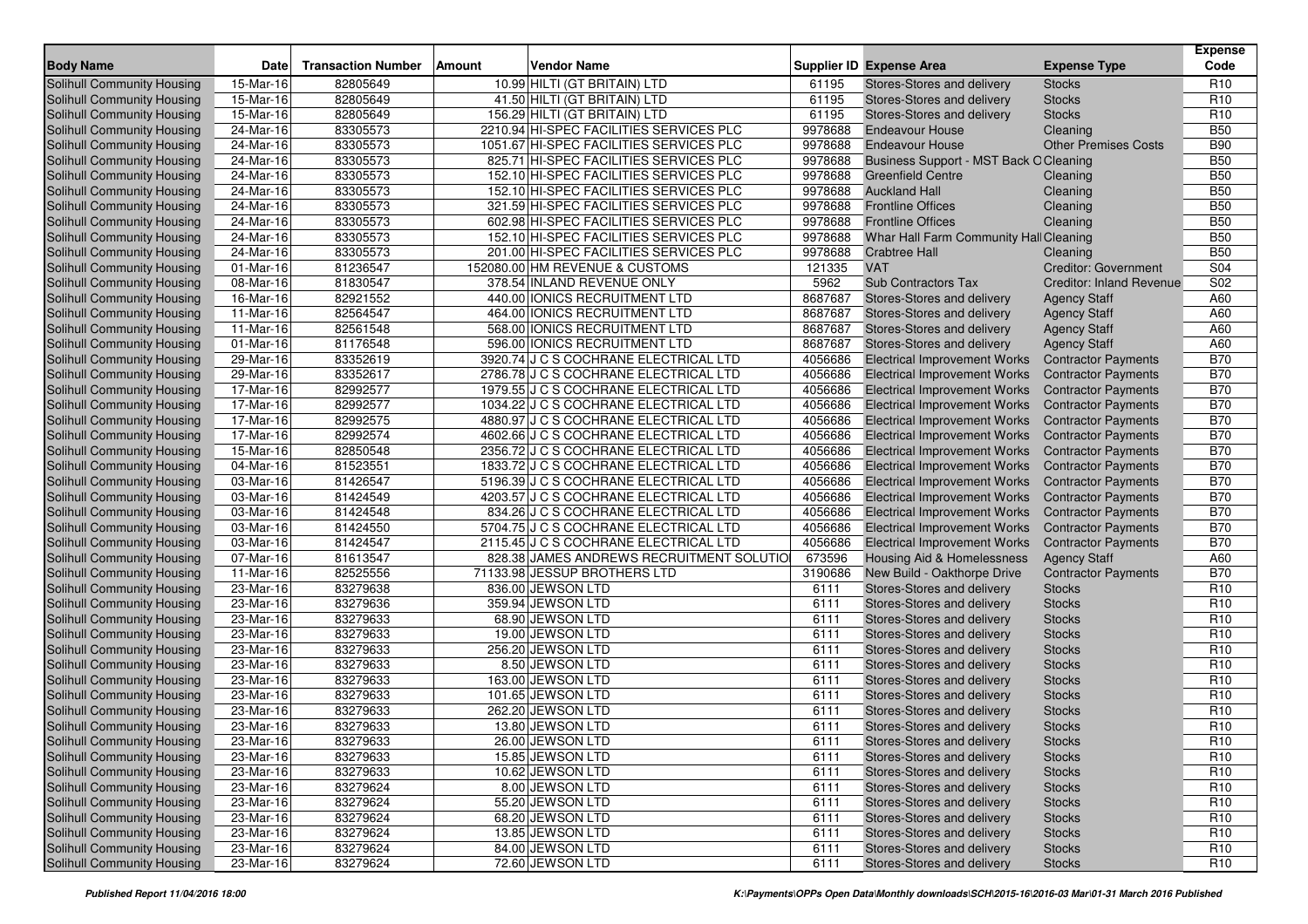| <b>Body Name</b>                  | <b>Date</b>             | <b>Transaction Number</b> | Amount | <b>Vendor Name</b>                       |         | <b>Supplier ID Expense Area</b>        | <b>Expense Type</b>             | <b>Expense</b><br>Code |
|-----------------------------------|-------------------------|---------------------------|--------|------------------------------------------|---------|----------------------------------------|---------------------------------|------------------------|
| <b>Solihull Community Housing</b> | 15-Mar-16               | 82805649                  |        | 10.99 HILTI (GT BRITAIN) LTD             | 61195   | Stores-Stores and delivery             | <b>Stocks</b>                   | R <sub>10</sub>        |
| Solihull Community Housing        | 15-Mar-16               | 82805649                  |        | 41.50 HILTI (GT BRITAIN) LTD             | 61195   | Stores-Stores and delivery             | <b>Stocks</b>                   | R <sub>10</sub>        |
| Solihull Community Housing        | 15-Mar-16               | 82805649                  |        | 156.29 HILTI (GT BRITAIN) LTD            | 61195   | Stores-Stores and delivery             | <b>Stocks</b>                   | R <sub>10</sub>        |
| Solihull Community Housing        | 24-Mar-16               | 83305573                  |        | 2210.94 HI-SPEC FACILITIES SERVICES PLC  | 9978688 | <b>Endeavour House</b>                 | Cleaning                        | <b>B50</b>             |
| Solihull Community Housing        | 24-Mar-16               | 83305573                  |        | 1051.67 HI-SPEC FACILITIES SERVICES PLC  | 9978688 | <b>Endeavour House</b>                 | <b>Other Premises Costs</b>     | <b>B90</b>             |
| Solihull Community Housing        | 24-Mar-16               | 83305573                  |        | 825.71 HI-SPEC FACILITIES SERVICES PLC   | 9978688 | Business Support - MST Back O Cleaning |                                 | <b>B50</b>             |
| Solihull Community Housing        | 24-Mar-16               | 83305573                  |        | 152.10 HI-SPEC FACILITIES SERVICES PLC   | 9978688 | <b>Greenfield Centre</b>               | Cleaning                        | <b>B50</b>             |
| Solihull Community Housing        | 24-Mar-16               | 83305573                  |        | 152.10 HI-SPEC FACILITIES SERVICES PLC   | 9978688 | <b>Auckland Hall</b>                   | Cleaning                        | <b>B50</b>             |
| Solihull Community Housing        | 24-Mar-16               | 83305573                  |        | 321.59 HI-SPEC FACILITIES SERVICES PLC   | 9978688 | <b>Frontline Offices</b>               | Cleaning                        | <b>B50</b>             |
| Solihull Community Housing        | 24-Mar-16               | 83305573                  |        | 602.98 HI-SPEC FACILITIES SERVICES PLC   | 9978688 | <b>Frontline Offices</b>               | Cleaning                        | <b>B50</b>             |
| Solihull Community Housing        | 24-Mar-16               | 83305573                  |        | 152.10 HI-SPEC FACILITIES SERVICES PLC   | 9978688 | Whar Hall Farm Community Hall Cleaning |                                 | <b>B50</b>             |
| Solihull Community Housing        | 24-Mar-16               | 83305573                  |        | 201.00 HI-SPEC FACILITIES SERVICES PLC   | 9978688 | <b>Crabtree Hall</b>                   | Cleaning                        | <b>B50</b>             |
| Solihull Community Housing        | 01-Mar-16               | 81236547                  |        | 152080.00 HM REVENUE & CUSTOMS           | 121335  | <b>VAT</b>                             | <b>Creditor: Government</b>     | S04                    |
| Solihull Community Housing        | 08-Mar-16               | 81830547                  |        | 378.54 INLAND REVENUE ONLY               | 5962    | <b>Sub Contractors Tax</b>             | <b>Creditor: Inland Revenue</b> | S <sub>02</sub>        |
| Solihull Community Housing        | 16-Mar-16               | 82921552                  |        | 440.00 IONICS RECRUITMENT LTD            | 8687687 | Stores-Stores and delivery             | <b>Agency Staff</b>             | A60                    |
| Solihull Community Housing        | 11-Mar-16               | 82564547                  |        | 464.00 IONICS RECRUITMENT LTD            | 8687687 | Stores-Stores and delivery             | <b>Agency Staff</b>             | A60                    |
| Solihull Community Housing        | 11-Mar-16               | 82561548                  |        | 568.00 IONICS RECRUITMENT LTD            | 8687687 | Stores-Stores and delivery             | <b>Agency Staff</b>             | A60                    |
| Solihull Community Housing        | 01-Mar-16               | 81176548                  |        | 596.00 IONICS RECRUITMENT LTD            | 8687687 | Stores-Stores and delivery             | <b>Agency Staff</b>             | A60                    |
| Solihull Community Housing        | 29-Mar-16               | 83352619                  |        | 3920.74 J C S COCHRANE ELECTRICAL LTD    | 4056686 | <b>Electrical Improvement Works</b>    | <b>Contractor Payments</b>      | <b>B70</b>             |
| Solihull Community Housing        | 29-Mar-16               | 83352617                  |        | 2786.78 J C S COCHRANE ELECTRICAL LTD    | 4056686 | <b>Electrical Improvement Works</b>    | <b>Contractor Payments</b>      | <b>B70</b>             |
| Solihull Community Housing        | 17-Mar-16               | 82992577                  |        | 1979.55 J C S COCHRANE ELECTRICAL LTD    | 4056686 | <b>Electrical Improvement Works</b>    | <b>Contractor Payments</b>      | <b>B70</b>             |
| Solihull Community Housing        | 17-Mar-16               | 82992577                  |        | 1034.22 J C S COCHRANE ELECTRICAL LTD    | 4056686 | <b>Electrical Improvement Works</b>    | <b>Contractor Payments</b>      | <b>B70</b>             |
| Solihull Community Housing        | 17-Mar-16               | 82992575                  |        | 4880.97 J C S COCHRANE ELECTRICAL LTD    | 4056686 | <b>Electrical Improvement Works</b>    | <b>Contractor Payments</b>      | <b>B70</b>             |
| Solihull Community Housing        | 17-Mar-16               | 82992574                  |        | 4602.66 J C S COCHRANE ELECTRICAL LTD    | 4056686 | <b>Electrical Improvement Works</b>    | <b>Contractor Payments</b>      | <b>B70</b>             |
| Solihull Community Housing        | 15-Mar-16               | 82850548                  |        | 2356.72 J C S COCHRANE ELECTRICAL LTD    | 4056686 | <b>Electrical Improvement Works</b>    | <b>Contractor Payments</b>      | <b>B70</b>             |
| Solihull Community Housing        | 04-Mar-16               | 81523551                  |        | 1833.72 J C S COCHRANE ELECTRICAL LTD    | 4056686 | <b>Electrical Improvement Works</b>    | <b>Contractor Payments</b>      | <b>B70</b>             |
| Solihull Community Housing        | 03-Mar-16               | 81426547                  |        | 5196.39 J C S COCHRANE ELECTRICAL LTD    | 4056686 | <b>Electrical Improvement Works</b>    | <b>Contractor Payments</b>      | <b>B70</b>             |
| Solihull Community Housing        | 03-Mar-16               | 81424549                  |        | 4203.57 J C S COCHRANE ELECTRICAL LTD    | 4056686 | <b>Electrical Improvement Works</b>    | <b>Contractor Payments</b>      | <b>B70</b>             |
| Solihull Community Housing        | 03-Mar-16               | 81424548                  |        | 834.26 J C S COCHRANE ELECTRICAL LTD     | 4056686 | <b>Electrical Improvement Works</b>    | <b>Contractor Payments</b>      | <b>B70</b>             |
| Solihull Community Housing        | 03-Mar-16               | 81424550                  |        | 5704.75 J C S COCHRANE ELECTRICAL LTD    | 4056686 | <b>Electrical Improvement Works</b>    | <b>Contractor Payments</b>      | <b>B70</b>             |
| Solihull Community Housing        | 03-Mar-16               | 81424547                  |        | 2115.45 J C S COCHRANE ELECTRICAL LTD    | 4056686 | <b>Electrical Improvement Works</b>    | <b>Contractor Payments</b>      | <b>B70</b>             |
| Solihull Community Housing        | 07-Mar-16               | 81613547                  |        | 828.38 JAMES ANDREWS RECRUITMENT SOLUTIO | 673596  | <b>Housing Aid &amp; Homelessness</b>  | <b>Agency Staff</b>             | A60                    |
| Solihull Community Housing        | 11-Mar-16               | 82525556                  |        | 71133.98 JESSUP BROTHERS LTD             | 3190686 | New Build - Oakthorpe Drive            | <b>Contractor Payments</b>      | <b>B70</b>             |
| Solihull Community Housing        | 23-Mar-16               | 83279638                  |        | 836.00 JEWSON LTD                        | 6111    | Stores-Stores and delivery             | <b>Stocks</b>                   | R <sub>10</sub>        |
| <b>Solihull Community Housing</b> | 23-Mar-16               | 83279636                  |        | 359.94 JEWSON LTD                        | 6111    | Stores-Stores and delivery             | <b>Stocks</b>                   | R <sub>10</sub>        |
| Solihull Community Housing        | 23-Mar-16               | 83279633                  |        | 68.90 JEWSON LTD                         | 6111    | Stores-Stores and delivery             | <b>Stocks</b>                   | R <sub>10</sub>        |
| Solihull Community Housing        | 23-Mar-16               | 83279633                  |        | 19.00 JEWSON LTD                         | 6111    | Stores-Stores and delivery             | <b>Stocks</b>                   | R <sub>10</sub>        |
| Solihull Community Housing        | 23-Mar-16               | 83279633                  |        | 256.20 JEWSON LTD                        | 6111    | Stores-Stores and delivery             | <b>Stocks</b>                   | R <sub>10</sub>        |
| Solihull Community Housing        | 23-Mar-16               | 83279633                  |        | 8.50 JEWSON LTD                          | 6111    | Stores-Stores and delivery             | <b>Stocks</b>                   | R <sub>10</sub>        |
| Solihull Community Housing        | $23-Mar-16$             | 83279633                  |        | 163.00 JEWSON LTD                        | 6111    | Stores-Stores and delivery             | <b>Stocks</b>                   | R <sub>10</sub>        |
| Solihull Community Housing        | 23-Mar-16               | 83279633                  |        | 101.65 JEWSON LTD                        | 6111    | Stores-Stores and delivery             | <b>Stocks</b>                   | R <sub>10</sub>        |
| <b>Solihull Community Housing</b> | 23-Mar-16               | 83279633                  |        | 262.20 JEWSON LTD                        | 6111    | Stores-Stores and delivery             | <b>Stocks</b>                   | R <sub>10</sub>        |
| Solihull Community Housing        | 23-Mar-16               | 83279633                  |        | 13.80 JEWSON LTD                         | 6111    | Stores-Stores and delivery             | <b>Stocks</b>                   | R <sub>10</sub>        |
| <b>Solihull Community Housing</b> | $\overline{23}$ -Mar-16 | 83279633                  |        | 26.00 JEWSON LTD                         | 6111    | Stores-Stores and delivery             | <b>Stocks</b>                   | R <sub>10</sub>        |
| Solihull Community Housing        | 23-Mar-16               | 83279633                  |        | 15.85 JEWSON LTD                         | 6111    | Stores-Stores and delivery             | <b>Stocks</b>                   | R <sub>10</sub>        |
| Solihull Community Housing        | 23-Mar-16               | 83279633                  |        | 10.62 JEWSON LTD                         | 6111    | Stores-Stores and delivery             | <b>Stocks</b>                   | R <sub>10</sub>        |
| Solihull Community Housing        | 23-Mar-16               | 83279624                  |        | 8.00 JEWSON LTD                          | 6111    | Stores-Stores and delivery             | <b>Stocks</b>                   | R <sub>10</sub>        |
| Solihull Community Housing        | 23-Mar-16               | 83279624                  |        | 55.20 JEWSON LTD                         | 6111    | Stores-Stores and delivery             | <b>Stocks</b>                   | R <sub>10</sub>        |
| Solihull Community Housing        | 23-Mar-16               | 83279624                  |        | 68.20 JEWSON LTD                         | 6111    | Stores-Stores and delivery             | <b>Stocks</b>                   | R <sub>10</sub>        |
| Solihull Community Housing        | 23-Mar-16               | 83279624                  |        | 13.85 JEWSON LTD                         | 6111    | Stores-Stores and delivery             | <b>Stocks</b>                   | R <sub>10</sub>        |
| Solihull Community Housing        | 23-Mar-16               | 83279624                  |        | 84.00 JEWSON LTD                         | 6111    | Stores-Stores and delivery             | <b>Stocks</b>                   | R <sub>10</sub>        |
| Solihull Community Housing        | 23-Mar-16               | 83279624                  |        | 72.60 JEWSON LTD                         | 6111    | Stores-Stores and delivery             | <b>Stocks</b>                   | R <sub>10</sub>        |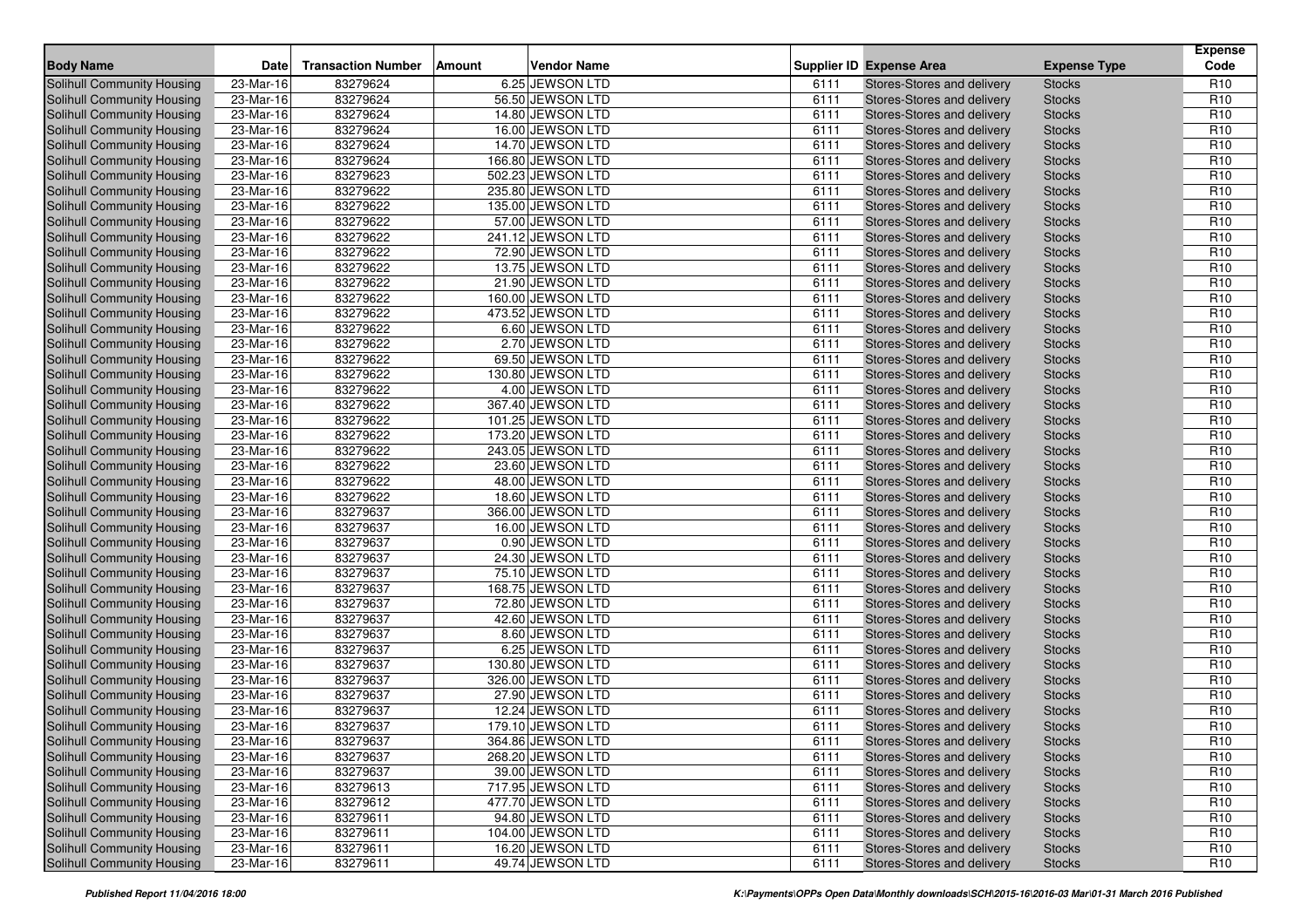| <b>Body Name</b>                  | Date                    | <b>Transaction Number</b> | Amount | <b>Vendor Name</b> |      | <b>Supplier ID Expense Area</b> | <b>Expense Type</b> | <b>Expense</b><br>Code |
|-----------------------------------|-------------------------|---------------------------|--------|--------------------|------|---------------------------------|---------------------|------------------------|
|                                   |                         |                           |        |                    |      |                                 |                     |                        |
| Solihull Community Housing        | 23-Mar-16               | 83279624                  |        | 6.25 JEWSON LTD    | 6111 | Stores-Stores and delivery      | <b>Stocks</b>       | R <sub>10</sub>        |
| <b>Solihull Community Housing</b> | 23-Mar-16               | 83279624                  |        | 56.50 JEWSON LTD   | 6111 | Stores-Stores and delivery      | <b>Stocks</b>       | R <sub>10</sub>        |
| Solihull Community Housing        | 23-Mar-16               | 83279624                  |        | 14.80 JEWSON LTD   | 6111 | Stores-Stores and delivery      | <b>Stocks</b>       | R <sub>10</sub>        |
| Solihull Community Housing        | 23-Mar-16               | 83279624                  |        | 16.00 JEWSON LTD   | 6111 | Stores-Stores and delivery      | <b>Stocks</b>       | R <sub>10</sub>        |
| Solihull Community Housing        | 23-Mar-16               | 83279624                  |        | 14.70 JEWSON LTD   | 6111 | Stores-Stores and delivery      | <b>Stocks</b>       | R <sub>10</sub>        |
| Solihull Community Housing        | 23-Mar-16               | 83279624                  |        | 166.80 JEWSON LTD  | 6111 | Stores-Stores and delivery      | <b>Stocks</b>       | R <sub>10</sub>        |
| Solihull Community Housing        | $\overline{23}$ -Mar-16 | 83279623                  |        | 502.23 JEWSON LTD  | 6111 | Stores-Stores and delivery      | <b>Stocks</b>       | R <sub>10</sub>        |
| Solihull Community Housing        | 23-Mar-16               | 83279622                  |        | 235.80 JEWSON LTD  | 6111 | Stores-Stores and delivery      | <b>Stocks</b>       | R <sub>10</sub>        |
| Solihull Community Housing        | 23-Mar-16               | 83279622                  |        | 135.00 JEWSON LTD  | 6111 | Stores-Stores and delivery      | <b>Stocks</b>       | R <sub>10</sub>        |
| Solihull Community Housing        | 23-Mar-16               | 83279622                  |        | 57.00 JEWSON LTD   | 6111 | Stores-Stores and delivery      | <b>Stocks</b>       | R <sub>10</sub>        |
| Solihull Community Housing        | 23-Mar-16               | 83279622                  |        | 241.12 JEWSON LTD  | 6111 | Stores-Stores and delivery      | <b>Stocks</b>       | R <sub>10</sub>        |
| Solihull Community Housing        | 23-Mar-16               | 83279622                  |        | 72.90 JEWSON LTD   | 6111 | Stores-Stores and delivery      | <b>Stocks</b>       | R <sub>10</sub>        |
| Solihull Community Housing        | 23-Mar-16               | 83279622                  |        | 13.75 JEWSON LTD   | 6111 | Stores-Stores and delivery      | <b>Stocks</b>       | R <sub>10</sub>        |
| <b>Solihull Community Housing</b> | 23-Mar-16               | 83279622                  |        | 21.90 JEWSON LTD   | 6111 | Stores-Stores and delivery      | <b>Stocks</b>       | R <sub>10</sub>        |
| Solihull Community Housing        | 23-Mar-16               | 83279622                  |        | 160.00 JEWSON LTD  | 6111 | Stores-Stores and delivery      | <b>Stocks</b>       | R <sub>10</sub>        |
| Solihull Community Housing        | 23-Mar-16               | 83279622                  |        | 473.52 JEWSON LTD  | 6111 | Stores-Stores and delivery      | <b>Stocks</b>       | R <sub>10</sub>        |
| Solihull Community Housing        | 23-Mar-16               | 83279622                  |        | 6.60 JEWSON LTD    | 6111 | Stores-Stores and delivery      | <b>Stocks</b>       | R <sub>10</sub>        |
| Solihull Community Housing        | 23-Mar-16               | 83279622                  |        | 2.70 JEWSON LTD    | 6111 | Stores-Stores and delivery      | <b>Stocks</b>       | R <sub>10</sub>        |
| <b>Solihull Community Housing</b> | 23-Mar-16               | 83279622                  |        | 69.50 JEWSON LTD   | 6111 | Stores-Stores and delivery      | <b>Stocks</b>       | R <sub>10</sub>        |
| Solihull Community Housing        | 23-Mar-16               | 83279622                  |        | 130.80 JEWSON LTD  | 6111 | Stores-Stores and delivery      | <b>Stocks</b>       | R <sub>10</sub>        |
| Solihull Community Housing        | 23-Mar-16               | 83279622                  |        | 4.00 JEWSON LTD    | 6111 | Stores-Stores and delivery      | <b>Stocks</b>       | R <sub>10</sub>        |
| Solihull Community Housing        | 23-Mar-16               | 83279622                  |        | 367.40 JEWSON LTD  | 6111 | Stores-Stores and delivery      | <b>Stocks</b>       | R <sub>10</sub>        |
| Solihull Community Housing        | 23-Mar-16               | 83279622                  |        | 101.25 JEWSON LTD  | 6111 | Stores-Stores and delivery      | <b>Stocks</b>       | R <sub>10</sub>        |
| Solihull Community Housing        | 23-Mar-16               | 83279622                  |        | 173.20 JEWSON LTD  | 6111 | Stores-Stores and delivery      | <b>Stocks</b>       | R <sub>10</sub>        |
| Solihull Community Housing        | 23-Mar-16               | 83279622                  |        | 243.05 JEWSON LTD  | 6111 | Stores-Stores and delivery      | <b>Stocks</b>       | R <sub>10</sub>        |
| Solihull Community Housing        | 23-Mar-16               | 83279622                  |        | 23.60 JEWSON LTD   | 6111 | Stores-Stores and delivery      | <b>Stocks</b>       | R <sub>10</sub>        |
| <b>Solihull Community Housing</b> | 23-Mar-16               | 83279622                  |        | 48.00 JEWSON LTD   | 6111 | Stores-Stores and delivery      | <b>Stocks</b>       | R <sub>10</sub>        |
| Solihull Community Housing        | 23-Mar-16               | 83279622                  |        | 18.60 JEWSON LTD   | 6111 | Stores-Stores and delivery      | <b>Stocks</b>       | R <sub>10</sub>        |
| Solihull Community Housing        | 23-Mar-16               | 83279637                  |        | 366.00 JEWSON LTD  | 6111 | Stores-Stores and delivery      | <b>Stocks</b>       | R <sub>10</sub>        |
| Solihull Community Housing        | 23-Mar-16               | 83279637                  |        | 16.00 JEWSON LTD   | 6111 | Stores-Stores and delivery      | <b>Stocks</b>       | R <sub>10</sub>        |
| Solihull Community Housing        | $23-Mar-16$             | 83279637                  |        | 0.90 JEWSON LTD    | 6111 | Stores-Stores and delivery      | <b>Stocks</b>       | R <sub>10</sub>        |
| Solihull Community Housing        | 23-Mar-16               | 83279637                  |        | 24.30 JEWSON LTD   | 6111 | Stores-Stores and delivery      | <b>Stocks</b>       | R <sub>10</sub>        |
| Solihull Community Housing        | 23-Mar-16               | 83279637                  |        | 75.10 JEWSON LTD   | 6111 | Stores-Stores and delivery      | <b>Stocks</b>       | R <sub>10</sub>        |
| Solihull Community Housing        | 23-Mar-16               | 83279637                  |        | 168.75 JEWSON LTD  | 6111 | Stores-Stores and delivery      | <b>Stocks</b>       | R <sub>10</sub>        |
| Solihull Community Housing        | 23-Mar-16               | 83279637                  |        | 72.80 JEWSON LTD   | 6111 | Stores-Stores and delivery      | <b>Stocks</b>       | R <sub>10</sub>        |
| <b>Solihull Community Housing</b> | 23-Mar-16               | 83279637                  |        | 42.60 JEWSON LTD   | 6111 | Stores-Stores and delivery      | <b>Stocks</b>       | R <sub>10</sub>        |
| Solihull Community Housing        | 23-Mar-16               | 83279637                  |        | 8.60 JEWSON LTD    | 6111 | Stores-Stores and delivery      | <b>Stocks</b>       | R <sub>10</sub>        |
| Solihull Community Housing        | 23-Mar-16               | 83279637                  |        | 6.25 JEWSON LTD    | 6111 | Stores-Stores and delivery      | <b>Stocks</b>       | R <sub>10</sub>        |
| Solihull Community Housing        | 23-Mar-16               | 83279637                  |        | 130.80 JEWSON LTD  | 6111 | Stores-Stores and delivery      | <b>Stocks</b>       | R <sub>10</sub>        |
| Solihull Community Housing        | 23-Mar-16               | 83279637                  |        | 326.00 JEWSON LTD  | 6111 | Stores-Stores and delivery      | <b>Stocks</b>       | R <sub>10</sub>        |
| <b>Solihull Community Housing</b> | 23-Mar-16               | 83279637                  |        | 27.90 JEWSON LTD   | 6111 | Stores-Stores and delivery      | <b>Stocks</b>       | R <sub>10</sub>        |
| <b>Solihull Community Housing</b> | 23-Mar-16               | 83279637                  |        | 12.24 JEWSON LTD   | 6111 | Stores-Stores and delivery      | <b>Stocks</b>       | R <sub>10</sub>        |
| Solihull Community Housing        | 23-Mar-16               | 83279637                  |        | 179.10 JEWSON LTD  | 6111 | Stores-Stores and delivery      | <b>Stocks</b>       | R <sub>10</sub>        |
| Solihull Community Housing        | 23-Mar-16               | 83279637                  |        | 364.86 JEWSON LTD  | 6111 | Stores-Stores and delivery      | <b>Stocks</b>       | R <sub>10</sub>        |
| Solihull Community Housing        | 23-Mar-16               | 83279637                  |        | 268.20 JEWSON LTD  | 6111 | Stores-Stores and delivery      | <b>Stocks</b>       | R <sub>10</sub>        |
| Solihull Community Housing        | $23-Mar-16$             | 83279637                  |        | 39.00 JEWSON LTD   | 6111 | Stores-Stores and delivery      | <b>Stocks</b>       | R <sub>10</sub>        |
| Solihull Community Housing        | 23-Mar-16               | 83279613                  |        | 717.95 JEWSON LTD  | 6111 | Stores-Stores and delivery      | <b>Stocks</b>       | R <sub>10</sub>        |
| Solihull Community Housing        | 23-Mar-16               | 83279612                  |        | 477.70 JEWSON LTD  | 6111 | Stores-Stores and delivery      | <b>Stocks</b>       | R <sub>10</sub>        |
| Solihull Community Housing        | 23-Mar-16               | 83279611                  |        | 94.80 JEWSON LTD   | 6111 | Stores-Stores and delivery      | <b>Stocks</b>       | R <sub>10</sub>        |
| Solihull Community Housing        | 23-Mar-16               | 83279611                  |        | 104.00 JEWSON LTD  | 6111 | Stores-Stores and delivery      | <b>Stocks</b>       | R <sub>10</sub>        |
| Solihull Community Housing        | 23-Mar-16               | 83279611                  |        | 16.20 JEWSON LTD   | 6111 | Stores-Stores and delivery      | <b>Stocks</b>       | R <sub>10</sub>        |
| Solihull Community Housing        | 23-Mar-16               | 83279611                  |        | 49.74 JEWSON LTD   | 6111 | Stores-Stores and delivery      | <b>Stocks</b>       | R <sub>10</sub>        |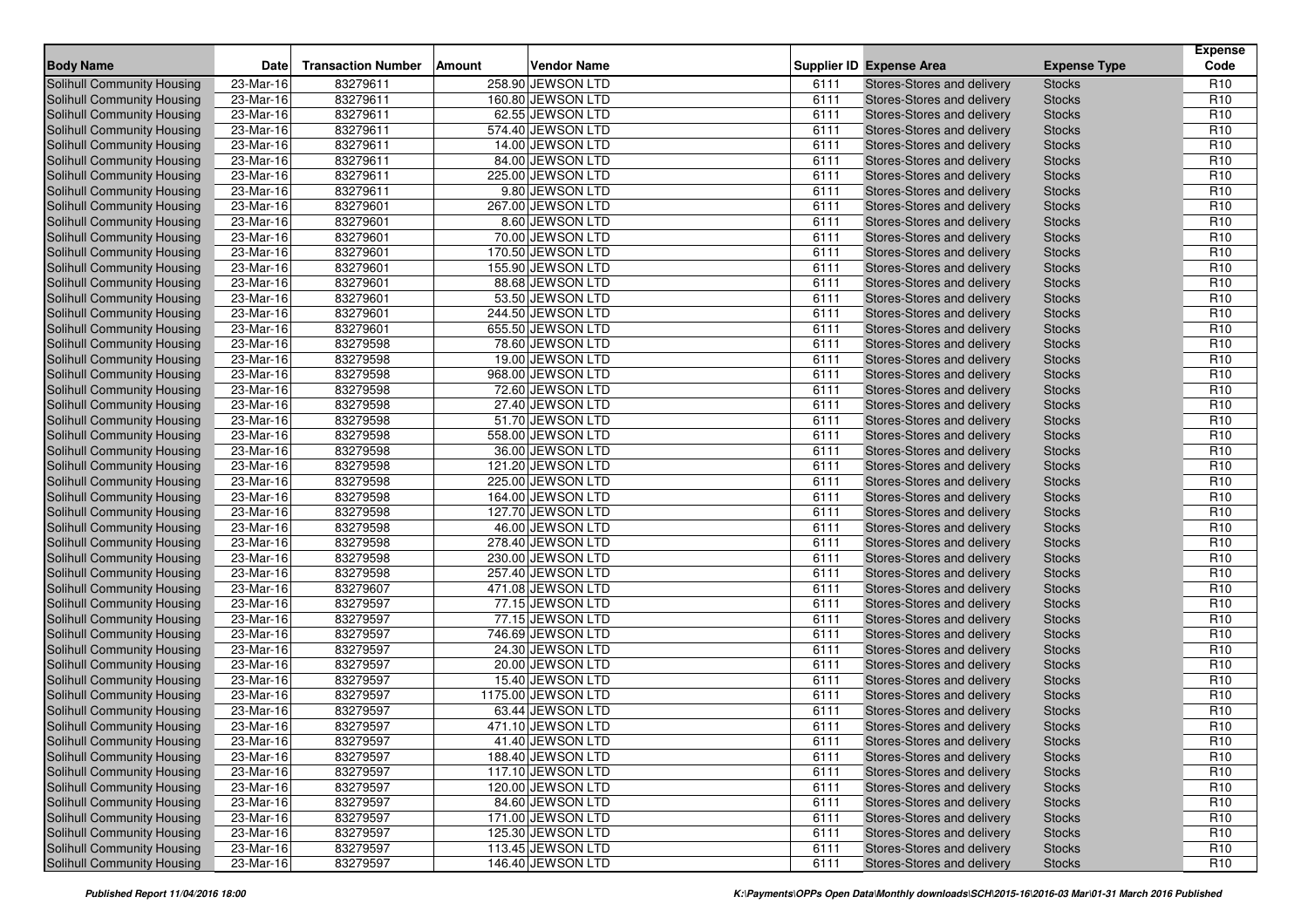| <b>Body Name</b>                  | Date                    | <b>Transaction Number</b> | <b>Amount</b> | <b>Vendor Name</b> |      | <b>Supplier ID Expense Area</b> | <b>Expense Type</b> | <b>Expense</b><br>Code |
|-----------------------------------|-------------------------|---------------------------|---------------|--------------------|------|---------------------------------|---------------------|------------------------|
| Solihull Community Housing        | 23-Mar-16               | 83279611                  |               | 258.90 JEWSON LTD  | 6111 | Stores-Stores and delivery      | <b>Stocks</b>       | R <sub>10</sub>        |
| Solihull Community Housing        | 23-Mar-16               | 83279611                  |               | 160.80 JEWSON LTD  | 6111 | Stores-Stores and delivery      | <b>Stocks</b>       | R <sub>10</sub>        |
| Solihull Community Housing        | 23-Mar-16               | 83279611                  |               | 62.55 JEWSON LTD   | 6111 | Stores-Stores and delivery      | <b>Stocks</b>       | R <sub>10</sub>        |
| Solihull Community Housing        | 23-Mar-16               | 83279611                  |               | 574.40 JEWSON LTD  | 6111 | Stores-Stores and delivery      | <b>Stocks</b>       | R <sub>10</sub>        |
| Solihull Community Housing        | 23-Mar-16               | 83279611                  |               | 14.00 JEWSON LTD   | 6111 | Stores-Stores and delivery      | <b>Stocks</b>       | R <sub>10</sub>        |
| Solihull Community Housing        | 23-Mar-16               | 83279611                  |               | 84.00 JEWSON LTD   | 6111 | Stores-Stores and delivery      | <b>Stocks</b>       | R <sub>10</sub>        |
| Solihull Community Housing        | 23-Mar-16               | 83279611                  |               | 225.00 JEWSON LTD  | 6111 | Stores-Stores and delivery      | <b>Stocks</b>       | R <sub>10</sub>        |
| Solihull Community Housing        | 23-Mar-16               | 83279611                  |               | 9.80 JEWSON LTD    | 6111 | Stores-Stores and delivery      | <b>Stocks</b>       | R <sub>10</sub>        |
| Solihull Community Housing        | 23-Mar-16               | 83279601                  |               | 267.00 JEWSON LTD  | 6111 | Stores-Stores and delivery      | <b>Stocks</b>       | R <sub>10</sub>        |
| Solihull Community Housing        | 23-Mar-16               | 83279601                  |               | 8.60 JEWSON LTD    | 6111 | Stores-Stores and delivery      | <b>Stocks</b>       | R <sub>10</sub>        |
| Solihull Community Housing        | 23-Mar-16               | 83279601                  |               | 70.00 JEWSON LTD   | 6111 | Stores-Stores and delivery      | <b>Stocks</b>       | R <sub>10</sub>        |
| <b>Solihull Community Housing</b> | 23-Mar-16               | 83279601                  |               | 170.50 JEWSON LTD  | 6111 | Stores-Stores and delivery      | <b>Stocks</b>       | R <sub>10</sub>        |
| Solihull Community Housing        | 23-Mar-16               | 83279601                  |               | 155.90 JEWSON LTD  | 6111 | Stores-Stores and delivery      | <b>Stocks</b>       | R <sub>10</sub>        |
| Solihull Community Housing        | 23-Mar-16               | 83279601                  |               | 88.68 JEWSON LTD   | 6111 | Stores-Stores and delivery      | <b>Stocks</b>       | R <sub>10</sub>        |
| Solihull Community Housing        | 23-Mar-16               | 83279601                  |               | 53.50 JEWSON LTD   | 6111 | Stores-Stores and delivery      | <b>Stocks</b>       | R <sub>10</sub>        |
| Solihull Community Housing        | 23-Mar-16               | 83279601                  |               | 244.50 JEWSON LTD  | 6111 | Stores-Stores and delivery      | <b>Stocks</b>       | R <sub>10</sub>        |
| Solihull Community Housing        | 23-Mar-16               | 83279601                  |               | 655.50 JEWSON LTD  | 6111 | Stores-Stores and delivery      | <b>Stocks</b>       | R <sub>10</sub>        |
| <b>Solihull Community Housing</b> | $\overline{23}$ -Mar-16 | 83279598                  |               | 78.60 JEWSON LTD   | 6111 | Stores-Stores and delivery      | <b>Stocks</b>       | R <sub>10</sub>        |
| Solihull Community Housing        | 23-Mar-16               | 83279598                  |               | 19.00 JEWSON LTD   | 6111 | Stores-Stores and delivery      | <b>Stocks</b>       | R <sub>10</sub>        |
| Solihull Community Housing        | 23-Mar-16               | 83279598                  |               | 968.00 JEWSON LTD  | 6111 | Stores-Stores and delivery      | <b>Stocks</b>       | R <sub>10</sub>        |
| Solihull Community Housing        | 23-Mar-16               | 83279598                  |               | 72.60 JEWSON LTD   | 6111 | Stores-Stores and delivery      | <b>Stocks</b>       | R <sub>10</sub>        |
| Solihull Community Housing        | 23-Mar-16               | 83279598                  |               | 27.40 JEWSON LTD   | 6111 | Stores-Stores and delivery      | <b>Stocks</b>       | R <sub>10</sub>        |
| Solihull Community Housing        | 23-Mar-16               | 83279598                  |               | 51.70 JEWSON LTD   | 6111 | Stores-Stores and delivery      | <b>Stocks</b>       | R <sub>10</sub>        |
| Solihull Community Housing        | 23-Mar-16               | 83279598                  |               | 558.00 JEWSON LTD  | 6111 | Stores-Stores and delivery      | <b>Stocks</b>       | R <sub>10</sub>        |
| Solihull Community Housing        | 23-Mar-16               | 83279598                  |               | 36.00 JEWSON LTD   | 6111 | Stores-Stores and delivery      | <b>Stocks</b>       | R <sub>10</sub>        |
| Solihull Community Housing        | $23-Mar-16$             | 83279598                  |               | 121.20 JEWSON LTD  | 6111 | Stores-Stores and delivery      | <b>Stocks</b>       | R <sub>10</sub>        |
| Solihull Community Housing        | 23-Mar-16               | 83279598                  |               | 225.00 JEWSON LTD  | 6111 | Stores-Stores and delivery      | <b>Stocks</b>       | R <sub>10</sub>        |
| Solihull Community Housing        | 23-Mar-16               | 83279598                  |               | 164.00 JEWSON LTD  | 6111 | Stores-Stores and delivery      | <b>Stocks</b>       | R <sub>10</sub>        |
| Solihull Community Housing        | $23-Mar-16$             | 83279598                  |               | 127.70 JEWSON LTD  | 6111 | Stores-Stores and delivery      | <b>Stocks</b>       | R <sub>10</sub>        |
| Solihull Community Housing        | 23-Mar-16               | 83279598                  |               | 46.00 JEWSON LTD   | 6111 | Stores-Stores and delivery      | <b>Stocks</b>       | R <sub>10</sub>        |
| Solihull Community Housing        | 23-Mar-16               | 83279598                  |               | 278.40 JEWSON LTD  | 6111 | Stores-Stores and delivery      | <b>Stocks</b>       | R <sub>10</sub>        |
| Solihull Community Housing        | 23-Mar-16               | 83279598                  |               | 230.00 JEWSON LTD  | 6111 | Stores-Stores and delivery      | <b>Stocks</b>       | R <sub>10</sub>        |
| Solihull Community Housing        | 23-Mar-16               | 83279598                  |               | 257.40 JEWSON LTD  | 6111 | Stores-Stores and delivery      | <b>Stocks</b>       | R <sub>10</sub>        |
| Solihull Community Housing        | 23-Mar-16               | 83279607                  |               | 471.08 JEWSON LTD  | 6111 | Stores-Stores and delivery      | <b>Stocks</b>       | R <sub>10</sub>        |
| Solihull Community Housing        | 23-Mar-16               | 83279597                  |               | 77.15 JEWSON LTD   | 6111 | Stores-Stores and delivery      | <b>Stocks</b>       | R <sub>10</sub>        |
| Solihull Community Housing        | 23-Mar-16               | 83279597                  |               | 77.15 JEWSON LTD   | 6111 | Stores-Stores and delivery      | <b>Stocks</b>       | R <sub>10</sub>        |
| <b>Solihull Community Housing</b> | 23-Mar-16               | 83279597                  |               | 746.69 JEWSON LTD  | 6111 | Stores-Stores and delivery      | <b>Stocks</b>       | R <sub>10</sub>        |
| Solihull Community Housing        | 23-Mar-16               | 83279597                  |               | 24.30 JEWSON LTD   | 6111 | Stores-Stores and delivery      | <b>Stocks</b>       | R <sub>10</sub>        |
| Solihull Community Housing        | 23-Mar-16               | 83279597                  |               | 20.00 JEWSON LTD   | 6111 | Stores-Stores and delivery      | <b>Stocks</b>       | R <sub>10</sub>        |
| <b>Solihull Community Housing</b> | $23-Mar-16$             | 83279597                  |               | 15.40 JEWSON LTD   | 6111 | Stores-Stores and delivery      | <b>Stocks</b>       | R <sub>10</sub>        |
| Solihull Community Housing        | 23-Mar-16               | 83279597                  |               | 1175.00 JEWSON LTD | 6111 | Stores-Stores and delivery      | <b>Stocks</b>       | R <sub>10</sub>        |
| Solihull Community Housing        | 23-Mar-16               | 83279597                  |               | 63.44 JEWSON LTD   | 6111 | Stores-Stores and delivery      | <b>Stocks</b>       | R <sub>10</sub>        |
| Solihull Community Housing        | 23-Mar-16               | 83279597                  |               | 471.10 JEWSON LTD  | 6111 | Stores-Stores and delivery      | <b>Stocks</b>       | R <sub>10</sub>        |
| Solihull Community Housing        | 23-Mar-16               | 83279597                  |               | 41.40 JEWSON LTD   | 6111 | Stores-Stores and delivery      | <b>Stocks</b>       | R <sub>10</sub>        |
| Solihull Community Housing        | $\overline{2}$ 3-Mar-16 | 83279597                  |               | 188.40 JEWSON LTD  | 6111 | Stores-Stores and delivery      | <b>Stocks</b>       | R <sub>10</sub>        |
| <b>Solihull Community Housing</b> | 23-Mar-16               | 83279597                  |               | 117.10 JEWSON LTD  | 6111 | Stores-Stores and delivery      | <b>Stocks</b>       | R <sub>10</sub>        |
| <b>Solihull Community Housing</b> | 23-Mar-16               | 83279597                  |               | 120.00 JEWSON LTD  | 6111 | Stores-Stores and delivery      | <b>Stocks</b>       | R <sub>10</sub>        |
| <b>Solihull Community Housing</b> | $23-Mar-16$             | 83279597                  |               | 84.60 JEWSON LTD   | 6111 | Stores-Stores and delivery      | <b>Stocks</b>       | R <sub>10</sub>        |
| Solihull Community Housing        | 23-Mar-16               | 83279597                  |               | 171.00 JEWSON LTD  | 6111 | Stores-Stores and delivery      | <b>Stocks</b>       | R <sub>10</sub>        |
| Solihull Community Housing        | 23-Mar-16               | 83279597                  |               | 125.30 JEWSON LTD  | 6111 | Stores-Stores and delivery      | <b>Stocks</b>       | R <sub>10</sub>        |
| <b>Solihull Community Housing</b> | 23-Mar-16               | 83279597                  |               | 113.45 JEWSON LTD  | 6111 | Stores-Stores and delivery      | <b>Stocks</b>       | R <sub>10</sub>        |
| Solihull Community Housing        | 23-Mar-16               | 83279597                  |               | 146.40 JEWSON LTD  | 6111 | Stores-Stores and delivery      | <b>Stocks</b>       | R <sub>10</sub>        |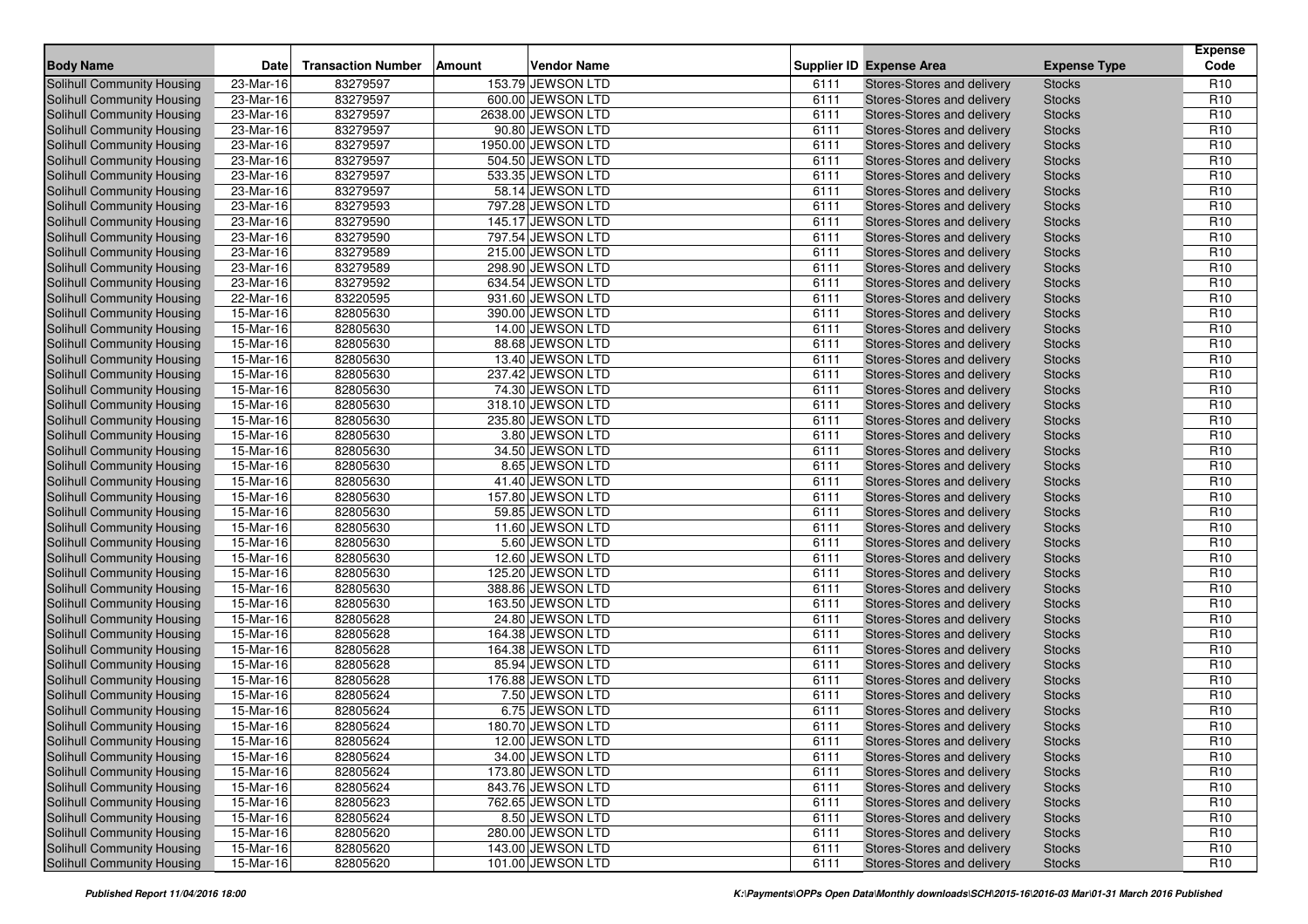| <b>Body Name</b>                  | <b>Date</b>             | <b>Transaction Number</b> | Amount | <b>Vendor Name</b> |      | <b>Supplier ID Expense Area</b> | <b>Expense Type</b> | <b>Expense</b><br>Code |
|-----------------------------------|-------------------------|---------------------------|--------|--------------------|------|---------------------------------|---------------------|------------------------|
| Solihull Community Housing        | 23-Mar-16               | 83279597                  |        | 153.79 JEWSON LTD  | 6111 | Stores-Stores and delivery      | <b>Stocks</b>       | R <sub>10</sub>        |
| <b>Solihull Community Housing</b> | 23-Mar-16               | 83279597                  |        | 600.00 JEWSON LTD  | 6111 | Stores-Stores and delivery      | <b>Stocks</b>       | R <sub>10</sub>        |
| <b>Solihull Community Housing</b> | $23-Mar-16$             | 83279597                  |        | 2638.00 JEWSON LTD | 6111 | Stores-Stores and delivery      | <b>Stocks</b>       | R <sub>10</sub>        |
| Solihull Community Housing        | 23-Mar-16               | 83279597                  |        | 90.80 JEWSON LTD   | 6111 | Stores-Stores and delivery      | <b>Stocks</b>       | R <sub>10</sub>        |
| Solihull Community Housing        | 23-Mar-16               | 83279597                  |        | 1950.00 JEWSON LTD | 6111 | Stores-Stores and delivery      | <b>Stocks</b>       | R <sub>10</sub>        |
| Solihull Community Housing        | 23-Mar-16               | 83279597                  |        | 504.50 JEWSON LTD  | 6111 | Stores-Stores and delivery      | <b>Stocks</b>       | R <sub>10</sub>        |
| Solihull Community Housing        | 23-Mar-16               | 83279597                  |        | 533.35 JEWSON LTD  | 6111 | Stores-Stores and delivery      | <b>Stocks</b>       | R <sub>10</sub>        |
| Solihull Community Housing        | 23-Mar-16               | 83279597                  |        | 58.14 JEWSON LTD   | 6111 | Stores-Stores and delivery      | <b>Stocks</b>       | R <sub>10</sub>        |
| Solihull Community Housing        | 23-Mar-16               | 83279593                  |        | 797.28 JEWSON LTD  | 6111 | Stores-Stores and delivery      | <b>Stocks</b>       | R <sub>10</sub>        |
| Solihull Community Housing        | 23-Mar-16               | 83279590                  |        | 145.17 JEWSON LTD  | 6111 | Stores-Stores and delivery      | <b>Stocks</b>       | R <sub>10</sub>        |
| Solihull Community Housing        | 23-Mar-16               | 83279590                  |        | 797.54 JEWSON LTD  | 6111 | Stores-Stores and delivery      | <b>Stocks</b>       | R <sub>10</sub>        |
| Solihull Community Housing        | $23-Mar-16$             | 83279589                  |        | 215.00 JEWSON LTD  | 6111 | Stores-Stores and delivery      | <b>Stocks</b>       | R <sub>10</sub>        |
| Solihull Community Housing        | 23-Mar-16               | 83279589                  |        | 298.90 JEWSON LTD  | 6111 | Stores-Stores and delivery      | <b>Stocks</b>       | R <sub>10</sub>        |
| <b>Solihull Community Housing</b> | 23-Mar-16               | 83279592                  |        | 634.54 JEWSON LTD  | 6111 | Stores-Stores and delivery      | <b>Stocks</b>       | R <sub>10</sub>        |
| Solihull Community Housing        | 22-Mar-16               | 83220595                  |        | 931.60 JEWSON LTD  | 6111 | Stores-Stores and delivery      | <b>Stocks</b>       | R <sub>10</sub>        |
| Solihull Community Housing        | 15-Mar-16               | 82805630                  |        | 390.00 JEWSON LTD  | 6111 | Stores-Stores and delivery      | <b>Stocks</b>       | R <sub>10</sub>        |
| Solihull Community Housing        | 15-Mar-16               | 82805630                  |        | 14.00 JEWSON LTD   | 6111 | Stores-Stores and delivery      | <b>Stocks</b>       | R <sub>10</sub>        |
| Solihull Community Housing        | $\overline{15}$ -Mar-16 | 82805630                  |        | 88.68 JEWSON LTD   | 6111 | Stores-Stores and delivery      | <b>Stocks</b>       | R <sub>10</sub>        |
| Solihull Community Housing        | 15-Mar-16               | 82805630                  |        | 13.40 JEWSON LTD   | 6111 | Stores-Stores and delivery      | <b>Stocks</b>       | R <sub>10</sub>        |
| Solihull Community Housing        | 15-Mar-16               | 82805630                  |        | 237.42 JEWSON LTD  | 6111 | Stores-Stores and delivery      | <b>Stocks</b>       | R <sub>10</sub>        |
| Solihull Community Housing        | 15-Mar-16               | 82805630                  |        | 74.30 JEWSON LTD   | 6111 | Stores-Stores and delivery      | <b>Stocks</b>       | R <sub>10</sub>        |
| Solihull Community Housing        | 15-Mar-16               | 82805630                  |        | 318.10 JEWSON LTD  | 6111 | Stores-Stores and delivery      | <b>Stocks</b>       | R <sub>10</sub>        |
| Solihull Community Housing        | 15-Mar-16               | 82805630                  |        | 235.80 JEWSON LTD  | 6111 | Stores-Stores and delivery      | <b>Stocks</b>       | R <sub>10</sub>        |
| <b>Solihull Community Housing</b> | 15-Mar-16               | 82805630                  |        | 3.80 JEWSON LTD    | 6111 | Stores-Stores and delivery      | <b>Stocks</b>       | R <sub>10</sub>        |
| Solihull Community Housing        | 15-Mar-16               | 82805630                  |        | 34.50 JEWSON LTD   | 6111 | Stores-Stores and delivery      | <b>Stocks</b>       | R <sub>10</sub>        |
| Solihull Community Housing        | 15-Mar-16               | 82805630                  |        | 8.65 JEWSON LTD    | 6111 | Stores-Stores and delivery      | <b>Stocks</b>       | R <sub>10</sub>        |
| Solihull Community Housing        | 15-Mar-16               | 82805630                  |        | 41.40 JEWSON LTD   | 6111 | Stores-Stores and delivery      | <b>Stocks</b>       | R <sub>10</sub>        |
| Solihull Community Housing        | 15-Mar-16               | 82805630                  |        | 157.80 JEWSON LTD  | 6111 | Stores-Stores and delivery      | <b>Stocks</b>       | R <sub>10</sub>        |
| Solihull Community Housing        | 15-Mar-16               | 82805630                  |        | 59.85 JEWSON LTD   | 6111 | Stores-Stores and delivery      | <b>Stocks</b>       | R <sub>10</sub>        |
| Solihull Community Housing        | 15-Mar-16               | 82805630                  |        | 11.60 JEWSON LTD   | 6111 | Stores-Stores and delivery      | <b>Stocks</b>       | R <sub>10</sub>        |
| Solihull Community Housing        | 15-Mar-16               | 82805630                  |        | 5.60 JEWSON LTD    | 6111 | Stores-Stores and delivery      | <b>Stocks</b>       | R <sub>10</sub>        |
| Solihull Community Housing        | 15-Mar-16               | 82805630                  |        | 12.60 JEWSON LTD   | 6111 | Stores-Stores and delivery      | <b>Stocks</b>       | R <sub>10</sub>        |
| Solihull Community Housing        | 15-Mar-16               | 82805630                  |        | 125.20 JEWSON LTD  | 6111 | Stores-Stores and delivery      | <b>Stocks</b>       | R <sub>10</sub>        |
| Solihull Community Housing        | 15-Mar-16               | 82805630                  |        | 388.86 JEWSON LTD  | 6111 | Stores-Stores and delivery      | <b>Stocks</b>       | R <sub>10</sub>        |
| Solihull Community Housing        | 15-Mar-16               | 82805630                  |        | 163.50 JEWSON LTD  | 6111 | Stores-Stores and delivery      | <b>Stocks</b>       | R <sub>10</sub>        |
| Solihull Community Housing        | 15-Mar-16               | 82805628                  |        | 24.80 JEWSON LTD   | 6111 | Stores-Stores and delivery      | <b>Stocks</b>       | R <sub>10</sub>        |
| Solihull Community Housing        | 15-Mar-16               | 82805628                  |        | 164.38 JEWSON LTD  | 6111 | Stores-Stores and delivery      | <b>Stocks</b>       | R <sub>10</sub>        |
| Solihull Community Housing        | 15-Mar-16               | 82805628                  |        | 164.38 JEWSON LTD  | 6111 | Stores-Stores and delivery      | <b>Stocks</b>       | R <sub>10</sub>        |
| Solihull Community Housing        | 15-Mar-16               | 82805628                  |        | 85.94 JEWSON LTD   | 6111 | Stores-Stores and delivery      | <b>Stocks</b>       | R <sub>10</sub>        |
| Solihull Community Housing        | $15-Mar-16$             | 82805628                  |        | 176.88 JEWSON LTD  | 6111 | Stores-Stores and delivery      | <b>Stocks</b>       | R <sub>10</sub>        |
| Solihull Community Housing        | 15-Mar-16               | 82805624                  |        | 7.50 JEWSON LTD    | 6111 | Stores-Stores and delivery      | <b>Stocks</b>       | R <sub>10</sub>        |
| Solihull Community Housing        | 15-Mar-16               | 82805624                  |        | 6.75 JEWSON LTD    | 6111 | Stores-Stores and delivery      | <b>Stocks</b>       | R <sub>10</sub>        |
| Solihull Community Housing        | 15-Mar-16               | 82805624                  |        | 180.70 JEWSON LTD  | 6111 | Stores-Stores and delivery      | <b>Stocks</b>       | R <sub>10</sub>        |
| Solihull Community Housing        | 15-Mar-16               | 82805624                  |        | 12.00 JEWSON LTD   | 6111 | Stores-Stores and delivery      | <b>Stocks</b>       | R <sub>10</sub>        |
| Solihull Community Housing        | 15-Mar-16               | 82805624                  |        | 34.00 JEWSON LTD   | 6111 | Stores-Stores and delivery      | <b>Stocks</b>       | R <sub>10</sub>        |
| Solihull Community Housing        | 15-Mar-16               | 82805624                  |        | 173.80 JEWSON LTD  | 6111 | Stores-Stores and delivery      | <b>Stocks</b>       | R <sub>10</sub>        |
| Solihull Community Housing        | 15-Mar-16               | 82805624                  |        | 843.76 JEWSON LTD  | 6111 | Stores-Stores and delivery      | <b>Stocks</b>       | R <sub>10</sub>        |
| Solihull Community Housing        | $15-Mar-16$             | 82805623                  |        | 762.65 JEWSON LTD  | 6111 | Stores-Stores and delivery      | <b>Stocks</b>       | R <sub>10</sub>        |
| Solihull Community Housing        | 15-Mar-16               | 82805624                  |        | 8.50 JEWSON LTD    | 6111 | Stores-Stores and delivery      | <b>Stocks</b>       | R <sub>10</sub>        |
| Solihull Community Housing        | 15-Mar-16               | 82805620                  |        | 280.00 JEWSON LTD  | 6111 | Stores-Stores and delivery      | <b>Stocks</b>       | R <sub>10</sub>        |
| Solihull Community Housing        | 15-Mar-16               | 82805620                  |        | 143.00 JEWSON LTD  | 6111 | Stores-Stores and delivery      | <b>Stocks</b>       | R <sub>10</sub>        |
| Solihull Community Housing        | 15-Mar-16               | 82805620                  |        | 101.00 JEWSON LTD  | 6111 | Stores-Stores and delivery      | <b>Stocks</b>       | R <sub>10</sub>        |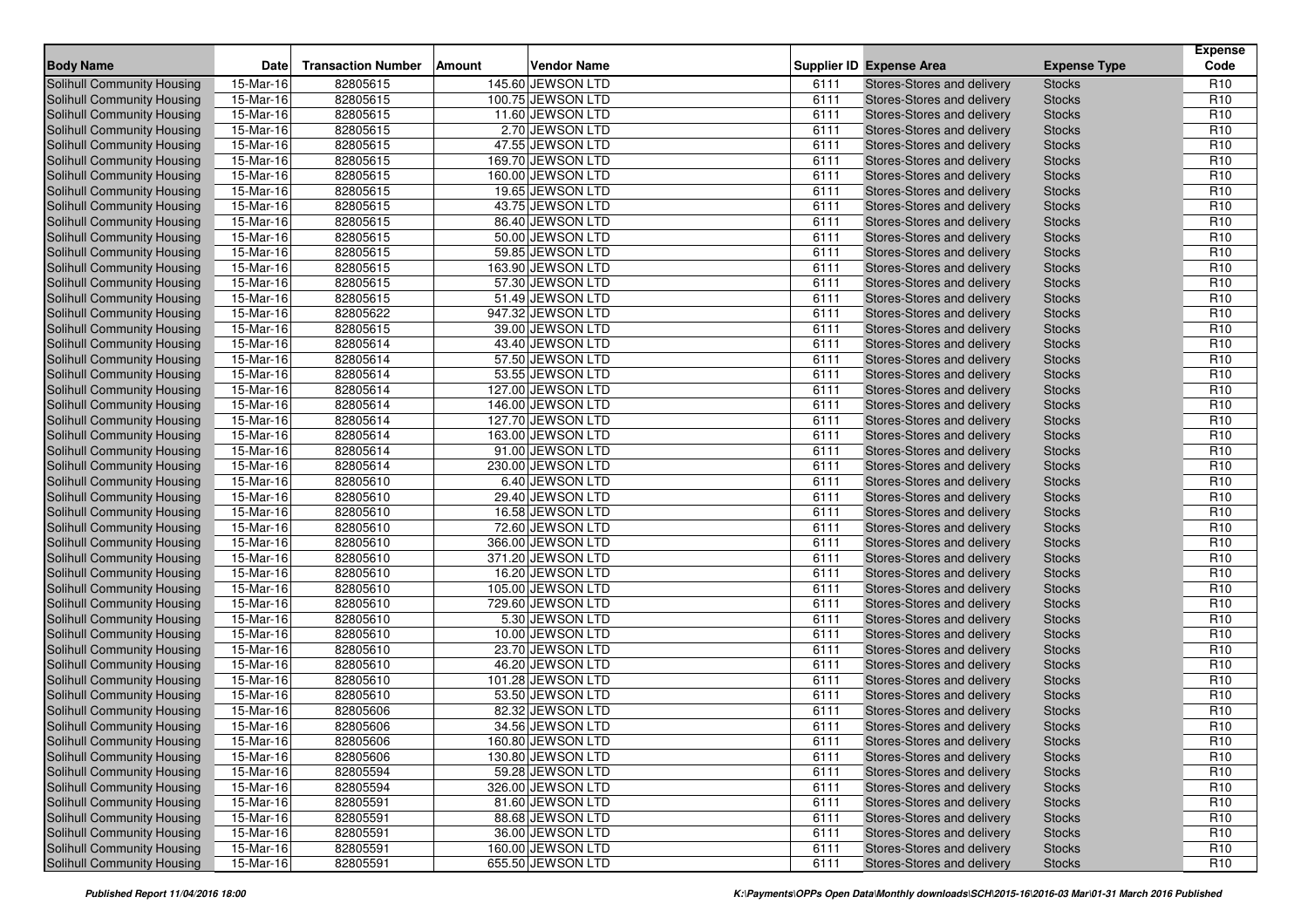| <b>Body Name</b>                  | <b>Date</b>             | <b>Transaction Number</b> | Amount | <b>Vendor Name</b> |      | <b>Supplier ID Expense Area</b> | <b>Expense Type</b> | <b>Expense</b><br>Code |
|-----------------------------------|-------------------------|---------------------------|--------|--------------------|------|---------------------------------|---------------------|------------------------|
| Solihull Community Housing        | 15-Mar-16               | 82805615                  |        | 145.60 JEWSON LTD  | 6111 | Stores-Stores and delivery      | <b>Stocks</b>       | R <sub>10</sub>        |
| <b>Solihull Community Housing</b> | 15-Mar-16               | 82805615                  |        | 100.75 JEWSON LTD  | 6111 | Stores-Stores and delivery      | <b>Stocks</b>       | R <sub>10</sub>        |
| <b>Solihull Community Housing</b> | $15-Mar-16$             | 82805615                  |        | 11.60 JEWSON LTD   | 6111 | Stores-Stores and delivery      | <b>Stocks</b>       | R <sub>10</sub>        |
| Solihull Community Housing        | 15-Mar-16               | 82805615                  |        | 2.70 JEWSON LTD    | 6111 | Stores-Stores and delivery      | <b>Stocks</b>       | R <sub>10</sub>        |
| Solihull Community Housing        | 15-Mar-16               | 82805615                  |        | 47.55 JEWSON LTD   | 6111 | Stores-Stores and delivery      | <b>Stocks</b>       | R <sub>10</sub>        |
| Solihull Community Housing        | 15-Mar-16               | 82805615                  |        | 169.70 JEWSON LTD  | 6111 | Stores-Stores and delivery      | <b>Stocks</b>       | R <sub>10</sub>        |
| Solihull Community Housing        | 15-Mar-16               | 82805615                  |        | 160.00 JEWSON LTD  | 6111 | Stores-Stores and delivery      | <b>Stocks</b>       | R <sub>10</sub>        |
| <b>Solihull Community Housing</b> | 15-Mar-16               | 82805615                  |        | 19.65 JEWSON LTD   | 6111 | Stores-Stores and delivery      | <b>Stocks</b>       | R <sub>10</sub>        |
| Solihull Community Housing        | 15-Mar-16               | 82805615                  |        | 43.75 JEWSON LTD   | 6111 | Stores-Stores and delivery      | <b>Stocks</b>       | R <sub>10</sub>        |
| <b>Solihull Community Housing</b> | 15-Mar-16               | 82805615                  |        | 86.40 JEWSON LTD   | 6111 | Stores-Stores and delivery      | <b>Stocks</b>       | R <sub>10</sub>        |
| <b>Solihull Community Housing</b> | 15-Mar-16               | 82805615                  |        | 50.00 JEWSON LTD   | 6111 | Stores-Stores and delivery      | <b>Stocks</b>       | R <sub>10</sub>        |
| Solihull Community Housing        | $15-Mar-16$             | 82805615                  |        | 59.85 JEWSON LTD   | 6111 | Stores-Stores and delivery      | <b>Stocks</b>       | R <sub>10</sub>        |
| <b>Solihull Community Housing</b> | 15-Mar-16               | 82805615                  |        | 163.90 JEWSON LTD  | 6111 | Stores-Stores and delivery      | <b>Stocks</b>       | R <sub>10</sub>        |
| <b>Solihull Community Housing</b> | 15-Mar-16               | 82805615                  |        | 57.30 JEWSON LTD   | 6111 | Stores-Stores and delivery      | <b>Stocks</b>       | R <sub>10</sub>        |
| Solihull Community Housing        | 15-Mar-16               | 82805615                  |        | 51.49 JEWSON LTD   | 6111 | Stores-Stores and delivery      | <b>Stocks</b>       | R <sub>10</sub>        |
| Solihull Community Housing        | 15-Mar-16               | 82805622                  |        | 947.32 JEWSON LTD  | 6111 | Stores-Stores and delivery      | <b>Stocks</b>       | R <sub>10</sub>        |
| Solihull Community Housing        | 15-Mar-16               | 82805615                  |        | 39.00 JEWSON LTD   | 6111 | Stores-Stores and delivery      | <b>Stocks</b>       | R <sub>10</sub>        |
| Solihull Community Housing        | $\overline{15}$ -Mar-16 | 82805614                  |        | 43.40 JEWSON LTD   | 6111 | Stores-Stores and delivery      | <b>Stocks</b>       | R <sub>10</sub>        |
| Solihull Community Housing        | 15-Mar-16               | 82805614                  |        | 57.50 JEWSON LTD   | 6111 | Stores-Stores and delivery      | <b>Stocks</b>       | R <sub>10</sub>        |
| Solihull Community Housing        | 15-Mar-16               | 82805614                  |        | 53.55 JEWSON LTD   | 6111 | Stores-Stores and delivery      | <b>Stocks</b>       | R <sub>10</sub>        |
| Solihull Community Housing        | 15-Mar-16               | 82805614                  |        | 127.00 JEWSON LTD  | 6111 | Stores-Stores and delivery      | <b>Stocks</b>       | R <sub>10</sub>        |
| Solihull Community Housing        | 15-Mar-16               | 82805614                  |        | 146.00 JEWSON LTD  | 6111 | Stores-Stores and delivery      | <b>Stocks</b>       | R <sub>10</sub>        |
| Solihull Community Housing        | 15-Mar-16               | 82805614                  |        | 127.70 JEWSON LTD  | 6111 | Stores-Stores and delivery      | <b>Stocks</b>       | R <sub>10</sub>        |
| <b>Solihull Community Housing</b> | 15-Mar-16               | 82805614                  |        | 163.00 JEWSON LTD  | 6111 | Stores-Stores and delivery      | <b>Stocks</b>       | R <sub>10</sub>        |
| Solihull Community Housing        | 15-Mar-16               | 82805614                  |        | 91.00 JEWSON LTD   | 6111 | Stores-Stores and delivery      | <b>Stocks</b>       | R <sub>10</sub>        |
| Solihull Community Housing        | 15-Mar-16               | 82805614                  |        | 230.00 JEWSON LTD  | 6111 | Stores-Stores and delivery      | <b>Stocks</b>       | R <sub>10</sub>        |
| Solihull Community Housing        | 15-Mar-16               | 82805610                  |        | 6.40 JEWSON LTD    | 6111 | Stores-Stores and delivery      | <b>Stocks</b>       | R <sub>10</sub>        |
| Solihull Community Housing        | 15-Mar-16               | 82805610                  |        | 29.40 JEWSON LTD   | 6111 | Stores-Stores and delivery      | <b>Stocks</b>       | R <sub>10</sub>        |
| Solihull Community Housing        | 15-Mar-16               | 82805610                  |        | 16.58 JEWSON LTD   | 6111 | Stores-Stores and delivery      | <b>Stocks</b>       | R <sub>10</sub>        |
| Solihull Community Housing        | 15-Mar-16               | 82805610                  |        | 72.60 JEWSON LTD   | 6111 | Stores-Stores and delivery      | <b>Stocks</b>       | R <sub>10</sub>        |
| Solihull Community Housing        | 15-Mar-16               | 82805610                  |        | 366.00 JEWSON LTD  | 6111 | Stores-Stores and delivery      | <b>Stocks</b>       | R <sub>10</sub>        |
| Solihull Community Housing        | 15-Mar-16               | 82805610                  |        | 371.20 JEWSON LTD  | 6111 | Stores-Stores and delivery      | <b>Stocks</b>       | R <sub>10</sub>        |
| Solihull Community Housing        | 15-Mar-16               | 82805610                  |        | 16.20 JEWSON LTD   | 6111 | Stores-Stores and delivery      | <b>Stocks</b>       | R <sub>10</sub>        |
| Solihull Community Housing        | 15-Mar-16               | 82805610                  |        | 105.00 JEWSON LTD  | 6111 | Stores-Stores and delivery      | <b>Stocks</b>       | R <sub>10</sub>        |
| Solihull Community Housing        | 15-Mar-16               | 82805610                  |        | 729.60 JEWSON LTD  | 6111 | Stores-Stores and delivery      | <b>Stocks</b>       | R <sub>10</sub>        |
| Solihull Community Housing        | 15-Mar-16               | 82805610                  |        | 5.30 JEWSON LTD    | 6111 | Stores-Stores and delivery      | <b>Stocks</b>       | R <sub>10</sub>        |
| Solihull Community Housing        | 15-Mar-16               | 82805610                  |        | 10.00 JEWSON LTD   | 6111 | Stores-Stores and delivery      | <b>Stocks</b>       | R <sub>10</sub>        |
| Solihull Community Housing        | 15-Mar-16               | 82805610                  |        | 23.70 JEWSON LTD   | 6111 | Stores-Stores and delivery      | <b>Stocks</b>       | R <sub>10</sub>        |
| Solihull Community Housing        | 15-Mar-16               | 82805610                  |        | 46.20 JEWSON LTD   | 6111 | Stores-Stores and delivery      | <b>Stocks</b>       | R <sub>10</sub>        |
| Solihull Community Housing        | $15-Mar-16$             | 82805610                  |        | 101.28 JEWSON LTD  | 6111 | Stores-Stores and delivery      | <b>Stocks</b>       | R <sub>10</sub>        |
| Solihull Community Housing        | 15-Mar-16               | 82805610                  |        | 53.50 JEWSON LTD   | 6111 | Stores-Stores and delivery      | <b>Stocks</b>       | R <sub>10</sub>        |
| Solihull Community Housing        | 15-Mar-16               | 82805606                  |        | 82.32 JEWSON LTD   | 6111 | Stores-Stores and delivery      | <b>Stocks</b>       | R <sub>10</sub>        |
| Solihull Community Housing        | 15-Mar-16               | 82805606                  |        | 34.56 JEWSON LTD   | 6111 | Stores-Stores and delivery      | <b>Stocks</b>       | R <sub>10</sub>        |
| Solihull Community Housing        | 15-Mar-16               | 82805606                  |        | 160.80 JEWSON LTD  | 6111 | Stores-Stores and delivery      | <b>Stocks</b>       | R <sub>10</sub>        |
| Solihull Community Housing        | 15-Mar-16               | 82805606                  |        | 130.80 JEWSON LTD  | 6111 | Stores-Stores and delivery      | <b>Stocks</b>       | R <sub>10</sub>        |
| Solihull Community Housing        | 15-Mar-16               | 82805594                  |        | 59.28 JEWSON LTD   | 6111 | Stores-Stores and delivery      | <b>Stocks</b>       | R <sub>10</sub>        |
| Solihull Community Housing        | 15-Mar-16               | 82805594                  |        | 326.00 JEWSON LTD  | 6111 | Stores-Stores and delivery      | <b>Stocks</b>       | R <sub>10</sub>        |
| Solihull Community Housing        | $15-Mar-16$             | 82805591                  |        | 81.60 JEWSON LTD   | 6111 | Stores-Stores and delivery      | <b>Stocks</b>       | R <sub>10</sub>        |
| Solihull Community Housing        | 15-Mar-16               | 82805591                  |        | 88.68 JEWSON LTD   | 6111 | Stores-Stores and delivery      | <b>Stocks</b>       | R <sub>10</sub>        |
| Solihull Community Housing        | 15-Mar-16               | 82805591                  |        | 36.00 JEWSON LTD   | 6111 | Stores-Stores and delivery      | <b>Stocks</b>       | R <sub>10</sub>        |
| Solihull Community Housing        | 15-Mar-16               | 82805591                  |        | 160.00 JEWSON LTD  | 6111 | Stores-Stores and delivery      | <b>Stocks</b>       | R <sub>10</sub>        |
| Solihull Community Housing        | 15-Mar-16               | 82805591                  |        | 655.50 JEWSON LTD  | 6111 | Stores-Stores and delivery      | <b>Stocks</b>       | R <sub>10</sub>        |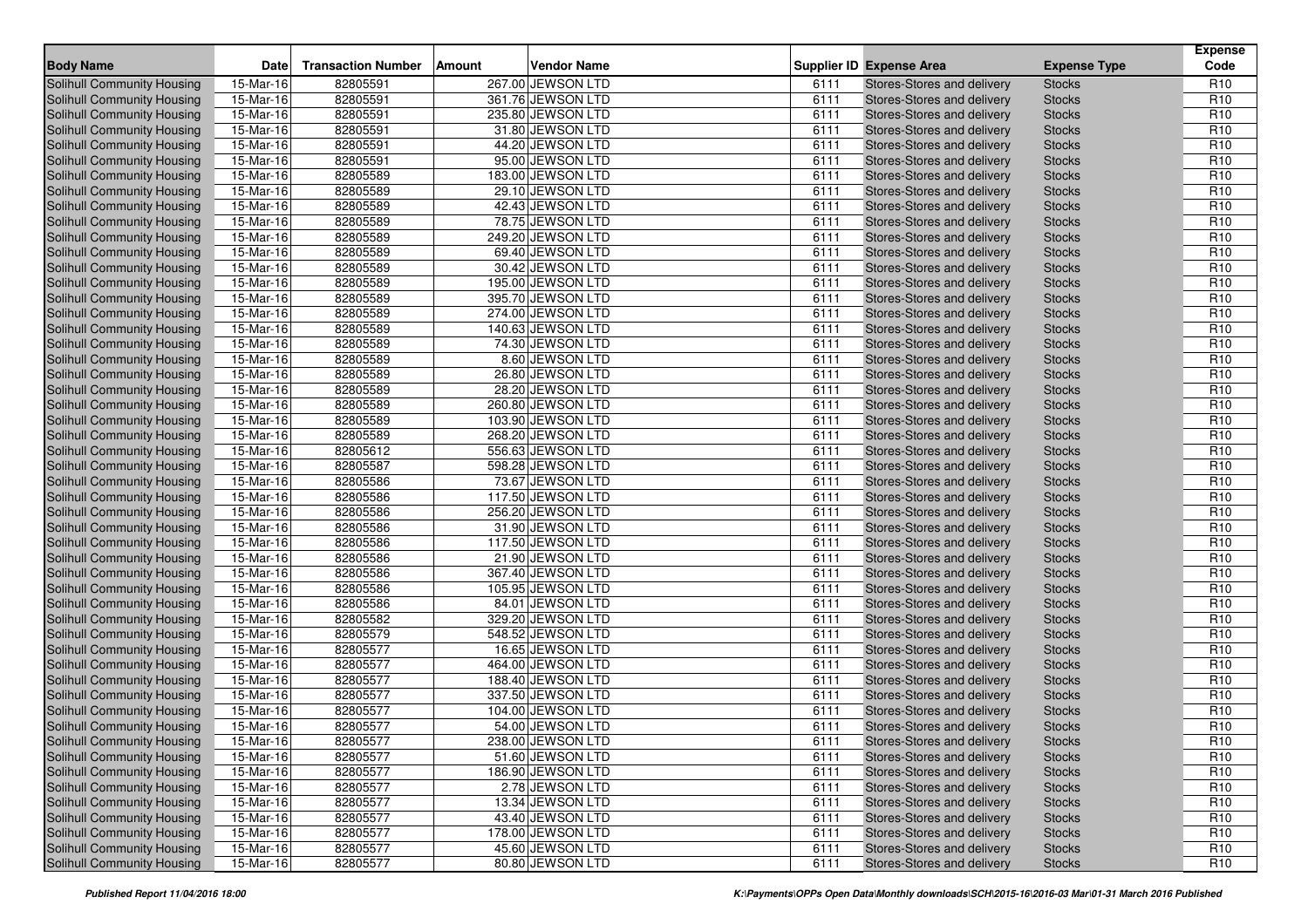| <b>Body Name</b>                  | <b>Date</b> | <b>Transaction Number</b> | Amount | <b>Vendor Name</b> |      | <b>Supplier ID Expense Area</b> | <b>Expense Type</b> | <b>Expense</b><br>Code |
|-----------------------------------|-------------|---------------------------|--------|--------------------|------|---------------------------------|---------------------|------------------------|
| Solihull Community Housing        | 15-Mar-16   | 82805591                  |        | 267.00 JEWSON LTD  | 6111 | Stores-Stores and delivery      | <b>Stocks</b>       | R <sub>10</sub>        |
| <b>Solihull Community Housing</b> | 15-Mar-16   | 82805591                  |        | 361.76 JEWSON LTD  | 6111 | Stores-Stores and delivery      | <b>Stocks</b>       | R <sub>10</sub>        |
| <b>Solihull Community Housing</b> | $15-Mar-16$ | 82805591                  |        | 235.80 JEWSON LTD  | 6111 | Stores-Stores and delivery      | <b>Stocks</b>       | R <sub>10</sub>        |
| Solihull Community Housing        | 15-Mar-16   | 82805591                  |        | 31.80 JEWSON LTD   | 6111 | Stores-Stores and delivery      | <b>Stocks</b>       | R <sub>10</sub>        |
| Solihull Community Housing        | 15-Mar-16   | 82805591                  |        | 44.20 JEWSON LTD   | 6111 | Stores-Stores and delivery      | <b>Stocks</b>       | R <sub>10</sub>        |
| Solihull Community Housing        | 15-Mar-16   | 82805591                  |        | 95.00 JEWSON LTD   | 6111 | Stores-Stores and delivery      | <b>Stocks</b>       | R <sub>10</sub>        |
| Solihull Community Housing        | 15-Mar-16   | 82805589                  |        | 183.00 JEWSON LTD  | 6111 | Stores-Stores and delivery      | <b>Stocks</b>       | R <sub>10</sub>        |
| Solihull Community Housing        | 15-Mar-16   | 82805589                  |        | 29.10 JEWSON LTD   | 6111 | Stores-Stores and delivery      | <b>Stocks</b>       | R <sub>10</sub>        |
| Solihull Community Housing        | 15-Mar-16   | 82805589                  |        | 42.43 JEWSON LTD   | 6111 | Stores-Stores and delivery      | <b>Stocks</b>       | R <sub>10</sub>        |
| Solihull Community Housing        | 15-Mar-16   | 82805589                  |        | 78.75 JEWSON LTD   | 6111 | Stores-Stores and delivery      | <b>Stocks</b>       | R <sub>10</sub>        |
| <b>Solihull Community Housing</b> | 15-Mar-16   | 82805589                  |        | 249.20 JEWSON LTD  | 6111 | Stores-Stores and delivery      | <b>Stocks</b>       | R <sub>10</sub>        |
| Solihull Community Housing        | $15-Mar-16$ | 82805589                  |        | 69.40 JEWSON LTD   | 6111 | Stores-Stores and delivery      | <b>Stocks</b>       | R <sub>10</sub>        |
| <b>Solihull Community Housing</b> | 15-Mar-16   | 82805589                  |        | 30.42 JEWSON LTD   | 6111 | Stores-Stores and delivery      | <b>Stocks</b>       | R <sub>10</sub>        |
| <b>Solihull Community Housing</b> | 15-Mar-16   | 82805589                  |        | 195.00 JEWSON LTD  | 6111 | Stores-Stores and delivery      | <b>Stocks</b>       | R <sub>10</sub>        |
| Solihull Community Housing        | 15-Mar-16   | 82805589                  |        | 395.70 JEWSON LTD  | 6111 | Stores-Stores and delivery      | <b>Stocks</b>       | R <sub>10</sub>        |
| Solihull Community Housing        | 15-Mar-16   | 82805589                  |        | 274.00 JEWSON LTD  | 6111 | Stores-Stores and delivery      | <b>Stocks</b>       | R <sub>10</sub>        |
| Solihull Community Housing        | 15-Mar-16   | 82805589                  |        | 140.63 JEWSON LTD  | 6111 | Stores-Stores and delivery      | <b>Stocks</b>       | R <sub>10</sub>        |
| Solihull Community Housing        | 15-Mar-16   | 82805589                  |        | 74.30 JEWSON LTD   | 6111 | Stores-Stores and delivery      | <b>Stocks</b>       | R <sub>10</sub>        |
| Solihull Community Housing        | 15-Mar-16   | 82805589                  |        | 8.60 JEWSON LTD    | 6111 | Stores-Stores and delivery      | <b>Stocks</b>       | R <sub>10</sub>        |
| Solihull Community Housing        | 15-Mar-16   | 82805589                  |        | 26.80 JEWSON LTD   | 6111 | Stores-Stores and delivery      | <b>Stocks</b>       | R <sub>10</sub>        |
| Solihull Community Housing        | 15-Mar-16   | 82805589                  |        | 28.20 JEWSON LTD   | 6111 | Stores-Stores and delivery      | <b>Stocks</b>       | R <sub>10</sub>        |
| Solihull Community Housing        | 15-Mar-16   | 82805589                  |        | 260.80 JEWSON LTD  | 6111 | Stores-Stores and delivery      | <b>Stocks</b>       | R <sub>10</sub>        |
| Solihull Community Housing        | 15-Mar-16   | 82805589                  |        | 103.90 JEWSON LTD  | 6111 | Stores-Stores and delivery      | <b>Stocks</b>       | R <sub>10</sub>        |
| <b>Solihull Community Housing</b> | 15-Mar-16   | 82805589                  |        | 268.20 JEWSON LTD  | 6111 | Stores-Stores and delivery      | <b>Stocks</b>       | R <sub>10</sub>        |
| Solihull Community Housing        | 15-Mar-16   | 82805612                  |        | 556.63 JEWSON LTD  | 6111 | Stores-Stores and delivery      | <b>Stocks</b>       | R <sub>10</sub>        |
| Solihull Community Housing        | 15-Mar-16   | 82805587                  |        | 598.28 JEWSON LTD  | 6111 | Stores-Stores and delivery      | <b>Stocks</b>       | R <sub>10</sub>        |
| Solihull Community Housing        | 15-Mar-16   | 82805586                  |        | 73.67 JEWSON LTD   | 6111 | Stores-Stores and delivery      | <b>Stocks</b>       | R <sub>10</sub>        |
| Solihull Community Housing        | 15-Mar-16   | 82805586                  |        | 117.50 JEWSON LTD  | 6111 | Stores-Stores and delivery      | <b>Stocks</b>       | R <sub>10</sub>        |
| Solihull Community Housing        | 15-Mar-16   | 82805586                  |        | 256.20 JEWSON LTD  | 6111 | Stores-Stores and delivery      | <b>Stocks</b>       | R <sub>10</sub>        |
| Solihull Community Housing        | 15-Mar-16   | 82805586                  |        | 31.90 JEWSON LTD   | 6111 | Stores-Stores and delivery      | <b>Stocks</b>       | R <sub>10</sub>        |
| Solihull Community Housing        | 15-Mar-16   | 82805586                  |        | 117.50 JEWSON LTD  | 6111 | Stores-Stores and delivery      | <b>Stocks</b>       | R <sub>10</sub>        |
| Solihull Community Housing        | 15-Mar-16   | 82805586                  |        | 21.90 JEWSON LTD   | 6111 | Stores-Stores and delivery      | <b>Stocks</b>       | R <sub>10</sub>        |
| Solihull Community Housing        | 15-Mar-16   | 82805586                  |        | 367.40 JEWSON LTD  | 6111 | Stores-Stores and delivery      | <b>Stocks</b>       | R <sub>10</sub>        |
| Solihull Community Housing        | 15-Mar-16   | 82805586                  |        | 105.95 JEWSON LTD  | 6111 | Stores-Stores and delivery      | <b>Stocks</b>       | R <sub>10</sub>        |
| Solihull Community Housing        | 15-Mar-16   | 82805586                  |        | 84.01 JEWSON LTD   | 6111 | Stores-Stores and delivery      | <b>Stocks</b>       | R <sub>10</sub>        |
| Solihull Community Housing        | 15-Mar-16   | 82805582                  |        | 329.20 JEWSON LTD  | 6111 | Stores-Stores and delivery      | <b>Stocks</b>       | R <sub>10</sub>        |
| Solihull Community Housing        | 15-Mar-16   | 82805579                  |        | 548.52 JEWSON LTD  | 6111 | Stores-Stores and delivery      | <b>Stocks</b>       | R <sub>10</sub>        |
| Solihull Community Housing        | 15-Mar-16   | 82805577                  |        | 16.65 JEWSON LTD   | 6111 | Stores-Stores and delivery      | <b>Stocks</b>       | R <sub>10</sub>        |
| Solihull Community Housing        | 15-Mar-16   | 82805577                  |        | 464.00 JEWSON LTD  | 6111 | Stores-Stores and delivery      | <b>Stocks</b>       | R <sub>10</sub>        |
| Solihull Community Housing        | $15-Mar-16$ | 82805577                  |        | 188.40 JEWSON LTD  | 6111 | Stores-Stores and delivery      | <b>Stocks</b>       | R <sub>10</sub>        |
| Solihull Community Housing        | 15-Mar-16   | 82805577                  |        | 337.50 JEWSON LTD  | 6111 | Stores-Stores and delivery      | <b>Stocks</b>       | R <sub>10</sub>        |
| Solihull Community Housing        | 15-Mar-16   | 82805577                  |        | 104.00 JEWSON LTD  | 6111 | Stores-Stores and delivery      | <b>Stocks</b>       | R <sub>10</sub>        |
| Solihull Community Housing        | 15-Mar-16   | 82805577                  |        | 54.00 JEWSON LTD   | 6111 | Stores-Stores and delivery      | <b>Stocks</b>       | R <sub>10</sub>        |
| Solihull Community Housing        | 15-Mar-16   | 82805577                  |        | 238.00 JEWSON LTD  | 6111 | Stores-Stores and delivery      | <b>Stocks</b>       | R <sub>10</sub>        |
| Solihull Community Housing        | 15-Mar-16   | 82805577                  |        | 51.60 JEWSON LTD   | 6111 | Stores-Stores and delivery      | <b>Stocks</b>       | R <sub>10</sub>        |
| Solihull Community Housing        | 15-Mar-16   | 82805577                  |        | 186.90 JEWSON LTD  | 6111 | Stores-Stores and delivery      | <b>Stocks</b>       | R <sub>10</sub>        |
| Solihull Community Housing        | 15-Mar-16   | 82805577                  |        | 2.78 JEWSON LTD    | 6111 | Stores-Stores and delivery      | <b>Stocks</b>       | R <sub>10</sub>        |
| Solihull Community Housing        | $15-Mar-16$ | 82805577                  |        | 13.34 JEWSON LTD   | 6111 | Stores-Stores and delivery      | <b>Stocks</b>       | R <sub>10</sub>        |
| Solihull Community Housing        | 15-Mar-16   | 82805577                  |        | 43.40 JEWSON LTD   | 6111 | Stores-Stores and delivery      | <b>Stocks</b>       | R <sub>10</sub>        |
| Solihull Community Housing        | 15-Mar-16   | 82805577                  |        | 178.00 JEWSON LTD  | 6111 | Stores-Stores and delivery      | <b>Stocks</b>       | R <sub>10</sub>        |
| Solihull Community Housing        | 15-Mar-16   | 82805577                  |        | 45.60 JEWSON LTD   | 6111 | Stores-Stores and delivery      | <b>Stocks</b>       | R <sub>10</sub>        |
| Solihull Community Housing        | 15-Mar-16   | 82805577                  |        | 80.80 JEWSON LTD   | 6111 | Stores-Stores and delivery      | <b>Stocks</b>       | R <sub>10</sub>        |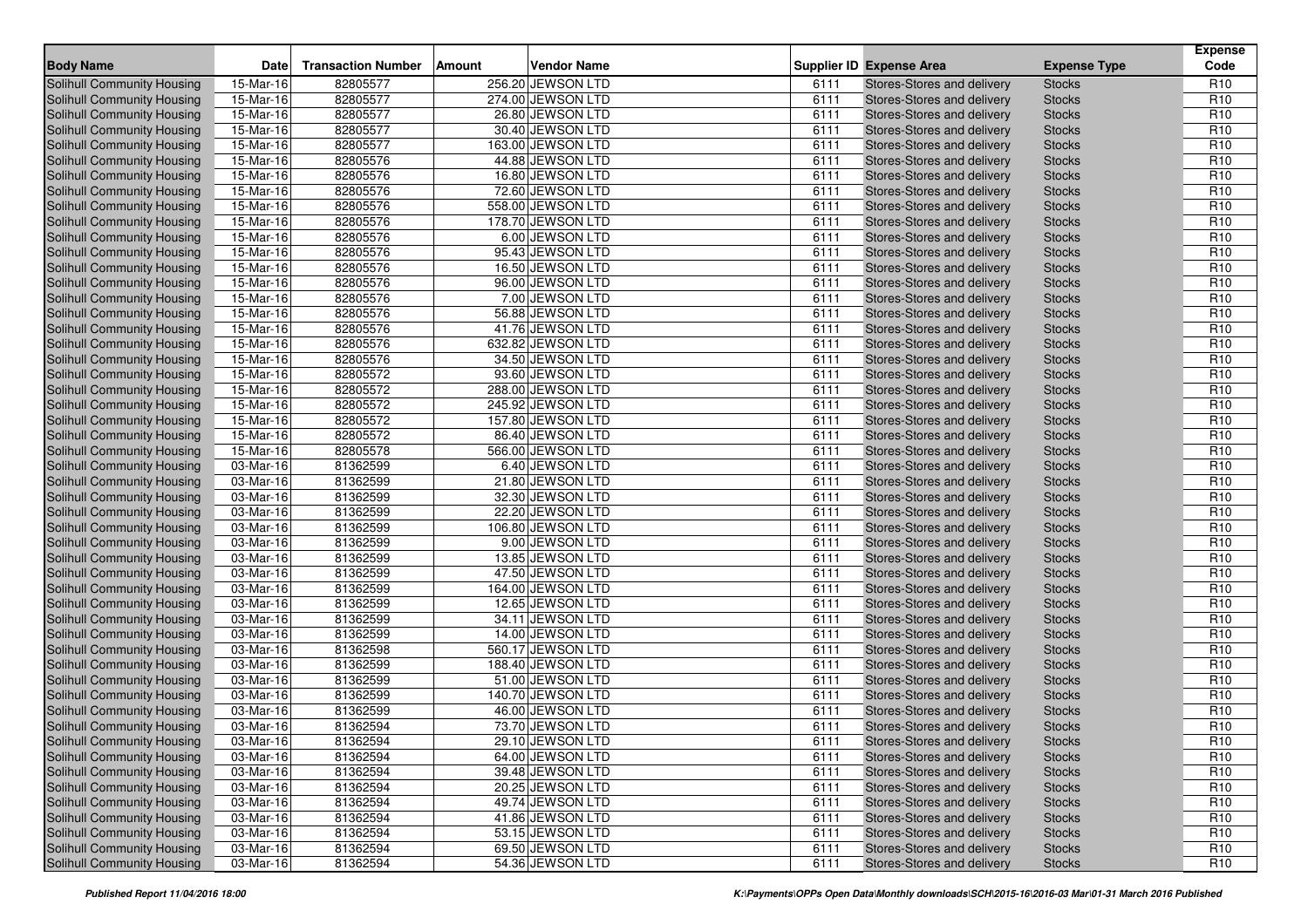| <b>Body Name</b>                  | <b>Date</b>             | <b>Transaction Number</b> | Amount | <b>Vendor Name</b> |      | <b>Supplier ID Expense Area</b> | <b>Expense Type</b> | <b>Expense</b><br>Code |
|-----------------------------------|-------------------------|---------------------------|--------|--------------------|------|---------------------------------|---------------------|------------------------|
| Solihull Community Housing        | 15-Mar-16               | 82805577                  |        | 256.20 JEWSON LTD  | 6111 | Stores-Stores and delivery      | <b>Stocks</b>       | R <sub>10</sub>        |
| <b>Solihull Community Housing</b> | 15-Mar-16               | 82805577                  |        | 274.00 JEWSON LTD  | 6111 | Stores-Stores and delivery      | <b>Stocks</b>       | R <sub>10</sub>        |
| <b>Solihull Community Housing</b> | $15-Mar-16$             | 82805577                  |        | 26.80 JEWSON LTD   | 6111 | Stores-Stores and delivery      | <b>Stocks</b>       | R <sub>10</sub>        |
| Solihull Community Housing        | $\overline{15}$ -Mar-16 | 82805577                  |        | 30.40 JEWSON LTD   | 6111 | Stores-Stores and delivery      | <b>Stocks</b>       | R <sub>10</sub>        |
| Solihull Community Housing        | 15-Mar-16               | 82805577                  |        | 163.00 JEWSON LTD  | 6111 | Stores-Stores and delivery      | <b>Stocks</b>       | R <sub>10</sub>        |
| Solihull Community Housing        | 15-Mar-16               | 82805576                  |        | 44.88 JEWSON LTD   | 6111 | Stores-Stores and delivery      | <b>Stocks</b>       | R <sub>10</sub>        |
| Solihull Community Housing        | 15-Mar-16               | 82805576                  |        | 16.80 JEWSON LTD   | 6111 | Stores-Stores and delivery      | <b>Stocks</b>       | R <sub>10</sub>        |
| Solihull Community Housing        | 15-Mar-16               | 82805576                  |        | 72.60 JEWSON LTD   | 6111 | Stores-Stores and delivery      | <b>Stocks</b>       | R <sub>10</sub>        |
| Solihull Community Housing        | 15-Mar-16               | 82805576                  |        | 558.00 JEWSON LTD  | 6111 | Stores-Stores and delivery      | <b>Stocks</b>       | R <sub>10</sub>        |
| Solihull Community Housing        | 15-Mar-16               | 82805576                  |        | 178.70 JEWSON LTD  | 6111 | Stores-Stores and delivery      | <b>Stocks</b>       | R <sub>10</sub>        |
| <b>Solihull Community Housing</b> | 15-Mar-16               | 82805576                  |        | 6.00 JEWSON LTD    | 6111 | Stores-Stores and delivery      | <b>Stocks</b>       | R <sub>10</sub>        |
| Solihull Community Housing        | $15-Mar-16$             | 82805576                  |        | 95.43 JEWSON LTD   | 6111 | Stores-Stores and delivery      | <b>Stocks</b>       | R <sub>10</sub>        |
| <b>Solihull Community Housing</b> | 15-Mar-16               | 82805576                  |        | 16.50 JEWSON LTD   | 6111 | Stores-Stores and delivery      | <b>Stocks</b>       | R <sub>10</sub>        |
| <b>Solihull Community Housing</b> | 15-Mar-16               | 82805576                  |        | 96.00 JEWSON LTD   | 6111 | Stores-Stores and delivery      | <b>Stocks</b>       | R <sub>10</sub>        |
| Solihull Community Housing        | 15-Mar-16               | 82805576                  |        | 7.00 JEWSON LTD    | 6111 | Stores-Stores and delivery      | <b>Stocks</b>       | R <sub>10</sub>        |
| Solihull Community Housing        | 15-Mar-16               | 82805576                  |        | 56.88 JEWSON LTD   | 6111 | Stores-Stores and delivery      | <b>Stocks</b>       | R <sub>10</sub>        |
| Solihull Community Housing        | 15-Mar-16               | 82805576                  |        | 41.76 JEWSON LTD   | 6111 | Stores-Stores and delivery      | <b>Stocks</b>       | R <sub>10</sub>        |
| Solihull Community Housing        | 15-Mar-16               | 82805576                  |        | 632.82 JEWSON LTD  | 6111 | Stores-Stores and delivery      | <b>Stocks</b>       | R <sub>10</sub>        |
| Solihull Community Housing        | 15-Mar-16               | 82805576                  |        | 34.50 JEWSON LTD   | 6111 | Stores-Stores and delivery      | <b>Stocks</b>       | R <sub>10</sub>        |
| Solihull Community Housing        | 15-Mar-16               | 82805572                  |        | 93.60 JEWSON LTD   | 6111 | Stores-Stores and delivery      | <b>Stocks</b>       | R <sub>10</sub>        |
| Solihull Community Housing        | 15-Mar-16               | 82805572                  |        | 288.00 JEWSON LTD  | 6111 | Stores-Stores and delivery      | <b>Stocks</b>       | R <sub>10</sub>        |
| Solihull Community Housing        | 15-Mar-16               | 82805572                  |        | 245.92 JEWSON LTD  | 6111 | Stores-Stores and delivery      | <b>Stocks</b>       | R <sub>10</sub>        |
| Solihull Community Housing        | 15-Mar-16               | 82805572                  |        | 157.80 JEWSON LTD  | 6111 | Stores-Stores and delivery      | <b>Stocks</b>       | R <sub>10</sub>        |
| <b>Solihull Community Housing</b> | 15-Mar-16               | 82805572                  |        | 86.40 JEWSON LTD   | 6111 | Stores-Stores and delivery      | <b>Stocks</b>       | R <sub>10</sub>        |
| Solihull Community Housing        | 15-Mar-16               | 82805578                  |        | 566.00 JEWSON LTD  | 6111 | Stores-Stores and delivery      | <b>Stocks</b>       | R <sub>10</sub>        |
| Solihull Community Housing        | 03-Mar-16               | 81362599                  |        | 6.40 JEWSON LTD    | 6111 | Stores-Stores and delivery      | <b>Stocks</b>       | R <sub>10</sub>        |
| Solihull Community Housing        | 03-Mar-16               | 81362599                  |        | 21.80 JEWSON LTD   | 6111 | Stores-Stores and delivery      | <b>Stocks</b>       | R <sub>10</sub>        |
| Solihull Community Housing        | 03-Mar-16               | 81362599                  |        | 32.30 JEWSON LTD   | 6111 | Stores-Stores and delivery      | <b>Stocks</b>       | R <sub>10</sub>        |
| Solihull Community Housing        | 03-Mar-16               | 81362599                  |        | 22.20 JEWSON LTD   | 6111 | Stores-Stores and delivery      | <b>Stocks</b>       | R <sub>10</sub>        |
| Solihull Community Housing        | 03-Mar-16               | 81362599                  |        | 106.80 JEWSON LTD  | 6111 | Stores-Stores and delivery      | <b>Stocks</b>       | R <sub>10</sub>        |
| Solihull Community Housing        | 03-Mar-16               | 81362599                  |        | 9.00 JEWSON LTD    | 6111 | Stores-Stores and delivery      | <b>Stocks</b>       | R <sub>10</sub>        |
| Solihull Community Housing        | 03-Mar-16               | 81362599                  |        | 13.85 JEWSON LTD   | 6111 | Stores-Stores and delivery      | <b>Stocks</b>       | R <sub>10</sub>        |
| Solihull Community Housing        | 03-Mar-16               | 81362599                  |        | 47.50 JEWSON LTD   | 6111 | Stores-Stores and delivery      | <b>Stocks</b>       | R <sub>10</sub>        |
| Solihull Community Housing        | 03-Mar-16               | 81362599                  |        | 164.00 JEWSON LTD  | 6111 | Stores-Stores and delivery      | <b>Stocks</b>       | R <sub>10</sub>        |
| Solihull Community Housing        | 03-Mar-16               | 81362599                  |        | 12.65 JEWSON LTD   | 6111 | Stores-Stores and delivery      | <b>Stocks</b>       | R <sub>10</sub>        |
| Solihull Community Housing        | 03-Mar-16               | 81362599                  |        | 34.11 JEWSON LTD   | 6111 | Stores-Stores and delivery      | <b>Stocks</b>       | R <sub>10</sub>        |
| Solihull Community Housing        | 03-Mar-16               | 81362599                  |        | 14.00 JEWSON LTD   | 6111 | Stores-Stores and delivery      | <b>Stocks</b>       | R <sub>10</sub>        |
| Solihull Community Housing        | 03-Mar-16               | 81362598                  |        | 560.17 JEWSON LTD  | 6111 | Stores-Stores and delivery      | <b>Stocks</b>       | R <sub>10</sub>        |
| Solihull Community Housing        | 03-Mar-16               | 81362599                  |        | 188.40 JEWSON LTD  | 6111 | Stores-Stores and delivery      | <b>Stocks</b>       | R <sub>10</sub>        |
| Solihull Community Housing        | 03-Mar-16               | 81362599                  |        | 51.00 JEWSON LTD   | 6111 | Stores-Stores and delivery      | <b>Stocks</b>       | R <sub>10</sub>        |
| Solihull Community Housing        | 03-Mar-16               | 81362599                  |        | 140.70 JEWSON LTD  | 6111 | Stores-Stores and delivery      | <b>Stocks</b>       | R <sub>10</sub>        |
| Solihull Community Housing        | 03-Mar-16               | 81362599                  |        | 46.00 JEWSON LTD   | 6111 | Stores-Stores and delivery      | <b>Stocks</b>       | R <sub>10</sub>        |
| Solihull Community Housing        | 03-Mar-16               | 81362594                  |        | 73.70 JEWSON LTD   | 6111 | Stores-Stores and delivery      | <b>Stocks</b>       | R <sub>10</sub>        |
| Solihull Community Housing        | 03-Mar-16               | 81362594                  |        | 29.10 JEWSON LTD   | 6111 | Stores-Stores and delivery      | <b>Stocks</b>       | R <sub>10</sub>        |
| Solihull Community Housing        | 03-Mar-16               | 81362594                  |        | 64.00 JEWSON LTD   | 6111 | Stores-Stores and delivery      | <b>Stocks</b>       | R <sub>10</sub>        |
| Solihull Community Housing        | 03-Mar-16               | 81362594                  |        | 39.48 JEWSON LTD   | 6111 | Stores-Stores and delivery      | <b>Stocks</b>       | R <sub>10</sub>        |
| Solihull Community Housing        | 03-Mar-16               | 81362594                  |        | 20.25 JEWSON LTD   | 6111 | Stores-Stores and delivery      | <b>Stocks</b>       | R <sub>10</sub>        |
| Solihull Community Housing        | 03-Mar-16               | 81362594                  |        | 49.74 JEWSON LTD   | 6111 | Stores-Stores and delivery      | <b>Stocks</b>       | R <sub>10</sub>        |
| Solihull Community Housing        | 03-Mar-16               | 81362594                  |        | 41.86 JEWSON LTD   | 6111 | Stores-Stores and delivery      | <b>Stocks</b>       | R <sub>10</sub>        |
| Solihull Community Housing        | 03-Mar-16               | 81362594                  |        | 53.15 JEWSON LTD   | 6111 | Stores-Stores and delivery      | <b>Stocks</b>       | R <sub>10</sub>        |
| Solihull Community Housing        | 03-Mar-16               | 81362594                  |        | 69.50 JEWSON LTD   | 6111 | Stores-Stores and delivery      | <b>Stocks</b>       | R <sub>10</sub>        |
| Solihull Community Housing        | 03-Mar-16               | 81362594                  |        | 54.36 JEWSON LTD   | 6111 | Stores-Stores and delivery      | <b>Stocks</b>       | R <sub>10</sub>        |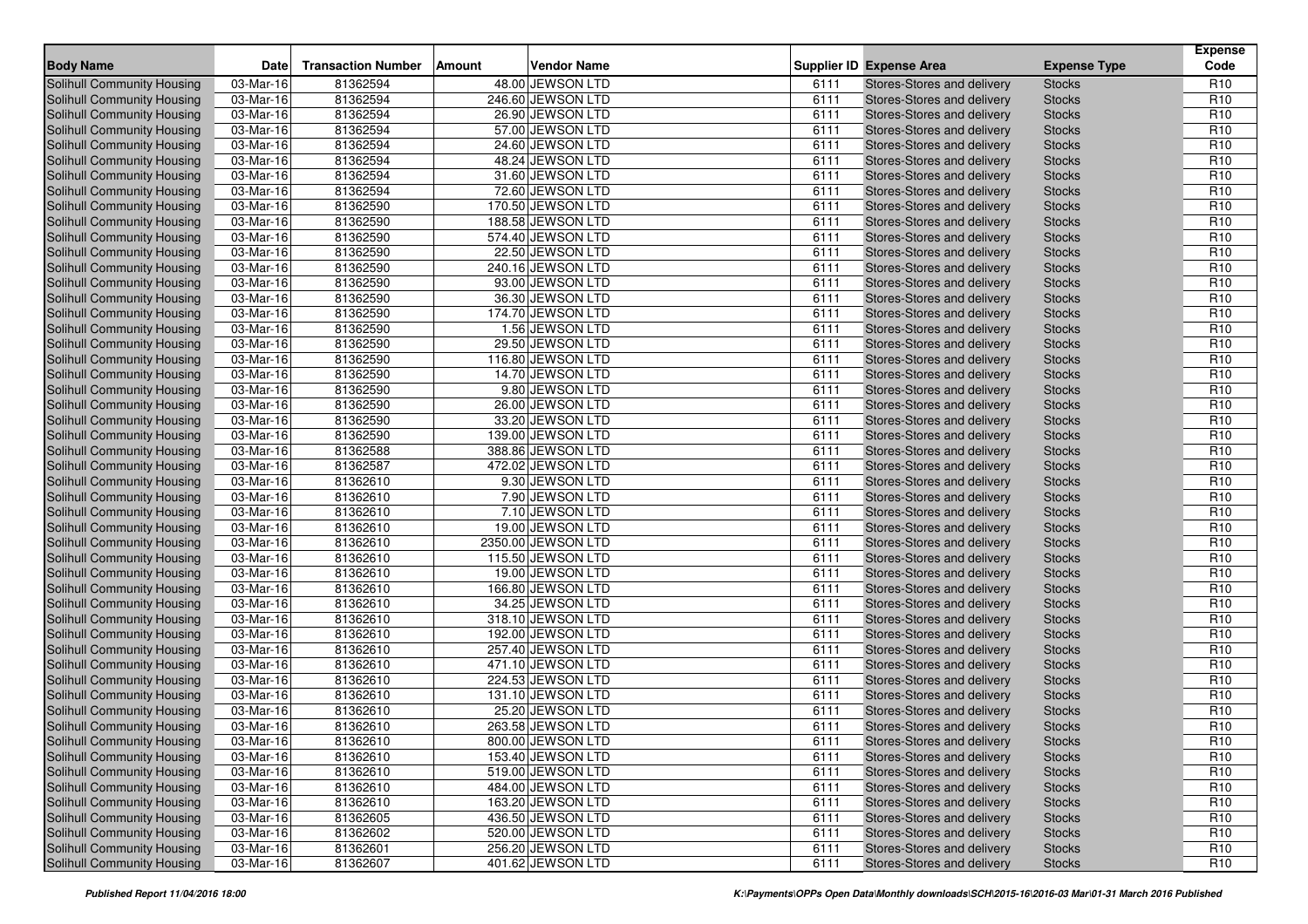| <b>Body Name</b>                  | <b>Date</b>             | <b>Transaction Number</b> | Amount | <b>Vendor Name</b> |      | <b>Supplier ID Expense Area</b> | <b>Expense Type</b> | <b>Expense</b><br>Code |
|-----------------------------------|-------------------------|---------------------------|--------|--------------------|------|---------------------------------|---------------------|------------------------|
| Solihull Community Housing        | 03-Mar-16               | 81362594                  |        | 48.00 JEWSON LTD   | 6111 | Stores-Stores and delivery      | <b>Stocks</b>       | R <sub>10</sub>        |
| <b>Solihull Community Housing</b> | 03-Mar-16               | 81362594                  |        | 246.60 JEWSON LTD  | 6111 | Stores-Stores and delivery      | <b>Stocks</b>       | R <sub>10</sub>        |
| <b>Solihull Community Housing</b> | $\overline{03}$ -Mar-16 | 81362594                  |        | 26.90 JEWSON LTD   | 6111 | Stores-Stores and delivery      | <b>Stocks</b>       | R <sub>10</sub>        |
| Solihull Community Housing        | 03-Mar-16               | 81362594                  |        | 57.00 JEWSON LTD   | 6111 | Stores-Stores and delivery      | <b>Stocks</b>       | R <sub>10</sub>        |
| Solihull Community Housing        | 03-Mar-16               | 81362594                  |        | 24.60 JEWSON LTD   | 6111 | Stores-Stores and delivery      | <b>Stocks</b>       | R <sub>10</sub>        |
| Solihull Community Housing        | 03-Mar-16               | 81362594                  |        | 48.24 JEWSON LTD   | 6111 | Stores-Stores and delivery      | <b>Stocks</b>       | R <sub>10</sub>        |
| Solihull Community Housing        | 03-Mar-16               | 81362594                  |        | 31.60 JEWSON LTD   | 6111 | Stores-Stores and delivery      | <b>Stocks</b>       | R <sub>10</sub>        |
| Solihull Community Housing        | 03-Mar-16               | 81362594                  |        | 72.60 JEWSON LTD   | 6111 | Stores-Stores and delivery      | <b>Stocks</b>       | R <sub>10</sub>        |
| Solihull Community Housing        | 03-Mar-16               | 81362590                  |        | 170.50 JEWSON LTD  | 6111 | Stores-Stores and delivery      | <b>Stocks</b>       | R <sub>10</sub>        |
| Solihull Community Housing        | 03-Mar-16               | 81362590                  |        | 188.58 JEWSON LTD  | 6111 | Stores-Stores and delivery      | <b>Stocks</b>       | R <sub>10</sub>        |
| Solihull Community Housing        | 03-Mar-16               | 81362590                  |        | 574.40 JEWSON LTD  | 6111 | Stores-Stores and delivery      | <b>Stocks</b>       | R <sub>10</sub>        |
| Solihull Community Housing        | $03-Mar-16$             | 81362590                  |        | 22.50 JEWSON LTD   | 6111 | Stores-Stores and delivery      | <b>Stocks</b>       | R <sub>10</sub>        |
| Solihull Community Housing        | 03-Mar-16               | 81362590                  |        | 240.16 JEWSON LTD  | 6111 | Stores-Stores and delivery      | <b>Stocks</b>       | R <sub>10</sub>        |
| Solihull Community Housing        | 03-Mar-16               | 81362590                  |        | 93.00 JEWSON LTD   | 6111 | Stores-Stores and delivery      | <b>Stocks</b>       | R <sub>10</sub>        |
| Solihull Community Housing        | 03-Mar-16               | 81362590                  |        | 36.30 JEWSON LTD   | 6111 | Stores-Stores and delivery      | <b>Stocks</b>       | R <sub>10</sub>        |
| Solihull Community Housing        | 03-Mar-16               | 81362590                  |        | 174.70 JEWSON LTD  | 6111 | Stores-Stores and delivery      | <b>Stocks</b>       | R <sub>10</sub>        |
| Solihull Community Housing        | 03-Mar-16               | 81362590                  |        | 1.56 JEWSON LTD    | 6111 | Stores-Stores and delivery      | <b>Stocks</b>       | R <sub>10</sub>        |
| Solihull Community Housing        | 03-Mar-16               | 81362590                  |        | 29.50 JEWSON LTD   | 6111 | Stores-Stores and delivery      | <b>Stocks</b>       | R <sub>10</sub>        |
| Solihull Community Housing        | 03-Mar-16               | 81362590                  |        | 116.80 JEWSON LTD  | 6111 | Stores-Stores and delivery      | <b>Stocks</b>       | R <sub>10</sub>        |
| Solihull Community Housing        | 03-Mar-16               | 81362590                  |        | 14.70 JEWSON LTD   | 6111 | Stores-Stores and delivery      | <b>Stocks</b>       | R <sub>10</sub>        |
| Solihull Community Housing        | 03-Mar-16               | 81362590                  |        | 9.80 JEWSON LTD    | 6111 | Stores-Stores and delivery      | <b>Stocks</b>       | R <sub>10</sub>        |
| Solihull Community Housing        | 03-Mar-16               | 81362590                  |        | 26.00 JEWSON LTD   | 6111 | Stores-Stores and delivery      | <b>Stocks</b>       | R <sub>10</sub>        |
| Solihull Community Housing        | 03-Mar-16               | 81362590                  |        | 33.20 JEWSON LTD   | 6111 | Stores-Stores and delivery      | <b>Stocks</b>       | R <sub>10</sub>        |
| Solihull Community Housing        | 03-Mar-16               | 81362590                  |        | 139.00 JEWSON LTD  | 6111 | Stores-Stores and delivery      | <b>Stocks</b>       | R <sub>10</sub>        |
| Solihull Community Housing        | 03-Mar-16               | 81362588                  |        | 388.86 JEWSON LTD  | 6111 | Stores-Stores and delivery      | <b>Stocks</b>       | R <sub>10</sub>        |
| Solihull Community Housing        | 03-Mar-16               | 81362587                  |        | 472.02 JEWSON LTD  | 6111 | Stores-Stores and delivery      | <b>Stocks</b>       | R <sub>10</sub>        |
| Solihull Community Housing        | 03-Mar-16               | 81362610                  |        | 9.30 JEWSON LTD    | 6111 | Stores-Stores and delivery      | <b>Stocks</b>       | R <sub>10</sub>        |
| Solihull Community Housing        | 03-Mar-16               | 81362610                  |        | 7.90 JEWSON LTD    | 6111 | Stores-Stores and delivery      | <b>Stocks</b>       | R <sub>10</sub>        |
| Solihull Community Housing        | 03-Mar-16               | 81362610                  |        | 7.10 JEWSON LTD    | 6111 | Stores-Stores and delivery      | <b>Stocks</b>       | R <sub>10</sub>        |
| Solihull Community Housing        | 03-Mar-16               | 81362610                  |        | 19.00 JEWSON LTD   | 6111 | Stores-Stores and delivery      | <b>Stocks</b>       | R <sub>10</sub>        |
| Solihull Community Housing        | 03-Mar-16               | 81362610                  |        | 2350.00 JEWSON LTD | 6111 | Stores-Stores and delivery      | <b>Stocks</b>       | R <sub>10</sub>        |
| Solihull Community Housing        | 03-Mar-16               | 81362610                  |        | 115.50 JEWSON LTD  | 6111 | Stores-Stores and delivery      | <b>Stocks</b>       | R <sub>10</sub>        |
| Solihull Community Housing        | 03-Mar-16               | 81362610                  |        | 19.00 JEWSON LTD   | 6111 | Stores-Stores and delivery      | <b>Stocks</b>       | R <sub>10</sub>        |
| Solihull Community Housing        | 03-Mar-16               | 81362610                  |        | 166.80 JEWSON LTD  | 6111 | Stores-Stores and delivery      | <b>Stocks</b>       | R <sub>10</sub>        |
| Solihull Community Housing        | 03-Mar-16               | 81362610                  |        | 34.25 JEWSON LTD   | 6111 | Stores-Stores and delivery      | <b>Stocks</b>       | R <sub>10</sub>        |
| Solihull Community Housing        | 03-Mar-16               | 81362610                  |        | 318.10 JEWSON LTD  | 6111 | Stores-Stores and delivery      | <b>Stocks</b>       | R <sub>10</sub>        |
| Solihull Community Housing        | 03-Mar-16               | 81362610                  |        | 192.00 JEWSON LTD  | 6111 | Stores-Stores and delivery      | <b>Stocks</b>       | R <sub>10</sub>        |
| Solihull Community Housing        | 03-Mar-16               | 81362610                  |        | 257.40 JEWSON LTD  | 6111 | Stores-Stores and delivery      | <b>Stocks</b>       | R <sub>10</sub>        |
| Solihull Community Housing        | 03-Mar-16               | 81362610                  |        | 471.10 JEWSON LTD  | 6111 | Stores-Stores and delivery      | <b>Stocks</b>       | R <sub>10</sub>        |
| Solihull Community Housing        | 03-Mar-16               | 81362610                  |        | 224.53 JEWSON LTD  | 6111 | Stores-Stores and delivery      | <b>Stocks</b>       | R <sub>10</sub>        |
| Solihull Community Housing        | 03-Mar-16               | 81362610                  |        | 131.10 JEWSON LTD  | 6111 | Stores-Stores and delivery      | <b>Stocks</b>       | R <sub>10</sub>        |
| Solihull Community Housing        | 03-Mar-16               | 81362610                  |        | 25.20 JEWSON LTD   | 6111 | Stores-Stores and delivery      | <b>Stocks</b>       | R <sub>10</sub>        |
| Solihull Community Housing        | 03-Mar-16               | 81362610                  |        | 263.58 JEWSON LTD  | 6111 | Stores-Stores and delivery      | <b>Stocks</b>       | R <sub>10</sub>        |
| Solihull Community Housing        | 03-Mar-16               | 81362610                  |        | 800.00 JEWSON LTD  | 6111 | Stores-Stores and delivery      | <b>Stocks</b>       | R <sub>10</sub>        |
| Solihull Community Housing        | 03-Mar-16               | 81362610                  |        | 153.40 JEWSON LTD  | 6111 | Stores-Stores and delivery      | <b>Stocks</b>       | R <sub>10</sub>        |
| Solihull Community Housing        | 03-Mar-16               | 81362610                  |        | 519.00 JEWSON LTD  | 6111 | Stores-Stores and delivery      | <b>Stocks</b>       | R <sub>10</sub>        |
| Solihull Community Housing        | 03-Mar-16               | 81362610                  |        | 484.00 JEWSON LTD  | 6111 | Stores-Stores and delivery      | <b>Stocks</b>       | R <sub>10</sub>        |
| Solihull Community Housing        | 03-Mar-16               | 81362610                  |        | 163.20 JEWSON LTD  | 6111 | Stores-Stores and delivery      | <b>Stocks</b>       | R <sub>10</sub>        |
| Solihull Community Housing        | 03-Mar-16               | 81362605                  |        | 436.50 JEWSON LTD  | 6111 | Stores-Stores and delivery      | <b>Stocks</b>       | R <sub>10</sub>        |
| Solihull Community Housing        | 03-Mar-16               | 81362602                  |        | 520.00 JEWSON LTD  | 6111 | Stores-Stores and delivery      | <b>Stocks</b>       | R <sub>10</sub>        |
| Solihull Community Housing        | 03-Mar-16               | 81362601                  |        | 256.20 JEWSON LTD  | 6111 | Stores-Stores and delivery      | <b>Stocks</b>       | R <sub>10</sub>        |
| Solihull Community Housing        | 03-Mar-16               | 81362607                  |        | 401.62 JEWSON LTD  | 6111 | Stores-Stores and delivery      | <b>Stocks</b>       | R <sub>10</sub>        |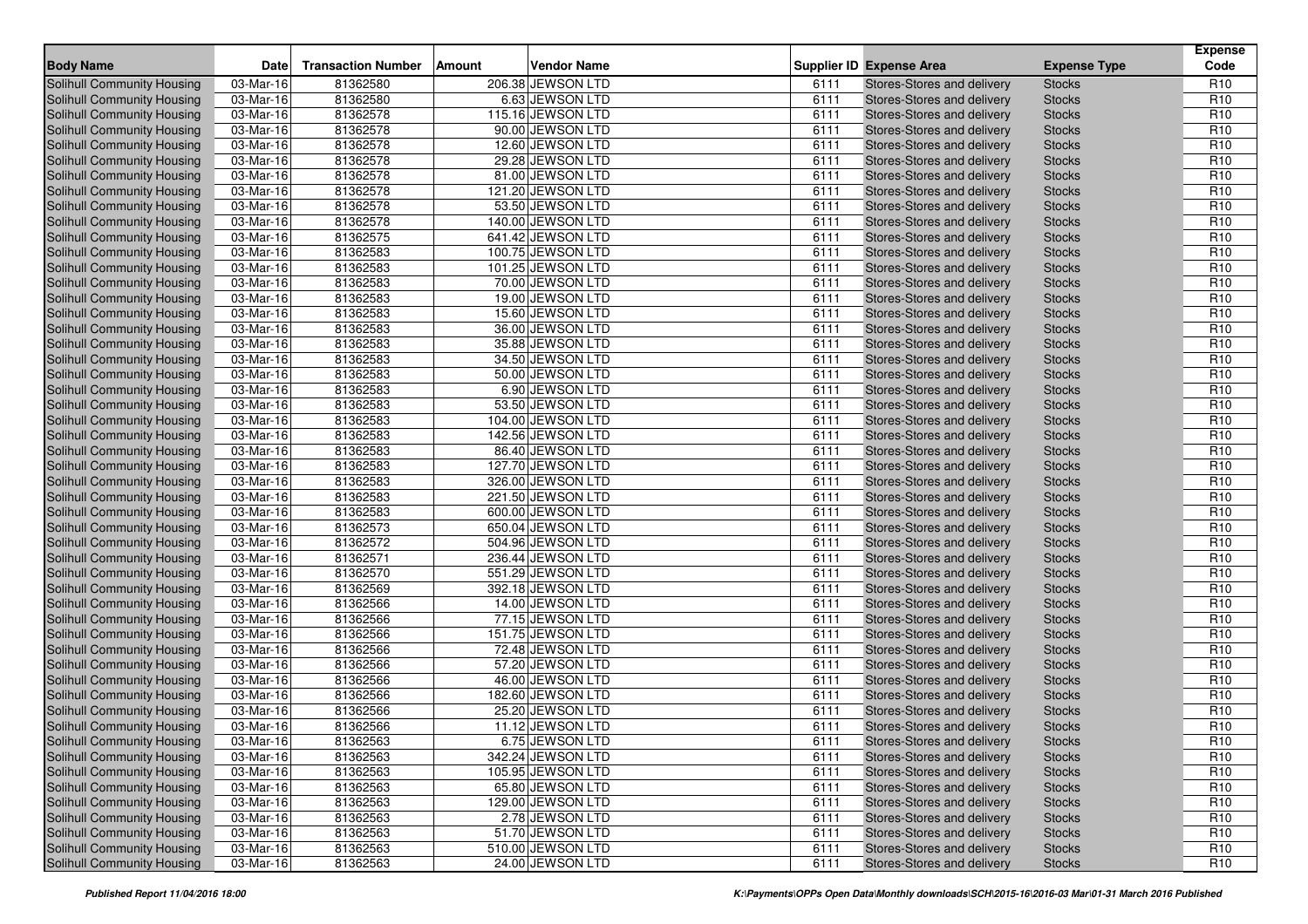| <b>Body Name</b>                  | <b>Date</b>             | <b>Transaction Number</b> | Amount | <b>Vendor Name</b> |      | <b>Supplier ID Expense Area</b> | <b>Expense Type</b> | <b>Expense</b><br>Code |
|-----------------------------------|-------------------------|---------------------------|--------|--------------------|------|---------------------------------|---------------------|------------------------|
| Solihull Community Housing        | 03-Mar-16               | 81362580                  |        | 206.38 JEWSON LTD  | 6111 | Stores-Stores and delivery      | <b>Stocks</b>       | R <sub>10</sub>        |
| <b>Solihull Community Housing</b> | 03-Mar-16               | 81362580                  |        | 6.63 JEWSON LTD    | 6111 | Stores-Stores and delivery      | <b>Stocks</b>       | R <sub>10</sub>        |
| <b>Solihull Community Housing</b> | $\overline{03}$ -Mar-16 | 81362578                  |        | 115.16 JEWSON LTD  | 6111 | Stores-Stores and delivery      | <b>Stocks</b>       | R <sub>10</sub>        |
| Solihull Community Housing        | 03-Mar-16               | 81362578                  |        | 90.00 JEWSON LTD   | 6111 | Stores-Stores and delivery      | <b>Stocks</b>       | R <sub>10</sub>        |
| Solihull Community Housing        | 03-Mar-16               | 81362578                  |        | 12.60 JEWSON LTD   | 6111 | Stores-Stores and delivery      | <b>Stocks</b>       | R <sub>10</sub>        |
| Solihull Community Housing        | 03-Mar-16               | 81362578                  |        | 29.28 JEWSON LTD   | 6111 | Stores-Stores and delivery      | <b>Stocks</b>       | R <sub>10</sub>        |
| Solihull Community Housing        | 03-Mar-16               | 81362578                  |        | 81.00 JEWSON LTD   | 6111 | Stores-Stores and delivery      | <b>Stocks</b>       | R <sub>10</sub>        |
| Solihull Community Housing        | 03-Mar-16               | 81362578                  |        | 121.20 JEWSON LTD  | 6111 | Stores-Stores and delivery      | <b>Stocks</b>       | R <sub>10</sub>        |
| Solihull Community Housing        | 03-Mar-16               | 81362578                  |        | 53.50 JEWSON LTD   | 6111 | Stores-Stores and delivery      | <b>Stocks</b>       | R <sub>10</sub>        |
| Solihull Community Housing        | 03-Mar-16               | 81362578                  |        | 140.00 JEWSON LTD  | 6111 | Stores-Stores and delivery      | <b>Stocks</b>       | R <sub>10</sub>        |
| Solihull Community Housing        | 03-Mar-16               | 81362575                  |        | 641.42 JEWSON LTD  | 6111 | Stores-Stores and delivery      | <b>Stocks</b>       | R <sub>10</sub>        |
| Solihull Community Housing        | $03-Mar-16$             | 81362583                  |        | 100.75 JEWSON LTD  | 6111 | Stores-Stores and delivery      | <b>Stocks</b>       | R <sub>10</sub>        |
| Solihull Community Housing        | 03-Mar-16               | 81362583                  |        | 101.25 JEWSON LTD  | 6111 | Stores-Stores and delivery      | <b>Stocks</b>       | R <sub>10</sub>        |
| Solihull Community Housing        | 03-Mar-16               | 81362583                  |        | 70.00 JEWSON LTD   | 6111 | Stores-Stores and delivery      | <b>Stocks</b>       | R <sub>10</sub>        |
| Solihull Community Housing        | 03-Mar-16               | 81362583                  |        | 19.00 JEWSON LTD   | 6111 | Stores-Stores and delivery      | <b>Stocks</b>       | R <sub>10</sub>        |
| Solihull Community Housing        | 03-Mar-16               | 81362583                  |        | 15.60 JEWSON LTD   | 6111 | Stores-Stores and delivery      | <b>Stocks</b>       | R <sub>10</sub>        |
| Solihull Community Housing        | 03-Mar-16               | 81362583                  |        | 36.00 JEWSON LTD   | 6111 | Stores-Stores and delivery      | <b>Stocks</b>       | R <sub>10</sub>        |
| Solihull Community Housing        | 03-Mar-16               | 81362583                  |        | 35.88 JEWSON LTD   | 6111 | Stores-Stores and delivery      | <b>Stocks</b>       | R <sub>10</sub>        |
| Solihull Community Housing        | 03-Mar-16               | 81362583                  |        | 34.50 JEWSON LTD   | 6111 | Stores-Stores and delivery      | <b>Stocks</b>       | R <sub>10</sub>        |
| Solihull Community Housing        | 03-Mar-16               | 81362583                  |        | 50.00 JEWSON LTD   | 6111 | Stores-Stores and delivery      | <b>Stocks</b>       | R <sub>10</sub>        |
| Solihull Community Housing        | 03-Mar-16               | 81362583                  |        | 6.90 JEWSON LTD    | 6111 | Stores-Stores and delivery      | <b>Stocks</b>       | R <sub>10</sub>        |
| Solihull Community Housing        | 03-Mar-16               | 81362583                  |        | 53.50 JEWSON LTD   | 6111 | Stores-Stores and delivery      | <b>Stocks</b>       | R <sub>10</sub>        |
| Solihull Community Housing        | 03-Mar-16               | 81362583                  |        | 104.00 JEWSON LTD  | 6111 | Stores-Stores and delivery      | <b>Stocks</b>       | R <sub>10</sub>        |
| Solihull Community Housing        | 03-Mar-16               | 81362583                  |        | 142.56 JEWSON LTD  | 6111 | Stores-Stores and delivery      | <b>Stocks</b>       | R <sub>10</sub>        |
| Solihull Community Housing        | 03-Mar-16               | 81362583                  |        | 86.40 JEWSON LTD   | 6111 | Stores-Stores and delivery      | <b>Stocks</b>       | R <sub>10</sub>        |
| Solihull Community Housing        | 03-Mar-16               | 81362583                  |        | 127.70 JEWSON LTD  | 6111 | Stores-Stores and delivery      | <b>Stocks</b>       | R <sub>10</sub>        |
| Solihull Community Housing        | 03-Mar-16               | 81362583                  |        | 326.00 JEWSON LTD  | 6111 | Stores-Stores and delivery      | <b>Stocks</b>       | R <sub>10</sub>        |
| Solihull Community Housing        | 03-Mar-16               | 81362583                  |        | 221.50 JEWSON LTD  | 6111 | Stores-Stores and delivery      | <b>Stocks</b>       | R <sub>10</sub>        |
| Solihull Community Housing        | 03-Mar-16               | 81362583                  |        | 600.00 JEWSON LTD  | 6111 | Stores-Stores and delivery      | <b>Stocks</b>       | R <sub>10</sub>        |
| Solihull Community Housing        | 03-Mar-16               | 81362573                  |        | 650.04 JEWSON LTD  | 6111 | Stores-Stores and delivery      | <b>Stocks</b>       | R <sub>10</sub>        |
| Solihull Community Housing        | 03-Mar-16               | 81362572                  |        | 504.96 JEWSON LTD  | 6111 | Stores-Stores and delivery      | <b>Stocks</b>       | R <sub>10</sub>        |
| Solihull Community Housing        | 03-Mar-16               | 81362571                  |        | 236.44 JEWSON LTD  | 6111 | Stores-Stores and delivery      | <b>Stocks</b>       | R <sub>10</sub>        |
| Solihull Community Housing        | 03-Mar-16               | 81362570                  |        | 551.29 JEWSON LTD  | 6111 | Stores-Stores and delivery      | <b>Stocks</b>       | R <sub>10</sub>        |
| Solihull Community Housing        | 03-Mar-16               | 81362569                  |        | 392.18 JEWSON LTD  | 6111 | Stores-Stores and delivery      | <b>Stocks</b>       | R <sub>10</sub>        |
| Solihull Community Housing        | 03-Mar-16               | 81362566                  |        | 14.00 JEWSON LTD   | 6111 | Stores-Stores and delivery      | <b>Stocks</b>       | R <sub>10</sub>        |
| Solihull Community Housing        | 03-Mar-16               | 81362566                  |        | 77.15 JEWSON LTD   | 6111 | Stores-Stores and delivery      | <b>Stocks</b>       | R <sub>10</sub>        |
| Solihull Community Housing        | 03-Mar-16               | 81362566                  |        | 151.75 JEWSON LTD  | 6111 | Stores-Stores and delivery      | <b>Stocks</b>       | R <sub>10</sub>        |
| Solihull Community Housing        | 03-Mar-16               | 81362566                  |        | 72.48 JEWSON LTD   | 6111 | Stores-Stores and delivery      | <b>Stocks</b>       | R <sub>10</sub>        |
| Solihull Community Housing        | 03-Mar-16               | 81362566                  |        | 57.20 JEWSON LTD   | 6111 | Stores-Stores and delivery      | <b>Stocks</b>       | R <sub>10</sub>        |
| Solihull Community Housing        | 03-Mar-16               | 81362566                  |        | 46.00 JEWSON LTD   | 6111 | Stores-Stores and delivery      | <b>Stocks</b>       | R <sub>10</sub>        |
| Solihull Community Housing        | 03-Mar-16               | 81362566                  |        | 182.60 JEWSON LTD  | 6111 | Stores-Stores and delivery      | <b>Stocks</b>       | R <sub>10</sub>        |
| Solihull Community Housing        | 03-Mar-16               | 81362566                  |        | 25.20 JEWSON LTD   | 6111 | Stores-Stores and delivery      | <b>Stocks</b>       | R <sub>10</sub>        |
| Solihull Community Housing        | 03-Mar-16               | 81362566                  |        | 11.12 JEWSON LTD   | 6111 | Stores-Stores and delivery      | <b>Stocks</b>       | R <sub>10</sub>        |
| Solihull Community Housing        | 03-Mar-16               | 81362563                  |        | 6.75 JEWSON LTD    | 6111 | Stores-Stores and delivery      | <b>Stocks</b>       | R <sub>10</sub>        |
| Solihull Community Housing        | 03-Mar-16               | 81362563                  |        | 342.24 JEWSON LTD  | 6111 | Stores-Stores and delivery      | <b>Stocks</b>       | R <sub>10</sub>        |
| Solihull Community Housing        | 03-Mar-16               | 81362563                  |        | 105.95 JEWSON LTD  | 6111 | Stores-Stores and delivery      | <b>Stocks</b>       | R <sub>10</sub>        |
| Solihull Community Housing        | 03-Mar-16               | 81362563                  |        | 65.80 JEWSON LTD   | 6111 | Stores-Stores and delivery      | <b>Stocks</b>       | R <sub>10</sub>        |
| Solihull Community Housing        | 03-Mar-16               | 81362563                  |        | 129.00 JEWSON LTD  | 6111 | Stores-Stores and delivery      | <b>Stocks</b>       | R <sub>10</sub>        |
| Solihull Community Housing        | 03-Mar-16               | 81362563                  |        | 2.78 JEWSON LTD    | 6111 | Stores-Stores and delivery      | <b>Stocks</b>       | R <sub>10</sub>        |
| Solihull Community Housing        | 03-Mar-16               | 81362563                  |        | 51.70 JEWSON LTD   | 6111 | Stores-Stores and delivery      | <b>Stocks</b>       | R <sub>10</sub>        |
| Solihull Community Housing        | 03-Mar-16               | 81362563                  |        | 510.00 JEWSON LTD  | 6111 | Stores-Stores and delivery      | <b>Stocks</b>       | R <sub>10</sub>        |
| Solihull Community Housing        | 03-Mar-16               | 81362563                  |        | 24.00 JEWSON LTD   | 6111 | Stores-Stores and delivery      | <b>Stocks</b>       | R <sub>10</sub>        |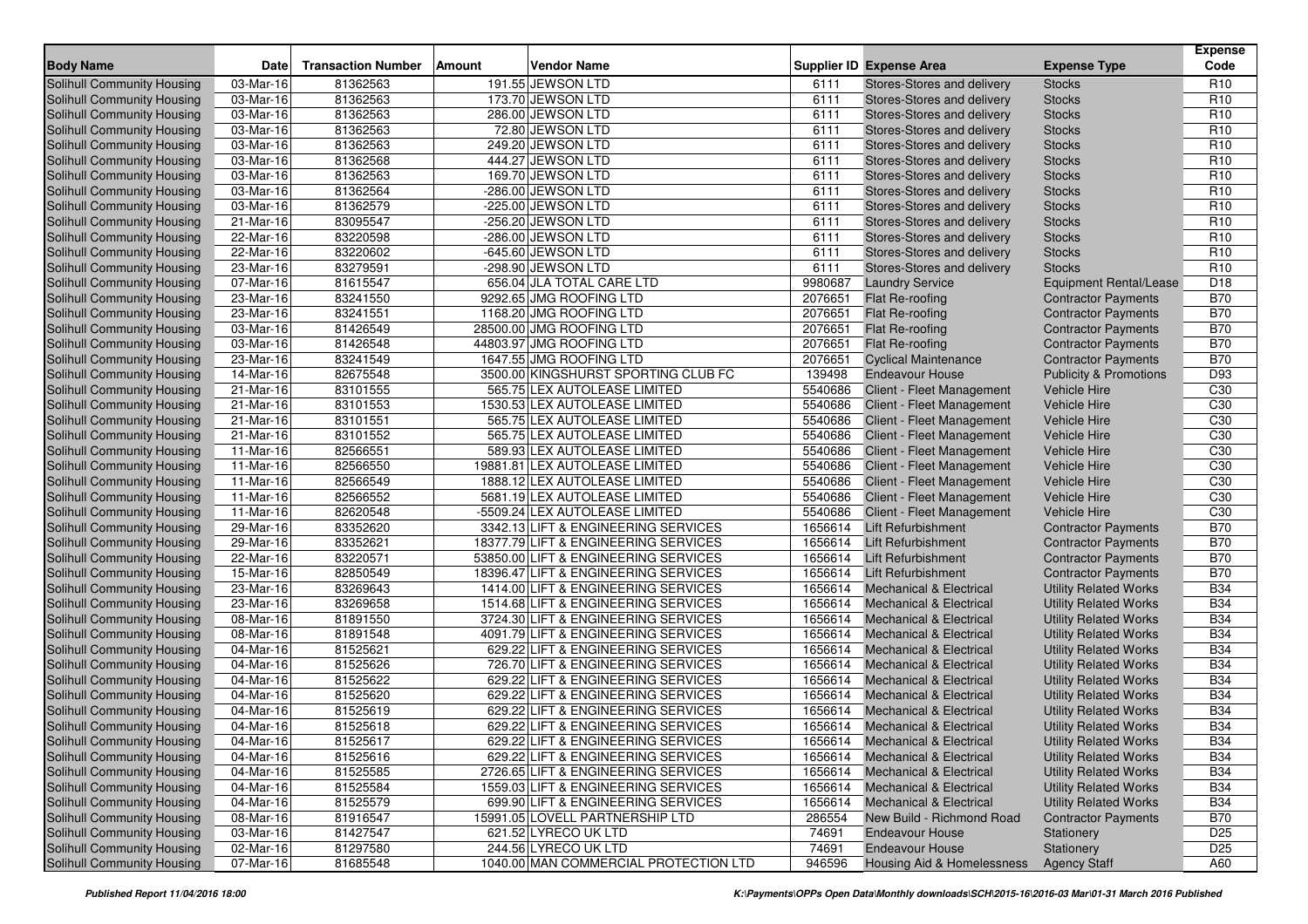|                                   |                         |                           |               |                                       |         |                                    |                                   | <b>Expense</b>  |
|-----------------------------------|-------------------------|---------------------------|---------------|---------------------------------------|---------|------------------------------------|-----------------------------------|-----------------|
| <b>Body Name</b>                  | <b>Date</b>             | <b>Transaction Number</b> | <b>Amount</b> | <b>Vendor Name</b>                    |         | <b>Supplier ID Expense Area</b>    | <b>Expense Type</b>               | Code            |
| <b>Solihull Community Housing</b> | 03-Mar-16               | 81362563                  |               | 191.55 JEWSON LTD                     | 6111    | Stores-Stores and delivery         | <b>Stocks</b>                     | R <sub>10</sub> |
| Solihull Community Housing        | 03-Mar-16               | 81362563                  |               | 173.70 JEWSON LTD                     | 6111    | Stores-Stores and delivery         | <b>Stocks</b>                     | R <sub>10</sub> |
| Solihull Community Housing        | 03-Mar-16               | 81362563                  |               | 286.00 JEWSON LTD                     | 6111    | Stores-Stores and delivery         | <b>Stocks</b>                     | R <sub>10</sub> |
| Solihull Community Housing        | 03-Mar-16               | 81362563                  |               | 72.80 JEWSON LTD                      | 6111    | Stores-Stores and delivery         | <b>Stocks</b>                     | R <sub>10</sub> |
| Solihull Community Housing        | 03-Mar-16               | 81362563                  |               | 249.20 JEWSON LTD                     | 6111    | Stores-Stores and delivery         | <b>Stocks</b>                     | R <sub>10</sub> |
| Solihull Community Housing        | 03-Mar-16               | 81362568                  |               | 444.27 JEWSON LTD                     | 6111    | Stores-Stores and delivery         | <b>Stocks</b>                     | R <sub>10</sub> |
| Solihull Community Housing        | 03-Mar-16               | 81362563                  |               | 169.70 JEWSON LTD                     | 6111    | Stores-Stores and delivery         | <b>Stocks</b>                     | R <sub>10</sub> |
| Solihull Community Housing        | 03-Mar-16               | 81362564                  |               | -286.00 JEWSON LTD                    | 6111    | Stores-Stores and delivery         | <b>Stocks</b>                     | R <sub>10</sub> |
| Solihull Community Housing        | 03-Mar-16               | 81362579                  |               | -225.00 JEWSON LTD                    | 6111    | Stores-Stores and delivery         | <b>Stocks</b>                     | R <sub>10</sub> |
| <b>Solihull Community Housing</b> | 21-Mar-16               | 83095547                  |               | -256.20 JEWSON LTD                    | 6111    | Stores-Stores and delivery         | <b>Stocks</b>                     | R <sub>10</sub> |
| Solihull Community Housing        | 22-Mar-16               | 83220598                  |               | -286.00 JEWSON LTD                    | 6111    | Stores-Stores and delivery         | <b>Stocks</b>                     | R <sub>10</sub> |
| Solihull Community Housing        | 22-Mar-16               | 83220602                  |               | -645.60 JEWSON LTD                    | 6111    | Stores-Stores and delivery         | <b>Stocks</b>                     | R <sub>10</sub> |
| Solihull Community Housing        | 23-Mar-16               | 83279591                  |               | -298.90 JEWSON LTD                    | 6111    | Stores-Stores and delivery         | <b>Stocks</b>                     | R <sub>10</sub> |
| Solihull Community Housing        | 07-Mar-16               | 81615547                  |               | 656.04 JLA TOTAL CARE LTD             | 9980687 | <b>Laundry Service</b>             | Equipment Rental/Lease            | D <sub>18</sub> |
| Solihull Community Housing        | 23-Mar-16               | 83241550                  |               | 9292.65 JMG ROOFING LTD               | 2076651 | Flat Re-roofing                    | <b>Contractor Payments</b>        | <b>B70</b>      |
| Solihull Community Housing        | 23-Mar-16               | 83241551                  |               | 1168.20 JMG ROOFING LTD               | 2076651 | Flat Re-roofing                    | <b>Contractor Payments</b>        | <b>B70</b>      |
| Solihull Community Housing        | 03-Mar-16               | 81426549                  |               | 28500.00 JMG ROOFING LTD              | 2076651 | Flat Re-roofing                    | <b>Contractor Payments</b>        | <b>B70</b>      |
| Solihull Community Housing        | 03-Mar-16               | 81426548                  |               | 44803.97 JMG ROOFING LTD              | 2076651 | Flat Re-roofing                    | <b>Contractor Payments</b>        | <b>B70</b>      |
| Solihull Community Housing        | 23-Mar-16               | 83241549                  |               | 1647.55 JMG ROOFING LTD               | 2076651 | <b>Cyclical Maintenance</b>        | <b>Contractor Payments</b>        | <b>B70</b>      |
| Solihull Community Housing        | 14-Mar-16               | 82675548                  |               | 3500.00 KINGSHURST SPORTING CLUB FC   | 139498  | <b>Endeavour House</b>             | <b>Publicity &amp; Promotions</b> | D93             |
| Solihull Community Housing        | 21-Mar-16               | 83101555                  |               | 565.75 LEX AUTOLEASE LIMITED          | 5540686 | Client - Fleet Management          | <b>Vehicle Hire</b>               | C30             |
| Solihull Community Housing        | 21-Mar-16               | 83101553                  |               | 1530.53 LEX AUTOLEASE LIMITED         | 5540686 | Client - Fleet Management          | <b>Vehicle Hire</b>               | C30             |
| Solihull Community Housing        | 21-Mar-16               | 83101551                  |               | 565.75 LEX AUTOLEASE LIMITED          | 5540686 | Client - Fleet Management          | Vehicle Hire                      | C30             |
| Solihull Community Housing        | 21-Mar-16               | 83101552                  |               | 565.75 LEX AUTOLEASE LIMITED          | 5540686 | Client - Fleet Management          | Vehicle Hire                      | C30             |
| Solihull Community Housing        | 11-Mar-16               | 82566551                  |               | 589.93 LEX AUTOLEASE LIMITED          | 5540686 | Client - Fleet Management          | <b>Vehicle Hire</b>               | C30             |
| Solihull Community Housing        | 11-Mar-16               | 82566550                  |               | 19881.81 LEX AUTOLEASE LIMITED        | 5540686 | Client - Fleet Management          | Vehicle Hire                      | C30             |
| Solihull Community Housing        | 11-Mar-16               | 82566549                  |               | 1888.12 LEX AUTOLEASE LIMITED         | 5540686 | Client - Fleet Management          | <b>Vehicle Hire</b>               | C30             |
| Solihull Community Housing        | $11-Mar-16$             | 82566552                  |               | 5681.19 LEX AUTOLEASE LIMITED         | 5540686 | Client - Fleet Management          | Vehicle Hire                      | C30             |
| Solihull Community Housing        | 11-Mar-16               | 82620548                  |               | -5509.24 LEX AUTOLEASE LIMITED        | 5540686 | Client - Fleet Management          | Vehicle Hire                      | C30             |
| Solihull Community Housing        | 29-Mar-16               | 83352620                  |               | 3342.13 LIFT & ENGINEERING SERVICES   | 1656614 | <b>Lift Refurbishment</b>          | <b>Contractor Payments</b>        | <b>B70</b>      |
| Solihull Community Housing        | 29-Mar-16               | 83352621                  |               | 18377.79 LIFT & ENGINEERING SERVICES  | 1656614 | Lift Refurbishment                 | <b>Contractor Payments</b>        | <b>B70</b>      |
| Solihull Community Housing        | 22-Mar-16               | 83220571                  |               | 53850.00 LIFT & ENGINEERING SERVICES  | 1656614 | Lift Refurbishment                 | <b>Contractor Payments</b>        | <b>B70</b>      |
| Solihull Community Housing        | 15-Mar-16               | 82850549                  |               | 18396.47 LIFT & ENGINEERING SERVICES  | 1656614 | <b>Lift Refurbishment</b>          | <b>Contractor Payments</b>        | <b>B70</b>      |
| Solihull Community Housing        | 23-Mar-16               | 83269643                  |               | 1414.00 LIFT & ENGINEERING SERVICES   | 1656614 | <b>Mechanical &amp; Electrical</b> | <b>Utility Related Works</b>      | <b>B34</b>      |
| Solihull Community Housing        | 23-Mar-16               | 83269658                  |               | 1514.68 LIFT & ENGINEERING SERVICES   | 1656614 | <b>Mechanical &amp; Electrical</b> | <b>Utility Related Works</b>      | <b>B34</b>      |
| Solihull Community Housing        | 08-Mar-16               | 81891550                  |               | 3724.30 LIFT & ENGINEERING SERVICES   | 1656614 | <b>Mechanical &amp; Electrical</b> | <b>Utility Related Works</b>      | <b>B34</b>      |
| Solihull Community Housing        | 08-Mar-16               | 81891548                  |               | 4091.79 LIFT & ENGINEERING SERVICES   | 1656614 | <b>Mechanical &amp; Electrical</b> | <b>Utility Related Works</b>      | <b>B34</b>      |
| Solihull Community Housing        | 04-Mar-16               | 81525621                  |               | 629.22 LIFT & ENGINEERING SERVICES    | 1656614 | Mechanical & Electrical            | <b>Utility Related Works</b>      | <b>B34</b>      |
| Solihull Community Housing        | 04-Mar-16               | 81525626                  |               | 726.70 LIFT & ENGINEERING SERVICES    | 1656614 | <b>Mechanical &amp; Electrical</b> | <b>Utility Related Works</b>      | <b>B34</b>      |
| Solihull Community Housing        | $04-Mar-16$             | 81525622                  |               | 629.22 LIFT & ENGINEERING SERVICES    | 1656614 | <b>Mechanical &amp; Electrical</b> | <b>Utility Related Works</b>      | <b>B34</b>      |
| Solihull Community Housing        | 04-Mar-16               | 81525620                  |               | 629.22 LIFT & ENGINEERING SERVICES    | 1656614 | <b>Mechanical &amp; Electrical</b> | <b>Utility Related Works</b>      | <b>B34</b>      |
| <b>Solihull Community Housing</b> | 04-Mar-16               | 81525619                  |               | 629.22 LIFT & ENGINEERING SERVICES    | 1656614 | <b>Mechanical &amp; Electrical</b> | <b>Utility Related Works</b>      | <b>B34</b>      |
| Solihull Community Housing        | 04-Mar-16               | 81525618                  |               | 629.22 LIFT & ENGINEERING SERVICES    | 1656614 | <b>Mechanical &amp; Electrical</b> | <b>Utility Related Works</b>      | <b>B34</b>      |
| <b>Solihull Community Housing</b> | 04-Mar-16               | 81525617                  |               | 629.22 LIFT & ENGINEERING SERVICES    |         | 1656614 Mechanical & Electrical    | <b>Utility Related Works</b>      | <b>B34</b>      |
| Solihull Community Housing        | 04-Mar-16               | 81525616                  |               | 629.22 LIFT & ENGINEERING SERVICES    |         | 1656614 Mechanical & Electrical    | Utility Related Works             | <b>B34</b>      |
| Solihull Community Housing        | $\overline{04}$ -Mar-16 | 81525585                  |               | 2726.65 LIFT & ENGINEERING SERVICES   | 1656614 | <b>Mechanical &amp; Electrical</b> | <b>Utility Related Works</b>      | <b>B34</b>      |
| Solihull Community Housing        | 04-Mar-16               | 81525584                  |               | 1559.03 LIFT & ENGINEERING SERVICES   | 1656614 | <b>Mechanical &amp; Electrical</b> | <b>Utility Related Works</b>      | <b>B34</b>      |
| Solihull Community Housing        | 04-Mar-16               | 81525579                  |               | 699.90 LIFT & ENGINEERING SERVICES    | 1656614 | <b>Mechanical &amp; Electrical</b> | <b>Utility Related Works</b>      | <b>B34</b>      |
| Solihull Community Housing        | 08-Mar-16               | 81916547                  |               | 15991.05 LOVELL PARTNERSHIP LTD       | 286554  | New Build - Richmond Road          | <b>Contractor Payments</b>        | <b>B70</b>      |
| Solihull Community Housing        | 03-Mar-16               | 81427547                  |               | 621.52 LYRECO UK LTD                  | 74691   | <b>Endeavour House</b>             | Stationery                        | D <sub>25</sub> |
| Solihull Community Housing        | $02-Mar-16$             | 81297580                  |               | 244.56 LYRECO UK LTD                  | 74691   | <b>Endeavour House</b>             | Stationery                        | D <sub>25</sub> |
| Solihull Community Housing        | 07-Mar-16               | 81685548                  |               | 1040.00 MAN COMMERCIAL PROTECTION LTD | 946596  | Housing Aid & Homelessness         | <b>Agency Staff</b>               | A60             |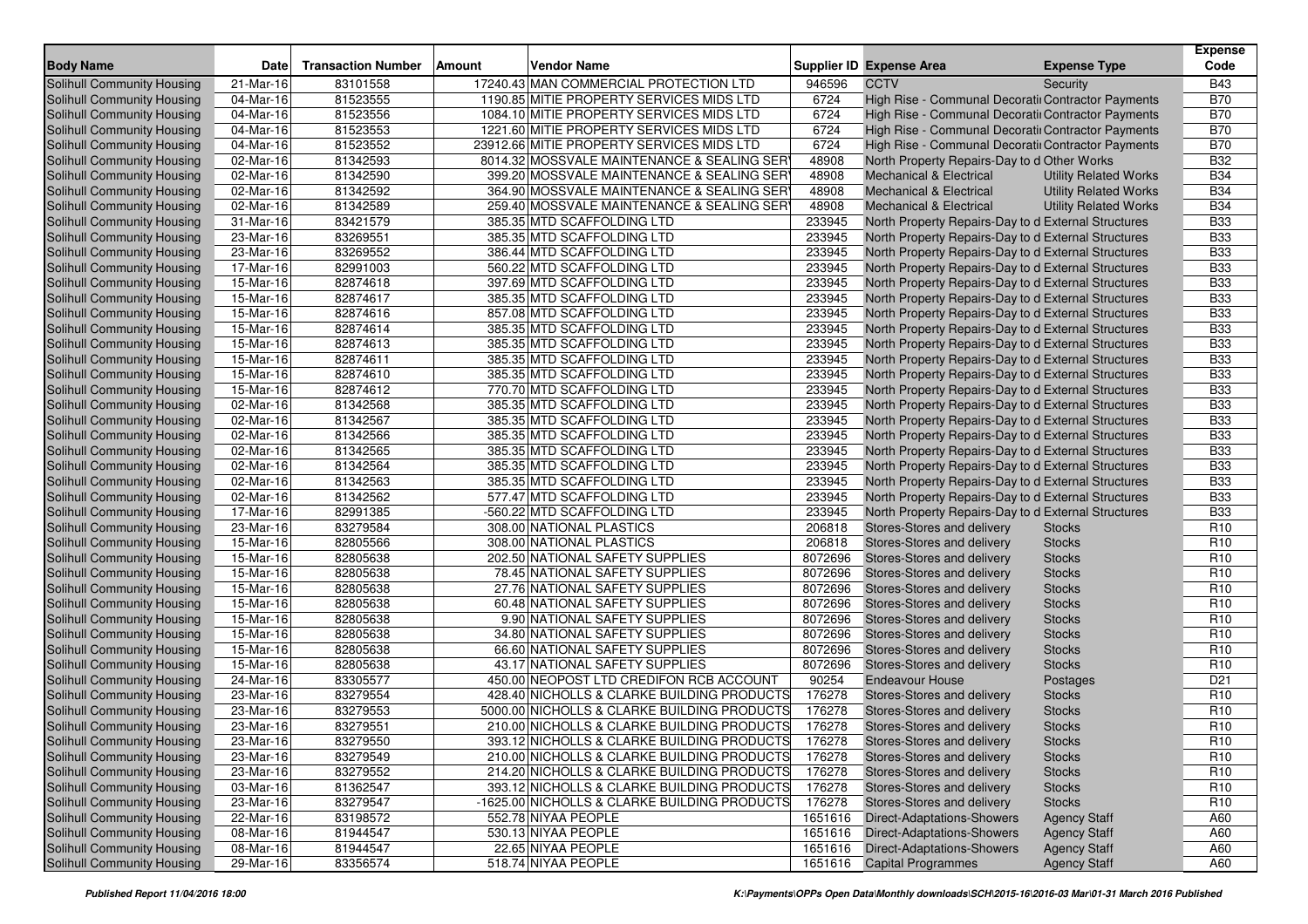| <b>Body Name</b>                  | Date                    | <b>Transaction Number</b> | Amount | <b>Vendor Name</b>                           |         | Supplier ID Expense Area                            | <b>Expense Type</b>          | <b>Expense</b><br>Code |
|-----------------------------------|-------------------------|---------------------------|--------|----------------------------------------------|---------|-----------------------------------------------------|------------------------------|------------------------|
| <b>Solihull Community Housing</b> | 21-Mar-16               | 83101558                  |        | 17240.43 MAN COMMERCIAL PROTECTION LTD       | 946596  | <b>CCTV</b>                                         | Security                     | <b>B43</b>             |
| Solihull Community Housing        | 04-Mar-16               | 81523555                  |        | 1190.85 MITIE PROPERTY SERVICES MIDS LTD     | 6724    | High Rise - Communal Decoratii Contractor Payments  |                              | <b>B70</b>             |
| Solihull Community Housing        | 04-Mar-16               | 81523556                  |        | 1084.10 MITIE PROPERTY SERVICES MIDS LTD     | 6724    | High Rise - Communal Decoratiı Contractor Payments  |                              | <b>B70</b>             |
| Solihull Community Housing        | 04-Mar-16               | 81523553                  |        | 1221.60 MITIE PROPERTY SERVICES MIDS LTD     | 6724    | High Rise - Communal Decoratii Contractor Payments  |                              | <b>B70</b>             |
| Solihull Community Housing        | 04-Mar-16               | 81523552                  |        | 23912.66 MITIE PROPERTY SERVICES MIDS LTD    | 6724    | High Rise - Communal Decoratii Contractor Payments  |                              | <b>B70</b>             |
| Solihull Community Housing        | 02-Mar-16               | 81342593                  |        | 8014.32 MOSSVALE MAINTENANCE & SEALING SER   | 48908   | North Property Repairs-Day to d Other Works         |                              | <b>B32</b>             |
| Solihull Community Housing        | 02-Mar-16               | 81342590                  |        | 399.20 MOSSVALE MAINTENANCE & SEALING SER    | 48908   | <b>Mechanical &amp; Electrical</b>                  | <b>Utility Related Works</b> | <b>B34</b>             |
| Solihull Community Housing        | 02-Mar-16               | 81342592                  |        | 364.90 MOSSVALE MAINTENANCE & SEALING SER    | 48908   | <b>Mechanical &amp; Electrical</b>                  | <b>Utility Related Works</b> | <b>B34</b>             |
| Solihull Community Housing        | 02-Mar-16               | 81342589                  |        | 259.40 MOSSVALE MAINTENANCE & SEALING SER    | 48908   | <b>Mechanical &amp; Electrical</b>                  | <b>Utility Related Works</b> | <b>B34</b>             |
| Solihull Community Housing        | 31-Mar-16               | 83421579                  |        | 385.35 MTD SCAFFOLDING LTD                   | 233945  | North Property Repairs-Day to d External Structures |                              | <b>B33</b>             |
| <b>Solihull Community Housing</b> | 23-Mar-16               | 83269551                  |        | 385.35 MTD SCAFFOLDING LTD                   | 233945  | North Property Repairs-Day to d External Structures |                              | <b>B33</b>             |
| Solihull Community Housing        | 23-Mar-16               | 83269552                  |        | 386.44 MTD SCAFFOLDING LTD                   | 233945  | North Property Repairs-Day to d External Structures |                              | <b>B33</b>             |
| Solihull Community Housing        | 17-Mar-16               | 82991003                  |        | 560.22 MTD SCAFFOLDING LTD                   | 233945  | North Property Repairs-Day to d External Structures |                              | <b>B33</b>             |
| Solihull Community Housing        | 15-Mar-16               | 82874618                  |        | 397.69 MTD SCAFFOLDING LTD                   | 233945  | North Property Repairs-Day to d External Structures |                              | <b>B33</b>             |
| Solihull Community Housing        | 15-Mar-16               | 82874617                  |        | 385.35 MTD SCAFFOLDING LTD                   | 233945  | North Property Repairs-Day to d External Structures |                              | <b>B33</b>             |
| <b>Solihull Community Housing</b> | 15-Mar-16               | 82874616                  |        | 857.08 MTD SCAFFOLDING LTD                   | 233945  | North Property Repairs-Day to d External Structures |                              | <b>B33</b>             |
| Solihull Community Housing        | 15-Mar-16               | 82874614                  |        | 385.35 MTD SCAFFOLDING LTD                   | 233945  | North Property Repairs-Day to d External Structures |                              | <b>B33</b>             |
| Solihull Community Housing        | 15-Mar-16               | 82874613                  |        | 385.35 MTD SCAFFOLDING LTD                   | 233945  | North Property Repairs-Day to d External Structures |                              | <b>B33</b>             |
| Solihull Community Housing        | 15-Mar-16               | 82874611                  |        | 385.35 MTD SCAFFOLDING LTD                   | 233945  | North Property Repairs-Day to d External Structures |                              | <b>B33</b>             |
| <b>Solihull Community Housing</b> | 15-Mar-16               | 82874610                  |        | 385.35 MTD SCAFFOLDING LTD                   | 233945  | North Property Repairs-Day to d External Structures |                              | <b>B33</b>             |
| Solihull Community Housing        | 15-Mar-16               | 82874612                  |        | 770.70 MTD SCAFFOLDING LTD                   | 233945  | North Property Repairs-Day to d External Structures |                              | <b>B33</b>             |
| Solihull Community Housing        | 02-Mar-16               | 81342568                  |        | 385.35 MTD SCAFFOLDING LTD                   | 233945  | North Property Repairs-Day to d External Structures |                              | <b>B33</b>             |
| Solihull Community Housing        | 02-Mar-16               | 81342567                  |        | 385.35 MTD SCAFFOLDING LTD                   | 233945  | North Property Repairs-Day to d External Structures |                              | <b>B33</b>             |
| Solihull Community Housing        | 02-Mar-16               | 81342566                  |        | 385.35 MTD SCAFFOLDING LTD                   | 233945  | North Property Repairs-Day to d External Structures |                              | <b>B33</b>             |
| Solihull Community Housing        | 02-Mar-16               | 81342565                  |        | 385.35 MTD SCAFFOLDING LTD                   | 233945  | North Property Repairs-Day to d External Structures |                              | <b>B33</b>             |
| Solihull Community Housing        | 02-Mar-16               | 81342564                  |        | 385.35 MTD SCAFFOLDING LTD                   | 233945  | North Property Repairs-Day to d External Structures |                              | <b>B33</b>             |
| Solihull Community Housing        | 02-Mar-16               | 81342563                  |        | 385.35 MTD SCAFFOLDING LTD                   | 233945  | North Property Repairs-Day to d External Structures |                              | <b>B33</b>             |
| Solihull Community Housing        | 02-Mar-16               | 81342562                  |        | 577.47 MTD SCAFFOLDING LTD                   | 233945  | North Property Repairs-Day to d External Structures |                              | <b>B33</b>             |
| Solihull Community Housing        | $\overline{17}$ -Mar-16 | 82991385                  |        | -560.22 MTD SCAFFOLDING LTD                  | 233945  | North Property Repairs-Day to d External Structures |                              | <b>B33</b>             |
| Solihull Community Housing        | 23-Mar-16               | 83279584                  |        | 308.00 NATIONAL PLASTICS                     | 206818  | Stores-Stores and delivery                          | <b>Stocks</b>                | R <sub>10</sub>        |
| Solihull Community Housing        | 15-Mar-16               | 82805566                  |        | 308.00 NATIONAL PLASTICS                     | 206818  | Stores-Stores and delivery                          | <b>Stocks</b>                | R <sub>10</sub>        |
| Solihull Community Housing        | 15-Mar-16               | 82805638                  |        | 202.50 NATIONAL SAFETY SUPPLIES              | 8072696 | Stores-Stores and delivery                          | <b>Stocks</b>                | R <sub>10</sub>        |
| Solihull Community Housing        | 15-Mar-16               | 82805638                  |        | 78.45 NATIONAL SAFETY SUPPLIES               | 8072696 | Stores-Stores and delivery                          | <b>Stocks</b>                | R <sub>10</sub>        |
| Solihull Community Housing        | 15-Mar-16               | 82805638                  |        | 27.76 NATIONAL SAFETY SUPPLIES               | 8072696 | Stores-Stores and delivery                          | <b>Stocks</b>                | R <sub>10</sub>        |
| Solihull Community Housing        | 15-Mar-16               | 82805638                  |        | 60.48 NATIONAL SAFETY SUPPLIES               | 8072696 | Stores-Stores and delivery                          | <b>Stocks</b>                | R <sub>10</sub>        |
| Solihull Community Housing        | 15-Mar-16               | 82805638                  |        | 9.90 NATIONAL SAFETY SUPPLIES                | 8072696 | Stores-Stores and delivery                          | <b>Stocks</b>                | R <sub>10</sub>        |
| Solihull Community Housing        | 15-Mar-16               | 82805638                  |        | 34.80 NATIONAL SAFETY SUPPLIES               | 8072696 | Stores-Stores and delivery                          | <b>Stocks</b>                | R <sub>10</sub>        |
| Solihull Community Housing        | 15-Mar-16               | 82805638                  |        | 66.60 NATIONAL SAFETY SUPPLIES               | 8072696 | Stores-Stores and delivery                          | <b>Stocks</b>                | R <sub>10</sub>        |
| Solihull Community Housing        | 15-Mar-16               | 82805638                  |        | 43.17 NATIONAL SAFETY SUPPLIES               | 8072696 | Stores-Stores and delivery                          | <b>Stocks</b>                | R <sub>10</sub>        |
| Solihull Community Housing        | $24$ -Mar-16            | 83305577                  |        | 450.00 NEOPOST LTD CREDIFON RCB ACCOUNT      | 90254   | <b>Endeavour House</b>                              | Postages                     | D <sub>21</sub>        |
| Solihull Community Housing        | 23-Mar-16               | 83279554                  |        | 428.40 NICHOLLS & CLARKE BUILDING PRODUCTS   | 176278  | Stores-Stores and delivery                          | <b>Stocks</b>                | R <sub>10</sub>        |
| <b>Solihull Community Housing</b> | 23-Mar-16               | 83279553                  |        | 5000.00 NICHOLLS & CLARKE BUILDING PRODUCTS  | 176278  | Stores-Stores and delivery                          | <b>Stocks</b>                | R <sub>10</sub>        |
| Solihull Community Housing        | 23-Mar-16               | 83279551                  |        | 210.00 NICHOLLS & CLARKE BUILDING PRODUCTS   | 176278  | Stores-Stores and delivery                          | <b>Stocks</b>                | R <sub>10</sub>        |
| <b>Solihull Community Housing</b> | 23-Mar-16               | 83279550                  |        | 393.12 NICHOLLS & CLARKE BUILDING PRODUCTS   | 176278  | Stores-Stores and delivery                          | <b>Stocks</b>                | R <sub>10</sub>        |
| Solihull Community Housing        | 23-Mar-16               | 83279549                  |        | 210.00 NICHOLLS & CLARKE BUILDING PRODUCTS   | 176278  | Stores-Stores and delivery                          | <b>Stocks</b>                | R <sub>10</sub>        |
| Solihull Community Housing        | $\overline{23}$ -Mar-16 | 83279552                  |        | 214.20 NICHOLLS & CLARKE BUILDING PRODUCTS   | 176278  | Stores-Stores and delivery                          | <b>Stocks</b>                | R <sub>10</sub>        |
| Solihull Community Housing        | 03-Mar-16               | 81362547                  |        | 393.12 NICHOLLS & CLARKE BUILDING PRODUCTS   | 176278  | Stores-Stores and delivery                          | <b>Stocks</b>                | R <sub>10</sub>        |
| Solihull Community Housing        | $23-Mar-16$             | 83279547                  |        | -1625.00 NICHOLLS & CLARKE BUILDING PRODUCTS | 176278  | Stores-Stores and delivery                          | <b>Stocks</b>                | R <sub>10</sub>        |
| Solihull Community Housing        | 22-Mar-16               | 83198572                  |        | 552.78 NIYAA PEOPLE                          | 1651616 | Direct-Adaptations-Showers                          | <b>Agency Staff</b>          | A60                    |
| Solihull Community Housing        | 08-Mar-16               | 81944547                  |        | 530.13 NIYAA PEOPLE                          | 1651616 | <b>Direct-Adaptations-Showers</b>                   | <b>Agency Staff</b>          | A60                    |
| Solihull Community Housing        | 08-Mar-16               | 81944547                  |        | 22.65 NIYAA PEOPLE                           | 1651616 | <b>Direct-Adaptations-Showers</b>                   | <b>Agency Staff</b>          | A60                    |
| <b>Solihull Community Housing</b> | 29-Mar-16               | 83356574                  |        | 518.74 NIYAA PEOPLE                          |         | 1651616 Capital Programmes                          | <b>Agency Staff</b>          | A60                    |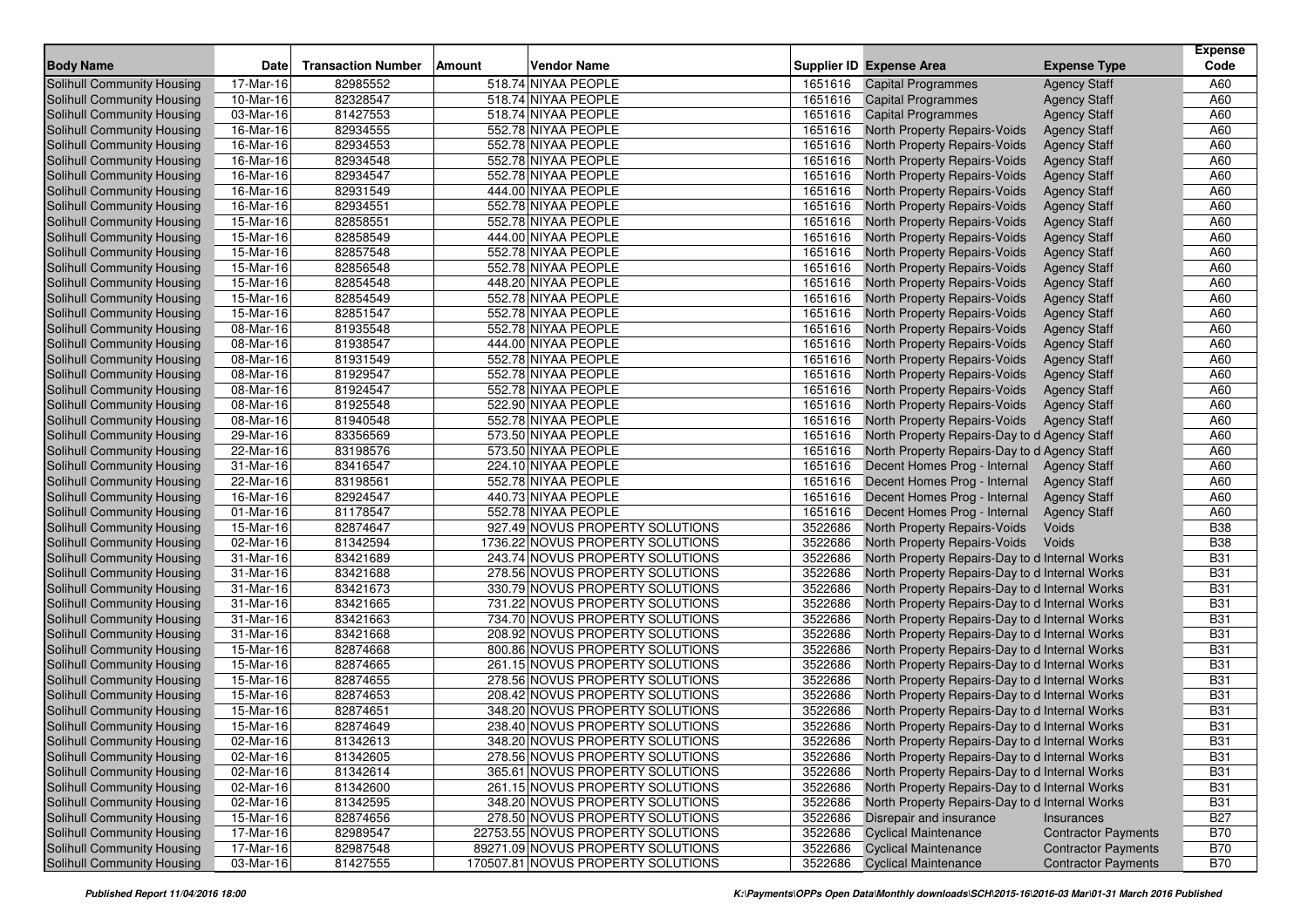|                                   |              |                           |        |                                    |         |                                                |                            | <b>Expense</b> |
|-----------------------------------|--------------|---------------------------|--------|------------------------------------|---------|------------------------------------------------|----------------------------|----------------|
| <b>Body Name</b>                  | Date         | <b>Transaction Number</b> | Amount | <b>Vendor Name</b>                 |         | <b>Supplier ID Expense Area</b>                | <b>Expense Type</b>        | Code           |
| <b>Solihull Community Housing</b> | 17-Mar-16    | 82985552                  |        | 518.74 NIYAA PEOPLE                | 1651616 | <b>Capital Programmes</b>                      | <b>Agency Staff</b>        | A60            |
| <b>Solihull Community Housing</b> | 10-Mar-16    | 82328547                  |        | 518.74 NIYAA PEOPLE                | 1651616 | <b>Capital Programmes</b>                      | <b>Agency Staff</b>        | A60            |
| <b>Solihull Community Housing</b> | 03-Mar-16    | 81427553                  |        | 518.74 NIYAA PEOPLE                | 1651616 | <b>Capital Programmes</b>                      | <b>Agency Staff</b>        | A60            |
| Solihull Community Housing        | 16-Mar-16    | 82934555                  |        | 552.78 NIYAA PEOPLE                | 1651616 | North Property Repairs-Voids                   | <b>Agency Staff</b>        | A60            |
| Solihull Community Housing        | 16-Mar-16    | 82934553                  |        | 552.78 NIYAA PEOPLE                | 1651616 | North Property Repairs-Voids                   | <b>Agency Staff</b>        | A60            |
| Solihull Community Housing        | $16$ -Mar-16 | 82934548                  |        | 552.78 NIYAA PEOPLE                | 1651616 | North Property Repairs-Voids                   | <b>Agency Staff</b>        | A60            |
| Solihull Community Housing        | 16-Mar-16    | 82934547                  |        | 552.78 NIYAA PEOPLE                | 1651616 | North Property Repairs-Voids                   | <b>Agency Staff</b>        | A60            |
| Solihull Community Housing        | 16-Mar-16    | 82931549                  |        | 444.00 NIYAA PEOPLE                | 1651616 | North Property Repairs-Voids                   | <b>Agency Staff</b>        | A60            |
| Solihull Community Housing        | 16-Mar-16    | 82934551                  |        | 552.78 NIYAA PEOPLE                | 1651616 | North Property Repairs-Voids                   | <b>Agency Staff</b>        | A60            |
| Solihull Community Housing        | 15-Mar-16    | 82858551                  |        | 552.78 NIYAA PEOPLE                | 1651616 | North Property Repairs-Voids                   | <b>Agency Staff</b>        | A60            |
| Solihull Community Housing        | 15-Mar-16    | 82858549                  |        | 444.00 NIYAA PEOPLE                | 1651616 | North Property Repairs-Voids                   | <b>Agency Staff</b>        | A60            |
| Solihull Community Housing        | 15-Mar-16    | 82857548                  |        | 552.78 NIYAA PEOPLE                | 1651616 | North Property Repairs-Voids                   | <b>Agency Staff</b>        | A60            |
| Solihull Community Housing        | 15-Mar-16    | 82856548                  |        | 552.78 NIYAA PEOPLE                | 1651616 | North Property Repairs-Voids                   | <b>Agency Staff</b>        | A60            |
| Solihull Community Housing        | 15-Mar-16    | 82854548                  |        | 448.20 NIYAA PEOPLE                | 1651616 | North Property Repairs-Voids                   | <b>Agency Staff</b>        | A60            |
| Solihull Community Housing        | 15-Mar-16    | 82854549                  |        | 552.78 NIYAA PEOPLE                | 1651616 | North Property Repairs-Voids                   | <b>Agency Staff</b>        | A60            |
| Solihull Community Housing        | 15-Mar-16    | 82851547                  |        | 552.78 NIYAA PEOPLE                | 1651616 | North Property Repairs-Voids                   | <b>Agency Staff</b>        | A60            |
| <b>Solihull Community Housing</b> | 08-Mar-16    | 81935548                  |        | 552.78 NIYAA PEOPLE                | 1651616 | North Property Repairs-Voids                   | <b>Agency Staff</b>        | A60            |
| Solihull Community Housing        | 08-Mar-16    | 81938547                  |        | 444.00 NIYAA PEOPLE                | 1651616 | North Property Repairs-Voids                   | <b>Agency Staff</b>        | A60            |
| Solihull Community Housing        | 08-Mar-16    | 81931549                  |        | 552.78 NIYAA PEOPLE                | 1651616 | North Property Repairs-Voids                   | <b>Agency Staff</b>        | A60            |
| Solihull Community Housing        | 08-Mar-16    | 81929547                  |        | 552.78 NIYAA PEOPLE                | 1651616 | North Property Repairs-Voids                   | <b>Agency Staff</b>        | A60            |
| Solihull Community Housing        | 08-Mar-16    | 81924547                  |        | 552.78 NIYAA PEOPLE                | 1651616 | North Property Repairs-Voids                   | <b>Agency Staff</b>        | A60            |
| Solihull Community Housing        | 08-Mar-16    | 81925548                  |        | 522.90 NIYAA PEOPLE                | 1651616 | North Property Repairs-Voids                   | <b>Agency Staff</b>        | A60            |
| Solihull Community Housing        | 08-Mar-16    | 81940548                  |        | 552.78 NIYAA PEOPLE                | 1651616 | North Property Repairs-Voids                   | <b>Agency Staff</b>        | A60            |
| Solihull Community Housing        | 29-Mar-16    | 83356569                  |        | 573.50 NIYAA PEOPLE                | 1651616 | North Property Repairs-Day to d Agency Staff   |                            | A60            |
| Solihull Community Housing        | 22-Mar-16    | 83198576                  |        | 573.50 NIYAA PEOPLE                | 1651616 | North Property Repairs-Day to d Agency Staff   |                            | A60            |
| Solihull Community Housing        | 31-Mar-16    | 83416547                  |        | 224.10 NIYAA PEOPLE                | 1651616 | Decent Homes Prog - Internal                   | <b>Agency Staff</b>        | A60            |
| Solihull Community Housing        | 22-Mar-16    | 83198561                  |        | 552.78 NIYAA PEOPLE                | 1651616 | Decent Homes Prog - Internal                   | <b>Agency Staff</b>        | A60            |
| Solihull Community Housing        | $16$ -Mar-16 | 82924547                  |        | 440.73 NIYAA PEOPLE                | 1651616 | Decent Homes Prog - Internal                   | <b>Agency Staff</b>        | A60            |
| Solihull Community Housing        | 01-Mar-16    | 81178547                  |        | 552.78 NIYAA PEOPLE                | 1651616 | Decent Homes Prog - Internal                   | <b>Agency Staff</b>        | A60            |
| Solihull Community Housing        | 15-Mar-16    | 82874647                  |        | 927.49 NOVUS PROPERTY SOLUTIONS    | 3522686 | North Property Repairs-Voids                   | Voids                      | <b>B38</b>     |
| Solihull Community Housing        | 02-Mar-16    | 81342594                  |        | 1736.22 NOVUS PROPERTY SOLUTIONS   | 3522686 | North Property Repairs-Voids                   | Voids                      | <b>B38</b>     |
| Solihull Community Housing        | 31-Mar-16    | 83421689                  |        | 243.74 NOVUS PROPERTY SOLUTIONS    | 3522686 | North Property Repairs-Day to d Internal Works |                            | <b>B31</b>     |
| Solihull Community Housing        | 31-Mar-16    | 83421688                  |        | 278.56 NOVUS PROPERTY SOLUTIONS    | 3522686 | North Property Repairs-Day to d Internal Works |                            | <b>B31</b>     |
| Solihull Community Housing        | 31-Mar-16    | 83421673                  |        | 330.79 NOVUS PROPERTY SOLUTIONS    | 3522686 | North Property Repairs-Day to d Internal Works |                            | <b>B31</b>     |
| Solihull Community Housing        | 31-Mar-16    | 83421665                  |        | 731.22 NOVUS PROPERTY SOLUTIONS    | 3522686 | North Property Repairs-Day to d Internal Works |                            | <b>B31</b>     |
| Solihull Community Housing        | 31-Mar-16    | 83421663                  |        | 734.70 NOVUS PROPERTY SOLUTIONS    | 3522686 | North Property Repairs-Day to d Internal Works |                            | <b>B31</b>     |
| Solihull Community Housing        | 31-Mar-16    | 83421668                  |        | 208.92 NOVUS PROPERTY SOLUTIONS    | 3522686 | North Property Repairs-Day to d Internal Works |                            | <b>B31</b>     |
| Solihull Community Housing        | 15-Mar-16    | 82874668                  |        | 800.86 NOVUS PROPERTY SOLUTIONS    | 3522686 | North Property Repairs-Day to d Internal Works |                            | <b>B31</b>     |
| Solihull Community Housing        | 15-Mar-16    | 82874665                  |        | 261.15 NOVUS PROPERTY SOLUTIONS    | 3522686 | North Property Repairs-Day to d Internal Works |                            | <b>B31</b>     |
| Solihull Community Housing        | $15-Mar-16$  | 82874655                  |        | 278.56 NOVUS PROPERTY SOLUTIONS    | 3522686 | North Property Repairs-Day to d Internal Works |                            | <b>B31</b>     |
| Solihull Community Housing        | 15-Mar-16    | 82874653                  |        | 208.42 NOVUS PROPERTY SOLUTIONS    | 3522686 | North Property Repairs-Day to d Internal Works |                            | <b>B31</b>     |
| <b>Solihull Community Housing</b> | 15-Mar-16    | 82874651                  |        | 348.20 NOVUS PROPERTY SOLUTIONS    | 3522686 | North Property Repairs-Day to d Internal Works |                            | <b>B31</b>     |
| Solihull Community Housing        | 15-Mar-16    | 82874649                  |        | 238.40 NOVUS PROPERTY SOLUTIONS    | 3522686 | North Property Repairs-Day to d Internal Works |                            | <b>B31</b>     |
| Solihull Community Housing        | 02-Mar-16    | 81342613                  |        | 348.20 NOVUS PROPERTY SOLUTIONS    | 3522686 | North Property Repairs-Day to d Internal Works |                            | <b>B31</b>     |
| Solihull Community Housing        | 02-Mar-16    | 81342605                  |        | 278.56 NOVUS PROPERTY SOLUTIONS    | 3522686 | North Property Repairs-Day to d Internal Works |                            | <b>B31</b>     |
| Solihull Community Housing        | 02-Mar-16    | 81342614                  |        | 365.61 NOVUS PROPERTY SOLUTIONS    | 3522686 | North Property Repairs-Day to d Internal Works |                            | <b>B31</b>     |
| Solihull Community Housing        | 02-Mar-16    | 81342600                  |        | 261.15 NOVUS PROPERTY SOLUTIONS    | 3522686 | North Property Repairs-Day to d Internal Works |                            | <b>B31</b>     |
| Solihull Community Housing        | 02-Mar-16    | 81342595                  |        | 348.20 NOVUS PROPERTY SOLUTIONS    | 3522686 | North Property Repairs-Day to d Internal Works |                            | <b>B31</b>     |
| Solihull Community Housing        | 15-Mar-16    | 82874656                  |        | 278.50 NOVUS PROPERTY SOLUTIONS    | 3522686 | Disrepair and insurance                        | Insurances                 | <b>B27</b>     |
| Solihull Community Housing        | 17-Mar-16    | 82989547                  |        | 22753.55 NOVUS PROPERTY SOLUTIONS  | 3522686 | <b>Cyclical Maintenance</b>                    | <b>Contractor Payments</b> | <b>B70</b>     |
| Solihull Community Housing        | 17-Mar-16    | 82987548                  |        | 89271.09 NOVUS PROPERTY SOLUTIONS  | 3522686 | <b>Cyclical Maintenance</b>                    | <b>Contractor Payments</b> | <b>B70</b>     |
| Solihull Community Housing        | 03-Mar-16    | 81427555                  |        | 170507.81 NOVUS PROPERTY SOLUTIONS | 3522686 | <b>Cyclical Maintenance</b>                    | <b>Contractor Payments</b> | <b>B70</b>     |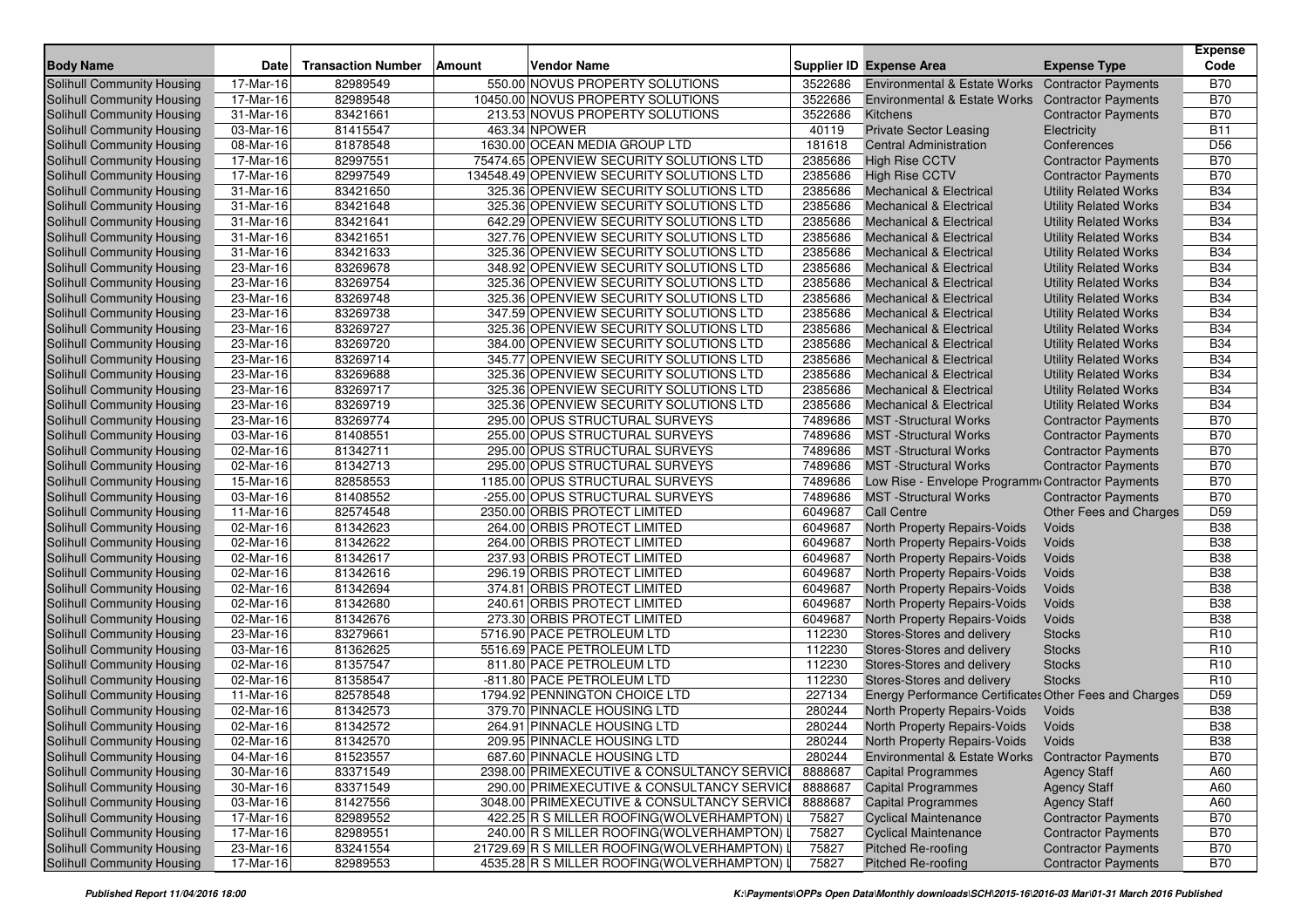| <b>Body Name</b>                  | <b>Date</b>  | <b>Transaction Number</b> | <b>Amount</b> | Vendor Name                                 |         | Supplier ID Expense Area                               | <b>Expense Type</b>          | <b>Expense</b><br>Code |
|-----------------------------------|--------------|---------------------------|---------------|---------------------------------------------|---------|--------------------------------------------------------|------------------------------|------------------------|
| Solihull Community Housing        | 17-Mar-16    | 82989549                  |               | 550.00 NOVUS PROPERTY SOLUTIONS             | 3522686 | Environmental & Estate Works                           | <b>Contractor Payments</b>   | <b>B70</b>             |
| Solihull Community Housing        | 17-Mar-16    | 82989548                  |               | 10450.00 NOVUS PROPERTY SOLUTIONS           | 3522686 | <b>Environmental &amp; Estate Works</b>                | <b>Contractor Payments</b>   | <b>B70</b>             |
| Solihull Community Housing        | 31-Mar-16    | 83421661                  |               | 213.53 NOVUS PROPERTY SOLUTIONS             | 3522686 | Kitchens                                               | <b>Contractor Payments</b>   | <b>B70</b>             |
| Solihull Community Housing        | 03-Mar-16    | 81415547                  |               | 463.34 NPOWER                               | 40119   | <b>Private Sector Leasing</b>                          | Electricity                  | <b>B11</b>             |
| Solihull Community Housing        | 08-Mar-16    | 81878548                  |               | 1630.00 OCEAN MEDIA GROUP LTD               | 181618  | <b>Central Administration</b>                          | Conferences                  | D <sub>56</sub>        |
| Solihull Community Housing        | 17-Mar-16    | 82997551                  |               | 75474.65 OPENVIEW SECURITY SOLUTIONS LTD    | 2385686 | <b>High Rise CCTV</b>                                  | <b>Contractor Payments</b>   | <b>B70</b>             |
| Solihull Community Housing        | 17-Mar-16    | 82997549                  |               | 134548.49 OPENVIEW SECURITY SOLUTIONS LTD   | 2385686 | <b>High Rise CCTV</b>                                  | <b>Contractor Payments</b>   | <b>B70</b>             |
| Solihull Community Housing        | 31-Mar-16    | 83421650                  |               | 325.36 OPENVIEW SECURITY SOLUTIONS LTD      | 2385686 | Mechanical & Electrical                                | <b>Utility Related Works</b> | <b>B34</b>             |
| Solihull Community Housing        | 31-Mar-16    | 83421648                  |               | 325.36 OPENVIEW SECURITY SOLUTIONS LTD      | 2385686 | Mechanical & Electrical                                | <b>Utility Related Works</b> | <b>B34</b>             |
| Solihull Community Housing        | 31-Mar-16    | 83421641                  |               | 642.29 OPENVIEW SECURITY SOLUTIONS LTD      | 2385686 | <b>Mechanical &amp; Electrical</b>                     | <b>Utility Related Works</b> | <b>B34</b>             |
| Solihull Community Housing        | 31-Mar-16    | 83421651                  |               | 327.76 OPENVIEW SECURITY SOLUTIONS LTD      | 2385686 | <b>Mechanical &amp; Electrical</b>                     | <b>Utility Related Works</b> | <b>B34</b>             |
| Solihull Community Housing        | 31-Mar-16    | 83421633                  |               | 325.36 OPENVIEW SECURITY SOLUTIONS LTD      | 2385686 | Mechanical & Electrical                                | <b>Utility Related Works</b> | <b>B34</b>             |
| Solihull Community Housing        | 23-Mar-16    | 83269678                  |               | 348.92 OPENVIEW SECURITY SOLUTIONS LTD      | 2385686 | Mechanical & Electrical                                | <b>Utility Related Works</b> | <b>B34</b>             |
| Solihull Community Housing        | $23-Mar-16$  | 83269754                  |               | 325.36 OPENVIEW SECURITY SOLUTIONS LTD      | 2385686 | <b>Mechanical &amp; Electrical</b>                     | <b>Utility Related Works</b> | <b>B34</b>             |
| Solihull Community Housing        | 23-Mar-16    | 83269748                  |               | 325.36 OPENVIEW SECURITY SOLUTIONS LTD      | 2385686 | Mechanical & Electrical                                | <b>Utility Related Works</b> | <b>B34</b>             |
| Solihull Community Housing        | 23-Mar-16    | 83269738                  |               | 347.59 OPENVIEW SECURITY SOLUTIONS LTD      | 2385686 | Mechanical & Electrical                                | <b>Utility Related Works</b> | <b>B34</b>             |
| Solihull Community Housing        | 23-Mar-16    | 83269727                  |               | 325.36 OPENVIEW SECURITY SOLUTIONS LTD      | 2385686 | Mechanical & Electrical                                | <b>Utility Related Works</b> | <b>B34</b>             |
| Solihull Community Housing        | 23-Mar-16    | 83269720                  |               | 384.00 OPENVIEW SECURITY SOLUTIONS LTD      | 2385686 | <b>Mechanical &amp; Electrical</b>                     | <b>Utility Related Works</b> | <b>B34</b>             |
| Solihull Community Housing        | 23-Mar-16    | 83269714                  |               | 345.77 OPENVIEW SECURITY SOLUTIONS LTD      | 2385686 | Mechanical & Electrical                                | <b>Utility Related Works</b> | <b>B34</b>             |
| Solihull Community Housing        | 23-Mar-16    | 83269688                  |               | 325.36 OPENVIEW SECURITY SOLUTIONS LTD      | 2385686 | <b>Mechanical &amp; Electrical</b>                     | <b>Utility Related Works</b> | <b>B34</b>             |
| Solihull Community Housing        | 23-Mar-16    | 83269717                  |               | 325.36 OPENVIEW SECURITY SOLUTIONS LTD      | 2385686 | Mechanical & Electrical                                | <b>Utility Related Works</b> | <b>B34</b>             |
| Solihull Community Housing        | 23-Mar-16    | 83269719                  |               | 325.36 OPENVIEW SECURITY SOLUTIONS LTD      | 2385686 | <b>Mechanical &amp; Electrical</b>                     | <b>Utility Related Works</b> | <b>B34</b>             |
| Solihull Community Housing        | 23-Mar-16    | 83269774                  |               | 295.00 OPUS STRUCTURAL SURVEYS              | 7489686 | <b>MST</b> -Structural Works                           | <b>Contractor Payments</b>   | <b>B70</b>             |
| Solihull Community Housing        | 03-Mar-16    | 81408551                  |               | 255.00 OPUS STRUCTURAL SURVEYS              | 7489686 | <b>MST</b> -Structural Works                           | <b>Contractor Payments</b>   | <b>B70</b>             |
| Solihull Community Housing        | 02-Mar-16    | 81342711                  |               | 295.00 OPUS STRUCTURAL SURVEYS              | 7489686 | <b>MST</b> -Structural Works                           | <b>Contractor Payments</b>   | <b>B70</b>             |
| Solihull Community Housing        | 02-Mar-16    | 81342713                  |               | 295.00 OPUS STRUCTURAL SURVEYS              | 7489686 | <b>MST</b> -Structural Works                           | <b>Contractor Payments</b>   | <b>B70</b>             |
| Solihull Community Housing        | 15-Mar-16    | 82858553                  |               | 1185.00 OPUS STRUCTURAL SURVEYS             | 7489686 | Low Rise - Envelope Programm                           | <b>Contractor Payments</b>   | <b>B70</b>             |
| Solihull Community Housing        | 03-Mar-16    | 81408552                  |               | -255.00 OPUS STRUCTURAL SURVEYS             | 7489686 | <b>MST</b> -Structural Works                           | <b>Contractor Payments</b>   | <b>B70</b>             |
| Solihull Community Housing        | 11-Mar-16    | 82574548                  |               | 2350.00 ORBIS PROTECT LIMITED               | 6049687 | <b>Call Centre</b>                                     | Other Fees and Charges       | D <sub>59</sub>        |
| Solihull Community Housing        | 02-Mar-16    | 81342623                  |               | 264.00 ORBIS PROTECT LIMITED                | 6049687 | North Property Repairs-Voids                           | Voids                        | <b>B38</b>             |
| Solihull Community Housing        | 02-Mar-16    | 81342622                  |               | 264.00 ORBIS PROTECT LIMITED                | 6049687 | <b>North Property Repairs-Voids</b>                    | Voids                        | <b>B38</b>             |
| Solihull Community Housing        | 02-Mar-16    | 81342617                  |               | 237.93 ORBIS PROTECT LIMITED                | 6049687 | North Property Repairs-Voids                           | Voids                        | <b>B38</b>             |
| Solihull Community Housing        | 02-Mar-16    | 81342616                  |               | 296.19 ORBIS PROTECT LIMITED                | 6049687 | North Property Repairs-Voids                           | Voids                        | <b>B38</b>             |
| Solihull Community Housing        | 02-Mar-16    | 81342694                  |               | 374.81 ORBIS PROTECT LIMITED                | 6049687 | North Property Repairs-Voids                           | Voids                        | <b>B38</b>             |
| Solihull Community Housing        | 02-Mar-16    | 81342680                  |               | 240.61 ORBIS PROTECT LIMITED                | 6049687 | North Property Repairs-Voids                           | Voids                        | <b>B38</b>             |
| <b>Solihull Community Housing</b> | 02-Mar-16    | 81342676                  |               | 273.30 ORBIS PROTECT LIMITED                | 6049687 | North Property Repairs-Voids                           | Voids                        | <b>B38</b>             |
| Solihull Community Housing        | 23-Mar-16    | 83279661                  |               | 5716.90 PACE PETROLEUM LTD                  | 112230  | Stores-Stores and delivery                             | <b>Stocks</b>                | R <sub>10</sub>        |
| Solihull Community Housing        | 03-Mar-16    | 81362625                  |               | 5516.69 PACE PETROLEUM LTD                  | 112230  | Stores-Stores and delivery                             | <b>Stocks</b>                | R <sub>10</sub>        |
| Solihull Community Housing        | 02-Mar-16    | 81357547                  |               | 811.80 PACE PETROLEUM LTD                   | 112230  | Stores-Stores and delivery                             | <b>Stocks</b>                | R <sub>10</sub>        |
| Solihull Community Housing        | 02-Mar-16    | 81358547                  |               | -811.80 PACE PETROLEUM LTD                  | 112230  | Stores-Stores and delivery                             | <b>Stocks</b>                | R <sub>10</sub>        |
| Solihull Community Housing        | 11-Mar-16    | 82578548                  |               | 1794.92 PENNINGTON CHOICE LTD               | 227134  | Energy Performance Certificates Other Fees and Charges |                              | D <sub>59</sub>        |
| <b>Solihull Community Housing</b> | 02-Mar-16    | 81342573                  |               | 379.70 PINNACLE HOUSING LTD                 | 280244  | North Property Repairs-Voids                           | Voids                        | <b>B38</b>             |
| Solihull Community Housing        | 02-Mar-16    | 81342572                  |               | 264.91 PINNACLE HOUSING LTD                 | 280244  | North Property Repairs-Voids                           | Voids                        | <b>B38</b>             |
| <b>Solihull Community Housing</b> | 02-Mar-16    | 81342570                  |               | 209.95 PINNACLE HOUSING LTD                 | 280244  | North Property Repairs-Voids                           | Voids                        | <b>B38</b>             |
| Solihull Community Housing        | 04-Mar-16    | 81523557                  |               | 687.60 PINNACLE HOUSING LTD                 | 280244  | Environmental & Estate Works                           | <b>Contractor Payments</b>   | <b>B70</b>             |
| Solihull Community Housing        | 30-Mar-16    | 83371549                  |               | 2398.00 PRIMEXECUTIVE & CONSULTANCY SERVICI | 8888687 | <b>Capital Programmes</b>                              | <b>Agency Staff</b>          | A60                    |
| Solihull Community Housing        | 30-Mar-16    | 83371549                  |               | 290.00 PRIMEXECUTIVE & CONSULTANCY SERVICI  | 8888687 | <b>Capital Programmes</b>                              | <b>Agency Staff</b>          | A60                    |
| Solihull Community Housing        | 03-Mar-16    | 81427556                  |               | 3048.00 PRIMEXECUTIVE & CONSULTANCY SERVICE | 8888687 | <b>Capital Programmes</b>                              | <b>Agency Staff</b>          | A60                    |
| Solihull Community Housing        | 17-Mar-16    | 82989552                  |               | 422.25 R S MILLER ROOFING(WOLVERHAMPTON)    | 75827   | <b>Cyclical Maintenance</b>                            | <b>Contractor Payments</b>   | <b>B70</b>             |
| Solihull Community Housing        | 17-Mar-16    | 82989551                  |               | 240.00 R S MILLER ROOFING(WOLVERHAMPTON)    | 75827   | <b>Cyclical Maintenance</b>                            | <b>Contractor Payments</b>   | <b>B70</b>             |
| Solihull Community Housing        | $23$ -Mar-16 | 83241554                  |               | 21729.69 R S MILLER ROOFING (WOLVERHAMPTON) | 75827   | <b>Pitched Re-roofing</b>                              | <b>Contractor Payments</b>   | <b>B70</b>             |
| Solihull Community Housing        | 17-Mar-16    | 82989553                  |               | 4535.28 R S MILLER ROOFING (WOLVERHAMPTON)  | 75827   | <b>Pitched Re-roofing</b>                              | <b>Contractor Payments</b>   | <b>B70</b>             |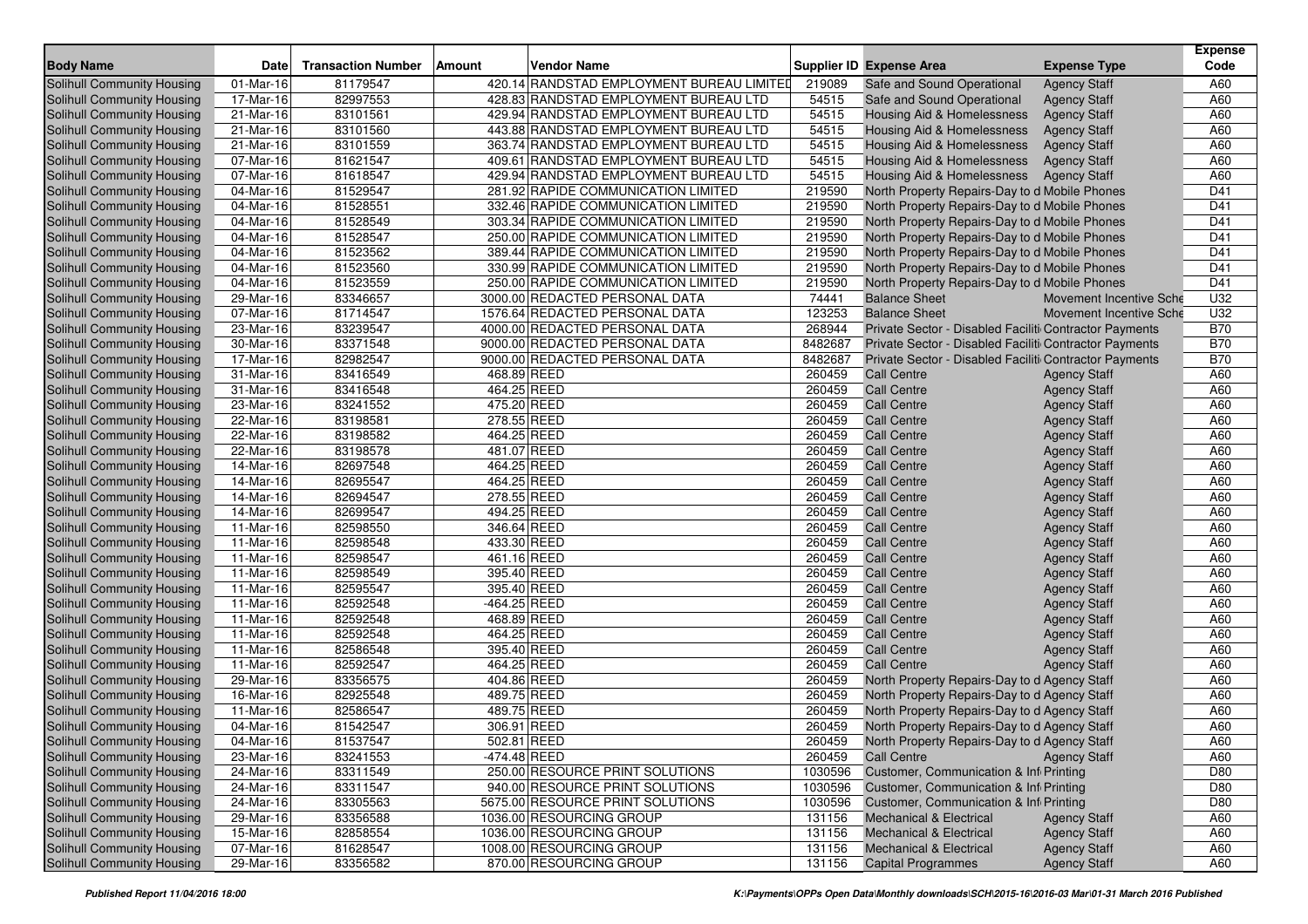| <b>Body Name</b>           | <b>Date</b> | <b>Transaction Number</b> | <b>Amount</b><br><b>Vendor Name</b>       |         | <b>Supplier ID Expense Area</b>                        | <b>Expense Type</b>     | <b>Expense</b><br>Code |
|----------------------------|-------------|---------------------------|-------------------------------------------|---------|--------------------------------------------------------|-------------------------|------------------------|
| Solihull Community Housing | 01-Mar-16   | 81179547                  | 420.14 RANDSTAD EMPLOYMENT BUREAU LIMITED | 219089  | Safe and Sound Operational                             | <b>Agency Staff</b>     | A60                    |
| Solihull Community Housing | 17-Mar-16   | 82997553                  | 428.83 RANDSTAD EMPLOYMENT BUREAU LTD     | 54515   | Safe and Sound Operational                             | <b>Agency Staff</b>     | A60                    |
| Solihull Community Housing | 21-Mar-16   | 83101561                  | 429.94 RANDSTAD EMPLOYMENT BUREAU LTD     | 54515   | <b>Housing Aid &amp; Homelessness</b>                  | <b>Agency Staff</b>     | A60                    |
| Solihull Community Housing | 21-Mar-16   | 83101560                  | 443.88 RANDSTAD EMPLOYMENT BUREAU LTD     | 54515   | Housing Aid & Homelessness                             | <b>Agency Staff</b>     | A60                    |
| Solihull Community Housing | 21-Mar-16   | 83101559                  | 363.74 RANDSTAD EMPLOYMENT BUREAU LTD     | 54515   | Housing Aid & Homelessness                             | <b>Agency Staff</b>     | A60                    |
| Solihull Community Housing | 07-Mar-16   | 81621547                  | 409.61 RANDSTAD EMPLOYMENT BUREAU LTD     | 54515   | Housing Aid & Homelessness                             | <b>Agency Staff</b>     | A60                    |
| Solihull Community Housing | 07-Mar-16   | 81618547                  | 429.94 RANDSTAD EMPLOYMENT BUREAU LTD     | 54515   | Housing Aid & Homelessness                             | <b>Agency Staff</b>     | A60                    |
| Solihull Community Housing | 04-Mar-16   | 81529547                  | 281.92 RAPIDE COMMUNICATION LIMITED       | 219590  | North Property Repairs-Day to d Mobile Phones          |                         | D41                    |
| Solihull Community Housing | 04-Mar-16   | 81528551                  | 332.46 RAPIDE COMMUNICATION LIMITED       | 219590  | North Property Repairs-Day to d Mobile Phones          |                         | D41                    |
| Solihull Community Housing | 04-Mar-16   | 81528549                  | 303.34 RAPIDE COMMUNICATION LIMITED       | 219590  | North Property Repairs-Day to d Mobile Phones          |                         | D41                    |
| Solihull Community Housing | 04-Mar-16   | 81528547                  | 250.00 RAPIDE COMMUNICATION LIMITED       | 219590  | North Property Repairs-Day to d Mobile Phones          |                         | D41                    |
| Solihull Community Housing | 04-Mar-16   | 81523562                  | 389.44 RAPIDE COMMUNICATION LIMITED       | 219590  | North Property Repairs-Day to d Mobile Phones          |                         | D41                    |
| Solihull Community Housing | 04-Mar-16   | 81523560                  | 330.99 RAPIDE COMMUNICATION LIMITED       | 219590  | North Property Repairs-Day to d Mobile Phones          |                         | D41                    |
| Solihull Community Housing | 04-Mar-16   | 81523559                  | 250.00 RAPIDE COMMUNICATION LIMITED       | 219590  | North Property Repairs-Day to d Mobile Phones          |                         | D41                    |
| Solihull Community Housing | 29-Mar-16   | 83346657                  | 3000.00 REDACTED PERSONAL DATA            | 74441   | <b>Balance Sheet</b>                                   | Movement Incentive Sche | U32                    |
| Solihull Community Housing | 07-Mar-16   | 81714547                  | 1576.64 REDACTED PERSONAL DATA            | 123253  | <b>Balance Sheet</b>                                   | Movement Incentive Sche | U32                    |
| Solihull Community Housing | 23-Mar-16   | 83239547                  | 4000.00 REDACTED PERSONAL DATA            | 268944  | Private Sector - Disabled Faciliti Contractor Payments |                         | <b>B70</b>             |
| Solihull Community Housing | 30-Mar-16   | 83371548                  | 9000.00 REDACTED PERSONAL DATA            | 8482687 | Private Sector - Disabled Faciliti Contractor Payments |                         | <b>B70</b>             |
| Solihull Community Housing | 17-Mar-16   | 82982547                  | 9000.00 REDACTED PERSONAL DATA            | 8482687 | Private Sector - Disabled Faciliti Contractor Payments |                         | <b>B70</b>             |
| Solihull Community Housing | 31-Mar-16   | 83416549                  | 468.89 REED                               | 260459  | <b>Call Centre</b>                                     | <b>Agency Staff</b>     | A60                    |
| Solihull Community Housing | 31-Mar-16   | 83416548                  | 464.25 REED                               | 260459  | <b>Call Centre</b>                                     | <b>Agency Staff</b>     | A60                    |
| Solihull Community Housing | 23-Mar-16   | 83241552                  | 475.20 REED                               | 260459  | <b>Call Centre</b>                                     | <b>Agency Staff</b>     | A60                    |
| Solihull Community Housing | 22-Mar-16   | 83198581                  | 278.55 REED                               | 260459  | <b>Call Centre</b>                                     | <b>Agency Staff</b>     | A60                    |
| Solihull Community Housing | 22-Mar-16   | 83198582                  | 464.25 REED                               | 260459  | <b>Call Centre</b>                                     | <b>Agency Staff</b>     | A60                    |
| Solihull Community Housing | 22-Mar-16   | 83198578                  | 481.07 REED                               | 260459  | <b>Call Centre</b>                                     | <b>Agency Staff</b>     | A60                    |
| Solihull Community Housing | 14-Mar-16   | 82697548                  | 464.25 REED                               | 260459  | <b>Call Centre</b>                                     | <b>Agency Staff</b>     | A60                    |
| Solihull Community Housing | 14-Mar-16   | 82695547                  | 464.25 REED                               | 260459  | <b>Call Centre</b>                                     | <b>Agency Staff</b>     | A60                    |
| Solihull Community Housing | 14-Mar-16   | 82694547                  | 278.55 REED                               | 260459  | <b>Call Centre</b>                                     | <b>Agency Staff</b>     | A60                    |
| Solihull Community Housing | 14-Mar-16   | 82699547                  | 494.25 REED                               | 260459  | <b>Call Centre</b>                                     | <b>Agency Staff</b>     | A60                    |
| Solihull Community Housing | 11-Mar-16   | 82598550                  | 346.64 REED                               | 260459  | <b>Call Centre</b>                                     | <b>Agency Staff</b>     | A60                    |
| Solihull Community Housing | 11-Mar-16   | 82598548                  | 433.30 REED                               | 260459  | <b>Call Centre</b>                                     | <b>Agency Staff</b>     | A60                    |
| Solihull Community Housing | 11-Mar-16   | 82598547                  | 461.16 REED                               | 260459  | <b>Call Centre</b>                                     | <b>Agency Staff</b>     | A60                    |
| Solihull Community Housing | 11-Mar-16   | 82598549                  | 395.40 REED                               | 260459  | <b>Call Centre</b>                                     | <b>Agency Staff</b>     | A60                    |
| Solihull Community Housing | 11-Mar-16   | 82595547                  | 395.40 REED                               | 260459  | <b>Call Centre</b>                                     | <b>Agency Staff</b>     | A60                    |
| Solihull Community Housing | 11-Mar-16   | 82592548                  | -464.25 REED                              | 260459  | <b>Call Centre</b>                                     | <b>Agency Staff</b>     | A60                    |
| Solihull Community Housing | 11-Mar-16   | 82592548                  | 468.89 REED                               | 260459  | <b>Call Centre</b>                                     | <b>Agency Staff</b>     | A60                    |
| Solihull Community Housing | 11-Mar-16   | 82592548                  | 464.25 REED                               | 260459  | <b>Call Centre</b>                                     | <b>Agency Staff</b>     | A60                    |
| Solihull Community Housing | 11-Mar-16   | 82586548                  | 395.40 REED                               | 260459  | <b>Call Centre</b>                                     | <b>Agency Staff</b>     | A60                    |
| Solihull Community Housing | 11-Mar-16   | 82592547                  | 464.25 REED                               | 260459  | <b>Call Centre</b>                                     | <b>Agency Staff</b>     | A60                    |
| Solihull Community Housing | 29-Mar-16   | 83356575                  | 404.86 REED                               | 260459  | North Property Repairs-Day to d Agency Staff           |                         | A60                    |
| Solihull Community Housing | 16-Mar-16   | 82925548                  | 489.75 REED                               | 260459  | North Property Repairs-Day to d Agency Staff           |                         | A60                    |
| Solihull Community Housing | 11-Mar-16   | 82586547                  | 489.75 REED                               | 260459  | North Property Repairs-Day to d Agency Staff           |                         | A60                    |
| Solihull Community Housing | 04-Mar-16   | 81542547                  | 306.91 REED                               | 260459  | North Property Repairs-Day to d Agency Staff           |                         | A60                    |
| Solihull Community Housing | 04-Mar-16   | 81537547                  | 502.81 REED                               | 260459  | North Property Repairs-Day to d Agency Staff           |                         | A60                    |
| Solihull Community Housing | 23-Mar-16   | 83241553                  | $-474.48$ REED                            | 260459  | <b>Call Centre</b>                                     | <b>Agency Staff</b>     | A60                    |
| Solihull Community Housing | 24-Mar-16   | 83311549                  | 250.00 RESOURCE PRINT SOLUTIONS           | 1030596 | Customer, Communication & Inf Printing                 |                         | D80                    |
| Solihull Community Housing | 24-Mar-16   | 83311547                  | 940.00 RESOURCE PRINT SOLUTIONS           | 1030596 | Customer, Communication & Inf Printing                 |                         | D80                    |
| Solihull Community Housing | 24-Mar-16   | 83305563                  | 5675.00 RESOURCE PRINT SOLUTIONS          | 1030596 | Customer, Communication & Inf Printing                 |                         | D80                    |
| Solihull Community Housing | 29-Mar-16   | 83356588                  | 1036.00 RESOURCING GROUP                  | 131156  | <b>Mechanical &amp; Electrical</b>                     | <b>Agency Staff</b>     | A60                    |
| Solihull Community Housing | 15-Mar-16   | 82858554                  | 1036.00 RESOURCING GROUP                  | 131156  | <b>Mechanical &amp; Electrical</b>                     | <b>Agency Staff</b>     | A60                    |
| Solihull Community Housing | 07-Mar-16   | 81628547                  | 1008.00 RESOURCING GROUP                  | 131156  | <b>Mechanical &amp; Electrical</b>                     | <b>Agency Staff</b>     | A60                    |
| Solihull Community Housing | 29-Mar-16   | 83356582                  | 870.00 RESOURCING GROUP                   | 131156  | <b>Capital Programmes</b>                              | <b>Agency Staff</b>     | A60                    |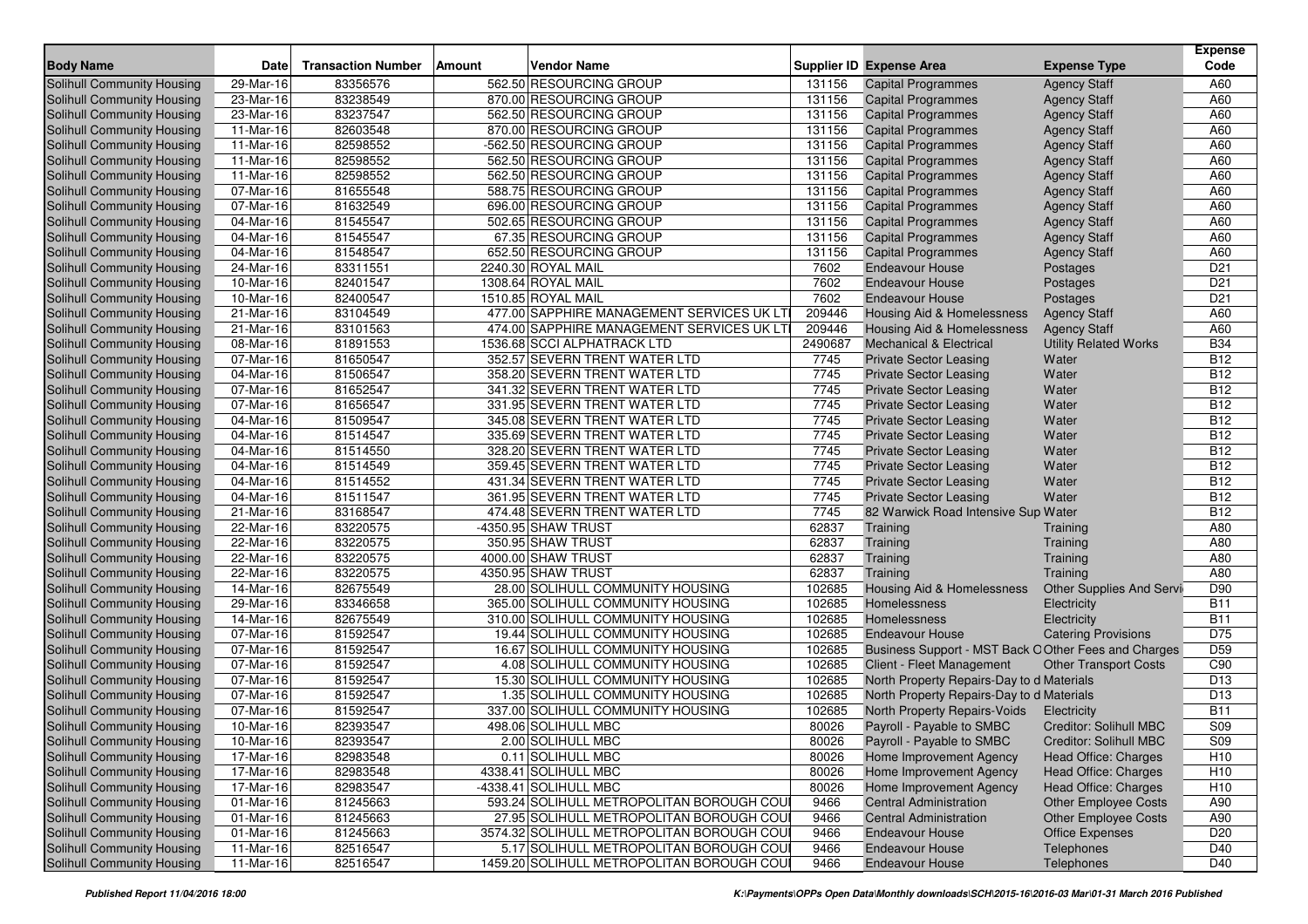| <b>Body Name</b>                  | Date                    | <b>Transaction Number</b> | Vendor Name<br><b>Amount</b>              |         | Supplier ID Expense Area                             | <b>Expense Type</b>          | <b>Expense</b><br>Code |
|-----------------------------------|-------------------------|---------------------------|-------------------------------------------|---------|------------------------------------------------------|------------------------------|------------------------|
| <b>Solihull Community Housing</b> | 29-Mar-16               | 83356576                  | 562.50 RESOURCING GROUP                   | 131156  | <b>Capital Programmes</b>                            | <b>Agency Staff</b>          | A60                    |
| Solihull Community Housing        | 23-Mar-16               | 83238549                  | 870.00 RESOURCING GROUP                   | 131156  | <b>Capital Programmes</b>                            | <b>Agency Staff</b>          | A60                    |
| Solihull Community Housing        | 23-Mar-16               | 83237547                  | 562.50 RESOURCING GROUP                   | 131156  | <b>Capital Programmes</b>                            | <b>Agency Staff</b>          | A60                    |
| Solihull Community Housing        | 11-Mar-16               | 82603548                  | 870.00 RESOURCING GROUP                   | 131156  | <b>Capital Programmes</b>                            | <b>Agency Staff</b>          | A60                    |
| Solihull Community Housing        | 11-Mar-16               | 82598552                  | -562.50 RESOURCING GROUP                  | 131156  | <b>Capital Programmes</b>                            | <b>Agency Staff</b>          | A60                    |
| Solihull Community Housing        | 11-Mar-16               | 82598552                  | 562.50 RESOURCING GROUP                   | 131156  | <b>Capital Programmes</b>                            | <b>Agency Staff</b>          | A60                    |
| Solihull Community Housing        | 11-Mar-16               | 82598552                  | 562.50 RESOURCING GROUP                   | 131156  | <b>Capital Programmes</b>                            | <b>Agency Staff</b>          | A60                    |
| Solihull Community Housing        | 07-Mar-16               | 81655548                  | 588.75 RESOURCING GROUP                   | 131156  | <b>Capital Programmes</b>                            | <b>Agency Staff</b>          | A60                    |
| Solihull Community Housing        | 07-Mar-16               | 81632549                  | 696.00 RESOURCING GROUP                   | 131156  | <b>Capital Programmes</b>                            | <b>Agency Staff</b>          | A60                    |
| Solihull Community Housing        | 04-Mar-16               | 81545547                  | 502.65 RESOURCING GROUP                   | 131156  | <b>Capital Programmes</b>                            | <b>Agency Staff</b>          | A60                    |
| Solihull Community Housing        | 04-Mar-16               | 81545547                  | 67.35 RESOURCING GROUP                    | 131156  | <b>Capital Programmes</b>                            | <b>Agency Staff</b>          | A60                    |
| Solihull Community Housing        | $\overline{04}$ -Mar-16 | 81548547                  | 652.50 RESOURCING GROUP                   | 131156  | <b>Capital Programmes</b>                            | <b>Agency Staff</b>          | A60                    |
| Solihull Community Housing        | 24-Mar-16               | 83311551                  | 2240.30 ROYAL MAIL                        | 7602    | <b>Endeavour House</b>                               | Postages                     | D <sub>21</sub>        |
| Solihull Community Housing        | 10-Mar-16               | 82401547                  | 1308.64 ROYAL MAIL                        | 7602    | <b>Endeavour House</b>                               | Postages                     | D <sub>21</sub>        |
| Solihull Community Housing        | 10-Mar-16               | 82400547                  | 1510.85 ROYAL MAIL                        | 7602    | <b>Endeavour House</b>                               | Postages                     | D <sub>21</sub>        |
| Solihull Community Housing        | 21-Mar-16               | 83104549                  | 477.00 SAPPHIRE MANAGEMENT SERVICES UK LT | 209446  | Housing Aid & Homelessness                           | <b>Agency Staff</b>          | A60                    |
| Solihull Community Housing        | 21-Mar-16               | 83101563                  | 474.00 SAPPHIRE MANAGEMENT SERVICES UK LT | 209446  | Housing Aid & Homelessness                           | <b>Agency Staff</b>          | A60                    |
| Solihull Community Housing        | 08-Mar-16               | 81891553                  | 1536.68 SCCI ALPHATRACK LTD               | 2490687 | <b>Mechanical &amp; Electrical</b>                   | <b>Utility Related Works</b> | <b>B34</b>             |
| Solihull Community Housing        | 07-Mar-16               | 81650547                  | 352.57 SEVERN TRENT WATER LTD             | 7745    | <b>Private Sector Leasing</b>                        | Water                        | <b>B12</b>             |
| Solihull Community Housing        | 04-Mar-16               | 81506547                  | 358.20 SEVERN TRENT WATER LTD             | 7745    | <b>Private Sector Leasing</b>                        | Water                        | <b>B12</b>             |
| Solihull Community Housing        | 07-Mar-16               | 81652547                  | 341.32 SEVERN TRENT WATER LTD             | 7745    | <b>Private Sector Leasing</b>                        | Water                        | <b>B12</b>             |
| Solihull Community Housing        | 07-Mar-16               | 81656547                  | 331.95 SEVERN TRENT WATER LTD             | 7745    | <b>Private Sector Leasing</b>                        | Water                        | <b>B12</b>             |
| Solihull Community Housing        | 04-Mar-16               | 81509547                  | 345.08 SEVERN TRENT WATER LTD             | 7745    | <b>Private Sector Leasing</b>                        | Water                        | <b>B12</b>             |
| Solihull Community Housing        | 04-Mar-16               | 81514547                  | 335.69 SEVERN TRENT WATER LTD             | 7745    | <b>Private Sector Leasing</b>                        | Water                        | <b>B12</b>             |
| Solihull Community Housing        | 04-Mar-16               | 81514550                  | 328.20 SEVERN TRENT WATER LTD             | 7745    | <b>Private Sector Leasing</b>                        | Water                        | <b>B12</b>             |
| Solihull Community Housing        | 04-Mar-16               | 81514549                  | 359.45 SEVERN TRENT WATER LTD             | 7745    | <b>Private Sector Leasing</b>                        | Water                        | <b>B12</b>             |
| Solihull Community Housing        | 04-Mar-16               | 81514552                  | 431.34 SEVERN TRENT WATER LTD             | 7745    | <b>Private Sector Leasing</b>                        | Water                        | <b>B12</b>             |
| Solihull Community Housing        | $\overline{04-M}$ ar-16 | 81511547                  | 361.95 SEVERN TRENT WATER LTD             | 7745    | <b>Private Sector Leasing</b>                        | Water                        | <b>B12</b>             |
| Solihull Community Housing        | 21-Mar-16               | 83168547                  | 474.48 SEVERN TRENT WATER LTD             | 7745    | 82 Warwick Road Intensive Sup Water                  |                              | <b>B12</b>             |
| Solihull Community Housing        | 22-Mar-16               | 83220575                  | -4350.95 SHAW TRUST                       | 62837   | Training                                             | Training                     | A80                    |
| Solihull Community Housing        | 22-Mar-16               | 83220575                  | 350.95 SHAW TRUST                         | 62837   | Training                                             | Training                     | A80                    |
| Solihull Community Housing        | 22-Mar-16               | 83220575                  | 4000.00 SHAW TRUST                        | 62837   | Training                                             | Training                     | A80                    |
| Solihull Community Housing        | 22-Mar-16               | 83220575                  | 4350.95 SHAW TRUST                        | 62837   | Training                                             | Training                     | A80                    |
| Solihull Community Housing        | 14-Mar-16               | 82675549                  | 28.00 SOLIHULL COMMUNITY HOUSING          | 102685  | Housing Aid & Homelessness                           | Other Supplies And Servi     | D90                    |
| Solihull Community Housing        | 29-Mar-16               | 83346658                  | 365.00 SOLIHULL COMMUNITY HOUSING         | 102685  | Homelessness                                         | Electricity                  | <b>B11</b>             |
| Solihull Community Housing        | 14-Mar-16               | 82675549                  | 310.00 SOLIHULL COMMUNITY HOUSING         | 102685  | Homelessness                                         | Electricity                  | <b>B11</b>             |
| Solihull Community Housing        | 07-Mar-16               | 81592547                  | 19.44 SOLIHULL COMMUNITY HOUSING          | 102685  | <b>Endeavour House</b>                               | <b>Catering Provisions</b>   | D75                    |
| Solihull Community Housing        | 07-Mar-16               | 81592547                  | 16.67 SOLIHULL COMMUNITY HOUSING          | 102685  | Business Support - MST Back O Other Fees and Charges |                              | D <sub>59</sub>        |
| Solihull Community Housing        | 07-Mar-16               | 81592547                  | 4.08 SOLIHULL COMMUNITY HOUSING           | 102685  | Client - Fleet Management                            | <b>Other Transport Costs</b> | C90                    |
| Solihull Community Housing        | 07-Mar-16               | 81592547                  | 15.30 SOLIHULL COMMUNITY HOUSING          | 102685  | North Property Repairs-Day to d Materials            |                              | D <sub>13</sub>        |
| Solihull Community Housing        | 07-Mar-16               | 81592547                  | 1.35 SOLIHULL COMMUNITY HOUSING           | 102685  | North Property Repairs-Day to d Materials            |                              | D <sub>13</sub>        |
| Solihull Community Housing        | 07-Mar-16               | 81592547                  | 337.00 SOLIHULL COMMUNITY HOUSING         | 102685  | North Property Repairs-Voids                         | Electricity                  | <b>B11</b>             |
| Solihull Community Housing        | 10-Mar-16               | 82393547                  | 498.06 SOLIHULL MBC                       | 80026   | Payroll - Payable to SMBC                            | Creditor: Solihull MBC       | <b>S09</b>             |
| Solihull Community Housing        | 10-Mar-16               | 82393547                  | 2.00 SOLIHULL MBC                         | 80026   | Payroll - Payable to SMBC                            | Creditor: Solihull MBC       | S <sub>09</sub>        |
| Solihull Community Housing        | $\overline{17}$ -Mar-16 | 82983548                  | 0.11 SOLIHULL MBC                         | 80026   | Home Improvement Agency                              | Head Office: Charges         | H <sub>10</sub>        |
| Solihull Community Housing        | 17-Mar-16               | 82983548                  | 4338.41 SOLIHULL MBC                      | 80026   | Home Improvement Agency                              | Head Office: Charges         | H <sub>10</sub>        |
| Solihull Community Housing        | 17-Mar-16               | 82983547                  | -4338.41 SOLIHULL MBC                     | 80026   | Home Improvement Agency                              | Head Office: Charges         | H <sub>10</sub>        |
| Solihull Community Housing        | 01-Mar-16               | 81245663                  | 593.24 SOLIHULL METROPOLITAN BOROUGH COU  | 9466    | <b>Central Administration</b>                        | <b>Other Employee Costs</b>  | A90                    |
| Solihull Community Housing        | 01-Mar-16               | 81245663                  | 27.95 SOLIHULL METROPOLITAN BOROUGH COUI  | 9466    | Central Administration                               | Other Employee Costs         | A90                    |
| Solihull Community Housing        | 01-Mar-16               | 81245663                  | 3574.32 SOLIHULL METROPOLITAN BOROUGH COU | 9466    | <b>Endeavour House</b>                               | <b>Office Expenses</b>       | D <sub>20</sub>        |
| Solihull Community Housing        | 11-Mar-16               | 82516547                  | 5.17 SOLIHULL METROPOLITAN BOROUGH COU    | 9466    | <b>Endeavour House</b>                               | Telephones                   | D40                    |
| Solihull Community Housing        | 11-Mar-16               | 82516547                  | 1459.20 SOLIHULL METROPOLITAN BOROUGH COU | 9466    | Endeavour House                                      | Telephones                   | D40                    |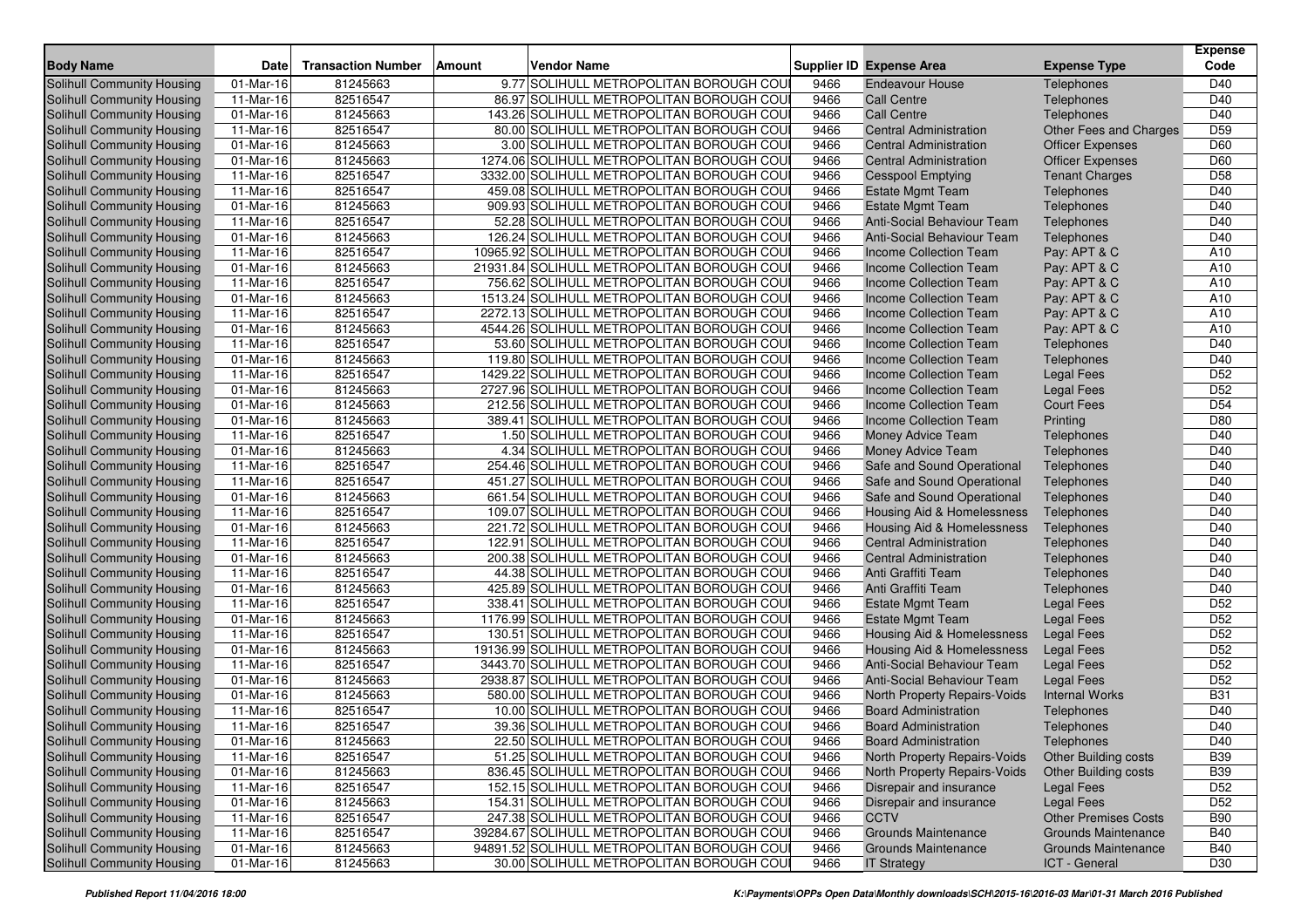| Solihull Community Housing<br>81245663<br>9.77 SOLIHULL METROPOLITAN BOROUGH COU<br><b>Endeavour House</b><br>D40<br>01-Mar-16<br>9466<br>Telephones<br>82516547<br>86.97 SOLIHULL METROPOLITAN BOROUGH COU<br>9466<br><b>Call Centre</b><br>Telephones<br>D40<br>Solihull Community Housing<br>11-Mar-16<br>143.26 SOLIHULL METROPOLITAN BOROUGH COU<br>D40<br>Solihull Community Housing<br>01-Mar-16<br>81245663<br>9466<br><b>Call Centre</b><br>Telephones<br>D <sub>59</sub><br>Solihull Community Housing<br>11-Mar-16<br>82516547<br>80.00 SOLIHULL METROPOLITAN BOROUGH COU<br>9466<br><b>Central Administration</b><br>Other Fees and Charges<br>81245663<br>3.00 SOLIHULL METROPOLITAN BOROUGH COU<br>9466<br>D60<br>Solihull Community Housing<br>01-Mar-16<br><b>Central Administration</b><br><b>Officer Expenses</b><br>01-Mar-16<br>81245663<br>1274.06 SOLIHULL METROPOLITAN BOROUGH COU<br>9466<br>D60<br>Solihull Community Housing<br><b>Officer Expenses</b><br><b>Central Administration</b><br>82516547<br>D <sub>58</sub><br>Solihull Community Housing<br>11-Mar-16<br>3332.00 SOLIHULL METROPOLITAN BOROUGH COU<br>9466<br><b>Cesspool Emptying</b><br><b>Tenant Charges</b><br>82516547<br>459.08 SOLIHULL METROPOLITAN BOROUGH COU<br>9466<br>D40<br>Solihull Community Housing<br>11-Mar-16<br><b>Estate Mgmt Team</b><br>Telephones<br>81245663<br>909.93 SOLIHULL METROPOLITAN BOROUGH COU<br>Telephones<br>Solihull Community Housing<br>01-Mar-16<br>9466<br><b>Estate Mgmt Team</b><br>D40<br>Anti-Social Behaviour Team<br>D40<br>Solihull Community Housing<br>11-Mar-16<br>82516547<br>52.28 SOLIHULL METROPOLITAN BOROUGH COU<br>9466<br>Telephones<br>81245663<br>126.24 SOLIHULL METROPOLITAN BOROUGH COU<br>9466<br>Anti-Social Behaviour Team<br>D40<br>Solihull Community Housing<br>01-Mar-16<br>Telephones<br>82516547<br>10965.92 SOLIHULL METROPOLITAN BOROUGH COU<br>Pay: APT & C<br>Solihull Community Housing<br>11-Mar-16<br>9466<br><b>Income Collection Team</b><br>A10<br>81245663<br>Solihull Community Housing<br>01-Mar-16<br>21931.84 SOLIHULL METROPOLITAN BOROUGH COU<br>9466<br>Income Collection Team<br>Pay: APT & C<br>A10<br>82516547<br>756.62 SOLIHULL METROPOLITAN BOROUGH COU<br>A10<br>Solihull Community Housing<br>11-Mar-16<br>9466<br>Income Collection Team<br>Pay: APT & C<br>81245663<br>1513.24 SOLIHULL METROPOLITAN BOROUGH COU<br>9466<br>Pay: APT & C<br>A10<br>Solihull Community Housing<br>01-Mar-16<br>Income Collection Team<br>82516547<br>2272.13 SOLIHULL METROPOLITAN BOROUGH COU<br>A10<br>Solihull Community Housing<br>11-Mar-16<br>9466<br>Income Collection Team<br>Pay: APT & C<br>81245663<br>4544.26 SOLIHULL METROPOLITAN BOROUGH COU<br>Pay: APT & C<br>A10<br>Solihull Community Housing<br>01-Mar-16<br>9466<br>Income Collection Team<br>82516547<br>53.60 SOLIHULL METROPOLITAN BOROUGH COU<br>9466<br>D40<br>Solihull Community Housing<br>11-Mar-16<br><b>Income Collection Team</b><br>Telephones<br>81245663<br>119.80 SOLIHULL METROPOLITAN BOROUGH COU<br>Telephones<br>D40<br>Solihull Community Housing<br>9466<br><b>Income Collection Team</b><br>01-Mar-16<br>82516547<br>1429.22 SOLIHULL METROPOLITAN BOROUGH COU<br>9466<br>D <sub>52</sub><br>Solihull Community Housing<br>11-Mar-16<br>Income Collection Team<br><b>Legal Fees</b><br>D <sub>52</sub><br>Solihull Community Housing<br>81245663<br>2727.96 SOLIHULL METROPOLITAN BOROUGH COU<br>9466<br><b>Legal Fees</b><br>01-Mar-16<br>Income Collection Team<br>D <sub>54</sub><br>81245663<br>212.56 SOLIHULL METROPOLITAN BOROUGH COU<br>9466<br><b>Court Fees</b><br>Solihull Community Housing<br>01-Mar-16<br>Income Collection Team<br>01-Mar-16<br>81245663<br>389.41 SOLIHULL METROPOLITAN BOROUGH COU<br>D80<br>Solihull Community Housing<br>9466<br>Income Collection Team<br>Printing<br>82516547<br>1.50 SOLIHULL METROPOLITAN BOROUGH COU<br>D40<br>Solihull Community Housing<br>11-Mar-16<br>9466<br>Money Advice Team<br>Telephones<br>81245663<br>D40<br>Solihull Community Housing<br>01-Mar-16<br>4.34 SOLIHULL METROPOLITAN BOROUGH COU<br>9466<br><b>Money Advice Team</b><br>Telephones<br>82516547<br>254.46 SOLIHULL METROPOLITAN BOROUGH COU<br>9466<br>D40<br>Solihull Community Housing<br>11-Mar-16<br>Safe and Sound Operational<br>Telephones<br>82516547<br>451.27 SOLIHULL METROPOLITAN BOROUGH COU<br>9466<br>D40<br>Solihull Community Housing<br>11-Mar-16<br>Safe and Sound Operational<br>Telephones<br>81245663<br>661.54 SOLIHULL METROPOLITAN BOROUGH COU<br>D40<br>Solihull Community Housing<br>01-Mar-16<br>9466<br>Safe and Sound Operational<br>Telephones<br>82516547<br>Solihull Community Housing<br>11-Mar-16<br>109.07 SOLIHULL METROPOLITAN BOROUGH COU<br>9466<br>Housing Aid & Homelessness<br>Telephones<br>D40<br>81245663<br>221.72 SOLIHULL METROPOLITAN BOROUGH COU<br>9466<br>D40<br>Solihull Community Housing<br>01-Mar-16<br>Housing Aid & Homelessness<br>Telephones<br>$\overline{11}$ -Mar-16<br>82516547<br>122.91 SOLIHULL METROPOLITAN BOROUGH COU<br>9466<br>D40<br>Solihull Community Housing<br><b>Central Administration</b><br>Telephones<br>Solihull Community Housing<br>01-Mar-16<br>81245663<br>200.38 SOLIHULL METROPOLITAN BOROUGH COU<br>9466<br><b>Central Administration</b><br>Telephones<br>D40<br>82516547<br>44.38 SOLIHULL METROPOLITAN BOROUGH COU<br>9466<br>D40<br>Solihull Community Housing<br>11-Mar-16<br>Anti Graffiti Team<br>Telephones<br>81245663<br>425.89 SOLIHULL METROPOLITAN BOROUGH COU<br>9466<br>Telephones<br>D40<br>Solihull Community Housing<br>01-Mar-16<br>Anti Graffiti Team<br>338.41 SOLIHULL METROPOLITAN BOROUGH COU<br>D <sub>52</sub><br>Solihull Community Housing<br>11-Mar-16<br>82516547<br>9466<br><b>Estate Mgmt Team</b><br><b>Legal Fees</b><br>D <sub>52</sub><br>81245663<br>1176.99 SOLIHULL METROPOLITAN BOROUGH COU<br>9466<br>Solihull Community Housing<br>01-Mar-16<br><b>Estate Mgmt Team</b><br><b>Legal Fees</b><br>D <sub>52</sub><br>Solihull Community Housing<br>11-Mar-16<br>82516547<br>130.51 SOLIHULL METROPOLITAN BOROUGH COU<br>9466<br>Housing Aid & Homelessness<br><b>Legal Fees</b><br>81245663<br>19136.99 SOLIHULL METROPOLITAN BOROUGH COU<br>9466<br>D <sub>52</sub><br>Solihull Community Housing<br>01-Mar-16<br>Housing Aid & Homelessness<br><b>Legal Fees</b><br>D <sub>52</sub><br>82516547<br>3443.70 SOLIHULL METROPOLITAN BOROUGH COU<br>Solihull Community Housing<br>11-Mar-16<br>9466<br>Anti-Social Behaviour Team<br><b>Legal Fees</b><br>D52<br>81245663<br>2938.87 SOLIHULL METROPOLITAN BOROUGH COU<br>9466<br><b>Legal Fees</b><br>Solihull Community Housing<br>01-Mar-16<br>Anti-Social Behaviour Team<br>81245663<br>580.00 SOLIHULL METROPOLITAN BOROUGH COU<br><b>B31</b><br>Solihull Community Housing<br>01-Mar-16<br>9466<br>North Property Repairs-Voids<br><b>Internal Works</b><br>82516547<br>9466<br>D40<br>Solihull Community Housing<br>11-Mar-16<br>10.00 SOLIHULL METROPOLITAN BOROUGH COU<br><b>Board Administration</b><br>Telephones<br>82516547<br>39.36 SOLIHULL METROPOLITAN BOROUGH COU<br>9466<br>D40<br>Solihull Community Housing<br>11-Mar-16<br><b>Board Administration</b><br>Telephones<br><b>Solihull Community Housing</b><br>01-Mar-16<br>81245663<br>9466<br>D40<br>22.50 SOLIHULL METROPOLITAN BOROUGH COUI<br><b>Board Administration</b><br>Telephones<br><b>B39</b><br>Solihull Community Housing<br>11-Mar-16<br>82516547<br>51.25 SOLIHULL METROPOLITAN BOROUGH COUI<br>9466<br>North Property Repairs-Voids<br>Other Building costs<br>Solihull Community Housing<br>81245663<br>836.45 SOLIHULL METROPOLITAN BOROUGH COU<br>9466<br>North Property Repairs-Voids<br>Other Building costs<br><b>B39</b><br>01-Mar-16<br>Solihull Community Housing<br>82516547<br>152.15 SOLIHULL METROPOLITAN BOROUGH COUI<br>D <sub>52</sub><br>11-Mar-16<br>9466<br>Disrepair and insurance<br><b>Legal Fees</b><br>Solihull Community Housing<br>01-Mar-16<br>81245663<br>154.31 SOLIHULL METROPOLITAN BOROUGH COUI<br>D <sub>52</sub><br>9466<br>Disrepair and insurance<br><b>Legal Fees</b><br>Solihull Community Housing<br><b>B90</b><br>11-Mar-16<br>82516547<br>247.38 SOLIHULL METROPOLITAN BOROUGH COUI<br>9466<br><b>CCTV</b><br><b>Other Premises Costs</b><br>82516547<br><b>B40</b><br>Solihull Community Housing<br>11-Mar-16<br>39284.67 SOLIHULL METROPOLITAN BOROUGH COU<br>9466<br><b>Grounds Maintenance</b><br><b>Grounds Maintenance</b><br><b>Solihull Community Housing</b><br>01-Mar-16<br>94891.52 SOLIHULL METROPOLITAN BOROUGH COUI<br><b>Grounds Maintenance</b><br><b>B40</b><br>81245663<br>9466<br><b>Grounds Maintenance</b><br>Solihull Community Housing<br>30.00 SOLIHULL METROPOLITAN BOROUGH COU<br>01-Mar-16<br>81245663<br>9466<br>ICT - General<br>D30<br><b>IT Strategy</b> | <b>Body Name</b> | <b>Date</b> | <b>Transaction Number</b> | Amount | <b>Vendor Name</b> | <b>Supplier ID Expense Area</b> | <b>Expense Type</b> | <b>Expense</b><br>Code |
|------------------------------------------------------------------------------------------------------------------------------------------------------------------------------------------------------------------------------------------------------------------------------------------------------------------------------------------------------------------------------------------------------------------------------------------------------------------------------------------------------------------------------------------------------------------------------------------------------------------------------------------------------------------------------------------------------------------------------------------------------------------------------------------------------------------------------------------------------------------------------------------------------------------------------------------------------------------------------------------------------------------------------------------------------------------------------------------------------------------------------------------------------------------------------------------------------------------------------------------------------------------------------------------------------------------------------------------------------------------------------------------------------------------------------------------------------------------------------------------------------------------------------------------------------------------------------------------------------------------------------------------------------------------------------------------------------------------------------------------------------------------------------------------------------------------------------------------------------------------------------------------------------------------------------------------------------------------------------------------------------------------------------------------------------------------------------------------------------------------------------------------------------------------------------------------------------------------------------------------------------------------------------------------------------------------------------------------------------------------------------------------------------------------------------------------------------------------------------------------------------------------------------------------------------------------------------------------------------------------------------------------------------------------------------------------------------------------------------------------------------------------------------------------------------------------------------------------------------------------------------------------------------------------------------------------------------------------------------------------------------------------------------------------------------------------------------------------------------------------------------------------------------------------------------------------------------------------------------------------------------------------------------------------------------------------------------------------------------------------------------------------------------------------------------------------------------------------------------------------------------------------------------------------------------------------------------------------------------------------------------------------------------------------------------------------------------------------------------------------------------------------------------------------------------------------------------------------------------------------------------------------------------------------------------------------------------------------------------------------------------------------------------------------------------------------------------------------------------------------------------------------------------------------------------------------------------------------------------------------------------------------------------------------------------------------------------------------------------------------------------------------------------------------------------------------------------------------------------------------------------------------------------------------------------------------------------------------------------------------------------------------------------------------------------------------------------------------------------------------------------------------------------------------------------------------------------------------------------------------------------------------------------------------------------------------------------------------------------------------------------------------------------------------------------------------------------------------------------------------------------------------------------------------------------------------------------------------------------------------------------------------------------------------------------------------------------------------------------------------------------------------------------------------------------------------------------------------------------------------------------------------------------------------------------------------------------------------------------------------------------------------------------------------------------------------------------------------------------------------------------------------------------------------------------------------------------------------------------------------------------------------------------------------------------------------------------------------------------------------------------------------------------------------------------------------------------------------------------------------------------------------------------------------------------------------------------------------------------------------------------------------------------------------------------------------------------------------------------------------------------------------------------------------------------------------------------------------------------------------------------------------------------------------------------------------------------------------------------------------------------------------------------------------------------------------------------------------------------------------------------------------------------------------------------------------------------------------------------------------------------------------------------------------------------------------------------------------------------------------------------------------------------------------------------------------------------------------------------------------------------------------------------------------------------------------------------------------------------------------------------------------------------------------------------------------------------------------------------------------------------------------------------------------------------------------------------------------------------------------------------------------------------------------------------------------------------------------------------------------------------------------------------------------------------------------------------------------------------------------------------------------------------------------------------------------------------------------------------------------------------------------------------------------------------------------------------------------------------------------------------------------------------------------------------------------------------------------------------------------------------------------------------------------------------------------------------------------------------------------------------------------------------------------------------------------------------------------------------------------------------------------------------------------------------------------------------------------------------------------------------------------------------------------------------------------------------------------------------------------------------------------------------------------------------------------------------------------------------------------------------------------------------------------------------------------------------------------------------------------------------------------------------------------|------------------|-------------|---------------------------|--------|--------------------|---------------------------------|---------------------|------------------------|
|                                                                                                                                                                                                                                                                                                                                                                                                                                                                                                                                                                                                                                                                                                                                                                                                                                                                                                                                                                                                                                                                                                                                                                                                                                                                                                                                                                                                                                                                                                                                                                                                                                                                                                                                                                                                                                                                                                                                                                                                                                                                                                                                                                                                                                                                                                                                                                                                                                                                                                                                                                                                                                                                                                                                                                                                                                                                                                                                                                                                                                                                                                                                                                                                                                                                                                                                                                                                                                                                                                                                                                                                                                                                                                                                                                                                                                                                                                                                                                                                                                                                                                                                                                                                                                                                                                                                                                                                                                                                                                                                                                                                                                                                                                                                                                                                                                                                                                                                                                                                                                                                                                                                                                                                                                                                                                                                                                                                                                                                                                                                                                                                                                                                                                                                                                                                                                                                                                                                                                                                                                                                                                                                                                                                                                                                                                                                                                                                                                                                                                                                                                                                                                                                                                                                                                                                                                                                                                                                                                                                                                                                                                                                                                                                                                                                                                                                                                                                                                                                                                                                                                                                                                                                                                                                                                                                                                                                                                                                                                                                                                                                                                                                                                                                                                                                                                                                                                                                                                                                                                                                                                                                                                                                                                                                                                                                                                                                                                                  |                  |             |                           |        |                    |                                 |                     |                        |
|                                                                                                                                                                                                                                                                                                                                                                                                                                                                                                                                                                                                                                                                                                                                                                                                                                                                                                                                                                                                                                                                                                                                                                                                                                                                                                                                                                                                                                                                                                                                                                                                                                                                                                                                                                                                                                                                                                                                                                                                                                                                                                                                                                                                                                                                                                                                                                                                                                                                                                                                                                                                                                                                                                                                                                                                                                                                                                                                                                                                                                                                                                                                                                                                                                                                                                                                                                                                                                                                                                                                                                                                                                                                                                                                                                                                                                                                                                                                                                                                                                                                                                                                                                                                                                                                                                                                                                                                                                                                                                                                                                                                                                                                                                                                                                                                                                                                                                                                                                                                                                                                                                                                                                                                                                                                                                                                                                                                                                                                                                                                                                                                                                                                                                                                                                                                                                                                                                                                                                                                                                                                                                                                                                                                                                                                                                                                                                                                                                                                                                                                                                                                                                                                                                                                                                                                                                                                                                                                                                                                                                                                                                                                                                                                                                                                                                                                                                                                                                                                                                                                                                                                                                                                                                                                                                                                                                                                                                                                                                                                                                                                                                                                                                                                                                                                                                                                                                                                                                                                                                                                                                                                                                                                                                                                                                                                                                                                                                                  |                  |             |                           |        |                    |                                 |                     |                        |
|                                                                                                                                                                                                                                                                                                                                                                                                                                                                                                                                                                                                                                                                                                                                                                                                                                                                                                                                                                                                                                                                                                                                                                                                                                                                                                                                                                                                                                                                                                                                                                                                                                                                                                                                                                                                                                                                                                                                                                                                                                                                                                                                                                                                                                                                                                                                                                                                                                                                                                                                                                                                                                                                                                                                                                                                                                                                                                                                                                                                                                                                                                                                                                                                                                                                                                                                                                                                                                                                                                                                                                                                                                                                                                                                                                                                                                                                                                                                                                                                                                                                                                                                                                                                                                                                                                                                                                                                                                                                                                                                                                                                                                                                                                                                                                                                                                                                                                                                                                                                                                                                                                                                                                                                                                                                                                                                                                                                                                                                                                                                                                                                                                                                                                                                                                                                                                                                                                                                                                                                                                                                                                                                                                                                                                                                                                                                                                                                                                                                                                                                                                                                                                                                                                                                                                                                                                                                                                                                                                                                                                                                                                                                                                                                                                                                                                                                                                                                                                                                                                                                                                                                                                                                                                                                                                                                                                                                                                                                                                                                                                                                                                                                                                                                                                                                                                                                                                                                                                                                                                                                                                                                                                                                                                                                                                                                                                                                                                                  |                  |             |                           |        |                    |                                 |                     |                        |
|                                                                                                                                                                                                                                                                                                                                                                                                                                                                                                                                                                                                                                                                                                                                                                                                                                                                                                                                                                                                                                                                                                                                                                                                                                                                                                                                                                                                                                                                                                                                                                                                                                                                                                                                                                                                                                                                                                                                                                                                                                                                                                                                                                                                                                                                                                                                                                                                                                                                                                                                                                                                                                                                                                                                                                                                                                                                                                                                                                                                                                                                                                                                                                                                                                                                                                                                                                                                                                                                                                                                                                                                                                                                                                                                                                                                                                                                                                                                                                                                                                                                                                                                                                                                                                                                                                                                                                                                                                                                                                                                                                                                                                                                                                                                                                                                                                                                                                                                                                                                                                                                                                                                                                                                                                                                                                                                                                                                                                                                                                                                                                                                                                                                                                                                                                                                                                                                                                                                                                                                                                                                                                                                                                                                                                                                                                                                                                                                                                                                                                                                                                                                                                                                                                                                                                                                                                                                                                                                                                                                                                                                                                                                                                                                                                                                                                                                                                                                                                                                                                                                                                                                                                                                                                                                                                                                                                                                                                                                                                                                                                                                                                                                                                                                                                                                                                                                                                                                                                                                                                                                                                                                                                                                                                                                                                                                                                                                                                                  |                  |             |                           |        |                    |                                 |                     |                        |
|                                                                                                                                                                                                                                                                                                                                                                                                                                                                                                                                                                                                                                                                                                                                                                                                                                                                                                                                                                                                                                                                                                                                                                                                                                                                                                                                                                                                                                                                                                                                                                                                                                                                                                                                                                                                                                                                                                                                                                                                                                                                                                                                                                                                                                                                                                                                                                                                                                                                                                                                                                                                                                                                                                                                                                                                                                                                                                                                                                                                                                                                                                                                                                                                                                                                                                                                                                                                                                                                                                                                                                                                                                                                                                                                                                                                                                                                                                                                                                                                                                                                                                                                                                                                                                                                                                                                                                                                                                                                                                                                                                                                                                                                                                                                                                                                                                                                                                                                                                                                                                                                                                                                                                                                                                                                                                                                                                                                                                                                                                                                                                                                                                                                                                                                                                                                                                                                                                                                                                                                                                                                                                                                                                                                                                                                                                                                                                                                                                                                                                                                                                                                                                                                                                                                                                                                                                                                                                                                                                                                                                                                                                                                                                                                                                                                                                                                                                                                                                                                                                                                                                                                                                                                                                                                                                                                                                                                                                                                                                                                                                                                                                                                                                                                                                                                                                                                                                                                                                                                                                                                                                                                                                                                                                                                                                                                                                                                                                                  |                  |             |                           |        |                    |                                 |                     |                        |
|                                                                                                                                                                                                                                                                                                                                                                                                                                                                                                                                                                                                                                                                                                                                                                                                                                                                                                                                                                                                                                                                                                                                                                                                                                                                                                                                                                                                                                                                                                                                                                                                                                                                                                                                                                                                                                                                                                                                                                                                                                                                                                                                                                                                                                                                                                                                                                                                                                                                                                                                                                                                                                                                                                                                                                                                                                                                                                                                                                                                                                                                                                                                                                                                                                                                                                                                                                                                                                                                                                                                                                                                                                                                                                                                                                                                                                                                                                                                                                                                                                                                                                                                                                                                                                                                                                                                                                                                                                                                                                                                                                                                                                                                                                                                                                                                                                                                                                                                                                                                                                                                                                                                                                                                                                                                                                                                                                                                                                                                                                                                                                                                                                                                                                                                                                                                                                                                                                                                                                                                                                                                                                                                                                                                                                                                                                                                                                                                                                                                                                                                                                                                                                                                                                                                                                                                                                                                                                                                                                                                                                                                                                                                                                                                                                                                                                                                                                                                                                                                                                                                                                                                                                                                                                                                                                                                                                                                                                                                                                                                                                                                                                                                                                                                                                                                                                                                                                                                                                                                                                                                                                                                                                                                                                                                                                                                                                                                                                                  |                  |             |                           |        |                    |                                 |                     |                        |
|                                                                                                                                                                                                                                                                                                                                                                                                                                                                                                                                                                                                                                                                                                                                                                                                                                                                                                                                                                                                                                                                                                                                                                                                                                                                                                                                                                                                                                                                                                                                                                                                                                                                                                                                                                                                                                                                                                                                                                                                                                                                                                                                                                                                                                                                                                                                                                                                                                                                                                                                                                                                                                                                                                                                                                                                                                                                                                                                                                                                                                                                                                                                                                                                                                                                                                                                                                                                                                                                                                                                                                                                                                                                                                                                                                                                                                                                                                                                                                                                                                                                                                                                                                                                                                                                                                                                                                                                                                                                                                                                                                                                                                                                                                                                                                                                                                                                                                                                                                                                                                                                                                                                                                                                                                                                                                                                                                                                                                                                                                                                                                                                                                                                                                                                                                                                                                                                                                                                                                                                                                                                                                                                                                                                                                                                                                                                                                                                                                                                                                                                                                                                                                                                                                                                                                                                                                                                                                                                                                                                                                                                                                                                                                                                                                                                                                                                                                                                                                                                                                                                                                                                                                                                                                                                                                                                                                                                                                                                                                                                                                                                                                                                                                                                                                                                                                                                                                                                                                                                                                                                                                                                                                                                                                                                                                                                                                                                                                                  |                  |             |                           |        |                    |                                 |                     |                        |
|                                                                                                                                                                                                                                                                                                                                                                                                                                                                                                                                                                                                                                                                                                                                                                                                                                                                                                                                                                                                                                                                                                                                                                                                                                                                                                                                                                                                                                                                                                                                                                                                                                                                                                                                                                                                                                                                                                                                                                                                                                                                                                                                                                                                                                                                                                                                                                                                                                                                                                                                                                                                                                                                                                                                                                                                                                                                                                                                                                                                                                                                                                                                                                                                                                                                                                                                                                                                                                                                                                                                                                                                                                                                                                                                                                                                                                                                                                                                                                                                                                                                                                                                                                                                                                                                                                                                                                                                                                                                                                                                                                                                                                                                                                                                                                                                                                                                                                                                                                                                                                                                                                                                                                                                                                                                                                                                                                                                                                                                                                                                                                                                                                                                                                                                                                                                                                                                                                                                                                                                                                                                                                                                                                                                                                                                                                                                                                                                                                                                                                                                                                                                                                                                                                                                                                                                                                                                                                                                                                                                                                                                                                                                                                                                                                                                                                                                                                                                                                                                                                                                                                                                                                                                                                                                                                                                                                                                                                                                                                                                                                                                                                                                                                                                                                                                                                                                                                                                                                                                                                                                                                                                                                                                                                                                                                                                                                                                                                                  |                  |             |                           |        |                    |                                 |                     |                        |
|                                                                                                                                                                                                                                                                                                                                                                                                                                                                                                                                                                                                                                                                                                                                                                                                                                                                                                                                                                                                                                                                                                                                                                                                                                                                                                                                                                                                                                                                                                                                                                                                                                                                                                                                                                                                                                                                                                                                                                                                                                                                                                                                                                                                                                                                                                                                                                                                                                                                                                                                                                                                                                                                                                                                                                                                                                                                                                                                                                                                                                                                                                                                                                                                                                                                                                                                                                                                                                                                                                                                                                                                                                                                                                                                                                                                                                                                                                                                                                                                                                                                                                                                                                                                                                                                                                                                                                                                                                                                                                                                                                                                                                                                                                                                                                                                                                                                                                                                                                                                                                                                                                                                                                                                                                                                                                                                                                                                                                                                                                                                                                                                                                                                                                                                                                                                                                                                                                                                                                                                                                                                                                                                                                                                                                                                                                                                                                                                                                                                                                                                                                                                                                                                                                                                                                                                                                                                                                                                                                                                                                                                                                                                                                                                                                                                                                                                                                                                                                                                                                                                                                                                                                                                                                                                                                                                                                                                                                                                                                                                                                                                                                                                                                                                                                                                                                                                                                                                                                                                                                                                                                                                                                                                                                                                                                                                                                                                                                                  |                  |             |                           |        |                    |                                 |                     |                        |
|                                                                                                                                                                                                                                                                                                                                                                                                                                                                                                                                                                                                                                                                                                                                                                                                                                                                                                                                                                                                                                                                                                                                                                                                                                                                                                                                                                                                                                                                                                                                                                                                                                                                                                                                                                                                                                                                                                                                                                                                                                                                                                                                                                                                                                                                                                                                                                                                                                                                                                                                                                                                                                                                                                                                                                                                                                                                                                                                                                                                                                                                                                                                                                                                                                                                                                                                                                                                                                                                                                                                                                                                                                                                                                                                                                                                                                                                                                                                                                                                                                                                                                                                                                                                                                                                                                                                                                                                                                                                                                                                                                                                                                                                                                                                                                                                                                                                                                                                                                                                                                                                                                                                                                                                                                                                                                                                                                                                                                                                                                                                                                                                                                                                                                                                                                                                                                                                                                                                                                                                                                                                                                                                                                                                                                                                                                                                                                                                                                                                                                                                                                                                                                                                                                                                                                                                                                                                                                                                                                                                                                                                                                                                                                                                                                                                                                                                                                                                                                                                                                                                                                                                                                                                                                                                                                                                                                                                                                                                                                                                                                                                                                                                                                                                                                                                                                                                                                                                                                                                                                                                                                                                                                                                                                                                                                                                                                                                                                                  |                  |             |                           |        |                    |                                 |                     |                        |
|                                                                                                                                                                                                                                                                                                                                                                                                                                                                                                                                                                                                                                                                                                                                                                                                                                                                                                                                                                                                                                                                                                                                                                                                                                                                                                                                                                                                                                                                                                                                                                                                                                                                                                                                                                                                                                                                                                                                                                                                                                                                                                                                                                                                                                                                                                                                                                                                                                                                                                                                                                                                                                                                                                                                                                                                                                                                                                                                                                                                                                                                                                                                                                                                                                                                                                                                                                                                                                                                                                                                                                                                                                                                                                                                                                                                                                                                                                                                                                                                                                                                                                                                                                                                                                                                                                                                                                                                                                                                                                                                                                                                                                                                                                                                                                                                                                                                                                                                                                                                                                                                                                                                                                                                                                                                                                                                                                                                                                                                                                                                                                                                                                                                                                                                                                                                                                                                                                                                                                                                                                                                                                                                                                                                                                                                                                                                                                                                                                                                                                                                                                                                                                                                                                                                                                                                                                                                                                                                                                                                                                                                                                                                                                                                                                                                                                                                                                                                                                                                                                                                                                                                                                                                                                                                                                                                                                                                                                                                                                                                                                                                                                                                                                                                                                                                                                                                                                                                                                                                                                                                                                                                                                                                                                                                                                                                                                                                                                                  |                  |             |                           |        |                    |                                 |                     |                        |
|                                                                                                                                                                                                                                                                                                                                                                                                                                                                                                                                                                                                                                                                                                                                                                                                                                                                                                                                                                                                                                                                                                                                                                                                                                                                                                                                                                                                                                                                                                                                                                                                                                                                                                                                                                                                                                                                                                                                                                                                                                                                                                                                                                                                                                                                                                                                                                                                                                                                                                                                                                                                                                                                                                                                                                                                                                                                                                                                                                                                                                                                                                                                                                                                                                                                                                                                                                                                                                                                                                                                                                                                                                                                                                                                                                                                                                                                                                                                                                                                                                                                                                                                                                                                                                                                                                                                                                                                                                                                                                                                                                                                                                                                                                                                                                                                                                                                                                                                                                                                                                                                                                                                                                                                                                                                                                                                                                                                                                                                                                                                                                                                                                                                                                                                                                                                                                                                                                                                                                                                                                                                                                                                                                                                                                                                                                                                                                                                                                                                                                                                                                                                                                                                                                                                                                                                                                                                                                                                                                                                                                                                                                                                                                                                                                                                                                                                                                                                                                                                                                                                                                                                                                                                                                                                                                                                                                                                                                                                                                                                                                                                                                                                                                                                                                                                                                                                                                                                                                                                                                                                                                                                                                                                                                                                                                                                                                                                                                                  |                  |             |                           |        |                    |                                 |                     |                        |
|                                                                                                                                                                                                                                                                                                                                                                                                                                                                                                                                                                                                                                                                                                                                                                                                                                                                                                                                                                                                                                                                                                                                                                                                                                                                                                                                                                                                                                                                                                                                                                                                                                                                                                                                                                                                                                                                                                                                                                                                                                                                                                                                                                                                                                                                                                                                                                                                                                                                                                                                                                                                                                                                                                                                                                                                                                                                                                                                                                                                                                                                                                                                                                                                                                                                                                                                                                                                                                                                                                                                                                                                                                                                                                                                                                                                                                                                                                                                                                                                                                                                                                                                                                                                                                                                                                                                                                                                                                                                                                                                                                                                                                                                                                                                                                                                                                                                                                                                                                                                                                                                                                                                                                                                                                                                                                                                                                                                                                                                                                                                                                                                                                                                                                                                                                                                                                                                                                                                                                                                                                                                                                                                                                                                                                                                                                                                                                                                                                                                                                                                                                                                                                                                                                                                                                                                                                                                                                                                                                                                                                                                                                                                                                                                                                                                                                                                                                                                                                                                                                                                                                                                                                                                                                                                                                                                                                                                                                                                                                                                                                                                                                                                                                                                                                                                                                                                                                                                                                                                                                                                                                                                                                                                                                                                                                                                                                                                                                                  |                  |             |                           |        |                    |                                 |                     |                        |
|                                                                                                                                                                                                                                                                                                                                                                                                                                                                                                                                                                                                                                                                                                                                                                                                                                                                                                                                                                                                                                                                                                                                                                                                                                                                                                                                                                                                                                                                                                                                                                                                                                                                                                                                                                                                                                                                                                                                                                                                                                                                                                                                                                                                                                                                                                                                                                                                                                                                                                                                                                                                                                                                                                                                                                                                                                                                                                                                                                                                                                                                                                                                                                                                                                                                                                                                                                                                                                                                                                                                                                                                                                                                                                                                                                                                                                                                                                                                                                                                                                                                                                                                                                                                                                                                                                                                                                                                                                                                                                                                                                                                                                                                                                                                                                                                                                                                                                                                                                                                                                                                                                                                                                                                                                                                                                                                                                                                                                                                                                                                                                                                                                                                                                                                                                                                                                                                                                                                                                                                                                                                                                                                                                                                                                                                                                                                                                                                                                                                                                                                                                                                                                                                                                                                                                                                                                                                                                                                                                                                                                                                                                                                                                                                                                                                                                                                                                                                                                                                                                                                                                                                                                                                                                                                                                                                                                                                                                                                                                                                                                                                                                                                                                                                                                                                                                                                                                                                                                                                                                                                                                                                                                                                                                                                                                                                                                                                                                                  |                  |             |                           |        |                    |                                 |                     |                        |
|                                                                                                                                                                                                                                                                                                                                                                                                                                                                                                                                                                                                                                                                                                                                                                                                                                                                                                                                                                                                                                                                                                                                                                                                                                                                                                                                                                                                                                                                                                                                                                                                                                                                                                                                                                                                                                                                                                                                                                                                                                                                                                                                                                                                                                                                                                                                                                                                                                                                                                                                                                                                                                                                                                                                                                                                                                                                                                                                                                                                                                                                                                                                                                                                                                                                                                                                                                                                                                                                                                                                                                                                                                                                                                                                                                                                                                                                                                                                                                                                                                                                                                                                                                                                                                                                                                                                                                                                                                                                                                                                                                                                                                                                                                                                                                                                                                                                                                                                                                                                                                                                                                                                                                                                                                                                                                                                                                                                                                                                                                                                                                                                                                                                                                                                                                                                                                                                                                                                                                                                                                                                                                                                                                                                                                                                                                                                                                                                                                                                                                                                                                                                                                                                                                                                                                                                                                                                                                                                                                                                                                                                                                                                                                                                                                                                                                                                                                                                                                                                                                                                                                                                                                                                                                                                                                                                                                                                                                                                                                                                                                                                                                                                                                                                                                                                                                                                                                                                                                                                                                                                                                                                                                                                                                                                                                                                                                                                                                                  |                  |             |                           |        |                    |                                 |                     |                        |
|                                                                                                                                                                                                                                                                                                                                                                                                                                                                                                                                                                                                                                                                                                                                                                                                                                                                                                                                                                                                                                                                                                                                                                                                                                                                                                                                                                                                                                                                                                                                                                                                                                                                                                                                                                                                                                                                                                                                                                                                                                                                                                                                                                                                                                                                                                                                                                                                                                                                                                                                                                                                                                                                                                                                                                                                                                                                                                                                                                                                                                                                                                                                                                                                                                                                                                                                                                                                                                                                                                                                                                                                                                                                                                                                                                                                                                                                                                                                                                                                                                                                                                                                                                                                                                                                                                                                                                                                                                                                                                                                                                                                                                                                                                                                                                                                                                                                                                                                                                                                                                                                                                                                                                                                                                                                                                                                                                                                                                                                                                                                                                                                                                                                                                                                                                                                                                                                                                                                                                                                                                                                                                                                                                                                                                                                                                                                                                                                                                                                                                                                                                                                                                                                                                                                                                                                                                                                                                                                                                                                                                                                                                                                                                                                                                                                                                                                                                                                                                                                                                                                                                                                                                                                                                                                                                                                                                                                                                                                                                                                                                                                                                                                                                                                                                                                                                                                                                                                                                                                                                                                                                                                                                                                                                                                                                                                                                                                                                                  |                  |             |                           |        |                    |                                 |                     |                        |
|                                                                                                                                                                                                                                                                                                                                                                                                                                                                                                                                                                                                                                                                                                                                                                                                                                                                                                                                                                                                                                                                                                                                                                                                                                                                                                                                                                                                                                                                                                                                                                                                                                                                                                                                                                                                                                                                                                                                                                                                                                                                                                                                                                                                                                                                                                                                                                                                                                                                                                                                                                                                                                                                                                                                                                                                                                                                                                                                                                                                                                                                                                                                                                                                                                                                                                                                                                                                                                                                                                                                                                                                                                                                                                                                                                                                                                                                                                                                                                                                                                                                                                                                                                                                                                                                                                                                                                                                                                                                                                                                                                                                                                                                                                                                                                                                                                                                                                                                                                                                                                                                                                                                                                                                                                                                                                                                                                                                                                                                                                                                                                                                                                                                                                                                                                                                                                                                                                                                                                                                                                                                                                                                                                                                                                                                                                                                                                                                                                                                                                                                                                                                                                                                                                                                                                                                                                                                                                                                                                                                                                                                                                                                                                                                                                                                                                                                                                                                                                                                                                                                                                                                                                                                                                                                                                                                                                                                                                                                                                                                                                                                                                                                                                                                                                                                                                                                                                                                                                                                                                                                                                                                                                                                                                                                                                                                                                                                                                                  |                  |             |                           |        |                    |                                 |                     |                        |
|                                                                                                                                                                                                                                                                                                                                                                                                                                                                                                                                                                                                                                                                                                                                                                                                                                                                                                                                                                                                                                                                                                                                                                                                                                                                                                                                                                                                                                                                                                                                                                                                                                                                                                                                                                                                                                                                                                                                                                                                                                                                                                                                                                                                                                                                                                                                                                                                                                                                                                                                                                                                                                                                                                                                                                                                                                                                                                                                                                                                                                                                                                                                                                                                                                                                                                                                                                                                                                                                                                                                                                                                                                                                                                                                                                                                                                                                                                                                                                                                                                                                                                                                                                                                                                                                                                                                                                                                                                                                                                                                                                                                                                                                                                                                                                                                                                                                                                                                                                                                                                                                                                                                                                                                                                                                                                                                                                                                                                                                                                                                                                                                                                                                                                                                                                                                                                                                                                                                                                                                                                                                                                                                                                                                                                                                                                                                                                                                                                                                                                                                                                                                                                                                                                                                                                                                                                                                                                                                                                                                                                                                                                                                                                                                                                                                                                                                                                                                                                                                                                                                                                                                                                                                                                                                                                                                                                                                                                                                                                                                                                                                                                                                                                                                                                                                                                                                                                                                                                                                                                                                                                                                                                                                                                                                                                                                                                                                                                                  |                  |             |                           |        |                    |                                 |                     |                        |
|                                                                                                                                                                                                                                                                                                                                                                                                                                                                                                                                                                                                                                                                                                                                                                                                                                                                                                                                                                                                                                                                                                                                                                                                                                                                                                                                                                                                                                                                                                                                                                                                                                                                                                                                                                                                                                                                                                                                                                                                                                                                                                                                                                                                                                                                                                                                                                                                                                                                                                                                                                                                                                                                                                                                                                                                                                                                                                                                                                                                                                                                                                                                                                                                                                                                                                                                                                                                                                                                                                                                                                                                                                                                                                                                                                                                                                                                                                                                                                                                                                                                                                                                                                                                                                                                                                                                                                                                                                                                                                                                                                                                                                                                                                                                                                                                                                                                                                                                                                                                                                                                                                                                                                                                                                                                                                                                                                                                                                                                                                                                                                                                                                                                                                                                                                                                                                                                                                                                                                                                                                                                                                                                                                                                                                                                                                                                                                                                                                                                                                                                                                                                                                                                                                                                                                                                                                                                                                                                                                                                                                                                                                                                                                                                                                                                                                                                                                                                                                                                                                                                                                                                                                                                                                                                                                                                                                                                                                                                                                                                                                                                                                                                                                                                                                                                                                                                                                                                                                                                                                                                                                                                                                                                                                                                                                                                                                                                                                                  |                  |             |                           |        |                    |                                 |                     |                        |
|                                                                                                                                                                                                                                                                                                                                                                                                                                                                                                                                                                                                                                                                                                                                                                                                                                                                                                                                                                                                                                                                                                                                                                                                                                                                                                                                                                                                                                                                                                                                                                                                                                                                                                                                                                                                                                                                                                                                                                                                                                                                                                                                                                                                                                                                                                                                                                                                                                                                                                                                                                                                                                                                                                                                                                                                                                                                                                                                                                                                                                                                                                                                                                                                                                                                                                                                                                                                                                                                                                                                                                                                                                                                                                                                                                                                                                                                                                                                                                                                                                                                                                                                                                                                                                                                                                                                                                                                                                                                                                                                                                                                                                                                                                                                                                                                                                                                                                                                                                                                                                                                                                                                                                                                                                                                                                                                                                                                                                                                                                                                                                                                                                                                                                                                                                                                                                                                                                                                                                                                                                                                                                                                                                                                                                                                                                                                                                                                                                                                                                                                                                                                                                                                                                                                                                                                                                                                                                                                                                                                                                                                                                                                                                                                                                                                                                                                                                                                                                                                                                                                                                                                                                                                                                                                                                                                                                                                                                                                                                                                                                                                                                                                                                                                                                                                                                                                                                                                                                                                                                                                                                                                                                                                                                                                                                                                                                                                                                                  |                  |             |                           |        |                    |                                 |                     |                        |
|                                                                                                                                                                                                                                                                                                                                                                                                                                                                                                                                                                                                                                                                                                                                                                                                                                                                                                                                                                                                                                                                                                                                                                                                                                                                                                                                                                                                                                                                                                                                                                                                                                                                                                                                                                                                                                                                                                                                                                                                                                                                                                                                                                                                                                                                                                                                                                                                                                                                                                                                                                                                                                                                                                                                                                                                                                                                                                                                                                                                                                                                                                                                                                                                                                                                                                                                                                                                                                                                                                                                                                                                                                                                                                                                                                                                                                                                                                                                                                                                                                                                                                                                                                                                                                                                                                                                                                                                                                                                                                                                                                                                                                                                                                                                                                                                                                                                                                                                                                                                                                                                                                                                                                                                                                                                                                                                                                                                                                                                                                                                                                                                                                                                                                                                                                                                                                                                                                                                                                                                                                                                                                                                                                                                                                                                                                                                                                                                                                                                                                                                                                                                                                                                                                                                                                                                                                                                                                                                                                                                                                                                                                                                                                                                                                                                                                                                                                                                                                                                                                                                                                                                                                                                                                                                                                                                                                                                                                                                                                                                                                                                                                                                                                                                                                                                                                                                                                                                                                                                                                                                                                                                                                                                                                                                                                                                                                                                                                                  |                  |             |                           |        |                    |                                 |                     |                        |
|                                                                                                                                                                                                                                                                                                                                                                                                                                                                                                                                                                                                                                                                                                                                                                                                                                                                                                                                                                                                                                                                                                                                                                                                                                                                                                                                                                                                                                                                                                                                                                                                                                                                                                                                                                                                                                                                                                                                                                                                                                                                                                                                                                                                                                                                                                                                                                                                                                                                                                                                                                                                                                                                                                                                                                                                                                                                                                                                                                                                                                                                                                                                                                                                                                                                                                                                                                                                                                                                                                                                                                                                                                                                                                                                                                                                                                                                                                                                                                                                                                                                                                                                                                                                                                                                                                                                                                                                                                                                                                                                                                                                                                                                                                                                                                                                                                                                                                                                                                                                                                                                                                                                                                                                                                                                                                                                                                                                                                                                                                                                                                                                                                                                                                                                                                                                                                                                                                                                                                                                                                                                                                                                                                                                                                                                                                                                                                                                                                                                                                                                                                                                                                                                                                                                                                                                                                                                                                                                                                                                                                                                                                                                                                                                                                                                                                                                                                                                                                                                                                                                                                                                                                                                                                                                                                                                                                                                                                                                                                                                                                                                                                                                                                                                                                                                                                                                                                                                                                                                                                                                                                                                                                                                                                                                                                                                                                                                                                                  |                  |             |                           |        |                    |                                 |                     |                        |
|                                                                                                                                                                                                                                                                                                                                                                                                                                                                                                                                                                                                                                                                                                                                                                                                                                                                                                                                                                                                                                                                                                                                                                                                                                                                                                                                                                                                                                                                                                                                                                                                                                                                                                                                                                                                                                                                                                                                                                                                                                                                                                                                                                                                                                                                                                                                                                                                                                                                                                                                                                                                                                                                                                                                                                                                                                                                                                                                                                                                                                                                                                                                                                                                                                                                                                                                                                                                                                                                                                                                                                                                                                                                                                                                                                                                                                                                                                                                                                                                                                                                                                                                                                                                                                                                                                                                                                                                                                                                                                                                                                                                                                                                                                                                                                                                                                                                                                                                                                                                                                                                                                                                                                                                                                                                                                                                                                                                                                                                                                                                                                                                                                                                                                                                                                                                                                                                                                                                                                                                                                                                                                                                                                                                                                                                                                                                                                                                                                                                                                                                                                                                                                                                                                                                                                                                                                                                                                                                                                                                                                                                                                                                                                                                                                                                                                                                                                                                                                                                                                                                                                                                                                                                                                                                                                                                                                                                                                                                                                                                                                                                                                                                                                                                                                                                                                                                                                                                                                                                                                                                                                                                                                                                                                                                                                                                                                                                                                                  |                  |             |                           |        |                    |                                 |                     |                        |
|                                                                                                                                                                                                                                                                                                                                                                                                                                                                                                                                                                                                                                                                                                                                                                                                                                                                                                                                                                                                                                                                                                                                                                                                                                                                                                                                                                                                                                                                                                                                                                                                                                                                                                                                                                                                                                                                                                                                                                                                                                                                                                                                                                                                                                                                                                                                                                                                                                                                                                                                                                                                                                                                                                                                                                                                                                                                                                                                                                                                                                                                                                                                                                                                                                                                                                                                                                                                                                                                                                                                                                                                                                                                                                                                                                                                                                                                                                                                                                                                                                                                                                                                                                                                                                                                                                                                                                                                                                                                                                                                                                                                                                                                                                                                                                                                                                                                                                                                                                                                                                                                                                                                                                                                                                                                                                                                                                                                                                                                                                                                                                                                                                                                                                                                                                                                                                                                                                                                                                                                                                                                                                                                                                                                                                                                                                                                                                                                                                                                                                                                                                                                                                                                                                                                                                                                                                                                                                                                                                                                                                                                                                                                                                                                                                                                                                                                                                                                                                                                                                                                                                                                                                                                                                                                                                                                                                                                                                                                                                                                                                                                                                                                                                                                                                                                                                                                                                                                                                                                                                                                                                                                                                                                                                                                                                                                                                                                                                                  |                  |             |                           |        |                    |                                 |                     |                        |
|                                                                                                                                                                                                                                                                                                                                                                                                                                                                                                                                                                                                                                                                                                                                                                                                                                                                                                                                                                                                                                                                                                                                                                                                                                                                                                                                                                                                                                                                                                                                                                                                                                                                                                                                                                                                                                                                                                                                                                                                                                                                                                                                                                                                                                                                                                                                                                                                                                                                                                                                                                                                                                                                                                                                                                                                                                                                                                                                                                                                                                                                                                                                                                                                                                                                                                                                                                                                                                                                                                                                                                                                                                                                                                                                                                                                                                                                                                                                                                                                                                                                                                                                                                                                                                                                                                                                                                                                                                                                                                                                                                                                                                                                                                                                                                                                                                                                                                                                                                                                                                                                                                                                                                                                                                                                                                                                                                                                                                                                                                                                                                                                                                                                                                                                                                                                                                                                                                                                                                                                                                                                                                                                                                                                                                                                                                                                                                                                                                                                                                                                                                                                                                                                                                                                                                                                                                                                                                                                                                                                                                                                                                                                                                                                                                                                                                                                                                                                                                                                                                                                                                                                                                                                                                                                                                                                                                                                                                                                                                                                                                                                                                                                                                                                                                                                                                                                                                                                                                                                                                                                                                                                                                                                                                                                                                                                                                                                                                                  |                  |             |                           |        |                    |                                 |                     |                        |
|                                                                                                                                                                                                                                                                                                                                                                                                                                                                                                                                                                                                                                                                                                                                                                                                                                                                                                                                                                                                                                                                                                                                                                                                                                                                                                                                                                                                                                                                                                                                                                                                                                                                                                                                                                                                                                                                                                                                                                                                                                                                                                                                                                                                                                                                                                                                                                                                                                                                                                                                                                                                                                                                                                                                                                                                                                                                                                                                                                                                                                                                                                                                                                                                                                                                                                                                                                                                                                                                                                                                                                                                                                                                                                                                                                                                                                                                                                                                                                                                                                                                                                                                                                                                                                                                                                                                                                                                                                                                                                                                                                                                                                                                                                                                                                                                                                                                                                                                                                                                                                                                                                                                                                                                                                                                                                                                                                                                                                                                                                                                                                                                                                                                                                                                                                                                                                                                                                                                                                                                                                                                                                                                                                                                                                                                                                                                                                                                                                                                                                                                                                                                                                                                                                                                                                                                                                                                                                                                                                                                                                                                                                                                                                                                                                                                                                                                                                                                                                                                                                                                                                                                                                                                                                                                                                                                                                                                                                                                                                                                                                                                                                                                                                                                                                                                                                                                                                                                                                                                                                                                                                                                                                                                                                                                                                                                                                                                                                                  |                  |             |                           |        |                    |                                 |                     |                        |
|                                                                                                                                                                                                                                                                                                                                                                                                                                                                                                                                                                                                                                                                                                                                                                                                                                                                                                                                                                                                                                                                                                                                                                                                                                                                                                                                                                                                                                                                                                                                                                                                                                                                                                                                                                                                                                                                                                                                                                                                                                                                                                                                                                                                                                                                                                                                                                                                                                                                                                                                                                                                                                                                                                                                                                                                                                                                                                                                                                                                                                                                                                                                                                                                                                                                                                                                                                                                                                                                                                                                                                                                                                                                                                                                                                                                                                                                                                                                                                                                                                                                                                                                                                                                                                                                                                                                                                                                                                                                                                                                                                                                                                                                                                                                                                                                                                                                                                                                                                                                                                                                                                                                                                                                                                                                                                                                                                                                                                                                                                                                                                                                                                                                                                                                                                                                                                                                                                                                                                                                                                                                                                                                                                                                                                                                                                                                                                                                                                                                                                                                                                                                                                                                                                                                                                                                                                                                                                                                                                                                                                                                                                                                                                                                                                                                                                                                                                                                                                                                                                                                                                                                                                                                                                                                                                                                                                                                                                                                                                                                                                                                                                                                                                                                                                                                                                                                                                                                                                                                                                                                                                                                                                                                                                                                                                                                                                                                                                                  |                  |             |                           |        |                    |                                 |                     |                        |
|                                                                                                                                                                                                                                                                                                                                                                                                                                                                                                                                                                                                                                                                                                                                                                                                                                                                                                                                                                                                                                                                                                                                                                                                                                                                                                                                                                                                                                                                                                                                                                                                                                                                                                                                                                                                                                                                                                                                                                                                                                                                                                                                                                                                                                                                                                                                                                                                                                                                                                                                                                                                                                                                                                                                                                                                                                                                                                                                                                                                                                                                                                                                                                                                                                                                                                                                                                                                                                                                                                                                                                                                                                                                                                                                                                                                                                                                                                                                                                                                                                                                                                                                                                                                                                                                                                                                                                                                                                                                                                                                                                                                                                                                                                                                                                                                                                                                                                                                                                                                                                                                                                                                                                                                                                                                                                                                                                                                                                                                                                                                                                                                                                                                                                                                                                                                                                                                                                                                                                                                                                                                                                                                                                                                                                                                                                                                                                                                                                                                                                                                                                                                                                                                                                                                                                                                                                                                                                                                                                                                                                                                                                                                                                                                                                                                                                                                                                                                                                                                                                                                                                                                                                                                                                                                                                                                                                                                                                                                                                                                                                                                                                                                                                                                                                                                                                                                                                                                                                                                                                                                                                                                                                                                                                                                                                                                                                                                                                                  |                  |             |                           |        |                    |                                 |                     |                        |
|                                                                                                                                                                                                                                                                                                                                                                                                                                                                                                                                                                                                                                                                                                                                                                                                                                                                                                                                                                                                                                                                                                                                                                                                                                                                                                                                                                                                                                                                                                                                                                                                                                                                                                                                                                                                                                                                                                                                                                                                                                                                                                                                                                                                                                                                                                                                                                                                                                                                                                                                                                                                                                                                                                                                                                                                                                                                                                                                                                                                                                                                                                                                                                                                                                                                                                                                                                                                                                                                                                                                                                                                                                                                                                                                                                                                                                                                                                                                                                                                                                                                                                                                                                                                                                                                                                                                                                                                                                                                                                                                                                                                                                                                                                                                                                                                                                                                                                                                                                                                                                                                                                                                                                                                                                                                                                                                                                                                                                                                                                                                                                                                                                                                                                                                                                                                                                                                                                                                                                                                                                                                                                                                                                                                                                                                                                                                                                                                                                                                                                                                                                                                                                                                                                                                                                                                                                                                                                                                                                                                                                                                                                                                                                                                                                                                                                                                                                                                                                                                                                                                                                                                                                                                                                                                                                                                                                                                                                                                                                                                                                                                                                                                                                                                                                                                                                                                                                                                                                                                                                                                                                                                                                                                                                                                                                                                                                                                                                                  |                  |             |                           |        |                    |                                 |                     |                        |
|                                                                                                                                                                                                                                                                                                                                                                                                                                                                                                                                                                                                                                                                                                                                                                                                                                                                                                                                                                                                                                                                                                                                                                                                                                                                                                                                                                                                                                                                                                                                                                                                                                                                                                                                                                                                                                                                                                                                                                                                                                                                                                                                                                                                                                                                                                                                                                                                                                                                                                                                                                                                                                                                                                                                                                                                                                                                                                                                                                                                                                                                                                                                                                                                                                                                                                                                                                                                                                                                                                                                                                                                                                                                                                                                                                                                                                                                                                                                                                                                                                                                                                                                                                                                                                                                                                                                                                                                                                                                                                                                                                                                                                                                                                                                                                                                                                                                                                                                                                                                                                                                                                                                                                                                                                                                                                                                                                                                                                                                                                                                                                                                                                                                                                                                                                                                                                                                                                                                                                                                                                                                                                                                                                                                                                                                                                                                                                                                                                                                                                                                                                                                                                                                                                                                                                                                                                                                                                                                                                                                                                                                                                                                                                                                                                                                                                                                                                                                                                                                                                                                                                                                                                                                                                                                                                                                                                                                                                                                                                                                                                                                                                                                                                                                                                                                                                                                                                                                                                                                                                                                                                                                                                                                                                                                                                                                                                                                                                                  |                  |             |                           |        |                    |                                 |                     |                        |
|                                                                                                                                                                                                                                                                                                                                                                                                                                                                                                                                                                                                                                                                                                                                                                                                                                                                                                                                                                                                                                                                                                                                                                                                                                                                                                                                                                                                                                                                                                                                                                                                                                                                                                                                                                                                                                                                                                                                                                                                                                                                                                                                                                                                                                                                                                                                                                                                                                                                                                                                                                                                                                                                                                                                                                                                                                                                                                                                                                                                                                                                                                                                                                                                                                                                                                                                                                                                                                                                                                                                                                                                                                                                                                                                                                                                                                                                                                                                                                                                                                                                                                                                                                                                                                                                                                                                                                                                                                                                                                                                                                                                                                                                                                                                                                                                                                                                                                                                                                                                                                                                                                                                                                                                                                                                                                                                                                                                                                                                                                                                                                                                                                                                                                                                                                                                                                                                                                                                                                                                                                                                                                                                                                                                                                                                                                                                                                                                                                                                                                                                                                                                                                                                                                                                                                                                                                                                                                                                                                                                                                                                                                                                                                                                                                                                                                                                                                                                                                                                                                                                                                                                                                                                                                                                                                                                                                                                                                                                                                                                                                                                                                                                                                                                                                                                                                                                                                                                                                                                                                                                                                                                                                                                                                                                                                                                                                                                                                                  |                  |             |                           |        |                    |                                 |                     |                        |
|                                                                                                                                                                                                                                                                                                                                                                                                                                                                                                                                                                                                                                                                                                                                                                                                                                                                                                                                                                                                                                                                                                                                                                                                                                                                                                                                                                                                                                                                                                                                                                                                                                                                                                                                                                                                                                                                                                                                                                                                                                                                                                                                                                                                                                                                                                                                                                                                                                                                                                                                                                                                                                                                                                                                                                                                                                                                                                                                                                                                                                                                                                                                                                                                                                                                                                                                                                                                                                                                                                                                                                                                                                                                                                                                                                                                                                                                                                                                                                                                                                                                                                                                                                                                                                                                                                                                                                                                                                                                                                                                                                                                                                                                                                                                                                                                                                                                                                                                                                                                                                                                                                                                                                                                                                                                                                                                                                                                                                                                                                                                                                                                                                                                                                                                                                                                                                                                                                                                                                                                                                                                                                                                                                                                                                                                                                                                                                                                                                                                                                                                                                                                                                                                                                                                                                                                                                                                                                                                                                                                                                                                                                                                                                                                                                                                                                                                                                                                                                                                                                                                                                                                                                                                                                                                                                                                                                                                                                                                                                                                                                                                                                                                                                                                                                                                                                                                                                                                                                                                                                                                                                                                                                                                                                                                                                                                                                                                                                                  |                  |             |                           |        |                    |                                 |                     |                        |
|                                                                                                                                                                                                                                                                                                                                                                                                                                                                                                                                                                                                                                                                                                                                                                                                                                                                                                                                                                                                                                                                                                                                                                                                                                                                                                                                                                                                                                                                                                                                                                                                                                                                                                                                                                                                                                                                                                                                                                                                                                                                                                                                                                                                                                                                                                                                                                                                                                                                                                                                                                                                                                                                                                                                                                                                                                                                                                                                                                                                                                                                                                                                                                                                                                                                                                                                                                                                                                                                                                                                                                                                                                                                                                                                                                                                                                                                                                                                                                                                                                                                                                                                                                                                                                                                                                                                                                                                                                                                                                                                                                                                                                                                                                                                                                                                                                                                                                                                                                                                                                                                                                                                                                                                                                                                                                                                                                                                                                                                                                                                                                                                                                                                                                                                                                                                                                                                                                                                                                                                                                                                                                                                                                                                                                                                                                                                                                                                                                                                                                                                                                                                                                                                                                                                                                                                                                                                                                                                                                                                                                                                                                                                                                                                                                                                                                                                                                                                                                                                                                                                                                                                                                                                                                                                                                                                                                                                                                                                                                                                                                                                                                                                                                                                                                                                                                                                                                                                                                                                                                                                                                                                                                                                                                                                                                                                                                                                                                                  |                  |             |                           |        |                    |                                 |                     |                        |
|                                                                                                                                                                                                                                                                                                                                                                                                                                                                                                                                                                                                                                                                                                                                                                                                                                                                                                                                                                                                                                                                                                                                                                                                                                                                                                                                                                                                                                                                                                                                                                                                                                                                                                                                                                                                                                                                                                                                                                                                                                                                                                                                                                                                                                                                                                                                                                                                                                                                                                                                                                                                                                                                                                                                                                                                                                                                                                                                                                                                                                                                                                                                                                                                                                                                                                                                                                                                                                                                                                                                                                                                                                                                                                                                                                                                                                                                                                                                                                                                                                                                                                                                                                                                                                                                                                                                                                                                                                                                                                                                                                                                                                                                                                                                                                                                                                                                                                                                                                                                                                                                                                                                                                                                                                                                                                                                                                                                                                                                                                                                                                                                                                                                                                                                                                                                                                                                                                                                                                                                                                                                                                                                                                                                                                                                                                                                                                                                                                                                                                                                                                                                                                                                                                                                                                                                                                                                                                                                                                                                                                                                                                                                                                                                                                                                                                                                                                                                                                                                                                                                                                                                                                                                                                                                                                                                                                                                                                                                                                                                                                                                                                                                                                                                                                                                                                                                                                                                                                                                                                                                                                                                                                                                                                                                                                                                                                                                                                                  |                  |             |                           |        |                    |                                 |                     |                        |
|                                                                                                                                                                                                                                                                                                                                                                                                                                                                                                                                                                                                                                                                                                                                                                                                                                                                                                                                                                                                                                                                                                                                                                                                                                                                                                                                                                                                                                                                                                                                                                                                                                                                                                                                                                                                                                                                                                                                                                                                                                                                                                                                                                                                                                                                                                                                                                                                                                                                                                                                                                                                                                                                                                                                                                                                                                                                                                                                                                                                                                                                                                                                                                                                                                                                                                                                                                                                                                                                                                                                                                                                                                                                                                                                                                                                                                                                                                                                                                                                                                                                                                                                                                                                                                                                                                                                                                                                                                                                                                                                                                                                                                                                                                                                                                                                                                                                                                                                                                                                                                                                                                                                                                                                                                                                                                                                                                                                                                                                                                                                                                                                                                                                                                                                                                                                                                                                                                                                                                                                                                                                                                                                                                                                                                                                                                                                                                                                                                                                                                                                                                                                                                                                                                                                                                                                                                                                                                                                                                                                                                                                                                                                                                                                                                                                                                                                                                                                                                                                                                                                                                                                                                                                                                                                                                                                                                                                                                                                                                                                                                                                                                                                                                                                                                                                                                                                                                                                                                                                                                                                                                                                                                                                                                                                                                                                                                                                                                                  |                  |             |                           |        |                    |                                 |                     |                        |
|                                                                                                                                                                                                                                                                                                                                                                                                                                                                                                                                                                                                                                                                                                                                                                                                                                                                                                                                                                                                                                                                                                                                                                                                                                                                                                                                                                                                                                                                                                                                                                                                                                                                                                                                                                                                                                                                                                                                                                                                                                                                                                                                                                                                                                                                                                                                                                                                                                                                                                                                                                                                                                                                                                                                                                                                                                                                                                                                                                                                                                                                                                                                                                                                                                                                                                                                                                                                                                                                                                                                                                                                                                                                                                                                                                                                                                                                                                                                                                                                                                                                                                                                                                                                                                                                                                                                                                                                                                                                                                                                                                                                                                                                                                                                                                                                                                                                                                                                                                                                                                                                                                                                                                                                                                                                                                                                                                                                                                                                                                                                                                                                                                                                                                                                                                                                                                                                                                                                                                                                                                                                                                                                                                                                                                                                                                                                                                                                                                                                                                                                                                                                                                                                                                                                                                                                                                                                                                                                                                                                                                                                                                                                                                                                                                                                                                                                                                                                                                                                                                                                                                                                                                                                                                                                                                                                                                                                                                                                                                                                                                                                                                                                                                                                                                                                                                                                                                                                                                                                                                                                                                                                                                                                                                                                                                                                                                                                                                                  |                  |             |                           |        |                    |                                 |                     |                        |
|                                                                                                                                                                                                                                                                                                                                                                                                                                                                                                                                                                                                                                                                                                                                                                                                                                                                                                                                                                                                                                                                                                                                                                                                                                                                                                                                                                                                                                                                                                                                                                                                                                                                                                                                                                                                                                                                                                                                                                                                                                                                                                                                                                                                                                                                                                                                                                                                                                                                                                                                                                                                                                                                                                                                                                                                                                                                                                                                                                                                                                                                                                                                                                                                                                                                                                                                                                                                                                                                                                                                                                                                                                                                                                                                                                                                                                                                                                                                                                                                                                                                                                                                                                                                                                                                                                                                                                                                                                                                                                                                                                                                                                                                                                                                                                                                                                                                                                                                                                                                                                                                                                                                                                                                                                                                                                                                                                                                                                                                                                                                                                                                                                                                                                                                                                                                                                                                                                                                                                                                                                                                                                                                                                                                                                                                                                                                                                                                                                                                                                                                                                                                                                                                                                                                                                                                                                                                                                                                                                                                                                                                                                                                                                                                                                                                                                                                                                                                                                                                                                                                                                                                                                                                                                                                                                                                                                                                                                                                                                                                                                                                                                                                                                                                                                                                                                                                                                                                                                                                                                                                                                                                                                                                                                                                                                                                                                                                                                                  |                  |             |                           |        |                    |                                 |                     |                        |
|                                                                                                                                                                                                                                                                                                                                                                                                                                                                                                                                                                                                                                                                                                                                                                                                                                                                                                                                                                                                                                                                                                                                                                                                                                                                                                                                                                                                                                                                                                                                                                                                                                                                                                                                                                                                                                                                                                                                                                                                                                                                                                                                                                                                                                                                                                                                                                                                                                                                                                                                                                                                                                                                                                                                                                                                                                                                                                                                                                                                                                                                                                                                                                                                                                                                                                                                                                                                                                                                                                                                                                                                                                                                                                                                                                                                                                                                                                                                                                                                                                                                                                                                                                                                                                                                                                                                                                                                                                                                                                                                                                                                                                                                                                                                                                                                                                                                                                                                                                                                                                                                                                                                                                                                                                                                                                                                                                                                                                                                                                                                                                                                                                                                                                                                                                                                                                                                                                                                                                                                                                                                                                                                                                                                                                                                                                                                                                                                                                                                                                                                                                                                                                                                                                                                                                                                                                                                                                                                                                                                                                                                                                                                                                                                                                                                                                                                                                                                                                                                                                                                                                                                                                                                                                                                                                                                                                                                                                                                                                                                                                                                                                                                                                                                                                                                                                                                                                                                                                                                                                                                                                                                                                                                                                                                                                                                                                                                                                                  |                  |             |                           |        |                    |                                 |                     |                        |
|                                                                                                                                                                                                                                                                                                                                                                                                                                                                                                                                                                                                                                                                                                                                                                                                                                                                                                                                                                                                                                                                                                                                                                                                                                                                                                                                                                                                                                                                                                                                                                                                                                                                                                                                                                                                                                                                                                                                                                                                                                                                                                                                                                                                                                                                                                                                                                                                                                                                                                                                                                                                                                                                                                                                                                                                                                                                                                                                                                                                                                                                                                                                                                                                                                                                                                                                                                                                                                                                                                                                                                                                                                                                                                                                                                                                                                                                                                                                                                                                                                                                                                                                                                                                                                                                                                                                                                                                                                                                                                                                                                                                                                                                                                                                                                                                                                                                                                                                                                                                                                                                                                                                                                                                                                                                                                                                                                                                                                                                                                                                                                                                                                                                                                                                                                                                                                                                                                                                                                                                                                                                                                                                                                                                                                                                                                                                                                                                                                                                                                                                                                                                                                                                                                                                                                                                                                                                                                                                                                                                                                                                                                                                                                                                                                                                                                                                                                                                                                                                                                                                                                                                                                                                                                                                                                                                                                                                                                                                                                                                                                                                                                                                                                                                                                                                                                                                                                                                                                                                                                                                                                                                                                                                                                                                                                                                                                                                                                                  |                  |             |                           |        |                    |                                 |                     |                        |
|                                                                                                                                                                                                                                                                                                                                                                                                                                                                                                                                                                                                                                                                                                                                                                                                                                                                                                                                                                                                                                                                                                                                                                                                                                                                                                                                                                                                                                                                                                                                                                                                                                                                                                                                                                                                                                                                                                                                                                                                                                                                                                                                                                                                                                                                                                                                                                                                                                                                                                                                                                                                                                                                                                                                                                                                                                                                                                                                                                                                                                                                                                                                                                                                                                                                                                                                                                                                                                                                                                                                                                                                                                                                                                                                                                                                                                                                                                                                                                                                                                                                                                                                                                                                                                                                                                                                                                                                                                                                                                                                                                                                                                                                                                                                                                                                                                                                                                                                                                                                                                                                                                                                                                                                                                                                                                                                                                                                                                                                                                                                                                                                                                                                                                                                                                                                                                                                                                                                                                                                                                                                                                                                                                                                                                                                                                                                                                                                                                                                                                                                                                                                                                                                                                                                                                                                                                                                                                                                                                                                                                                                                                                                                                                                                                                                                                                                                                                                                                                                                                                                                                                                                                                                                                                                                                                                                                                                                                                                                                                                                                                                                                                                                                                                                                                                                                                                                                                                                                                                                                                                                                                                                                                                                                                                                                                                                                                                                                                  |                  |             |                           |        |                    |                                 |                     |                        |
|                                                                                                                                                                                                                                                                                                                                                                                                                                                                                                                                                                                                                                                                                                                                                                                                                                                                                                                                                                                                                                                                                                                                                                                                                                                                                                                                                                                                                                                                                                                                                                                                                                                                                                                                                                                                                                                                                                                                                                                                                                                                                                                                                                                                                                                                                                                                                                                                                                                                                                                                                                                                                                                                                                                                                                                                                                                                                                                                                                                                                                                                                                                                                                                                                                                                                                                                                                                                                                                                                                                                                                                                                                                                                                                                                                                                                                                                                                                                                                                                                                                                                                                                                                                                                                                                                                                                                                                                                                                                                                                                                                                                                                                                                                                                                                                                                                                                                                                                                                                                                                                                                                                                                                                                                                                                                                                                                                                                                                                                                                                                                                                                                                                                                                                                                                                                                                                                                                                                                                                                                                                                                                                                                                                                                                                                                                                                                                                                                                                                                                                                                                                                                                                                                                                                                                                                                                                                                                                                                                                                                                                                                                                                                                                                                                                                                                                                                                                                                                                                                                                                                                                                                                                                                                                                                                                                                                                                                                                                                                                                                                                                                                                                                                                                                                                                                                                                                                                                                                                                                                                                                                                                                                                                                                                                                                                                                                                                                                                  |                  |             |                           |        |                    |                                 |                     |                        |
|                                                                                                                                                                                                                                                                                                                                                                                                                                                                                                                                                                                                                                                                                                                                                                                                                                                                                                                                                                                                                                                                                                                                                                                                                                                                                                                                                                                                                                                                                                                                                                                                                                                                                                                                                                                                                                                                                                                                                                                                                                                                                                                                                                                                                                                                                                                                                                                                                                                                                                                                                                                                                                                                                                                                                                                                                                                                                                                                                                                                                                                                                                                                                                                                                                                                                                                                                                                                                                                                                                                                                                                                                                                                                                                                                                                                                                                                                                                                                                                                                                                                                                                                                                                                                                                                                                                                                                                                                                                                                                                                                                                                                                                                                                                                                                                                                                                                                                                                                                                                                                                                                                                                                                                                                                                                                                                                                                                                                                                                                                                                                                                                                                                                                                                                                                                                                                                                                                                                                                                                                                                                                                                                                                                                                                                                                                                                                                                                                                                                                                                                                                                                                                                                                                                                                                                                                                                                                                                                                                                                                                                                                                                                                                                                                                                                                                                                                                                                                                                                                                                                                                                                                                                                                                                                                                                                                                                                                                                                                                                                                                                                                                                                                                                                                                                                                                                                                                                                                                                                                                                                                                                                                                                                                                                                                                                                                                                                                                                  |                  |             |                           |        |                    |                                 |                     |                        |
|                                                                                                                                                                                                                                                                                                                                                                                                                                                                                                                                                                                                                                                                                                                                                                                                                                                                                                                                                                                                                                                                                                                                                                                                                                                                                                                                                                                                                                                                                                                                                                                                                                                                                                                                                                                                                                                                                                                                                                                                                                                                                                                                                                                                                                                                                                                                                                                                                                                                                                                                                                                                                                                                                                                                                                                                                                                                                                                                                                                                                                                                                                                                                                                                                                                                                                                                                                                                                                                                                                                                                                                                                                                                                                                                                                                                                                                                                                                                                                                                                                                                                                                                                                                                                                                                                                                                                                                                                                                                                                                                                                                                                                                                                                                                                                                                                                                                                                                                                                                                                                                                                                                                                                                                                                                                                                                                                                                                                                                                                                                                                                                                                                                                                                                                                                                                                                                                                                                                                                                                                                                                                                                                                                                                                                                                                                                                                                                                                                                                                                                                                                                                                                                                                                                                                                                                                                                                                                                                                                                                                                                                                                                                                                                                                                                                                                                                                                                                                                                                                                                                                                                                                                                                                                                                                                                                                                                                                                                                                                                                                                                                                                                                                                                                                                                                                                                                                                                                                                                                                                                                                                                                                                                                                                                                                                                                                                                                                                                  |                  |             |                           |        |                    |                                 |                     |                        |
|                                                                                                                                                                                                                                                                                                                                                                                                                                                                                                                                                                                                                                                                                                                                                                                                                                                                                                                                                                                                                                                                                                                                                                                                                                                                                                                                                                                                                                                                                                                                                                                                                                                                                                                                                                                                                                                                                                                                                                                                                                                                                                                                                                                                                                                                                                                                                                                                                                                                                                                                                                                                                                                                                                                                                                                                                                                                                                                                                                                                                                                                                                                                                                                                                                                                                                                                                                                                                                                                                                                                                                                                                                                                                                                                                                                                                                                                                                                                                                                                                                                                                                                                                                                                                                                                                                                                                                                                                                                                                                                                                                                                                                                                                                                                                                                                                                                                                                                                                                                                                                                                                                                                                                                                                                                                                                                                                                                                                                                                                                                                                                                                                                                                                                                                                                                                                                                                                                                                                                                                                                                                                                                                                                                                                                                                                                                                                                                                                                                                                                                                                                                                                                                                                                                                                                                                                                                                                                                                                                                                                                                                                                                                                                                                                                                                                                                                                                                                                                                                                                                                                                                                                                                                                                                                                                                                                                                                                                                                                                                                                                                                                                                                                                                                                                                                                                                                                                                                                                                                                                                                                                                                                                                                                                                                                                                                                                                                                                                  |                  |             |                           |        |                    |                                 |                     |                        |
|                                                                                                                                                                                                                                                                                                                                                                                                                                                                                                                                                                                                                                                                                                                                                                                                                                                                                                                                                                                                                                                                                                                                                                                                                                                                                                                                                                                                                                                                                                                                                                                                                                                                                                                                                                                                                                                                                                                                                                                                                                                                                                                                                                                                                                                                                                                                                                                                                                                                                                                                                                                                                                                                                                                                                                                                                                                                                                                                                                                                                                                                                                                                                                                                                                                                                                                                                                                                                                                                                                                                                                                                                                                                                                                                                                                                                                                                                                                                                                                                                                                                                                                                                                                                                                                                                                                                                                                                                                                                                                                                                                                                                                                                                                                                                                                                                                                                                                                                                                                                                                                                                                                                                                                                                                                                                                                                                                                                                                                                                                                                                                                                                                                                                                                                                                                                                                                                                                                                                                                                                                                                                                                                                                                                                                                                                                                                                                                                                                                                                                                                                                                                                                                                                                                                                                                                                                                                                                                                                                                                                                                                                                                                                                                                                                                                                                                                                                                                                                                                                                                                                                                                                                                                                                                                                                                                                                                                                                                                                                                                                                                                                                                                                                                                                                                                                                                                                                                                                                                                                                                                                                                                                                                                                                                                                                                                                                                                                                                  |                  |             |                           |        |                    |                                 |                     |                        |
|                                                                                                                                                                                                                                                                                                                                                                                                                                                                                                                                                                                                                                                                                                                                                                                                                                                                                                                                                                                                                                                                                                                                                                                                                                                                                                                                                                                                                                                                                                                                                                                                                                                                                                                                                                                                                                                                                                                                                                                                                                                                                                                                                                                                                                                                                                                                                                                                                                                                                                                                                                                                                                                                                                                                                                                                                                                                                                                                                                                                                                                                                                                                                                                                                                                                                                                                                                                                                                                                                                                                                                                                                                                                                                                                                                                                                                                                                                                                                                                                                                                                                                                                                                                                                                                                                                                                                                                                                                                                                                                                                                                                                                                                                                                                                                                                                                                                                                                                                                                                                                                                                                                                                                                                                                                                                                                                                                                                                                                                                                                                                                                                                                                                                                                                                                                                                                                                                                                                                                                                                                                                                                                                                                                                                                                                                                                                                                                                                                                                                                                                                                                                                                                                                                                                                                                                                                                                                                                                                                                                                                                                                                                                                                                                                                                                                                                                                                                                                                                                                                                                                                                                                                                                                                                                                                                                                                                                                                                                                                                                                                                                                                                                                                                                                                                                                                                                                                                                                                                                                                                                                                                                                                                                                                                                                                                                                                                                                                                  |                  |             |                           |        |                    |                                 |                     |                        |
|                                                                                                                                                                                                                                                                                                                                                                                                                                                                                                                                                                                                                                                                                                                                                                                                                                                                                                                                                                                                                                                                                                                                                                                                                                                                                                                                                                                                                                                                                                                                                                                                                                                                                                                                                                                                                                                                                                                                                                                                                                                                                                                                                                                                                                                                                                                                                                                                                                                                                                                                                                                                                                                                                                                                                                                                                                                                                                                                                                                                                                                                                                                                                                                                                                                                                                                                                                                                                                                                                                                                                                                                                                                                                                                                                                                                                                                                                                                                                                                                                                                                                                                                                                                                                                                                                                                                                                                                                                                                                                                                                                                                                                                                                                                                                                                                                                                                                                                                                                                                                                                                                                                                                                                                                                                                                                                                                                                                                                                                                                                                                                                                                                                                                                                                                                                                                                                                                                                                                                                                                                                                                                                                                                                                                                                                                                                                                                                                                                                                                                                                                                                                                                                                                                                                                                                                                                                                                                                                                                                                                                                                                                                                                                                                                                                                                                                                                                                                                                                                                                                                                                                                                                                                                                                                                                                                                                                                                                                                                                                                                                                                                                                                                                                                                                                                                                                                                                                                                                                                                                                                                                                                                                                                                                                                                                                                                                                                                                                  |                  |             |                           |        |                    |                                 |                     |                        |
|                                                                                                                                                                                                                                                                                                                                                                                                                                                                                                                                                                                                                                                                                                                                                                                                                                                                                                                                                                                                                                                                                                                                                                                                                                                                                                                                                                                                                                                                                                                                                                                                                                                                                                                                                                                                                                                                                                                                                                                                                                                                                                                                                                                                                                                                                                                                                                                                                                                                                                                                                                                                                                                                                                                                                                                                                                                                                                                                                                                                                                                                                                                                                                                                                                                                                                                                                                                                                                                                                                                                                                                                                                                                                                                                                                                                                                                                                                                                                                                                                                                                                                                                                                                                                                                                                                                                                                                                                                                                                                                                                                                                                                                                                                                                                                                                                                                                                                                                                                                                                                                                                                                                                                                                                                                                                                                                                                                                                                                                                                                                                                                                                                                                                                                                                                                                                                                                                                                                                                                                                                                                                                                                                                                                                                                                                                                                                                                                                                                                                                                                                                                                                                                                                                                                                                                                                                                                                                                                                                                                                                                                                                                                                                                                                                                                                                                                                                                                                                                                                                                                                                                                                                                                                                                                                                                                                                                                                                                                                                                                                                                                                                                                                                                                                                                                                                                                                                                                                                                                                                                                                                                                                                                                                                                                                                                                                                                                                                                  |                  |             |                           |        |                    |                                 |                     |                        |
|                                                                                                                                                                                                                                                                                                                                                                                                                                                                                                                                                                                                                                                                                                                                                                                                                                                                                                                                                                                                                                                                                                                                                                                                                                                                                                                                                                                                                                                                                                                                                                                                                                                                                                                                                                                                                                                                                                                                                                                                                                                                                                                                                                                                                                                                                                                                                                                                                                                                                                                                                                                                                                                                                                                                                                                                                                                                                                                                                                                                                                                                                                                                                                                                                                                                                                                                                                                                                                                                                                                                                                                                                                                                                                                                                                                                                                                                                                                                                                                                                                                                                                                                                                                                                                                                                                                                                                                                                                                                                                                                                                                                                                                                                                                                                                                                                                                                                                                                                                                                                                                                                                                                                                                                                                                                                                                                                                                                                                                                                                                                                                                                                                                                                                                                                                                                                                                                                                                                                                                                                                                                                                                                                                                                                                                                                                                                                                                                                                                                                                                                                                                                                                                                                                                                                                                                                                                                                                                                                                                                                                                                                                                                                                                                                                                                                                                                                                                                                                                                                                                                                                                                                                                                                                                                                                                                                                                                                                                                                                                                                                                                                                                                                                                                                                                                                                                                                                                                                                                                                                                                                                                                                                                                                                                                                                                                                                                                                                                  |                  |             |                           |        |                    |                                 |                     |                        |
|                                                                                                                                                                                                                                                                                                                                                                                                                                                                                                                                                                                                                                                                                                                                                                                                                                                                                                                                                                                                                                                                                                                                                                                                                                                                                                                                                                                                                                                                                                                                                                                                                                                                                                                                                                                                                                                                                                                                                                                                                                                                                                                                                                                                                                                                                                                                                                                                                                                                                                                                                                                                                                                                                                                                                                                                                                                                                                                                                                                                                                                                                                                                                                                                                                                                                                                                                                                                                                                                                                                                                                                                                                                                                                                                                                                                                                                                                                                                                                                                                                                                                                                                                                                                                                                                                                                                                                                                                                                                                                                                                                                                                                                                                                                                                                                                                                                                                                                                                                                                                                                                                                                                                                                                                                                                                                                                                                                                                                                                                                                                                                                                                                                                                                                                                                                                                                                                                                                                                                                                                                                                                                                                                                                                                                                                                                                                                                                                                                                                                                                                                                                                                                                                                                                                                                                                                                                                                                                                                                                                                                                                                                                                                                                                                                                                                                                                                                                                                                                                                                                                                                                                                                                                                                                                                                                                                                                                                                                                                                                                                                                                                                                                                                                                                                                                                                                                                                                                                                                                                                                                                                                                                                                                                                                                                                                                                                                                                                                  |                  |             |                           |        |                    |                                 |                     |                        |
|                                                                                                                                                                                                                                                                                                                                                                                                                                                                                                                                                                                                                                                                                                                                                                                                                                                                                                                                                                                                                                                                                                                                                                                                                                                                                                                                                                                                                                                                                                                                                                                                                                                                                                                                                                                                                                                                                                                                                                                                                                                                                                                                                                                                                                                                                                                                                                                                                                                                                                                                                                                                                                                                                                                                                                                                                                                                                                                                                                                                                                                                                                                                                                                                                                                                                                                                                                                                                                                                                                                                                                                                                                                                                                                                                                                                                                                                                                                                                                                                                                                                                                                                                                                                                                                                                                                                                                                                                                                                                                                                                                                                                                                                                                                                                                                                                                                                                                                                                                                                                                                                                                                                                                                                                                                                                                                                                                                                                                                                                                                                                                                                                                                                                                                                                                                                                                                                                                                                                                                                                                                                                                                                                                                                                                                                                                                                                                                                                                                                                                                                                                                                                                                                                                                                                                                                                                                                                                                                                                                                                                                                                                                                                                                                                                                                                                                                                                                                                                                                                                                                                                                                                                                                                                                                                                                                                                                                                                                                                                                                                                                                                                                                                                                                                                                                                                                                                                                                                                                                                                                                                                                                                                                                                                                                                                                                                                                                                                                  |                  |             |                           |        |                    |                                 |                     |                        |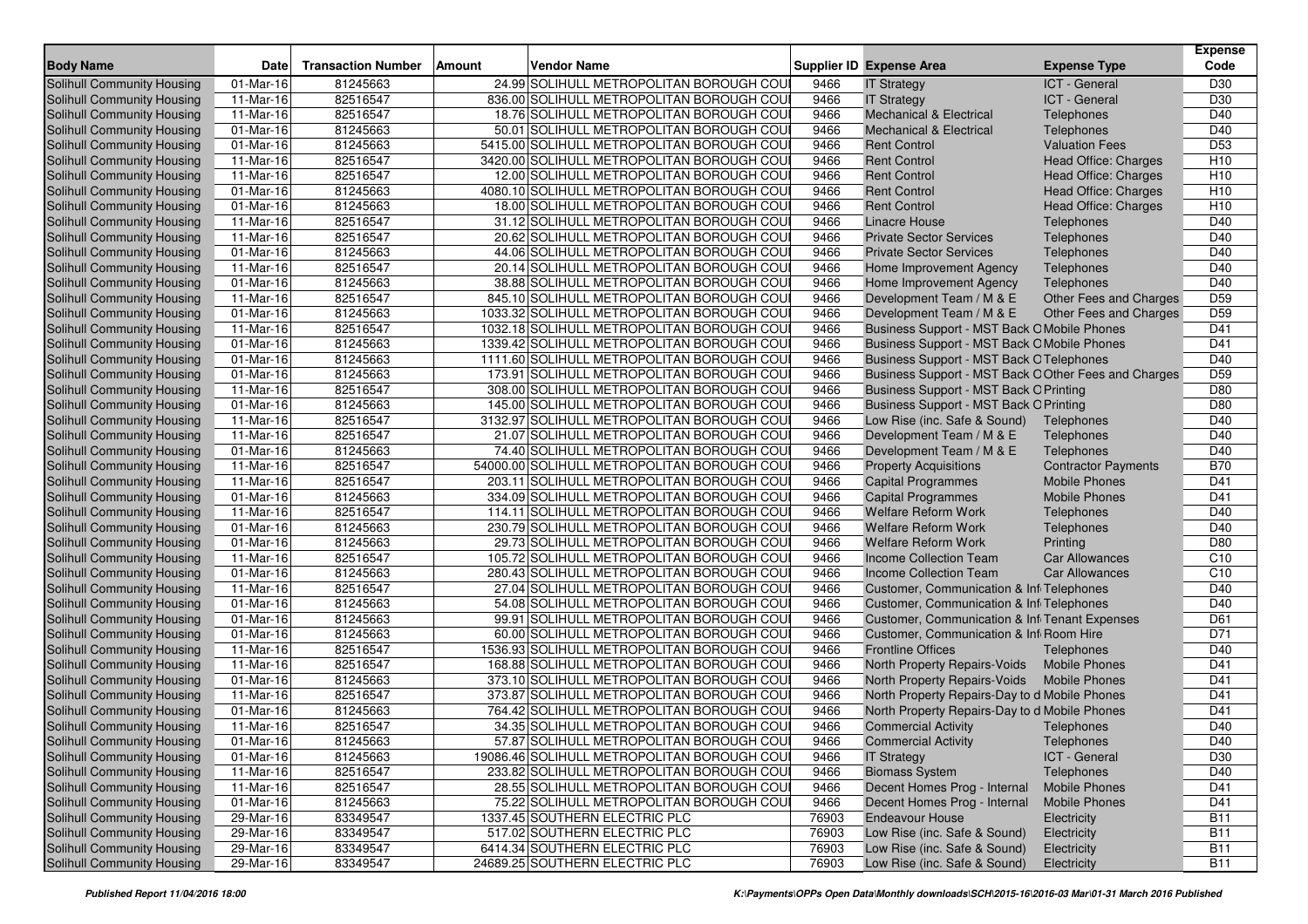| <b>Body Name</b>                  | <b>Date</b> | <b>Transaction Number</b> | Amount | <b>Vendor Name</b>                         |       | <b>Supplier ID Expense Area</b>                          | <b>Expense Type</b>        | <b>Expense</b><br>Code |
|-----------------------------------|-------------|---------------------------|--------|--------------------------------------------|-------|----------------------------------------------------------|----------------------------|------------------------|
| Solihull Community Housing        | 01-Mar-16   | 81245663                  |        | 24.99 SOLIHULL METROPOLITAN BOROUGH COUI   | 9466  | <b>IT Strategy</b>                                       | ICT - General              | D30                    |
| Solihull Community Housing        | 11-Mar-16   | 82516547                  |        | 836.00 SOLIHULL METROPOLITAN BOROUGH COUI  | 9466  |                                                          | ICT - General              | D30                    |
| Solihull Community Housing        | 11-Mar-16   | 82516547                  |        | 18.76 SOLIHULL METROPOLITAN BOROUGH COUI   | 9466  | <b>IT Strategy</b><br><b>Mechanical &amp; Electrical</b> | Telephones                 | D40                    |
| Solihull Community Housing        | 01-Mar-16   | 81245663                  |        | 50.01 SOLIHULL METROPOLITAN BOROUGH COU    | 9466  | <b>Mechanical &amp; Electrical</b>                       | Telephones                 | D40                    |
| Solihull Community Housing        | 01-Mar-16   | 81245663                  |        | 5415.00 SOLIHULL METROPOLITAN BOROUGH COU  | 9466  | <b>Rent Control</b>                                      | <b>Valuation Fees</b>      | D <sub>53</sub>        |
| Solihull Community Housing        | 11-Mar-16   | 82516547                  |        | 3420.00 SOLIHULL METROPOLITAN BOROUGH COUI | 9466  | <b>Rent Control</b>                                      | Head Office: Charges       | H <sub>10</sub>        |
| Solihull Community Housing        | 11-Mar-16   | 82516547                  |        | 12.00 SOLIHULL METROPOLITAN BOROUGH COU    | 9466  | <b>Rent Control</b>                                      | Head Office: Charges       | H <sub>10</sub>        |
| Solihull Community Housing        | 01-Mar-16   | 81245663                  |        | 4080.10 SOLIHULL METROPOLITAN BOROUGH COUI | 9466  | <b>Rent Control</b>                                      | Head Office: Charges       | H <sub>10</sub>        |
| Solihull Community Housing        | 01-Mar-16   | 81245663                  |        | 18.00 SOLIHULL METROPOLITAN BOROUGH COU    | 9466  | <b>Rent Control</b>                                      | Head Office: Charges       | H <sub>10</sub>        |
| Solihull Community Housing        | 11-Mar-16   | 82516547                  |        | 31.12 SOLIHULL METROPOLITAN BOROUGH COU    | 9466  | <b>Linacre House</b>                                     | Telephones                 | D40                    |
| Solihull Community Housing        | 11-Mar-16   | 82516547                  |        | 20.62 SOLIHULL METROPOLITAN BOROUGH COU    | 9466  | <b>Private Sector Services</b>                           | Telephones                 | D40                    |
| Solihull Community Housing        | 01-Mar-16   | 81245663                  |        | 44.06 SOLIHULL METROPOLITAN BOROUGH COU    | 9466  | <b>Private Sector Services</b>                           | Telephones                 | D40                    |
| Solihull Community Housing        | 11-Mar-16   | 82516547                  |        | 20.14 SOLIHULL METROPOLITAN BOROUGH COU    | 9466  | Home Improvement Agency                                  | Telephones                 | D40                    |
| Solihull Community Housing        | 01-Mar-16   | 81245663                  |        | 38.88 SOLIHULL METROPOLITAN BOROUGH COU    | 9466  | Home Improvement Agency                                  | Telephones                 | D40                    |
| Solihull Community Housing        | 11-Mar-16   | 82516547                  |        | 845.10 SOLIHULL METROPOLITAN BOROUGH COU   | 9466  | Development Team / M & E                                 | Other Fees and Charges     | D59                    |
| Solihull Community Housing        | 01-Mar-16   | 81245663                  |        | 1033.32 SOLIHULL METROPOLITAN BOROUGH COU  | 9466  | Development Team / M & E                                 | Other Fees and Charges     | D <sub>59</sub>        |
| Solihull Community Housing        | 11-Mar-16   | 82516547                  |        | 1032.18 SOLIHULL METROPOLITAN BOROUGH COU  | 9466  | Business Support - MST Back O Mobile Phones              |                            | D41                    |
| Solihull Community Housing        | 01-Mar-16   | 81245663                  |        | 1339.42 SOLIHULL METROPOLITAN BOROUGH COU  | 9466  | Business Support - MST Back O Mobile Phones              |                            | D41                    |
| Solihull Community Housing        | 01-Mar-16   | 81245663                  |        | 1111.60 SOLIHULL METROPOLITAN BOROUGH COU  | 9466  | <b>Business Support - MST Back O Telephones</b>          |                            | D40                    |
| Solihull Community Housing        | 01-Mar-16   | 81245663                  |        | 173.91 SOLIHULL METROPOLITAN BOROUGH COU   | 9466  | Business Support - MST Back O Other Fees and Charges     |                            | D <sub>59</sub>        |
| Solihull Community Housing        | 11-Mar-16   | 82516547                  |        | 308.00 SOLIHULL METROPOLITAN BOROUGH COU   | 9466  | <b>Business Support - MST Back O Printing</b>            |                            | D80                    |
| Solihull Community Housing        | 01-Mar-16   | 81245663                  |        | 145.00 SOLIHULL METROPOLITAN BOROUGH COU   | 9466  | Business Support - MST Back O Printing                   |                            | D80                    |
| Solihull Community Housing        | 11-Mar-16   | 82516547                  |        | 3132.97 SOLIHULL METROPOLITAN BOROUGH COU  | 9466  | Low Rise (inc. Safe & Sound)                             | Telephones                 | D40                    |
| Solihull Community Housing        | 11-Mar-16   | 82516547                  |        | 21.07 SOLIHULL METROPOLITAN BOROUGH COUI   | 9466  | Development Team / M & E                                 | Telephones                 | D40                    |
| Solihull Community Housing        | 01-Mar-16   | 81245663                  |        | 74.40 SOLIHULL METROPOLITAN BOROUGH COU    | 9466  | Development Team / M & E                                 | Telephones                 | D40                    |
| Solihull Community Housing        | 11-Mar-16   | 82516547                  |        | 54000.00 SOLIHULL METROPOLITAN BOROUGH COU | 9466  | <b>Property Acquisitions</b>                             | <b>Contractor Payments</b> | <b>B70</b>             |
| Solihull Community Housing        | 11-Mar-16   | 82516547                  |        | 203.11 SOLIHULL METROPOLITAN BOROUGH COU   | 9466  | <b>Capital Programmes</b>                                | <b>Mobile Phones</b>       | D41                    |
| Solihull Community Housing        | 01-Mar-16   | 81245663                  |        | 334.09 SOLIHULL METROPOLITAN BOROUGH COU   | 9466  | <b>Capital Programmes</b>                                | <b>Mobile Phones</b>       | D41                    |
| Solihull Community Housing        | 11-Mar-16   | 82516547                  |        | 114.11 SOLIHULL METROPOLITAN BOROUGH COU   | 9466  | <b>Welfare Reform Work</b>                               | Telephones                 | D40                    |
| Solihull Community Housing        | 01-Mar-16   | 81245663                  |        | 230.79 SOLIHULL METROPOLITAN BOROUGH COUI  | 9466  | <b>Welfare Reform Work</b>                               | Telephones                 | D40                    |
| Solihull Community Housing        | 01-Mar-16   | 81245663                  |        | 29.73 SOLIHULL METROPOLITAN BOROUGH COU    | 9466  | <b>Welfare Reform Work</b>                               | Printing                   | D80                    |
| Solihull Community Housing        | 11-Mar-16   | 82516547                  |        | 105.72 SOLIHULL METROPOLITAN BOROUGH COU   | 9466  | Income Collection Team                                   | <b>Car Allowances</b>      | C10                    |
| Solihull Community Housing        | 01-Mar-16   | 81245663                  |        | 280.43 SOLIHULL METROPOLITAN BOROUGH COU   | 9466  | Income Collection Team                                   | <b>Car Allowances</b>      | C10                    |
| Solihull Community Housing        | 11-Mar-16   | 82516547                  |        | 27.04 SOLIHULL METROPOLITAN BOROUGH COU    | 9466  | <b>Customer, Communication &amp; Infi Telephones</b>     |                            | D40                    |
| Solihull Community Housing        | 01-Mar-16   | 81245663                  |        | 54.08 SOLIHULL METROPOLITAN BOROUGH COU    | 9466  | Customer, Communication & Inf <sub>1</sub> Telephones    |                            | D40                    |
| Solihull Community Housing        | 01-Mar-16   | 81245663                  |        | 99.91 SOLIHULL METROPOLITAN BOROUGH COU    | 9466  | Customer, Communication & Infi Tenant Expenses           |                            | D61                    |
| Solihull Community Housing        | 01-Mar-16   | 81245663                  |        | 60.00 SOLIHULL METROPOLITAN BOROUGH COU    | 9466  | Customer, Communication & Inf Room Hire                  |                            | D71                    |
| Solihull Community Housing        | 11-Mar-16   | 82516547                  |        | 1536.93 SOLIHULL METROPOLITAN BOROUGH COU  | 9466  | <b>Frontline Offices</b>                                 | Telephones                 | D40                    |
| Solihull Community Housing        | 11-Mar-16   | 82516547                  |        | 168.88 SOLIHULL METROPOLITAN BOROUGH COU   | 9466  | North Property Repairs-Voids                             | <b>Mobile Phones</b>       | D41                    |
| Solihull Community Housing        | 01-Mar-16   | 81245663                  |        | 373.10 SOLIHULL METROPOLITAN BOROUGH COU   | 9466  | North Property Repairs-Voids                             | <b>Mobile Phones</b>       | D41                    |
| Solihull Community Housing        | 11-Mar-16   | 82516547                  |        | 373.87 SOLIHULL METROPOLITAN BOROUGH COUI  | 9466  | North Property Repairs-Day to d Mobile Phones            |                            | D41                    |
| <b>Solihull Community Housing</b> | 01-Mar-16   | 81245663                  |        | 764.42 SOLIHULL METROPOLITAN BOROUGH COU   | 9466  | North Property Repairs-Day to d Mobile Phones            |                            | D41                    |
| Solihull Community Housing        | 11-Mar-16   | 82516547                  |        | 34.35 SOLIHULL METROPOLITAN BOROUGH COU    | 9466  | <b>Commercial Activity</b>                               | Telephones                 | D40                    |
| Solihull Community Housing        | 01-Mar-16   | 81245663                  |        | 57.87 SOLIHULL METROPOLITAN BOROUGH COUI   | 9466  | <b>Commercial Activity</b>                               | Telephones                 | D40                    |
| Solihull Community Housing        | 01-Mar-16   | 81245663                  |        | 19086.46 SOLIHULL METROPOLITAN BOROUGH COU | 9466  | <b>IT Strategy</b>                                       | ICT - General              | D30                    |
| Solihull Community Housing        | 11-Mar-16   | 82516547                  |        | 233.82 SOLIHULL METROPOLITAN BOROUGH COUI  | 9466  | <b>Biomass System</b>                                    | Telephones                 | D40                    |
| Solihull Community Housing        | 11-Mar-16   | 82516547                  |        | 28.55 SOLIHULL METROPOLITAN BOROUGH COU    | 9466  | Decent Homes Prog - Internal                             | <b>Mobile Phones</b>       | D41                    |
| Solihull Community Housing        | 01-Mar-16   | 81245663                  |        | 75.22 SOLIHULL METROPOLITAN BOROUGH COUL   | 9466  | Decent Homes Prog - Internal                             | <b>Mobile Phones</b>       | D41                    |
| Solihull Community Housing        | 29-Mar-16   | 83349547                  |        | 1337.45 SOUTHERN ELECTRIC PLC              | 76903 | <b>Endeavour House</b>                                   | Electricity                | <b>B11</b>             |
| Solihull Community Housing        | 29-Mar-16   | 83349547                  |        | 517.02 SOUTHERN ELECTRIC PLC               | 76903 | Low Rise (inc. Safe & Sound)                             | Electricity                | <b>B11</b>             |
| Solihull Community Housing        | 29-Mar-16   | 83349547                  |        | 6414.34 SOUTHERN ELECTRIC PLC              | 76903 | Low Rise (inc. Safe & Sound)                             | Electricity                | <b>B11</b>             |
| Solihull Community Housing        | 29-Mar-16   | 83349547                  |        | 24689.25 SOUTHERN ELECTRIC PLC             | 76903 | Low Rise (inc. Safe & Sound)                             | Electricity                | <b>B11</b>             |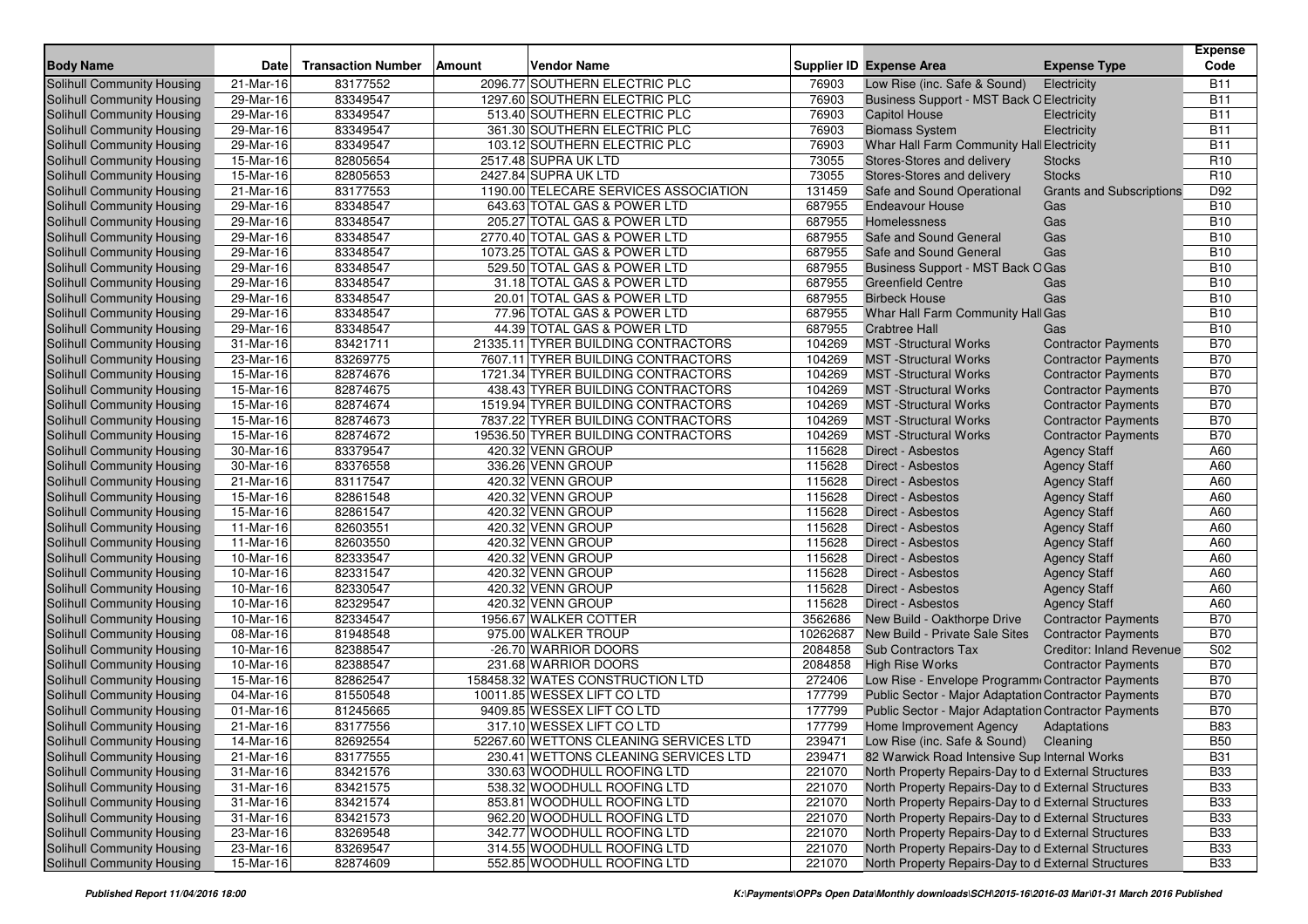| <b>Body Name</b>                  | <b>Date</b> | <b>Transaction Number</b> | <b>Vendor Name</b><br><b>Amount</b>    |          | <b>Supplier ID Expense Area</b>                      | <b>Expense Type</b>             | <b>Expense</b><br>Code |
|-----------------------------------|-------------|---------------------------|----------------------------------------|----------|------------------------------------------------------|---------------------------------|------------------------|
| Solihull Community Housing        | 21-Mar-16   | 83177552                  | 2096.77 SOUTHERN ELECTRIC PLC          | 76903    | Low Rise (inc. Safe & Sound)                         | Electricity                     | <b>B11</b>             |
| Solihull Community Housing        | 29-Mar-16   | 83349547                  | 1297.60 SOUTHERN ELECTRIC PLC          | 76903    | <b>Business Support - MST Back O Electricity</b>     |                                 | <b>B11</b>             |
| <b>Solihull Community Housing</b> | 29-Mar-16   | 83349547                  | 513.40 SOUTHERN ELECTRIC PLC           | 76903    | <b>Capitol House</b>                                 | Electricity                     | <b>B11</b>             |
| Solihull Community Housing        | 29-Mar-16   | 83349547                  | 361.30 SOUTHERN ELECTRIC PLC           | 76903    | <b>Biomass System</b>                                | Electricity                     | <b>B11</b>             |
| Solihull Community Housing        | 29-Mar-16   | 83349547                  | 103.12 SOUTHERN ELECTRIC PLC           | 76903    | Whar Hall Farm Community Hall Electricity            |                                 | <b>B11</b>             |
| Solihull Community Housing        | 15-Mar-16   | 82805654                  | 2517.48 SUPRA UK LTD                   | 73055    | Stores-Stores and delivery                           | <b>Stocks</b>                   | R <sub>10</sub>        |
| Solihull Community Housing        | 15-Mar-16   | 82805653                  | 2427.84 SUPRA UK LTD                   | 73055    | Stores-Stores and delivery                           | <b>Stocks</b>                   | R <sub>10</sub>        |
| Solihull Community Housing        | 21-Mar-16   | 83177553                  | 1190.00 TELECARE SERVICES ASSOCIATION  | 131459   | Safe and Sound Operational                           | <b>Grants and Subscriptions</b> | D92                    |
| Solihull Community Housing        | 29-Mar-16   | 83348547                  | 643.63 TOTAL GAS & POWER LTD           | 687955   | <b>Endeavour House</b>                               | Gas                             | <b>B10</b>             |
| Solihull Community Housing        | 29-Mar-16   | 83348547                  | 205.27 TOTAL GAS & POWER LTD           | 687955   | Homelessness                                         | Gas                             | <b>B10</b>             |
| Solihull Community Housing        | 29-Mar-16   | 83348547                  | 2770.40 TOTAL GAS & POWER LTD          | 687955   | Safe and Sound General                               | Gas                             | <b>B10</b>             |
| Solihull Community Housing        | 29-Mar-16   | 83348547                  | 1073.25 TOTAL GAS & POWER LTD          | 687955   | Safe and Sound General                               | Gas                             | <b>B10</b>             |
| Solihull Community Housing        | 29-Mar-16   | 83348547                  | 529.50 TOTAL GAS & POWER LTD           | 687955   | Business Support - MST Back OGas                     |                                 | <b>B10</b>             |
| Solihull Community Housing        | 29-Mar-16   | 83348547                  | 31.18 TOTAL GAS & POWER LTD            | 687955   | <b>Greenfield Centre</b>                             | Gas                             | <b>B10</b>             |
| Solihull Community Housing        | 29-Mar-16   | 83348547                  | 20.01 TOTAL GAS & POWER LTD            | 687955   | <b>Birbeck House</b>                                 | Gas                             | <b>B10</b>             |
| Solihull Community Housing        | 29-Mar-16   | 83348547                  | 77.96 TOTAL GAS & POWER LTD            | 687955   | Whar Hall Farm Community Hall Gas                    |                                 | <b>B10</b>             |
| Solihull Community Housing        | 29-Mar-16   | 83348547                  | 44.39 TOTAL GAS & POWER LTD            | 687955   | <b>Crabtree Hall</b>                                 | Gas                             | <b>B10</b>             |
| Solihull Community Housing        | 31-Mar-16   | 83421711                  | 21335.11 TYRER BUILDING CONTRACTORS    | 104269   | <b>MST</b> -Structural Works                         | <b>Contractor Payments</b>      | <b>B70</b>             |
| Solihull Community Housing        | 23-Mar-16   | 83269775                  | 7607.11 TYRER BUILDING CONTRACTORS     | 104269   | <b>MST</b> -Structural Works                         | <b>Contractor Payments</b>      | <b>B70</b>             |
| Solihull Community Housing        | 15-Mar-16   | 82874676                  | 1721.34 TYRER BUILDING CONTRACTORS     | 104269   | <b>MST</b> -Structural Works                         | <b>Contractor Payments</b>      | <b>B70</b>             |
| Solihull Community Housing        | 15-Mar-16   | 82874675                  | 438.43 TYRER BUILDING CONTRACTORS      | 104269   | <b>MST</b> -Structural Works                         | <b>Contractor Payments</b>      | <b>B70</b>             |
| Solihull Community Housing        | 15-Mar-16   | 82874674                  | 1519.94 TYRER BUILDING CONTRACTORS     | 104269   | <b>MST</b> -Structural Works                         | <b>Contractor Payments</b>      | <b>B70</b>             |
| Solihull Community Housing        | 15-Mar-16   | 82874673                  | 7837.22 TYRER BUILDING CONTRACTORS     | 104269   | <b>MST</b> -Structural Works                         | <b>Contractor Payments</b>      | <b>B70</b>             |
| Solihull Community Housing        | 15-Mar-16   | 82874672                  | 19536.50 TYRER BUILDING CONTRACTORS    | 104269   | <b>MST</b> -Structural Works                         | <b>Contractor Payments</b>      | <b>B70</b>             |
| Solihull Community Housing        | 30-Mar-16   | 83379547                  | 420.32 VENN GROUP                      | 115628   | <b>Direct - Asbestos</b>                             | <b>Agency Staff</b>             | A60                    |
| Solihull Community Housing        | 30-Mar-16   | 83376558                  | 336.26 VENN GROUP                      | 115628   | <b>Direct - Asbestos</b>                             | <b>Agency Staff</b>             | A60                    |
| Solihull Community Housing        | 21-Mar-16   | 83117547                  | 420.32 VENN GROUP                      | 115628   | Direct - Asbestos                                    | <b>Agency Staff</b>             | A60                    |
| Solihull Community Housing        | 15-Mar-16   | 82861548                  | 420.32 VENN GROUP                      | 115628   | Direct - Asbestos                                    | <b>Agency Staff</b>             | A60                    |
| Solihull Community Housing        | 15-Mar-16   | 82861547                  | 420.32 VENN GROUP                      | 115628   | Direct - Asbestos                                    | <b>Agency Staff</b>             | A60                    |
| Solihull Community Housing        | 11-Mar-16   | 82603551                  | 420.32 VENN GROUP                      | 115628   | Direct - Asbestos                                    | <b>Agency Staff</b>             | A60                    |
| Solihull Community Housing        | 11-Mar-16   | 82603550                  | 420.32 VENN GROUP                      | 115628   | Direct - Asbestos                                    | <b>Agency Staff</b>             | A60                    |
| Solihull Community Housing        | 10-Mar-16   | 82333547                  | 420.32 VENN GROUP                      | 115628   | Direct - Asbestos                                    | <b>Agency Staff</b>             | A60                    |
| Solihull Community Housing        | 10-Mar-16   | 82331547                  | 420.32 VENN GROUP                      | 115628   | Direct - Asbestos                                    | <b>Agency Staff</b>             | A60                    |
| Solihull Community Housing        | 10-Mar-16   | 82330547                  | 420.32 VENN GROUP                      | 115628   | Direct - Asbestos                                    | <b>Agency Staff</b>             | A60                    |
| Solihull Community Housing        | 10-Mar-16   | 82329547                  | 420.32 VENN GROUP                      | 115628   | Direct - Asbestos                                    | <b>Agency Staff</b>             | A60                    |
| Solihull Community Housing        | 10-Mar-16   | 82334547                  | 1956.67 WALKER COTTER                  | 3562686  | New Build - Oakthorpe Drive                          | <b>Contractor Payments</b>      | <b>B70</b>             |
| Solihull Community Housing        | 08-Mar-16   | 81948548                  | 975.00 WALKER TROUP                    | 10262687 | New Build - Private Sale Sites                       | <b>Contractor Payments</b>      | <b>B70</b>             |
| Solihull Community Housing        | 10-Mar-16   | 82388547                  | -26.70 WARRIOR DOORS                   | 2084858  | <b>Sub Contractors Tax</b>                           | <b>Creditor: Inland Revenue</b> | S <sub>02</sub>        |
| Solihull Community Housing        | 10-Mar-16   | 82388547                  | 231.68 WARRIOR DOORS                   | 2084858  | <b>High Rise Works</b>                               | <b>Contractor Payments</b>      | <b>B70</b>             |
| Solihull Community Housing        | 15-Mar-16   | 82862547                  | 158458.32 WATES CONSTRUCTION LTD       | 272406   | Low Rise - Envelope Programm Contractor Payments     |                                 | <b>B70</b>             |
| Solihull Community Housing        | 04-Mar-16   | 81550548                  | 10011.85 WESSEX LIFT CO LTD            | 177799   | Public Sector - Major Adaptation Contractor Payments |                                 | <b>B70</b>             |
| Solihull Community Housing        | 01-Mar-16   | 81245665                  | 9409.85 WESSEX LIFT CO LTD             | 177799   | Public Sector - Major Adaptation Contractor Payments |                                 | <b>B70</b>             |
| Solihull Community Housing        | 21-Mar-16   | 83177556                  | 317.10 WESSEX LIFT CO LTD              | 177799   | Home Improvement Agency                              | Adaptations                     | <b>B83</b>             |
| Solihull Community Housing        | 14-Mar-16   | 82692554                  | 52267.60 WETTONS CLEANING SERVICES LTD | 239471   | Low Rise (inc. Safe & Sound) Cleaning                |                                 | <b>B50</b>             |
| Solihull Community Housing        | 21-Mar-16   | 83177555                  | 230.41 WETTONS CLEANING SERVICES LTD   | 239471   | 82 Warwick Road Intensive Sup Internal Works         |                                 | <b>B31</b>             |
| Solihull Community Housing        | $31-Mar-16$ | 83421576                  | 330.63 WOODHULL ROOFING LTD            | 221070   | North Property Repairs-Day to d External Structures  |                                 | <b>B33</b>             |
| Solihull Community Housing        | 31-Mar-16   | 83421575                  | 538.32 WOODHULL ROOFING LTD            | 221070   | North Property Repairs-Day to d External Structures  |                                 | <b>B33</b>             |
| Solihull Community Housing        | 31-Mar-16   | 83421574                  | 853.81 WOODHULL ROOFING LTD            | 221070   | North Property Repairs-Day to d External Structures  |                                 | <b>B33</b>             |
| Solihull Community Housing        | 31-Mar-16   | 83421573                  | 962.20 WOODHULL ROOFING LTD            | 221070   | North Property Repairs-Day to d External Structures  |                                 | <b>B33</b>             |
| Solihull Community Housing        | 23-Mar-16   | 83269548                  | 342.77 WOODHULL ROOFING LTD            | 221070   | North Property Repairs-Day to d External Structures  |                                 | <b>B33</b>             |
| Solihull Community Housing        | 23-Mar-16   | 83269547                  | 314.55 WOODHULL ROOFING LTD            | 221070   | North Property Repairs-Day to d External Structures  |                                 | <b>B33</b>             |
| Solihull Community Housing        | 15-Mar-16   | 82874609                  | 552.85 WOODHULL ROOFING LTD            | 221070   | North Property Repairs-Day to d External Structures  |                                 | <b>B33</b>             |